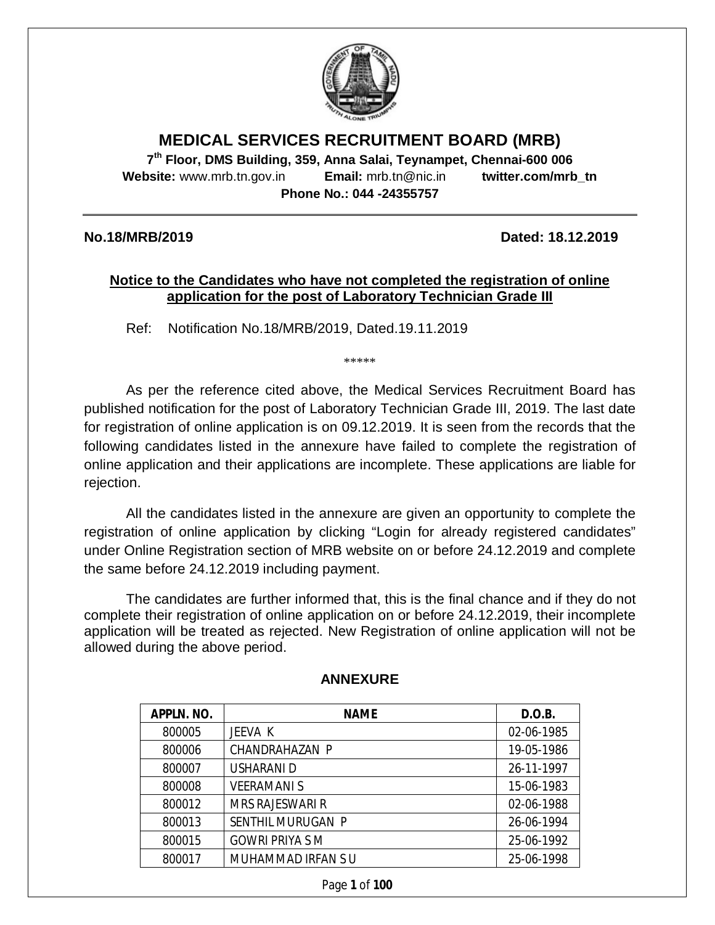

## **MEDICAL SERVICES RECRUITMENT BOARD (MRB)**

**7 th Floor, DMS Building, 359, Anna Salai, Teynampet, Chennai-600 006 Website:** www.mrb.tn.gov.in **Email:** mrb.tn@nic.in **twitter.com/mrb\_tn Phone No.: 044 -24355757**

**No.18/MRB/2019 Dated: 18.12.2019**

## **Notice to the Candidates who have not completed the registration of online application for the post of Laboratory Technician Grade III**

Ref: Notification No.18/MRB/2019, Dated.19.11.2019

\*\*\*\*\*

As per the reference cited above, the Medical Services Recruitment Board has published notification for the post of Laboratory Technician Grade III, 2019. The last date for registration of online application is on 09.12.2019. It is seen from the records that the following candidates listed in the annexure have failed to complete the registration of online application and their applications are incomplete. These applications are liable for rejection.

All the candidates listed in the annexure are given an opportunity to complete the registration of online application by clicking "Login for already registered candidates" under Online Registration section of MRB website on or before 24.12.2019 and complete the same before 24.12.2019 including payment.

The candidates are further informed that, this is the final chance and if they do not complete their registration of online application on or before 24.12.2019, their incomplete application will be treated as rejected. New Registration of online application will not be allowed during the above period.

| APPLN. NO. | <b>NAME</b>            | D.O.B.     |
|------------|------------------------|------------|
| 800005     | JEEVA K                | 02-06-1985 |
| 800006     | CHANDRAHAZAN P         | 19-05-1986 |
| 800007     | USHARANI D             | 26-11-1997 |
| 800008     | <b>VEERAMANI S</b>     | 15-06-1983 |
| 800012     | <b>MRS RAJESWARI R</b> | 02-06-1988 |
| 800013     | SENTHIL MURUGAN P      | 26-06-1994 |
| 800015     | <b>GOWRI PRIYA S M</b> | 25-06-1992 |
| 800017     | MUHAMMAD IRFAN SU      | 25-06-1998 |

## **ANNEXURE**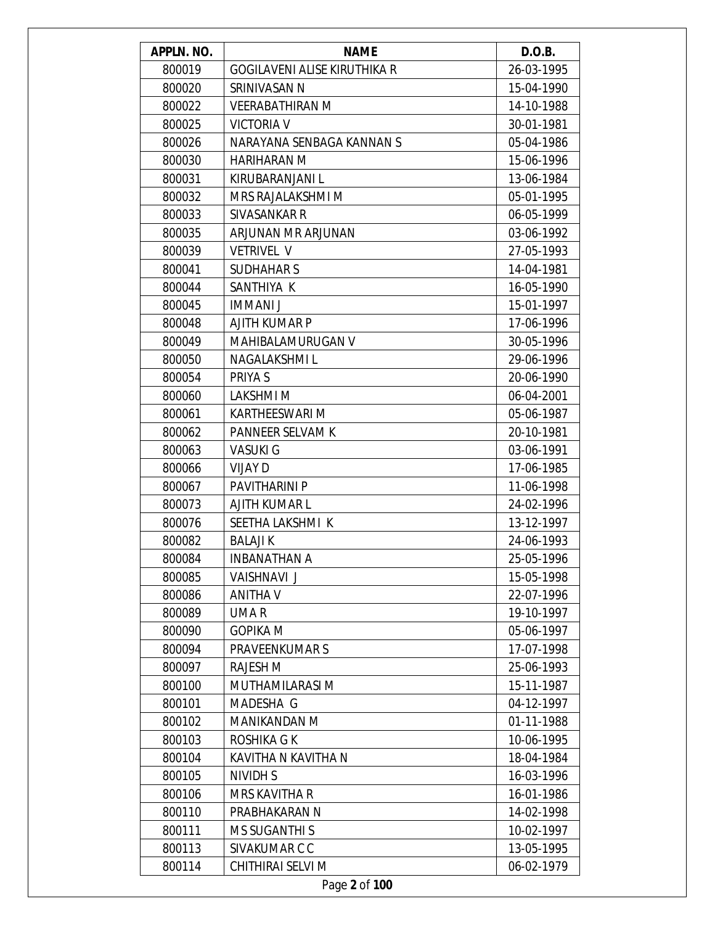| APPLN. NO. | <b>NAME</b>                         | D.O.B.     |
|------------|-------------------------------------|------------|
| 800019     | <b>GOGILAVENI ALISE KIRUTHIKA R</b> | 26-03-1995 |
| 800020     | SRINIVASAN N                        | 15-04-1990 |
| 800022     | <b>VEERABATHIRAN M</b>              | 14-10-1988 |
| 800025     | <b>VICTORIA V</b>                   | 30-01-1981 |
| 800026     | NARAYANA SENBAGA KANNAN S           | 05-04-1986 |
| 800030     | <b>HARIHARAN M</b>                  | 15-06-1996 |
| 800031     | KIRUBARANJANI L                     | 13-06-1984 |
| 800032     | MRS RAJALAKSHMI M                   | 05-01-1995 |
| 800033     | SIVASANKAR R                        | 06-05-1999 |
| 800035     | ARJUNAN MR ARJUNAN                  | 03-06-1992 |
| 800039     | <b>VETRIVEL V</b>                   | 27-05-1993 |
| 800041     | <b>SUDHAHARS</b>                    | 14-04-1981 |
| 800044     | SANTHIYA K                          | 16-05-1990 |
| 800045     | <b>IMMANI J</b>                     | 15-01-1997 |
| 800048     | AJITH KUMAR P                       | 17-06-1996 |
| 800049     | <b>MAHIBALAMURUGAN V</b>            | 30-05-1996 |
| 800050     | NAGALAKSHMI L                       | 29-06-1996 |
| 800054     | PRIYA S                             | 20-06-1990 |
| 800060     | LAKSHMI M                           | 06-04-2001 |
| 800061     | <b>KARTHEESWARI M</b>               | 05-06-1987 |
| 800062     | PANNEER SELVAM K                    | 20-10-1981 |
| 800063     | <b>VASUKI G</b>                     | 03-06-1991 |
| 800066     | VIJAY D                             | 17-06-1985 |
| 800067     | PAVITHARINI P                       | 11-06-1998 |
| 800073     | <b>AJITH KUMAR L</b>                | 24-02-1996 |
| 800076     | SEETHA LAKSHMI K                    | 13-12-1997 |
| 800082     | <b>BALAJIK</b>                      | 24-06-1993 |
| 800084     | INBANATHAN A                        | 25-05-1996 |
| 800085     | VAISHNAVI J                         | 15-05-1998 |
| 800086     | ANITHA V                            | 22-07-1996 |
| 800089     | UMA R                               | 19-10-1997 |
| 800090     | <b>GOPIKA M</b>                     | 05-06-1997 |
| 800094     | <b>PRAVEENKUMARS</b>                | 17-07-1998 |
| 800097     | RAJESH M                            | 25-06-1993 |
| 800100     | MUTHAMILARASI M                     | 15-11-1987 |
| 800101     | MADESHA G                           | 04-12-1997 |
| 800102     | <b>MANIKANDAN M</b>                 | 01-11-1988 |
| 800103     | ROSHIKA G K                         | 10-06-1995 |
| 800104     | KAVITHA N KAVITHA N                 | 18-04-1984 |
| 800105     | NIVIDH S                            | 16-03-1996 |
| 800106     | MRS KAVITHA R                       | 16-01-1986 |
| 800110     | PRABHAKARAN N                       | 14-02-1998 |
| 800111     | <b>MS SUGANTHI S</b>                | 10-02-1997 |
| 800113     | SIVAKUMAR C C                       | 13-05-1995 |
| 800114     | CHITHIRAI SELVI M                   | 06-02-1979 |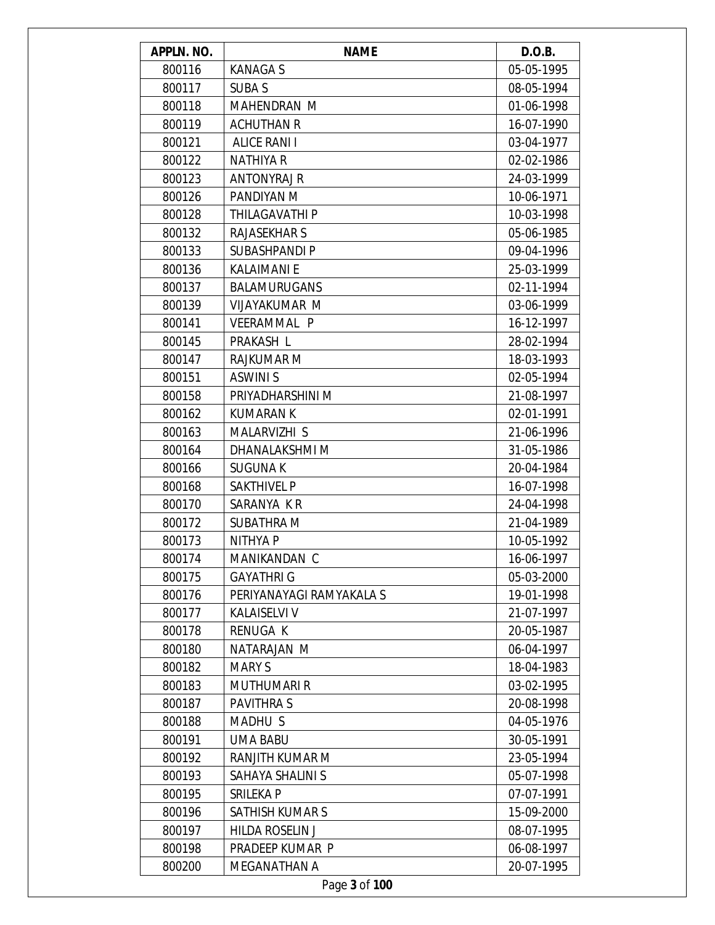| APPLN. NO. | <b>NAME</b>              | D.O.B.     |
|------------|--------------------------|------------|
| 800116     | <b>KANAGAS</b>           | 05-05-1995 |
| 800117     | <b>SUBAS</b>             | 08-05-1994 |
| 800118     | <b>MAHENDRAN M</b>       | 01-06-1998 |
| 800119     | <b>ACHUTHAN R</b>        | 16-07-1990 |
| 800121     | <b>ALICE RANI I</b>      | 03-04-1977 |
| 800122     | <b>NATHIYA R</b>         | 02-02-1986 |
| 800123     | ANTONYRAJ R              | 24-03-1999 |
| 800126     | PANDIYAN M               | 10-06-1971 |
| 800128     | THILAGAVATHI P           | 10-03-1998 |
| 800132     | <b>RAJASEKHAR S</b>      | 05-06-1985 |
| 800133     | <b>SUBASHPANDI P</b>     | 09-04-1996 |
| 800136     | <b>KALAIMANI E</b>       | 25-03-1999 |
| 800137     | <b>BALAMURUGANS</b>      | 02-11-1994 |
| 800139     | <b>VIJAYAKUMAR M</b>     | 03-06-1999 |
| 800141     | <b>VEERAMMAL P</b>       | 16-12-1997 |
| 800145     | PRAKASH L                | 28-02-1994 |
| 800147     | RAJKUMAR M               | 18-03-1993 |
| 800151     | <b>ASWINI S</b>          | 02-05-1994 |
| 800158     | PRIYADHARSHINI M         | 21-08-1997 |
| 800162     | <b>KUMARAN K</b>         | 02-01-1991 |
| 800163     | MALARVIZHI S             | 21-06-1996 |
| 800164     | DHANALAKSHMI M           | 31-05-1986 |
| 800166     | <b>SUGUNAK</b>           | 20-04-1984 |
| 800168     | <b>SAKTHIVEL P</b>       | 16-07-1998 |
| 800170     | SARANYA KR               | 24-04-1998 |
| 800172     | <b>SUBATHRA M</b>        | 21-04-1989 |
| 800173     | <b>NITHYAP</b>           | 10-05-1992 |
| 800174     | MANIKANDAN C             | 16-06-1997 |
| 800175     | <b>GAYATHRI G</b>        | 05-03-2000 |
| 800176     | PERIYANAYAGI RAMYAKALA S | 19-01-1998 |
| 800177     | <b>KALAISELVI V</b>      | 21-07-1997 |
| 800178     | RENUGA K                 | 20-05-1987 |
| 800180     | NATARAJAN M              | 06-04-1997 |
| 800182     | <b>MARYS</b>             | 18-04-1983 |
| 800183     | <b>MUTHUMARI R</b>       | 03-02-1995 |
| 800187     | <b>PAVITHRAS</b>         | 20-08-1998 |
| 800188     | MADHU S                  | 04-05-1976 |
| 800191     | <b>UMA BABU</b>          | 30-05-1991 |
| 800192     | RANJITH KUMAR M          | 23-05-1994 |
| 800193     | SAHAYA SHALINI S         | 05-07-1998 |
| 800195     | SRILEKA P                | 07-07-1991 |
| 800196     | SATHISH KUMAR S          | 15-09-2000 |
| 800197     | <b>HILDA ROSELIN J</b>   | 08-07-1995 |
| 800198     | PRADEEP KUMAR P          | 06-08-1997 |
| 800200     | MEGANATHAN A             | 20-07-1995 |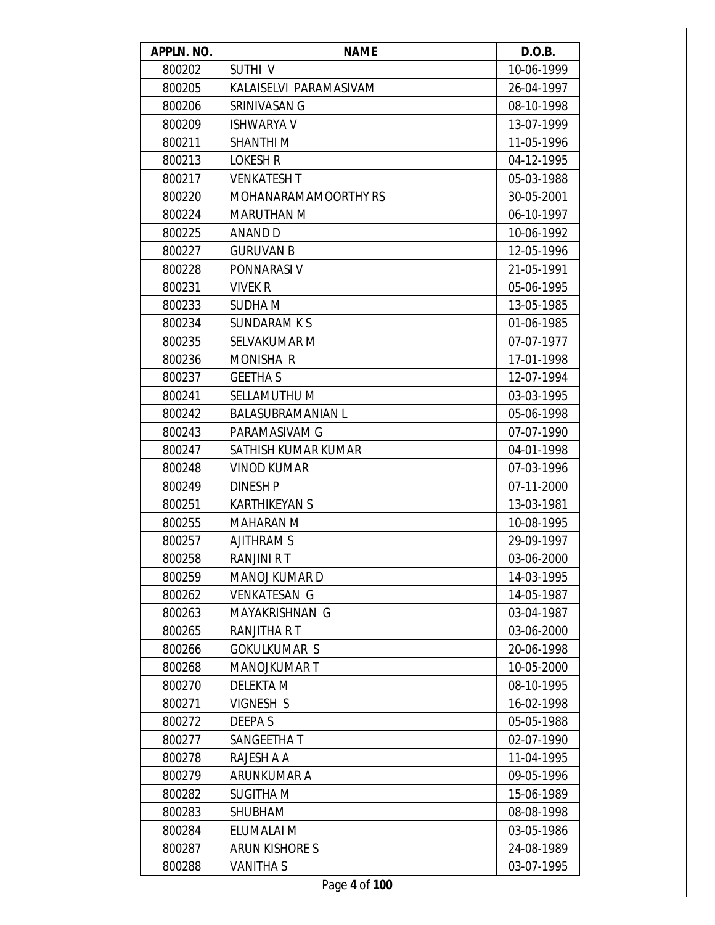| APPLN. NO. | <b>NAME</b>              | D.O.B.     |
|------------|--------------------------|------------|
| 800202     | SUTHI V                  | 10-06-1999 |
| 800205     | KALAISELVI PARAMASIVAM   | 26-04-1997 |
| 800206     | SRINIVASAN G             | 08-10-1998 |
| 800209     | <b>ISHWARYA V</b>        | 13-07-1999 |
| 800211     | <b>SHANTHIM</b>          | 11-05-1996 |
| 800213     | <b>LOKESH R</b>          | 04-12-1995 |
| 800217     | <b>VENKATESH T</b>       | 05-03-1988 |
| 800220     | MOHANARAMAMOORTHY RS     | 30-05-2001 |
| 800224     | <b>MARUTHAN M</b>        | 06-10-1997 |
| 800225     | ANAND D                  | 10-06-1992 |
| 800227     | <b>GURUVAN B</b>         | 12-05-1996 |
| 800228     | PONNARASI V              | 21-05-1991 |
| 800231     | <b>VIVEK R</b>           | 05-06-1995 |
| 800233     | <b>SUDHAM</b>            | 13-05-1985 |
| 800234     | SUNDARAM K S             | 01-06-1985 |
| 800235     | SELVAKUMAR M             | 07-07-1977 |
| 800236     | <b>MONISHA R</b>         | 17-01-1998 |
| 800237     | <b>GEETHA S</b>          | 12-07-1994 |
| 800241     | SELLAMUTHU M             | 03-03-1995 |
| 800242     | <b>BALASUBRAMANIAN L</b> | 05-06-1998 |
| 800243     | PARAMASIVAM G            | 07-07-1990 |
| 800247     | SATHISH KUMAR KUMAR      | 04-01-1998 |
| 800248     | <b>VINOD KUMAR</b>       | 07-03-1996 |
| 800249     | <b>DINESH P</b>          | 07-11-2000 |
| 800251     | <b>KARTHIKEYAN S</b>     | 13-03-1981 |
| 800255     | <b>MAHARAN M</b>         | 10-08-1995 |
| 800257     | <b>AJITHRAM S</b>        | 29-09-1997 |
| 800258     | RANJINI R T              | 03-06-2000 |
| 800259     | <b>MANOJ KUMAR D</b>     | 14-03-1995 |
| 800262     | <b>VENKATESAN G</b>      | 14-05-1987 |
| 800263     | MAYAKRISHNAN G           | 03-04-1987 |
| 800265     | RANJITHA R T             | 03-06-2000 |
| 800266     | <b>GOKULKUMAR S</b>      | 20-06-1998 |
| 800268     | <b>MANOJKUMAR T</b>      | 10-05-2000 |
| 800270     | <b>DELEKTA M</b>         | 08-10-1995 |
| 800271     | VIGNESH S                | 16-02-1998 |
| 800272     | DEEPA S                  | 05-05-1988 |
| 800277     | SANGEETHA T              | 02-07-1990 |
| 800278     | RAJESH A A               | 11-04-1995 |
| 800279     | ARUNKUMAR A              | 09-05-1996 |
| 800282     | <b>SUGITHA M</b>         | 15-06-1989 |
| 800283     | <b>SHUBHAM</b>           | 08-08-1998 |
| 800284     | ELUMALAI M               | 03-05-1986 |
| 800287     | ARUN KISHORE S           | 24-08-1989 |
| 800288     | <b>VANITHAS</b>          | 03-07-1995 |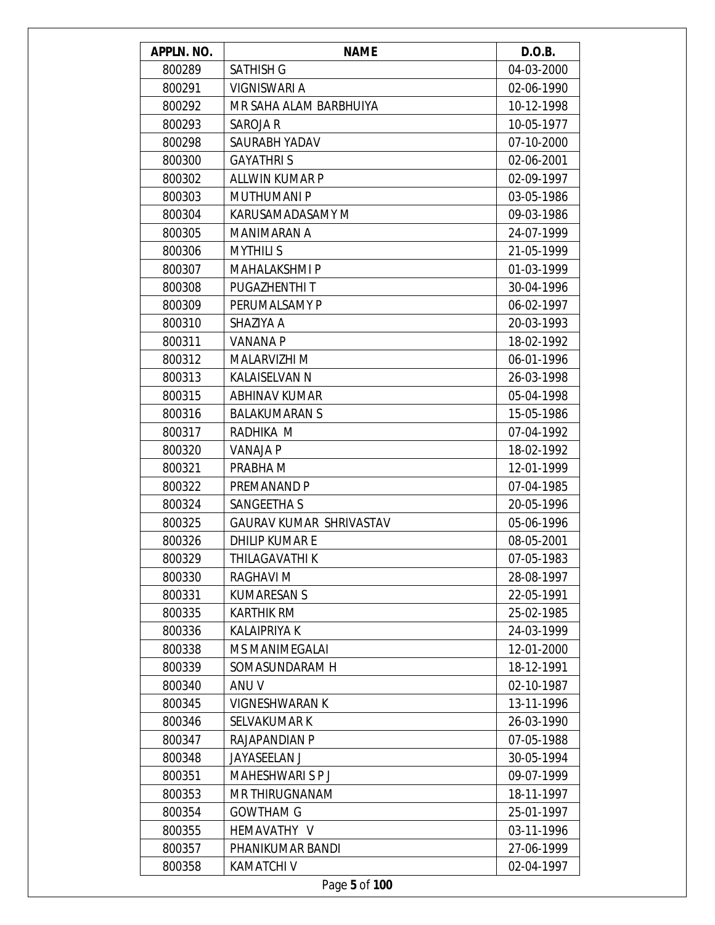| APPLN. NO. | <b>NAME</b>             | D.O.B.     |
|------------|-------------------------|------------|
| 800289     | <b>SATHISH G</b>        | 04-03-2000 |
| 800291     | VIGNISWARI A            | 02-06-1990 |
| 800292     | MR SAHA ALAM BARBHUIYA  | 10-12-1998 |
| 800293     | SAROJA R                | 10-05-1977 |
| 800298     | SAURABH YADAV           | 07-10-2000 |
| 800300     | <b>GAYATHRIS</b>        | 02-06-2001 |
| 800302     | ALLWIN KUMAR P          | 02-09-1997 |
| 800303     | <b>MUTHUMANI P</b>      | 03-05-1986 |
| 800304     | KARUSAMADASAMY M        | 09-03-1986 |
| 800305     | MANIMARAN A             | 24-07-1999 |
| 800306     | <b>MYTHILI S</b>        | 21-05-1999 |
| 800307     | <b>MAHALAKSHMI P</b>    | 01-03-1999 |
| 800308     | PUGAZHENTHI T           | 30-04-1996 |
| 800309     | PERUMALSAMY P           | 06-02-1997 |
| 800310     | SHAZIYA A               | 20-03-1993 |
| 800311     | <b>VANANA P</b>         | 18-02-1992 |
| 800312     | MALARVIZHI M            | 06-01-1996 |
| 800313     | <b>KALAISELVAN N</b>    | 26-03-1998 |
| 800315     | <b>ABHINAV KUMAR</b>    | 05-04-1998 |
| 800316     | <b>BALAKUMARAN S</b>    | 15-05-1986 |
| 800317     | RADHIKA M               | 07-04-1992 |
| 800320     | VANAJA P                | 18-02-1992 |
| 800321     | PRABHA M                | 12-01-1999 |
| 800322     | PREMANAND P             | 07-04-1985 |
| 800324     | SANGEETHA S             | 20-05-1996 |
| 800325     | GAURAV KUMAR SHRIVASTAV | 05-06-1996 |
| 800326     | <b>DHILIP KUMARE</b>    | 08-05-2001 |
| 800329     | THILAGAVATHI K          | 07-05-1983 |
| 800330     | RAGHAVI M               | 28-08-1997 |
| 800331     | <b>KUMARESAN S</b>      | 22-05-1991 |
| 800335     | <b>KARTHIK RM</b>       | 25-02-1985 |
| 800336     | <b>KALAIPRIYA K</b>     | 24-03-1999 |
| 800338     | <b>MS MANIMEGALAI</b>   | 12-01-2000 |
| 800339     | SOMASUNDARAM H          | 18-12-1991 |
| 800340     | ANU V                   | 02-10-1987 |
| 800345     | <b>VIGNESHWARAN K</b>   | 13-11-1996 |
| 800346     | <b>SELVAKUMAR K</b>     | 26-03-1990 |
| 800347     | RAJAPANDIAN P           | 07-05-1988 |
| 800348     | <b>JAYASEELAN J</b>     | 30-05-1994 |
| 800351     | MAHESHWARI S P J        | 09-07-1999 |
| 800353     | <b>MR THIRUGNANAM</b>   | 18-11-1997 |
| 800354     | <b>GOWTHAM G</b>        | 25-01-1997 |
| 800355     | HEMAVATHY V             | 03-11-1996 |
| 800357     | PHANIKUMAR BANDI        | 27-06-1999 |
| 800358     | <b>KAMATCHI V</b>       | 02-04-1997 |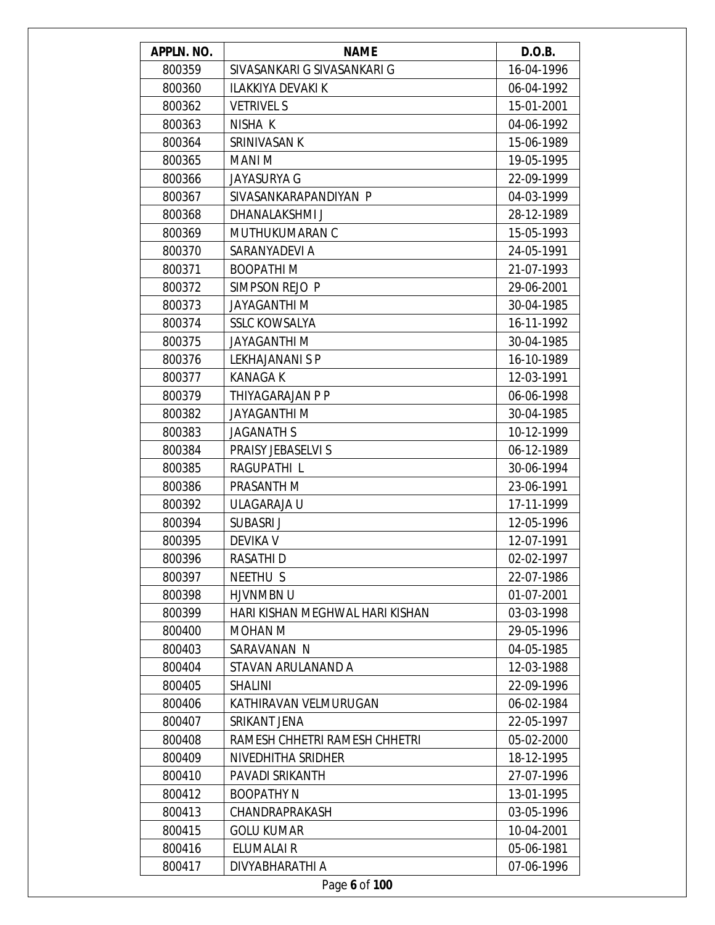| APPLN. NO. | <b>NAME</b>                     | D.O.B.     |
|------------|---------------------------------|------------|
| 800359     | SIVASANKARI G SIVASANKARI G     | 16-04-1996 |
| 800360     | ILAKKIYA DEVAKI K               | 06-04-1992 |
| 800362     | <b>VETRIVEL S</b>               | 15-01-2001 |
| 800363     | NISHA K                         | 04-06-1992 |
| 800364     | SRINIVASAN K                    | 15-06-1989 |
| 800365     | MANI M                          | 19-05-1995 |
| 800366     | JAYASURYA G                     | 22-09-1999 |
| 800367     | SIVASANKARAPANDIYAN P           | 04-03-1999 |
| 800368     | DHANALAKSHMI J                  | 28-12-1989 |
| 800369     | MUTHUKUMARAN C                  | 15-05-1993 |
| 800370     | SARANYADEVI A                   | 24-05-1991 |
| 800371     | <b>BOOPATHIM</b>                | 21-07-1993 |
| 800372     | SIMPSON REJO P                  | 29-06-2001 |
| 800373     | <b>JAYAGANTHI M</b>             | 30-04-1985 |
| 800374     | <b>SSLC KOWSALYA</b>            | 16-11-1992 |
| 800375     | <b>JAYAGANTHI M</b>             | 30-04-1985 |
| 800376     | <b>LEKHAJANANI S P</b>          | 16-10-1989 |
| 800377     | <b>KANAGA K</b>                 | 12-03-1991 |
| 800379     | THIYAGARAJAN P P                | 06-06-1998 |
| 800382     | <b>JAYAGANTHI M</b>             | 30-04-1985 |
| 800383     | <b>JAGANATH S</b>               | 10-12-1999 |
| 800384     | PRAISY JEBASELVI S              | 06-12-1989 |
| 800385     | RAGUPATHI L                     | 30-06-1994 |
| 800386     | PRASANTH M                      | 23-06-1991 |
| 800392     | ULAGARAJA U                     | 17-11-1999 |
| 800394     | SUBASRI J                       | 12-05-1996 |
| 800395     | <b>DEVIKA V</b>                 | 12-07-1991 |
| 800396     | RASATHI D                       | 02-02-1997 |
| 800397     | NEETHU S                        | 22-07-1986 |
| 800398     | HJVNMBN U                       | 01-07-2001 |
| 800399     | HARI KISHAN MEGHWAL HARI KISHAN | 03-03-1998 |
| 800400     | MOHAN M                         | 29-05-1996 |
| 800403     | SARAVANAN N                     | 04-05-1985 |
| 800404     | STAVAN ARULANAND A              | 12-03-1988 |
| 800405     | <b>SHALINI</b>                  | 22-09-1996 |
| 800406     | KATHIRAVAN VELMURUGAN           | 06-02-1984 |
| 800407     | SRIKANT JENA                    | 22-05-1997 |
| 800408     | RAMESH CHHETRI RAMESH CHHETRI   | 05-02-2000 |
| 800409     | NIVEDHITHA SRIDHER              | 18-12-1995 |
| 800410     | PAVADI SRIKANTH                 | 27-07-1996 |
| 800412     | <b>BOOPATHY N</b>               | 13-01-1995 |
| 800413     | CHANDRAPRAKASH                  | 03-05-1996 |
| 800415     | <b>GOLU KUMAR</b>               | 10-04-2001 |
| 800416     | ELUMALAI R                      | 05-06-1981 |
| 800417     | DIVYABHARATHI A                 | 07-06-1996 |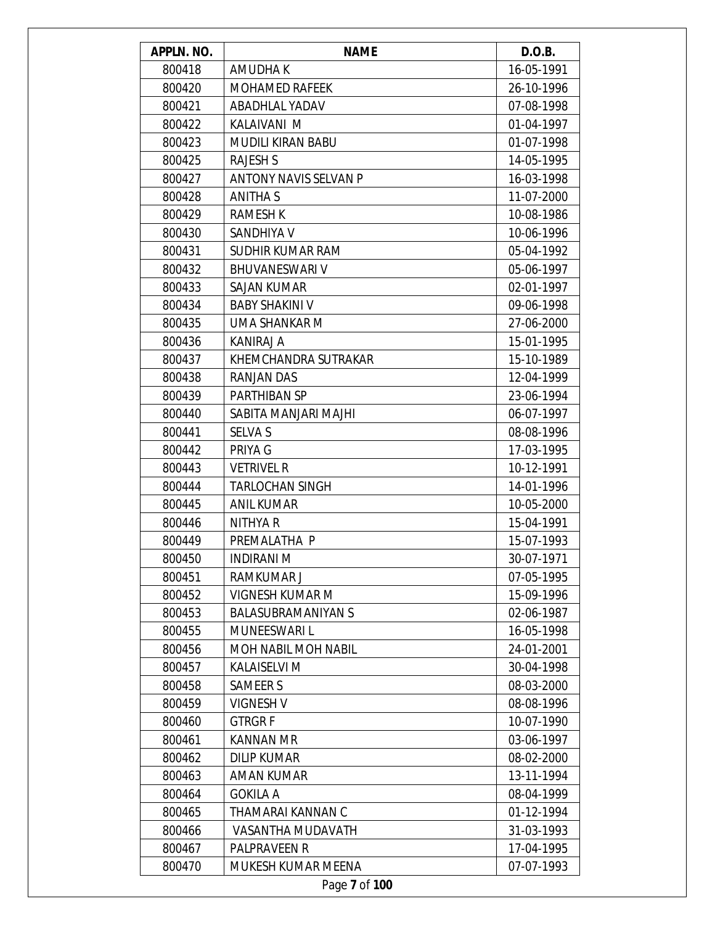| APPLN. NO. | <b>NAME</b>                  | D.O.B.     |
|------------|------------------------------|------------|
| 800418     | AMUDHA K                     | 16-05-1991 |
| 800420     | <b>MOHAMED RAFEEK</b>        | 26-10-1996 |
| 800421     | <b>ABADHLAL YADAV</b>        | 07-08-1998 |
| 800422     | KALAIVANI M                  | 01-04-1997 |
| 800423     | <b>MUDILI KIRAN BABU</b>     | 01-07-1998 |
| 800425     | <b>RAJESH S</b>              | 14-05-1995 |
| 800427     | <b>ANTONY NAVIS SELVAN P</b> | 16-03-1998 |
| 800428     | <b>ANITHA S</b>              | 11-07-2000 |
| 800429     | <b>RAMESH K</b>              | 10-08-1986 |
| 800430     | SANDHIYA V                   | 10-06-1996 |
| 800431     | <b>SUDHIR KUMAR RAM</b>      | 05-04-1992 |
| 800432     | <b>BHUVANESWARI V</b>        | 05-06-1997 |
| 800433     | <b>SAJAN KUMAR</b>           | 02-01-1997 |
| 800434     | <b>BABY SHAKINI V</b>        | 09-06-1998 |
| 800435     | UMA SHANKAR M                | 27-06-2000 |
| 800436     | KANIRAJ A                    | 15-01-1995 |
| 800437     | KHEMCHANDRA SUTRAKAR         | 15-10-1989 |
| 800438     | <b>RANJAN DAS</b>            | 12-04-1999 |
| 800439     | PARTHIBAN SP                 | 23-06-1994 |
| 800440     | SABITA MANJARI MAJHI         | 06-07-1997 |
| 800441     | <b>SELVA S</b>               | 08-08-1996 |
| 800442     | PRIYA G                      | 17-03-1995 |
| 800443     | <b>VETRIVEL R</b>            | 10-12-1991 |
| 800444     | <b>TARLOCHAN SINGH</b>       | 14-01-1996 |
| 800445     | <b>ANIL KUMAR</b>            | 10-05-2000 |
| 800446     | NITHYA R                     | 15-04-1991 |
| 800449     | PREMALATHA P                 | 15-07-1993 |
| 800450     | INDIRANI M                   | 30-07-1971 |
| 800451     | RAMKUMAR J                   | 07-05-1995 |
| 800452     | <b>VIGNESH KUMAR M</b>       | 15-09-1996 |
| 800453     | <b>BALASUBRAMANIYAN S</b>    | 02-06-1987 |
| 800455     | <b>MUNEESWARI L</b>          | 16-05-1998 |
| 800456     | <b>MOH NABIL MOH NABIL</b>   | 24-01-2001 |
| 800457     | <b>KALAISELVI M</b>          | 30-04-1998 |
| 800458     | <b>SAMEER S</b>              | 08-03-2000 |
| 800459     | <b>VIGNESH V</b>             | 08-08-1996 |
| 800460     | <b>GTRGRF</b>                | 10-07-1990 |
| 800461     | <b>KANNAN MR</b>             | 03-06-1997 |
| 800462     | <b>DILIP KUMAR</b>           | 08-02-2000 |
| 800463     | <b>AMAN KUMAR</b>            | 13-11-1994 |
| 800464     | <b>GOKILA A</b>              | 08-04-1999 |
| 800465     | THAMARAI KANNAN C            | 01-12-1994 |
| 800466     | VASANTHA MUDAVATH            | 31-03-1993 |
| 800467     | PALPRAVEEN R                 | 17-04-1995 |
| 800470     | MUKESH KUMAR MEENA           | 07-07-1993 |
|            | Page 7 of 100                |            |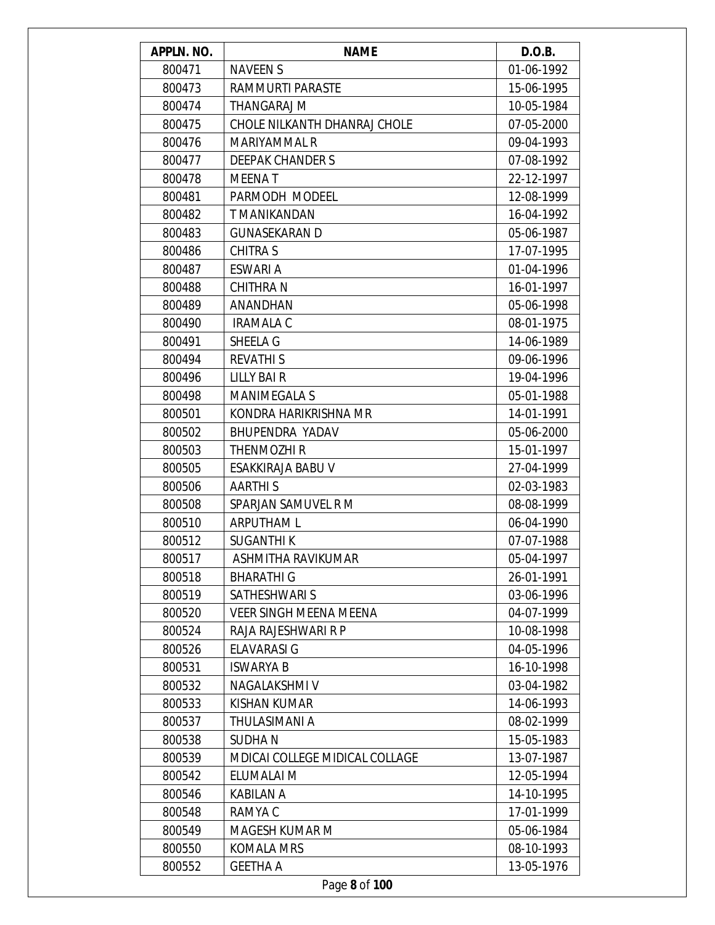| APPLN. NO. | <b>NAME</b>                           | D.O.B.     |
|------------|---------------------------------------|------------|
| 800471     | <b>NAVEEN S</b>                       | 01-06-1992 |
| 800473     | RAMMURTI PARASTE                      | 15-06-1995 |
| 800474     | THANGARAJ M                           | 10-05-1984 |
| 800475     | CHOLE NILKANTH DHANRAJ CHOLE          | 07-05-2000 |
| 800476     | MARIYAMMAL R                          | 09-04-1993 |
| 800477     | <b>DEEPAK CHANDER S</b>               | 07-08-1992 |
| 800478     | <b>MEENAT</b>                         | 22-12-1997 |
| 800481     | PARMODH MODEEL                        | 12-08-1999 |
| 800482     | T MANIKANDAN                          | 16-04-1992 |
| 800483     | <b>GUNASEKARAN D</b>                  | 05-06-1987 |
| 800486     | <b>CHITRA S</b>                       | 17-07-1995 |
| 800487     | <b>ESWARI A</b>                       | 01-04-1996 |
| 800488     | <b>CHITHRA N</b>                      | 16-01-1997 |
| 800489     | ANANDHAN                              | 05-06-1998 |
| 800490     | <b>IRAMALA C</b>                      | 08-01-1975 |
| 800491     | SHEELA G                              | 14-06-1989 |
| 800494     | <b>REVATHIS</b>                       | 09-06-1996 |
| 800496     | <b>LILLY BAIR</b>                     | 19-04-1996 |
| 800498     | <b>MANIMEGALA S</b>                   | 05-01-1988 |
| 800501     | KONDRA HARIKRISHNA MR                 | 14-01-1991 |
| 800502     | BHUPENDRA YADAV                       | 05-06-2000 |
| 800503     | THENMOZHI R                           | 15-01-1997 |
| 800505     | ESAKKIRAJA BABU V                     | 27-04-1999 |
| 800506     | <b>AARTHIS</b>                        | 02-03-1983 |
| 800508     | SPARJAN SAMUVEL R M                   | 08-08-1999 |
| 800510     | ARPUTHAM L                            | 06-04-1990 |
| 800512     | <b>SUGANTHIK</b>                      | 07-07-1988 |
| 800517     | ASHMITHA RAVIKUMAR                    | 05-04-1997 |
| 800518     | <b>BHARATHI G</b>                     | 26-01-1991 |
| 800519     | SATHESHWARI S                         | 03-06-1996 |
| 800520     | <b>VEER SINGH MEENA MEENA</b>         | 04-07-1999 |
| 800524     | RAJA RAJESHWARI R P                   | 10-08-1998 |
| 800526     | <b>ELAVARASI G</b>                    | 04-05-1996 |
| 800531     | <b>ISWARYA B</b>                      | 16-10-1998 |
| 800532     | <b>NAGALAKSHMI V</b>                  | 03-04-1982 |
| 800533     | KISHAN KUMAR                          | 14-06-1993 |
| 800537     | THULASIMANI A                         | 08-02-1999 |
| 800538     | <b>SUDHAN</b>                         | 15-05-1983 |
| 800539     | <b>MDICAI COLLEGE MIDICAL COLLAGE</b> | 13-07-1987 |
| 800542     | ELUMALAI M                            | 12-05-1994 |
| 800546     | <b>KABILAN A</b>                      | 14-10-1995 |
| 800548     | RAMYA C                               | 17-01-1999 |
| 800549     | <b>MAGESH KUMAR M</b>                 | 05-06-1984 |
| 800550     | <b>KOMALA MRS</b>                     | 08-10-1993 |
| 800552     | <b>GEETHA A</b>                       | 13-05-1976 |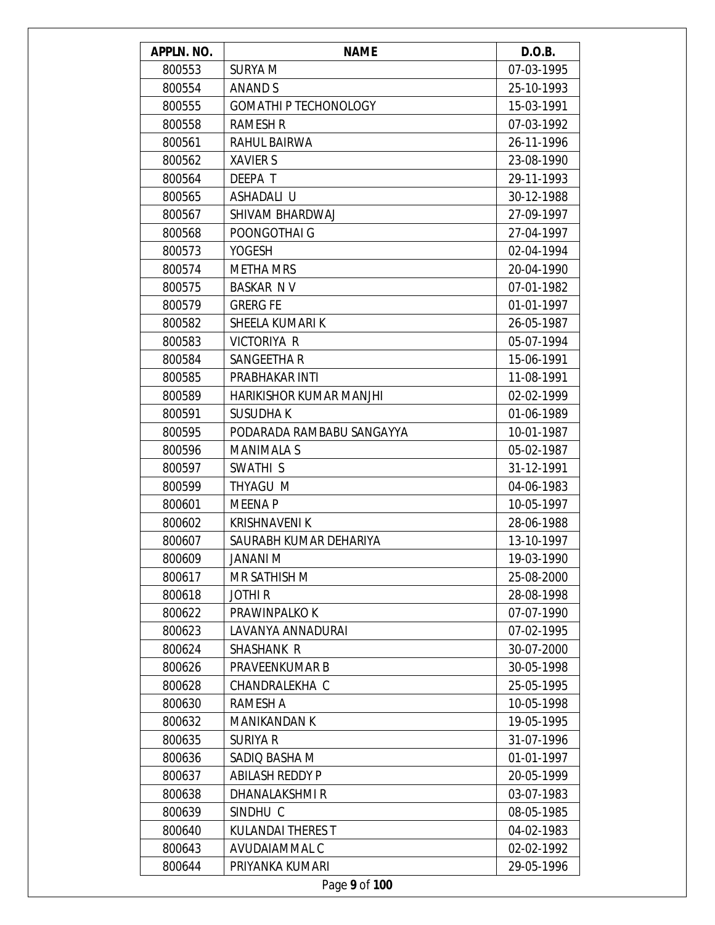| APPLN. NO. | <b>NAME</b>                    | D.O.B.     |
|------------|--------------------------------|------------|
| 800553     | <b>SURYA M</b>                 | 07-03-1995 |
| 800554     | ANAND S                        | 25-10-1993 |
| 800555     | <b>GOMATHI P TECHONOLOGY</b>   | 15-03-1991 |
| 800558     | <b>RAMESH R</b>                | 07-03-1992 |
| 800561     | RAHUL BAIRWA                   | 26-11-1996 |
| 800562     | <b>XAVIER S</b>                | 23-08-1990 |
| 800564     | DEEPA T                        | 29-11-1993 |
| 800565     | ASHADALI U                     | 30-12-1988 |
| 800567     | SHIVAM BHARDWAJ                | 27-09-1997 |
| 800568     | POONGOTHAI G                   | 27-04-1997 |
| 800573     | <b>YOGESH</b>                  | 02-04-1994 |
| 800574     | <b>METHA MRS</b>               | 20-04-1990 |
| 800575     | <b>BASKAR NV</b>               | 07-01-1982 |
| 800579     | <b>GRERG FE</b>                | 01-01-1997 |
| 800582     | SHEELA KUMARI K                | 26-05-1987 |
| 800583     | VICTORIYA R                    | 05-07-1994 |
| 800584     | SANGEETHA R                    | 15-06-1991 |
| 800585     | PRABHAKAR INTI                 | 11-08-1991 |
| 800589     | <b>HARIKISHOR KUMAR MANJHI</b> | 02-02-1999 |
| 800591     | <b>SUSUDHAK</b>                | 01-06-1989 |
| 800595     | PODARADA RAMBABU SANGAYYA      | 10-01-1987 |
| 800596     | <b>MANIMALA S</b>              | 05-02-1987 |
| 800597     | SWATHI <sub>S</sub>            | 31-12-1991 |
| 800599     | THYAGU M                       | 04-06-1983 |
| 800601     | <b>MEENAP</b>                  | 10-05-1997 |
| 800602     | <b>KRISHNAVENI K</b>           | 28-06-1988 |
| 800607     | SAURABH KUMAR DEHARIYA         | 13-10-1997 |
| 800609     | JANANI M                       | 19-03-1990 |
| 800617     | MR SATHISH M                   | 25-08-2000 |
| 800618     | <b>JOTHIR</b>                  | 28-08-1998 |
| 800622     | PRAWINPALKO K                  | 07-07-1990 |
| 800623     | LAVANYA ANNADURAI              | 07-02-1995 |
| 800624     | <b>SHASHANK R</b>              | 30-07-2000 |
| 800626     | PRAVEENKUMAR B                 | 30-05-1998 |
| 800628     | CHANDRALEKHA C                 | 25-05-1995 |
| 800630     | RAMESH A                       | 10-05-1998 |
| 800632     | <b>MANIKANDAN K</b>            | 19-05-1995 |
| 800635     | SURIYA R                       | 31-07-1996 |
| 800636     | SADIQ BASHA M                  | 01-01-1997 |
| 800637     | <b>ABILASH REDDY P</b>         | 20-05-1999 |
| 800638     | DHANALAKSHMI R                 | 03-07-1983 |
| 800639     | SINDHU C                       | 08-05-1985 |
| 800640     | <b>KULANDAI THERES T</b>       | 04-02-1983 |
| 800643     | AVUDAIAMMAL C                  | 02-02-1992 |
| 800644     | PRIYANKA KUMARI                | 29-05-1996 |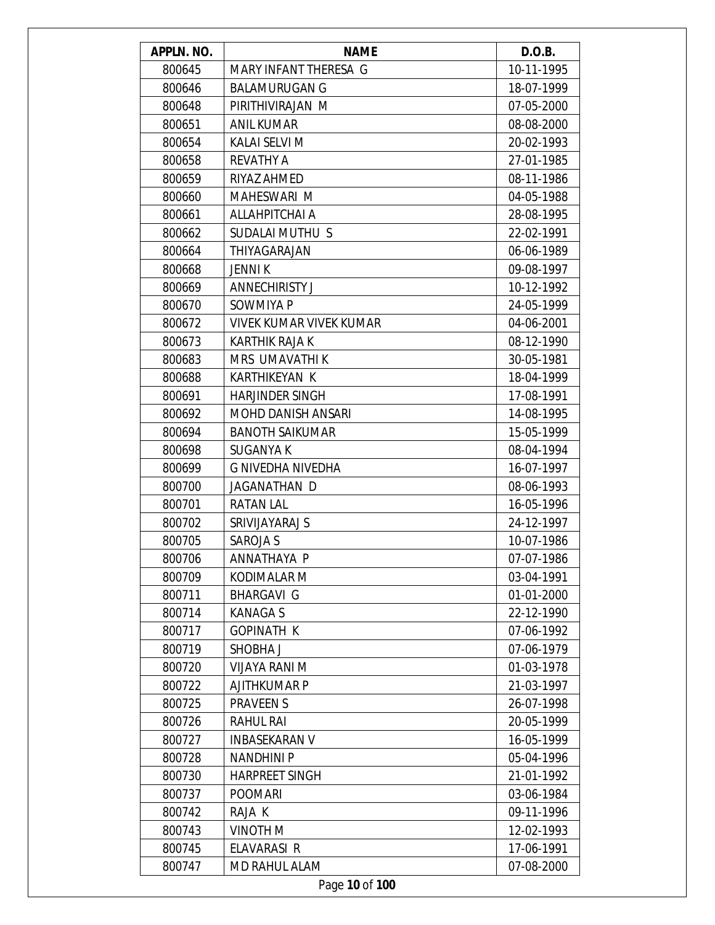| APPLN. NO. | <b>NAME</b>                    | D.O.B.     |
|------------|--------------------------------|------------|
| 800645     | MARY INFANT THERESA G          | 10-11-1995 |
| 800646     | <b>BALAMURUGAN G</b>           | 18-07-1999 |
| 800648     | PIRITHIVIRAJAN M               | 07-05-2000 |
| 800651     | <b>ANIL KUMAR</b>              | 08-08-2000 |
| 800654     | KALAI SELVI M                  | 20-02-1993 |
| 800658     | <b>REVATHY A</b>               | 27-01-1985 |
| 800659     | RIYAZ AHMED                    | 08-11-1986 |
| 800660     | MAHESWARI M                    | 04-05-1988 |
| 800661     | ALLAHPITCHAI A                 | 28-08-1995 |
| 800662     | SUDALAI MUTHU S                | 22-02-1991 |
| 800664     | THIYAGARAJAN                   | 06-06-1989 |
| 800668     | <b>JENNI K</b>                 | 09-08-1997 |
| 800669     | <b>ANNECHIRISTY J</b>          | 10-12-1992 |
| 800670     | SOWMIYA P                      | 24-05-1999 |
| 800672     | <b>VIVEK KUMAR VIVEK KUMAR</b> | 04-06-2001 |
| 800673     | <b>KARTHIK RAJA K</b>          | 08-12-1990 |
| 800683     | MRS UMAVATHI K                 | 30-05-1981 |
| 800688     | <b>KARTHIKEYAN K</b>           | 18-04-1999 |
| 800691     | <b>HARJINDER SINGH</b>         | 17-08-1991 |
| 800692     | <b>MOHD DANISH ANSARI</b>      | 14-08-1995 |
| 800694     | <b>BANOTH SAIKUMAR</b>         | 15-05-1999 |
| 800698     | <b>SUGANYA K</b>               | 08-04-1994 |
| 800699     | G NIVEDHA NIVEDHA              | 16-07-1997 |
| 800700     | JAGANATHAN D                   | 08-06-1993 |
| 800701     | <b>RATAN LAL</b>               | 16-05-1996 |
| 800702     | SRIVIJAYARAJ S                 | 24-12-1997 |
| 800705     | <b>SAROJA S</b>                | 10-07-1986 |
| 800706     | ANNATHAYA P                    | 07-07-1986 |
| 800709     | KODIMALAR M                    | 03-04-1991 |
| 800711     | <b>BHARGAVI G</b>              | 01-01-2000 |
| 800714     | <b>KANAGAS</b>                 | 22-12-1990 |
| 800717     | <b>GOPINATH K</b>              | 07-06-1992 |
| 800719     | SHOBHA J                       | 07-06-1979 |
| 800720     | <b>VIJAYA RANI M</b>           | 01-03-1978 |
| 800722     | <b>AJITHKUMAR P</b>            | 21-03-1997 |
| 800725     | <b>PRAVEEN S</b>               | 26-07-1998 |
| 800726     | <b>RAHUL RAI</b>               | 20-05-1999 |
| 800727     | <b>INBASEKARAN V</b>           | 16-05-1999 |
| 800728     | <b>NANDHINIP</b>               | 05-04-1996 |
| 800730     | <b>HARPREET SINGH</b>          | 21-01-1992 |
| 800737     | <b>POOMARI</b>                 | 03-06-1984 |
| 800742     | RAJA K                         | 09-11-1996 |
| 800743     | <b>VINOTH M</b>                | 12-02-1993 |
| 800745     | ELAVARASI R                    | 17-06-1991 |
| 800747     | <b>MD RAHUL ALAM</b>           | 07-08-2000 |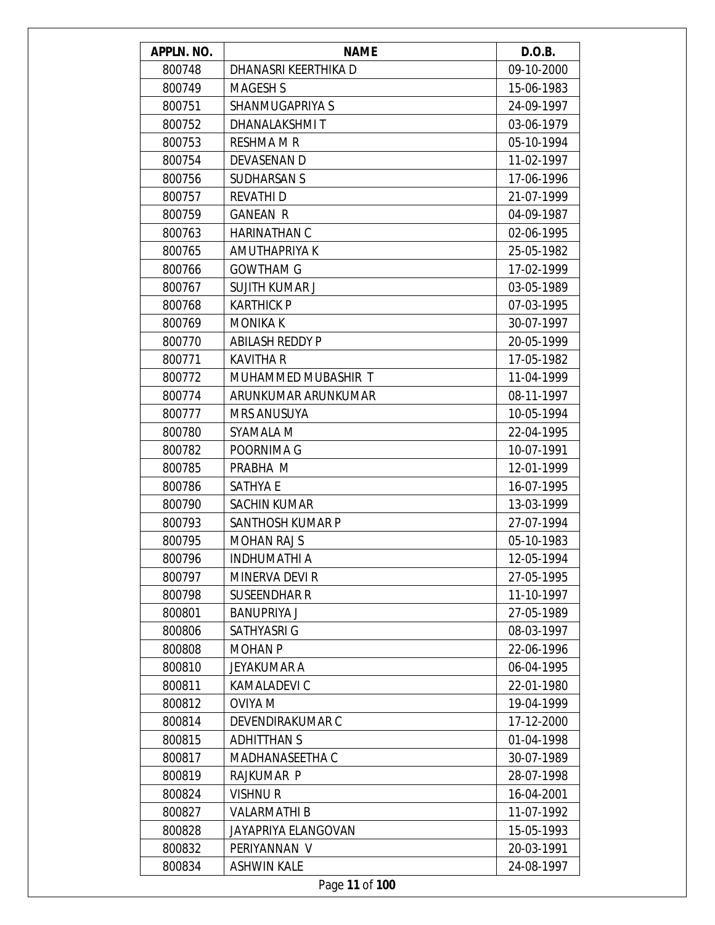| APPLN. NO. | <b>NAME</b>            | D.O.B.     |
|------------|------------------------|------------|
| 800748     | DHANASRI KEERTHIKA D   | 09-10-2000 |
| 800749     | <b>MAGESH S</b>        | 15-06-1983 |
| 800751     | SHANMUGAPRIYA S        | 24-09-1997 |
| 800752     | DHANALAKSHMIT          | 03-06-1979 |
| 800753     | <b>RESHMA M R</b>      | 05-10-1994 |
| 800754     | <b>DEVASENAN D</b>     | 11-02-1997 |
| 800756     | <b>SUDHARSAN S</b>     | 17-06-1996 |
| 800757     | <b>REVATHID</b>        | 21-07-1999 |
| 800759     | <b>GANEAN R</b>        | 04-09-1987 |
| 800763     | <b>HARINATHAN C</b>    | 02-06-1995 |
| 800765     | AMUTHAPRIYA K          | 25-05-1982 |
| 800766     | <b>GOWTHAM G</b>       | 17-02-1999 |
| 800767     | <b>SUJITH KUMAR J</b>  | 03-05-1989 |
| 800768     | <b>KARTHICK P</b>      | 07-03-1995 |
| 800769     | <b>MONIKA K</b>        | 30-07-1997 |
| 800770     | <b>ABILASH REDDY P</b> | 20-05-1999 |
| 800771     | <b>KAVITHA R</b>       | 17-05-1982 |
| 800772     | MUHAMMED MUBASHIR T    | 11-04-1999 |
| 800774     | ARUNKUMAR ARUNKUMAR    | 08-11-1997 |
| 800777     | <b>MRS ANUSUYA</b>     | 10-05-1994 |
| 800780     | SYAMALA M              | 22-04-1995 |
| 800782     | POORNIMA G             | 10-07-1991 |
| 800785     | PRABHA M               | 12-01-1999 |
| 800786     | <b>SATHYA E</b>        | 16-07-1995 |
| 800790     | <b>SACHIN KUMAR</b>    | 13-03-1999 |
| 800793     | SANTHOSH KUMAR P       | 27-07-1994 |
| 800795     | <b>MOHAN RAJ S</b>     | 05-10-1983 |
| 800796     | INDHUMATHI A           | 12-05-1994 |
| 800797     | MINERVA DEVI R         | 27-05-1995 |
| 800798     | <b>SUSEENDHAR R</b>    | 11-10-1997 |
| 800801     | <b>BANUPRIYA J</b>     | 27-05-1989 |
| 800806     | SATHYASRI G            | 08-03-1997 |
| 800808     | <b>MOHAN P</b>         | 22-06-1996 |
| 800810     | JEYAKUMAR A            | 06-04-1995 |
| 800811     | KAMALADEVI C           | 22-01-1980 |
| 800812     | <b>OVIYA M</b>         | 19-04-1999 |
| 800814     | DEVENDIRAKUMAR C       | 17-12-2000 |
| 800815     | <b>ADHITTHAN S</b>     | 01-04-1998 |
| 800817     | MADHANASEETHA C        | 30-07-1989 |
| 800819     | RAJKUMAR P             | 28-07-1998 |
| 800824     | <b>VISHNUR</b>         | 16-04-2001 |
| 800827     | <b>VALARMATHIB</b>     | 11-07-1992 |
| 800828     | JAYAPRIYA ELANGOVAN    | 15-05-1993 |
| 800832     | PERIYANNAN V           | 20-03-1991 |
| 800834     | <b>ASHWIN KALE</b>     | 24-08-1997 |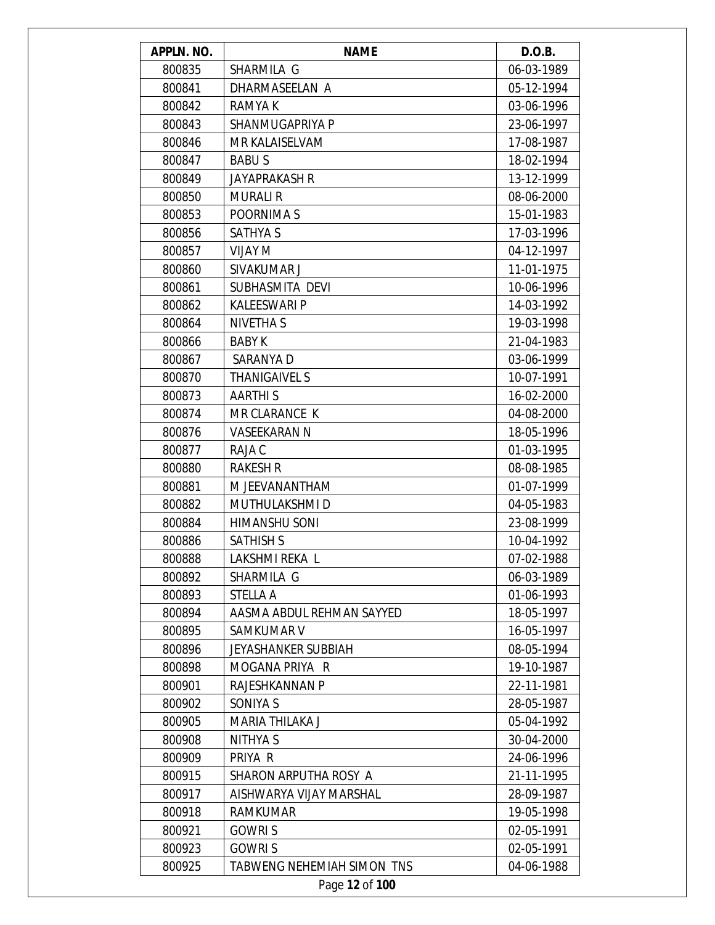| APPLN. NO. | <b>NAME</b>                | D.O.B.     |
|------------|----------------------------|------------|
| 800835     | SHARMILA G                 | 06-03-1989 |
| 800841     | DHARMASEELAN A             | 05-12-1994 |
| 800842     | RAMYA K                    | 03-06-1996 |
| 800843     | SHANMUGAPRIYA P            | 23-06-1997 |
| 800846     | MR KALAISELVAM             | 17-08-1987 |
| 800847     | <b>BABUS</b>               | 18-02-1994 |
| 800849     | <b>JAYAPRAKASH R</b>       | 13-12-1999 |
| 800850     | <b>MURALI R</b>            | 08-06-2000 |
| 800853     | POORNIMA S                 | 15-01-1983 |
| 800856     | <b>SATHYA S</b>            | 17-03-1996 |
| 800857     | <b>VIJAY M</b>             | 04-12-1997 |
| 800860     | SIVAKUMAR J                | 11-01-1975 |
| 800861     | SUBHASMITA DEVI            | 10-06-1996 |
| 800862     | <b>KALEESWARI P</b>        | 14-03-1992 |
| 800864     | <b>NIVETHA S</b>           | 19-03-1998 |
| 800866     | <b>BABY K</b>              | 21-04-1983 |
| 800867     | SARANYA D                  | 03-06-1999 |
| 800870     | <b>THANIGAIVEL S</b>       | 10-07-1991 |
| 800873     | <b>AARTHIS</b>             | 16-02-2000 |
| 800874     | MR CLARANCE K              | 04-08-2000 |
| 800876     | <b>VASEEKARAN N</b>        | 18-05-1996 |
| 800877     | RAJA C                     | 01-03-1995 |
| 800880     | <b>RAKESH R</b>            | 08-08-1985 |
| 800881     | M JEEVANANTHAM             | 01-07-1999 |
| 800882     | MUTHULAKSHMI D             | 04-05-1983 |
| 800884     | <b>HIMANSHU SONI</b>       | 23-08-1999 |
| 800886     | <b>SATHISH S</b>           | 10-04-1992 |
| 800888     | LAKSHMI REKA L             | 07-02-1988 |
| 800892     | SHARMILA G                 | 06-03-1989 |
| 800893     | <b>STELLA A</b>            | 01-06-1993 |
| 800894     | AASMA ABDUL REHMAN SAYYED  | 18-05-1997 |
| 800895     | SAMKUMAR V                 | 16-05-1997 |
| 800896     | <b>JEYASHANKER SUBBIAH</b> | 08-05-1994 |
| 800898     | MOGANA PRIYA R             | 19-10-1987 |
| 800901     | RAJESHKANNAN P             | 22-11-1981 |
| 800902     | SONIYA S                   | 28-05-1987 |
| 800905     | MARIA THILAKA J            | 05-04-1992 |
| 800908     | NITHYA S                   | 30-04-2000 |
| 800909     | PRIYA R                    | 24-06-1996 |
| 800915     | SHARON ARPUTHA ROSY A      | 21-11-1995 |
| 800917     | AISHWARYA VIJAY MARSHAL    | 28-09-1987 |
| 800918     | <b>RAMKUMAR</b>            | 19-05-1998 |
| 800921     | <b>GOWRIS</b>              | 02-05-1991 |
| 800923     | <b>GOWRIS</b>              | 02-05-1991 |
| 800925     | TABWENG NEHEMIAH SIMON TNS | 04-06-1988 |
|            | Page 12 of 100             |            |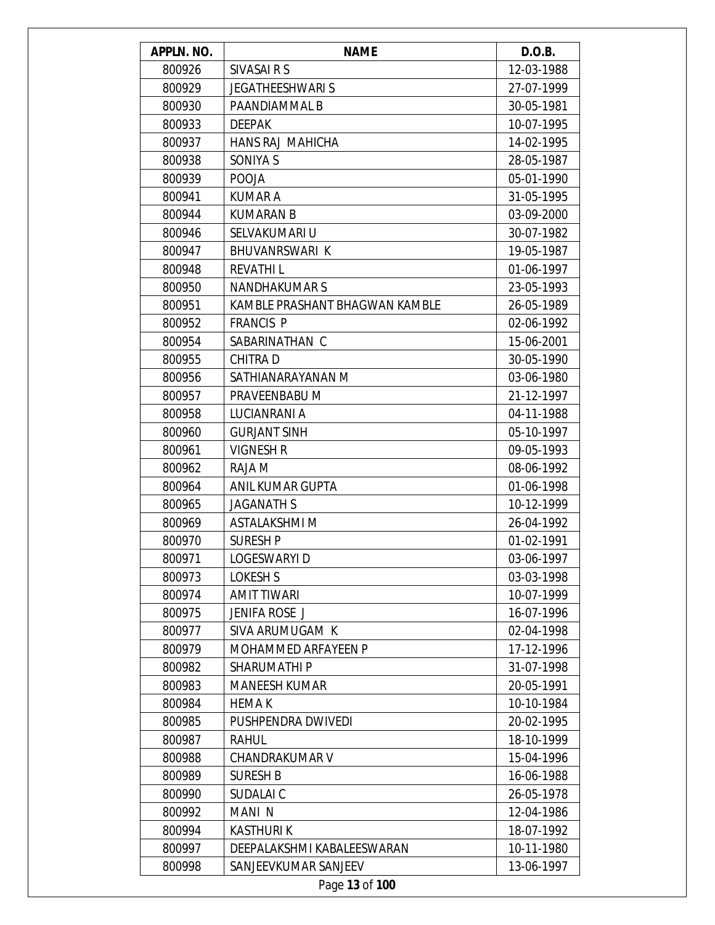| APPLN. NO. | <b>NAME</b>                    | D.O.B.     |
|------------|--------------------------------|------------|
| 800926     | SIVASAI R S                    | 12-03-1988 |
| 800929     | <b>JEGATHEESHWARI S</b>        | 27-07-1999 |
| 800930     | PAANDIAMMAL B                  | 30-05-1981 |
| 800933     | <b>DEEPAK</b>                  | 10-07-1995 |
| 800937     | HANS RAJ MAHICHA               | 14-02-1995 |
| 800938     | SONIYA S                       | 28-05-1987 |
| 800939     | <b>POOJA</b>                   | 05-01-1990 |
| 800941     | <b>KUMAR A</b>                 | 31-05-1995 |
| 800944     | <b>KUMARAN B</b>               | 03-09-2000 |
| 800946     | SELVAKUMARI U                  | 30-07-1982 |
| 800947     | <b>BHUVANRSWARI K</b>          | 19-05-1987 |
| 800948     | <b>REVATHIL</b>                | 01-06-1997 |
| 800950     | <b>NANDHAKUMAR S</b>           | 23-05-1993 |
| 800951     | KAMBLE PRASHANT BHAGWAN KAMBLE | 26-05-1989 |
| 800952     | <b>FRANCIS P</b>               | 02-06-1992 |
| 800954     | SABARINATHAN C                 | 15-06-2001 |
| 800955     | <b>CHITRAD</b>                 | 30-05-1990 |
| 800956     | SATHIANARAYANAN M              | 03-06-1980 |
| 800957     | PRAVEENBABU M                  | 21-12-1997 |
| 800958     | LUCIANRANI A                   | 04-11-1988 |
| 800960     | <b>GURJANT SINH</b>            | 05-10-1997 |
| 800961     | VIGNESH R                      | 09-05-1993 |
| 800962     | RAJA M                         | 08-06-1992 |
| 800964     | ANIL KUMAR GUPTA               | 01-06-1998 |
| 800965     | <b>JAGANATH S</b>              | 10-12-1999 |
| 800969     | <b>ASTALAKSHMI M</b>           | 26-04-1992 |
| 800970     | <b>SURESH P</b>                | 01-02-1991 |
| 800971     | LOGESWARYI D                   | 03-06-1997 |
| 800973     | <b>LOKESH S</b>                | 03-03-1998 |
| 800974     | <b>AMIT TIWARI</b>             | 10-07-1999 |
| 800975     | JENIFA ROSE J                  | 16-07-1996 |
| 800977     | SIVA ARUMUGAM K                | 02-04-1998 |
| 800979     | MOHAMMED ARFAYEEN P            | 17-12-1996 |
| 800982     | <b>SHARUMATHIP</b>             | 31-07-1998 |
| 800983     | <b>MANEESH KUMAR</b>           | 20-05-1991 |
| 800984     | <b>HEMA K</b>                  | 10-10-1984 |
| 800985     | PUSHPENDRA DWIVEDI             | 20-02-1995 |
| 800987     | RAHUL                          | 18-10-1999 |
| 800988     | <b>CHANDRAKUMAR V</b>          | 15-04-1996 |
| 800989     | <b>SURESH B</b>                | 16-06-1988 |
| 800990     | SUDALAI C                      | 26-05-1978 |
| 800992     | MANI N                         | 12-04-1986 |
| 800994     | <b>KASTHURIK</b>               | 18-07-1992 |
| 800997     | DEEPALAKSHMI KABALEESWARAN     | 10-11-1980 |
| 800998     | SANJEEVKUMAR SANJEEV           | 13-06-1997 |
|            | Page 13 of 100                 |            |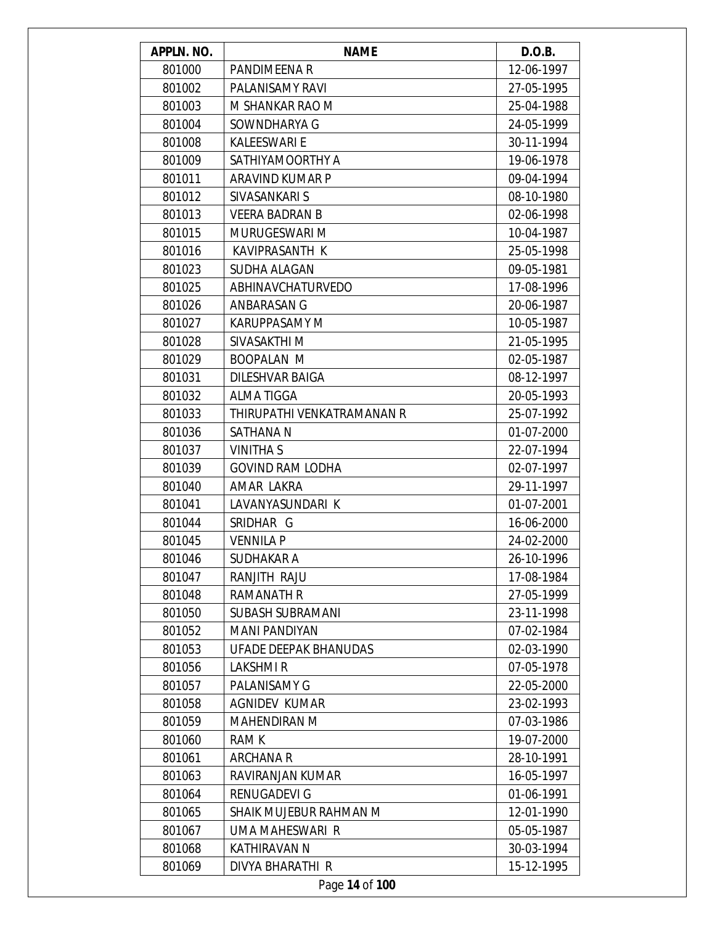| APPLN. NO. | <b>NAME</b>                | D.O.B.     |
|------------|----------------------------|------------|
| 801000     | PANDIMEENA R               | 12-06-1997 |
| 801002     | PALANISAMY RAVI            | 27-05-1995 |
| 801003     | M SHANKAR RAO M            | 25-04-1988 |
| 801004     | SOWNDHARYA G               | 24-05-1999 |
| 801008     | <b>KALEESWARI E</b>        | 30-11-1994 |
| 801009     | SATHIYAMOORTHY A           | 19-06-1978 |
| 801011     | ARAVIND KUMAR P            | 09-04-1994 |
| 801012     | SIVASANKARI S              | 08-10-1980 |
| 801013     | <b>VEERA BADRAN B</b>      | 02-06-1998 |
| 801015     | MURUGESWARI M              | 10-04-1987 |
| 801016     | KAVIPRASANTH K             | 25-05-1998 |
| 801023     | SUDHA ALAGAN               | 09-05-1981 |
| 801025     | ABHINAVCHATURVEDO          | 17-08-1996 |
| 801026     | ANBARASAN G                | 20-06-1987 |
| 801027     | <b>KARUPPASAMY M</b>       | 10-05-1987 |
| 801028     | SIVASAKTHI M               | 21-05-1995 |
| 801029     | <b>BOOPALAN M</b>          | 02-05-1987 |
| 801031     | DILESHVAR BAIGA            | 08-12-1997 |
| 801032     | <b>ALMA TIGGA</b>          | 20-05-1993 |
| 801033     | THIRUPATHI VENKATRAMANAN R | 25-07-1992 |
| 801036     | SATHANA N                  | 01-07-2000 |
| 801037     | <b>VINITHA S</b>           | 22-07-1994 |
| 801039     | <b>GOVIND RAM LODHA</b>    | 02-07-1997 |
| 801040     | AMAR LAKRA                 | 29-11-1997 |
| 801041     | LAVANYASUNDARI K           | 01-07-2001 |
| 801044     | SRIDHAR G                  | 16-06-2000 |
| 801045     | <b>VENNILA P</b>           | 24-02-2000 |
| 801046     | SUDHAKAR A                 | 26-10-1996 |
| 801047     | RANJITH RAJU               | 17-08-1984 |
| 801048     | RAMANATH R                 | 27-05-1999 |
| 801050     | <b>SUBASH SUBRAMANI</b>    | 23-11-1998 |
| 801052     | <b>MANI PANDIYAN</b>       | 07-02-1984 |
| 801053     | UFADE DEEPAK BHANUDAS      | 02-03-1990 |
| 801056     | LAKSHMI R                  | 07-05-1978 |
| 801057     | <b>PALANISAMY G</b>        | 22-05-2000 |
| 801058     | <b>AGNIDEV KUMAR</b>       | 23-02-1993 |
| 801059     | <b>MAHENDIRAN M</b>        | 07-03-1986 |
| 801060     | <b>RAMK</b>                | 19-07-2000 |
| 801061     | <b>ARCHANA R</b>           | 28-10-1991 |
| 801063     | RAVIRANJAN KUMAR           | 16-05-1997 |
| 801064     | RENUGADEVI G               | 01-06-1991 |
| 801065     | SHAIK MUJEBUR RAHMAN M     | 12-01-1990 |
| 801067     | UMA MAHESWARI R            | 05-05-1987 |
| 801068     | KATHIRAVAN N               | 30-03-1994 |
| 801069     | DIVYA BHARATHI R           | 15-12-1995 |
|            | Page 14 of 100             |            |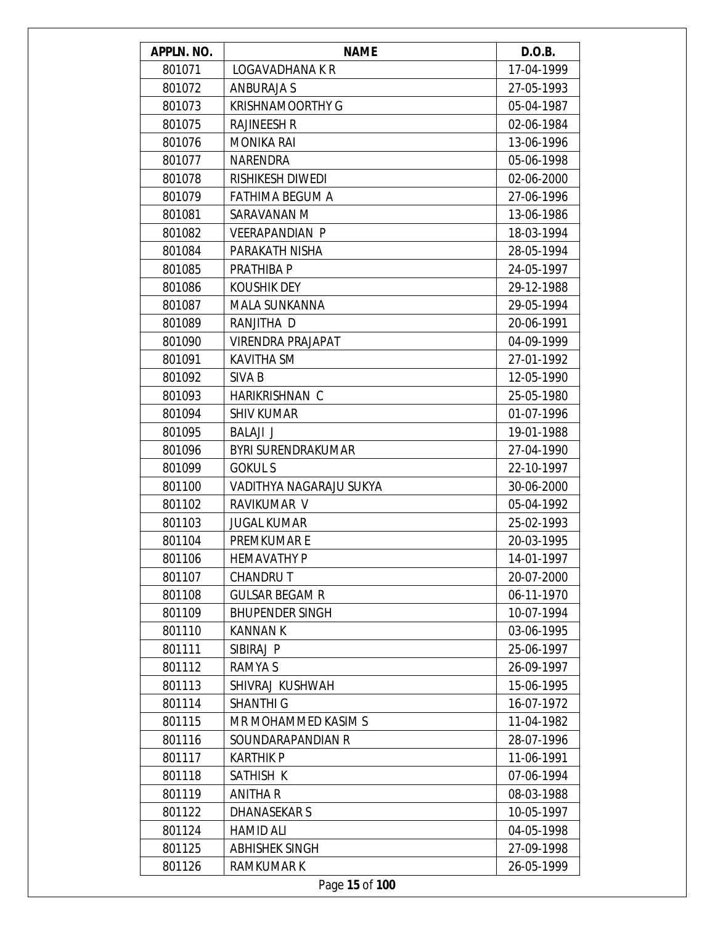| APPLN. NO. | <b>NAME</b>               | D.O.B.     |
|------------|---------------------------|------------|
| 801071     | LOGAVADHANA K R           | 17-04-1999 |
| 801072     | ANBURAJA S                | 27-05-1993 |
| 801073     | <b>KRISHNAMOORTHY G</b>   | 05-04-1987 |
| 801075     | <b>RAJINEESH R</b>        | 02-06-1984 |
| 801076     | <b>MONIKA RAI</b>         | 13-06-1996 |
| 801077     | NARENDRA                  | 05-06-1998 |
| 801078     | RISHIKESH DIWEDI          | 02-06-2000 |
| 801079     | FATHIMA BEGUM A           | 27-06-1996 |
| 801081     | SARAVANAN M               | 13-06-1986 |
| 801082     | <b>VEERAPANDIAN P</b>     | 18-03-1994 |
| 801084     | PARAKATH NISHA            | 28-05-1994 |
| 801085     | PRATHIBA P                | 24-05-1997 |
| 801086     | <b>KOUSHIK DEY</b>        | 29-12-1988 |
| 801087     | <b>MALA SUNKANNA</b>      | 29-05-1994 |
| 801089     | RANJITHA D                | 20-06-1991 |
| 801090     | <b>VIRENDRA PRAJAPAT</b>  | 04-09-1999 |
| 801091     | <b>KAVITHA SM</b>         | 27-01-1992 |
| 801092     | SIVA B                    | 12-05-1990 |
| 801093     | HARIKRISHNAN C            | 25-05-1980 |
| 801094     | <b>SHIV KUMAR</b>         | 01-07-1996 |
| 801095     | <b>BALAJI J</b>           | 19-01-1988 |
| 801096     | <b>BYRI SURENDRAKUMAR</b> | 27-04-1990 |
| 801099     | <b>GOKULS</b>             | 22-10-1997 |
| 801100     | VADITHYA NAGARAJU SUKYA   | 30-06-2000 |
| 801102     | RAVIKUMAR V               | 05-04-1992 |
| 801103     | <b>JUGAL KUMAR</b>        | 25-02-1993 |
| 801104     | <b>PREMKUMARE</b>         | 20-03-1995 |
| 801106     | <b>HEMAVATHY P</b>        | 14-01-1997 |
| 801107     | <b>CHANDRUT</b>           | 20-07-2000 |
| 801108     | <b>GULSAR BEGAM R</b>     | 06-11-1970 |
| 801109     | <b>BHUPENDER SINGH</b>    | 10-07-1994 |
| 801110     | <b>KANNAN K</b>           | 03-06-1995 |
| 801111     | SIBIRAJ P                 | 25-06-1997 |
| 801112     | RAMYA S                   | 26-09-1997 |
| 801113     | SHIVRAJ KUSHWAH           | 15-06-1995 |
| 801114     | <b>SHANTHI G</b>          | 16-07-1972 |
| 801115     | MR MOHAMMED KASIM S       | 11-04-1982 |
| 801116     | SOUNDARAPANDIAN R         | 28-07-1996 |
| 801117     | <b>KARTHIK P</b>          | 11-06-1991 |
| 801118     | SATHISH K                 | 07-06-1994 |
| 801119     | <b>ANITHA R</b>           | 08-03-1988 |
| 801122     | <b>DHANASEKARS</b>        | 10-05-1997 |
| 801124     | <b>HAMID ALI</b>          | 04-05-1998 |
| 801125     | <b>ABHISHEK SINGH</b>     | 27-09-1998 |
| 801126     | <b>RAMKUMARK</b>          | 26-05-1999 |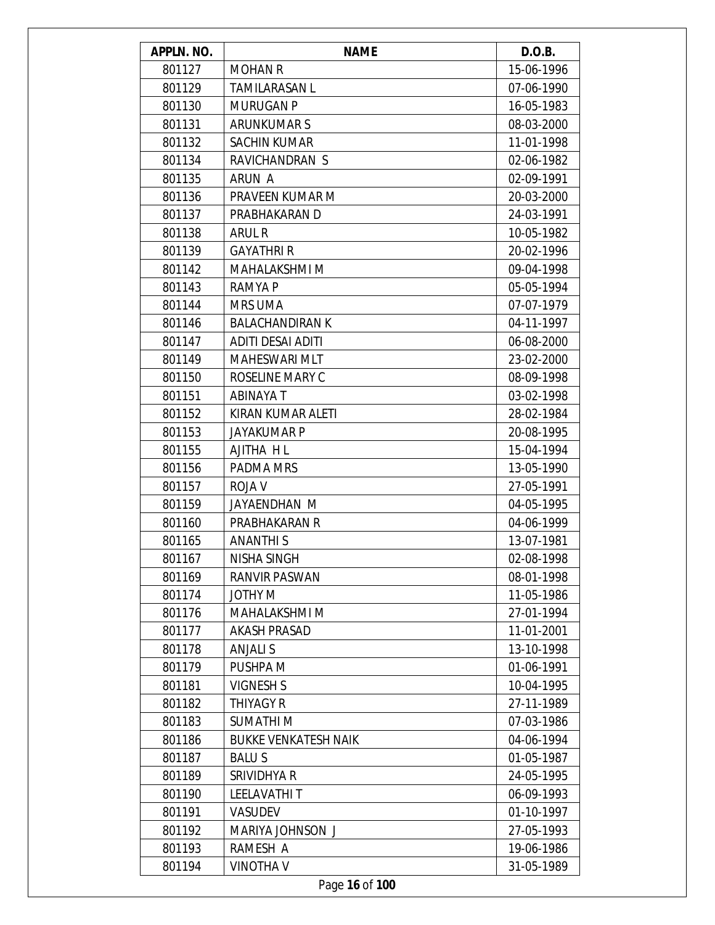| APPLN. NO. | <b>NAME</b>                 | D.O.B.     |
|------------|-----------------------------|------------|
| 801127     | <b>MOHAN R</b>              | 15-06-1996 |
| 801129     | <b>TAMILARASAN L</b>        | 07-06-1990 |
| 801130     | <b>MURUGAN P</b>            | 16-05-1983 |
| 801131     | <b>ARUNKUMARS</b>           | 08-03-2000 |
| 801132     | <b>SACHIN KUMAR</b>         | 11-01-1998 |
| 801134     | RAVICHANDRAN S              | 02-06-1982 |
| 801135     | ARUN A                      | 02-09-1991 |
| 801136     | PRAVEEN KUMAR M             | 20-03-2000 |
| 801137     | PRABHAKARAN D               | 24-03-1991 |
| 801138     | ARUL R                      | 10-05-1982 |
| 801139     | <b>GAYATHRI R</b>           | 20-02-1996 |
| 801142     | MAHALAKSHMI M               | 09-04-1998 |
| 801143     | RAMYA P                     | 05-05-1994 |
| 801144     | <b>MRS UMA</b>              | 07-07-1979 |
| 801146     | <b>BALACHANDIRAN K</b>      | 04-11-1997 |
| 801147     | <b>ADITI DESAI ADITI</b>    | 06-08-2000 |
| 801149     | <b>MAHESWARI MLT</b>        | 23-02-2000 |
| 801150     | ROSELINE MARY C             | 08-09-1998 |
| 801151     | <b>ABINAYA T</b>            | 03-02-1998 |
| 801152     | KIRAN KUMAR ALETI           | 28-02-1984 |
| 801153     | <b>JAYAKUMAR P</b>          | 20-08-1995 |
| 801155     | AJITHA H L                  | 15-04-1994 |
| 801156     | PADMA MRS                   | 13-05-1990 |
| 801157     | ROJA V                      | 27-05-1991 |
| 801159     | JAYAENDHAN M                | 04-05-1995 |
| 801160     | PRABHAKARAN R               | 04-06-1999 |
| 801165     | <b>ANANTHIS</b>             | 13-07-1981 |
| 801167     | NISHA SINGH                 | 02-08-1998 |
| 801169     | RANVIR PASWAN               | 08-01-1998 |
| 801174     | JOTHY M                     | 11-05-1986 |
| 801176     | MAHALAKSHMI M               | 27-01-1994 |
| 801177     | <b>AKASH PRASAD</b>         | 11-01-2001 |
| 801178     | <b>ANJALI S</b>             | 13-10-1998 |
| 801179     | PUSHPA M                    | 01-06-1991 |
| 801181     | <b>VIGNESH S</b>            | 10-04-1995 |
| 801182     | <b>THIYAGY R</b>            | 27-11-1989 |
| 801183     | <b>SUMATHIM</b>             | 07-03-1986 |
| 801186     | <b>BUKKE VENKATESH NAIK</b> | 04-06-1994 |
| 801187     | <b>BALUS</b>                | 01-05-1987 |
| 801189     | SRIVIDHYA R                 | 24-05-1995 |
| 801190     | <b>LEELAVATHIT</b>          | 06-09-1993 |
| 801191     | <b>VASUDEV</b>              | 01-10-1997 |
| 801192     | MARIYA JOHNSON J            | 27-05-1993 |
| 801193     | RAMESH A                    | 19-06-1986 |
| 801194     | <b>VINOTHA V</b>            | 31-05-1989 |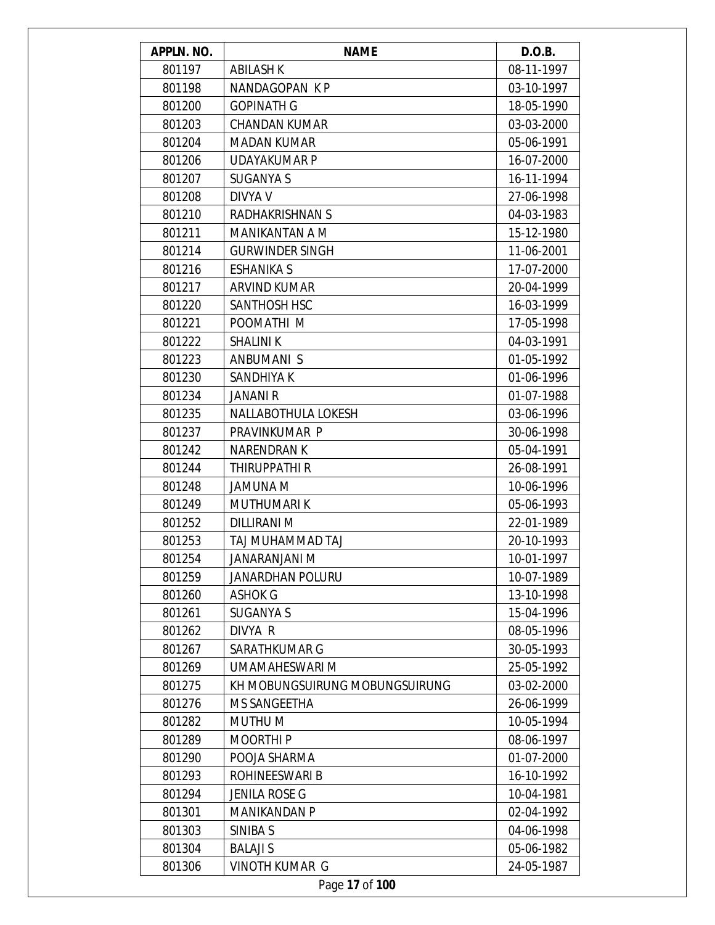| APPLN. NO. | <b>NAME</b>                    | D.O.B.     |
|------------|--------------------------------|------------|
| 801197     | <b>ABILASH K</b>               | 08-11-1997 |
| 801198     | NANDAGOPAN KP                  | 03-10-1997 |
| 801200     | <b>GOPINATH G</b>              | 18-05-1990 |
| 801203     | <b>CHANDAN KUMAR</b>           | 03-03-2000 |
| 801204     | <b>MADAN KUMAR</b>             | 05-06-1991 |
| 801206     | UDAYAKUMAR P                   | 16-07-2000 |
| 801207     | <b>SUGANYA S</b>               | 16-11-1994 |
| 801208     | DIVYA V                        | 27-06-1998 |
| 801210     | RADHAKRISHNAN S                | 04-03-1983 |
| 801211     | MANIKANTAN A M                 | 15-12-1980 |
| 801214     | <b>GURWINDER SINGH</b>         | 11-06-2001 |
| 801216     | <b>ESHANIKA S</b>              | 17-07-2000 |
| 801217     | <b>ARVIND KUMAR</b>            | 20-04-1999 |
| 801220     | <b>SANTHOSH HSC</b>            | 16-03-1999 |
| 801221     | POOMATHI M                     | 17-05-1998 |
| 801222     | <b>SHALINI K</b>               | 04-03-1991 |
| 801223     | <b>ANBUMANIS</b>               | 01-05-1992 |
| 801230     | SANDHIYA K                     | 01-06-1996 |
| 801234     | <b>JANANI R</b>                | 01-07-1988 |
| 801235     | NALLABOTHULA LOKESH            | 03-06-1996 |
| 801237     | PRAVINKUMAR P                  | 30-06-1998 |
| 801242     | <b>NARENDRAN K</b>             | 05-04-1991 |
| 801244     | THIRUPPATHI R                  | 26-08-1991 |
| 801248     | JAMUNA M                       | 10-06-1996 |
| 801249     | <b>MUTHUMARIK</b>              | 05-06-1993 |
| 801252     | <b>DILLIRANI M</b>             | 22-01-1989 |
| 801253     | TAJ MUHAMMAD TAJ               | 20-10-1993 |
| 801254     | M INALNARANAL                  | 10-01-1997 |
| 801259     | <b>JANARDHAN POLURU</b>        | 10-07-1989 |
| 801260     | <b>ASHOK G</b>                 | 13-10-1998 |
| 801261     | <b>SUGANYA S</b>               | 15-04-1996 |
| 801262     | DIVYA R                        | 08-05-1996 |
| 801267     | SARATHKUMAR G                  | 30-05-1993 |
| 801269     | UMAMAHESWARI M                 | 25-05-1992 |
| 801275     | KH MOBUNGSUIRUNG MOBUNGSUIRUNG | 03-02-2000 |
| 801276     | <b>MS SANGEETHA</b>            | 26-06-1999 |
| 801282     | MUTHU M                        | 10-05-1994 |
| 801289     | <b>MOORTHIP</b>                | 08-06-1997 |
| 801290     | POOJA SHARMA                   | 01-07-2000 |
| 801293     | ROHINEESWARI B                 | 16-10-1992 |
| 801294     | <b>JENILA ROSE G</b>           | 10-04-1981 |
| 801301     | MANIKANDAN P                   | 02-04-1992 |
| 801303     | SINIBA S                       | 04-06-1998 |
| 801304     | <b>BALAJI S</b>                | 05-06-1982 |
| 801306     | <b>VINOTH KUMAR G</b>          | 24-05-1987 |
|            | Page 17 of 100                 |            |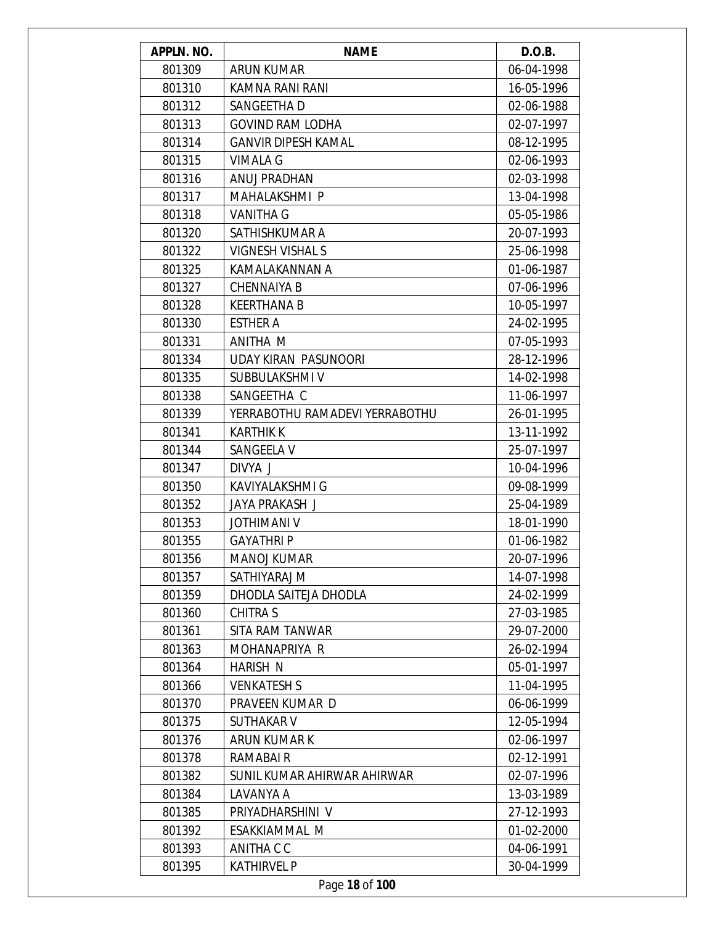| APPLN. NO. | <b>NAME</b>                    | D.O.B.     |
|------------|--------------------------------|------------|
| 801309     | <b>ARUN KUMAR</b>              | 06-04-1998 |
| 801310     | KAMNA RANI RANI                | 16-05-1996 |
| 801312     | SANGEETHA D                    | 02-06-1988 |
| 801313     | <b>GOVIND RAM LODHA</b>        | 02-07-1997 |
| 801314     | <b>GANVIR DIPESH KAMAL</b>     | 08-12-1995 |
| 801315     | VIMALA G                       | 02-06-1993 |
| 801316     | ANUJ PRADHAN                   | 02-03-1998 |
| 801317     | MAHALAKSHMI P                  | 13-04-1998 |
| 801318     | <b>VANITHA G</b>               | 05-05-1986 |
| 801320     | SATHISHKUMAR A                 | 20-07-1993 |
| 801322     | VIGNESH VISHAL S               | 25-06-1998 |
| 801325     | KAMALAKANNAN A                 | 01-06-1987 |
| 801327     | <b>CHENNAIYA B</b>             | 07-06-1996 |
| 801328     | <b>KEERTHANA B</b>             | 10-05-1997 |
| 801330     | <b>ESTHER A</b>                | 24-02-1995 |
| 801331     | ANITHA M                       | 07-05-1993 |
| 801334     | <b>UDAY KIRAN PASUNOORI</b>    | 28-12-1996 |
| 801335     | SUBBULAKSHMI V                 | 14-02-1998 |
| 801338     | SANGEETHA C                    | 11-06-1997 |
| 801339     | YERRABOTHU RAMADEVI YERRABOTHU | 26-01-1995 |
| 801341     | <b>KARTHIK K</b>               | 13-11-1992 |
| 801344     | SANGEELA V                     | 25-07-1997 |
| 801347     | DIVYA J                        | 10-04-1996 |
| 801350     | KAVIYALAKSHMI G                | 09-08-1999 |
| 801352     | JAYA PRAKASH J                 | 25-04-1989 |
| 801353     | <b>JOTHIMANI V</b>             | 18-01-1990 |
| 801355     | <b>GAYATHRIP</b>               | 01-06-1982 |
| 801356     | MANOJ KUMAR                    | 20-07-1996 |
| 801357     | SATHIYARAJ M                   | 14-07-1998 |
| 801359     | DHODLA SAITEJA DHODLA          | 24-02-1999 |
| 801360     | <b>CHITRA S</b>                | 27-03-1985 |
| 801361     | SITA RAM TANWAR                | 29-07-2000 |
| 801363     | MOHANAPRIYA R                  | 26-02-1994 |
| 801364     | HARISH N                       | 05-01-1997 |
| 801366     | <b>VENKATESH S</b>             | 11-04-1995 |
| 801370     | PRAVEEN KUMAR D                | 06-06-1999 |
| 801375     | <b>SUTHAKAR V</b>              | 12-05-1994 |
| 801376     | ARUN KUMAR K                   | 02-06-1997 |
| 801378     | RAMABAI R                      | 02-12-1991 |
| 801382     | SUNIL KUMAR AHIRWAR AHIRWAR    | 02-07-1996 |
| 801384     | LAVANYA A                      | 13-03-1989 |
| 801385     | PRIYADHARSHINI V               | 27-12-1993 |
| 801392     | ESAKKIAMMAL M                  | 01-02-2000 |
| 801393     | ANITHA C C                     | 04-06-1991 |
| 801395     | <b>KATHIRVEL P</b>             | 30-04-1999 |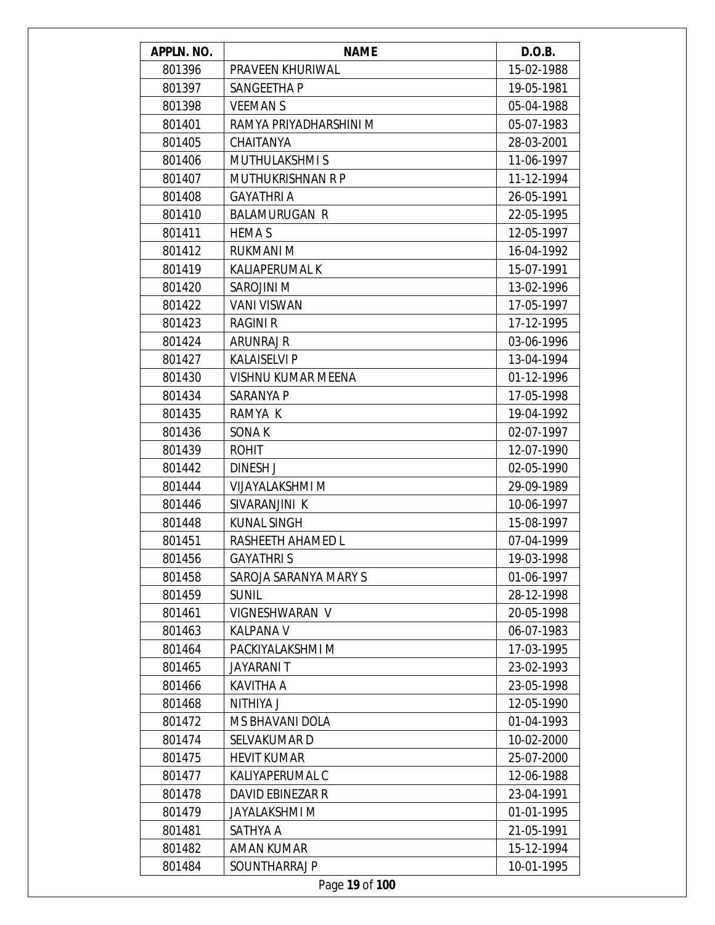| APPLN. NO. | <b>NAME</b>               | D.O.B.     |
|------------|---------------------------|------------|
| 801396     | PRAVEEN KHURIWAL          | 15-02-1988 |
| 801397     | SANGEETHA P               | 19-05-1981 |
| 801398     | <b>VEEMANS</b>            | 05-04-1988 |
| 801401     | RAMYA PRIYADHARSHINI M    | 05-07-1983 |
| 801405     | CHAITANYA                 | 28-03-2001 |
| 801406     | <b>MUTHULAKSHMIS</b>      | 11-06-1997 |
| 801407     | <b>MUTHUKRISHNAN R P</b>  | 11-12-1994 |
| 801408     | <b>GAYATHRI A</b>         | 26-05-1991 |
| 801410     | <b>BALAMURUGAN R</b>      | 22-05-1995 |
| 801411     | <b>HEMA S</b>             | 12-05-1997 |
| 801412     | <b>RUKMANI M</b>          | 16-04-1992 |
| 801419     | KALIAPERUMAL K            | 15-07-1991 |
| 801420     | SAROJINI M                | 13-02-1996 |
| 801422     | <b>VANI VISWAN</b>        | 17-05-1997 |
| 801423     | <b>RAGINI R</b>           | 17-12-1995 |
| 801424     | ARUNRAJ R                 | 03-06-1996 |
| 801427     | <b>KALAISELVI P</b>       | 13-04-1994 |
| 801430     | <b>VISHNU KUMAR MEENA</b> | 01-12-1996 |
| 801434     | SARANYA P                 | 17-05-1998 |
| 801435     | RAMYA K                   | 19-04-1992 |
| 801436     | SONA K                    | 02-07-1997 |
| 801439     | <b>ROHIT</b>              | 12-07-1990 |
| 801442     | DINESH J                  | 02-05-1990 |
| 801444     | VIJAYALAKSHMI M           | 29-09-1989 |
| 801446     | SIVARANJINI K             | 10-06-1997 |
| 801448     | <b>KUNAL SINGH</b>        | 15-08-1997 |
| 801451     | RASHEETH AHAMED L         | 07-04-1999 |
| 801456     | <b>GAYATHRIS</b>          | 19-03-1998 |
| 801458     | SAROJA SARANYA MARY S     | 01-06-1997 |
| 801459     | <b>SUNIL</b>              | 28-12-1998 |
| 801461     | VIGNESHWARAN V            | 20-05-1998 |
| 801463     | KALPANA V                 | 06-07-1983 |
| 801464     | PACKIYALAKSHMI M          | 17-03-1995 |
| 801465     | <b>JAYARANI T</b>         | 23-02-1993 |
| 801466     | <b>KAVITHA A</b>          | 23-05-1998 |
| 801468     | NITHIYA J                 | 12-05-1990 |
| 801472     | MS BHAVANI DOLA           | 01-04-1993 |
| 801474     | SELVAKUMAR D              | 10-02-2000 |
| 801475     | <b>HEVIT KUMAR</b>        | 25-07-2000 |
| 801477     | KALIYAPERUMAL C           | 12-06-1988 |
| 801478     | DAVID EBINEZAR R          | 23-04-1991 |
| 801479     | <b>JAYALAKSHMI M</b>      | 01-01-1995 |
| 801481     | SATHYA A                  | 21-05-1991 |
| 801482     | AMAN KUMAR                | 15-12-1994 |
| 801484     | SOUNTHARRAJ P             | 10-01-1995 |
|            |                           |            |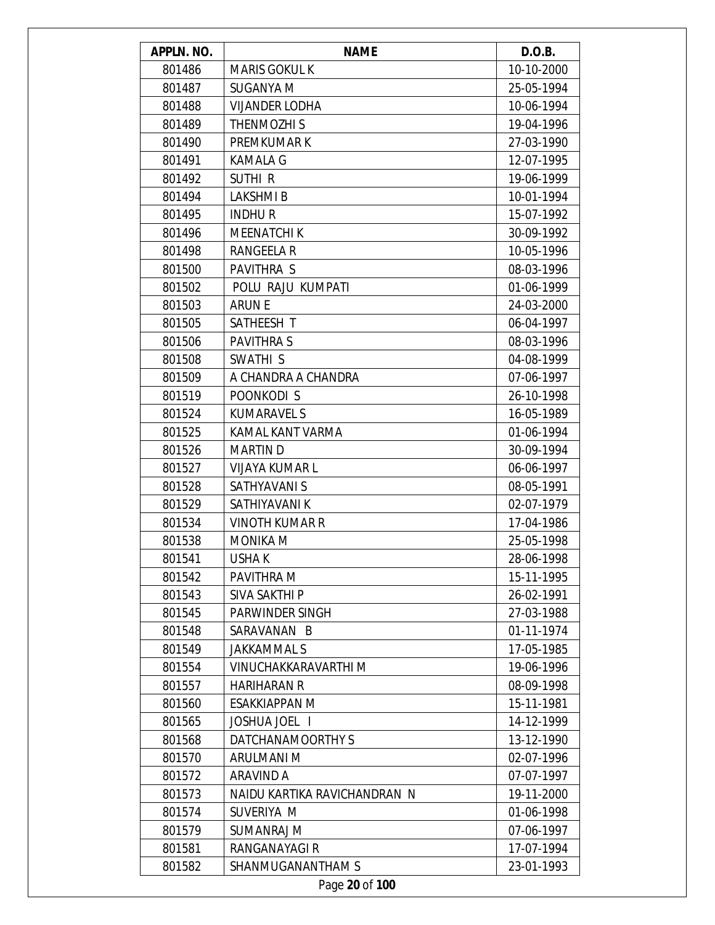| APPLN. NO. | <b>NAME</b>                  | D.O.B.     |
|------------|------------------------------|------------|
| 801486     | <b>MARIS GOKUL K</b>         | 10-10-2000 |
| 801487     | <b>SUGANYA M</b>             | 25-05-1994 |
| 801488     | <b>VIJANDER LODHA</b>        | 10-06-1994 |
| 801489     | <b>THENMOZHIS</b>            | 19-04-1996 |
| 801490     | PREMKUMAR K                  | 27-03-1990 |
| 801491     | <b>KAMALA G</b>              | 12-07-1995 |
| 801492     | <b>SUTHIR</b>                | 19-06-1999 |
| 801494     | <b>LAKSHMIB</b>              | 10-01-1994 |
| 801495     | <b>INDHUR</b>                | 15-07-1992 |
| 801496     | <b>MEENATCHIK</b>            | 30-09-1992 |
| 801498     | <b>RANGEELA R</b>            | 10-05-1996 |
| 801500     | PAVITHRA S                   | 08-03-1996 |
| 801502     | POLU RAJU KUMPATI            | 01-06-1999 |
| 801503     | <b>ARUNE</b>                 | 24-03-2000 |
| 801505     | SATHEESH T                   | 06-04-1997 |
| 801506     | <b>PAVITHRAS</b>             | 08-03-1996 |
| 801508     | SWATHI <sub>S</sub>          | 04-08-1999 |
| 801509     | A CHANDRA A CHANDRA          | 07-06-1997 |
| 801519     | POONKODI S                   | 26-10-1998 |
| 801524     | <b>KUMARAVEL S</b>           | 16-05-1989 |
| 801525     | KAMAL KANT VARMA             | 01-06-1994 |
| 801526     | <b>MARTIN D</b>              | 30-09-1994 |
| 801527     | <b>VIJAYA KUMAR L</b>        | 06-06-1997 |
| 801528     | SATHYAVANI S                 | 08-05-1991 |
| 801529     | SATHIYAVANI K                | 02-07-1979 |
| 801534     | <b>VINOTH KUMAR R</b>        | 17-04-1986 |
| 801538     | <b>MONIKA M</b>              | 25-05-1998 |
| 801541     | USHA K                       | 28-06-1998 |
| 801542     | PAVITHRA M                   | 15-11-1995 |
| 801543     | SIVA SAKTHI P                | 26-02-1991 |
| 801545     | PARWINDER SINGH              | 27-03-1988 |
| 801548     | SARAVANAN B                  | 01-11-1974 |
| 801549     | <b>JAKKAMMAL S</b>           | 17-05-1985 |
| 801554     | VINUCHAKKARAVARTHI M         | 19-06-1996 |
| 801557     | <b>HARIHARAN R</b>           | 08-09-1998 |
| 801560     | ESAKKIAPPAN M                | 15-11-1981 |
| 801565     | JOSHUA JOEL                  | 14-12-1999 |
| 801568     | DATCHANAMOORTHY S            | 13-12-1990 |
| 801570     | ARULMANI M                   | 02-07-1996 |
| 801572     | ARAVIND A                    | 07-07-1997 |
| 801573     | NAIDU KARTIKA RAVICHANDRAN N | 19-11-2000 |
| 801574     | SUVERIYA M                   | 01-06-1998 |
| 801579     | <b>SUMANRAJ M</b>            | 07-06-1997 |
| 801581     | RANGANAYAGI R                | 17-07-1994 |
| 801582     | SHANMUGANANTHAM S            | 23-01-1993 |
|            | Page 20 of 100               |            |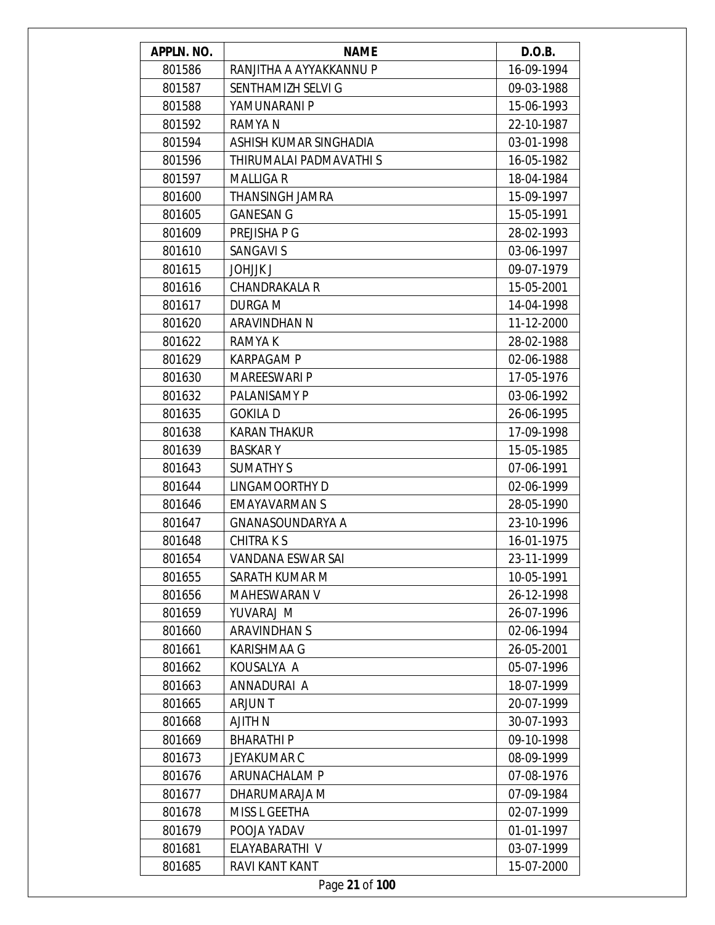| <b>APPLN. NO.</b> | <b>NAME</b>             | D.O.B.     |
|-------------------|-------------------------|------------|
| 801586            | RANJITHA A AYYAKKANNU P | 16-09-1994 |
| 801587            | SENTHAMIZH SELVI G      | 09-03-1988 |
| 801588            | YAMUNARANI P            | 15-06-1993 |
| 801592            | RAMYA N                 | 22-10-1987 |
| 801594            | ASHISH KUMAR SINGHADIA  | 03-01-1998 |
| 801596            | THIRUMALAI PADMAVATHI S | 16-05-1982 |
| 801597            | <b>MALLIGAR</b>         | 18-04-1984 |
| 801600            | <b>THANSINGH JAMRA</b>  | 15-09-1997 |
| 801605            | <b>GANESAN G</b>        | 15-05-1991 |
| 801609            | PREJISHA P G            | 28-02-1993 |
| 801610            | <b>SANGAVI S</b>        | 03-06-1997 |
| 801615            | <b>JOHJJK J</b>         | 09-07-1979 |
| 801616            | CHANDRAKALA R           | 15-05-2001 |
| 801617            | <b>DURGA M</b>          | 14-04-1998 |
| 801620            | <b>ARAVINDHAN N</b>     | 11-12-2000 |
| 801622            | RAMYA K                 | 28-02-1988 |
| 801629            | <b>KARPAGAM P</b>       | 02-06-1988 |
| 801630            | <b>MAREESWARI P</b>     | 17-05-1976 |
| 801632            | PALANISAMY P            | 03-06-1992 |
| 801635            | <b>GOKILA D</b>         | 26-06-1995 |
| 801638            | <b>KARAN THAKUR</b>     | 17-09-1998 |
| 801639            | <b>BASKARY</b>          | 15-05-1985 |
| 801643            | <b>SUMATHY S</b>        | 07-06-1991 |
| 801644            | LINGAMOORTHY D          | 02-06-1999 |
| 801646            | <b>EMAYAVARMAN S</b>    | 28-05-1990 |
| 801647            | <b>GNANASOUNDARYA A</b> | 23-10-1996 |
| 801648            | <b>CHITRAKS</b>         | 16-01-1975 |
| 801654            | VANDANA ESWAR SAI       | 23-11-1999 |
| 801655            | SARATH KUMAR M          | 10-05-1991 |
| 801656            | <b>MAHESWARAN V</b>     | 26-12-1998 |
| 801659            | YUVARAJ M               | 26-07-1996 |
| 801660            | <b>ARAVINDHAN S</b>     | 02-06-1994 |
| 801661            | <b>KARISHMAA G</b>      | 26-05-2001 |
| 801662            | KOUSALYA A              | 05-07-1996 |
| 801663            | ANNADURAI A             | 18-07-1999 |
| 801665            | <b>ARJUNT</b>           | 20-07-1999 |
| 801668            | <b>AJITH N</b>          | 30-07-1993 |
| 801669            | <b>BHARATHIP</b>        | 09-10-1998 |
| 801673            | <b>JEYAKUMAR C</b>      | 08-09-1999 |
| 801676            | ARUNACHALAM P           | 07-08-1976 |
| 801677            | DHARUMARAJA M           | 07-09-1984 |
| 801678            | MISS L GEETHA           | 02-07-1999 |
| 801679            | POOJA YADAV             | 01-01-1997 |
| 801681            | ELAYABARATHI V          | 03-07-1999 |
| 801685            | RAVI KANT KANT          | 15-07-2000 |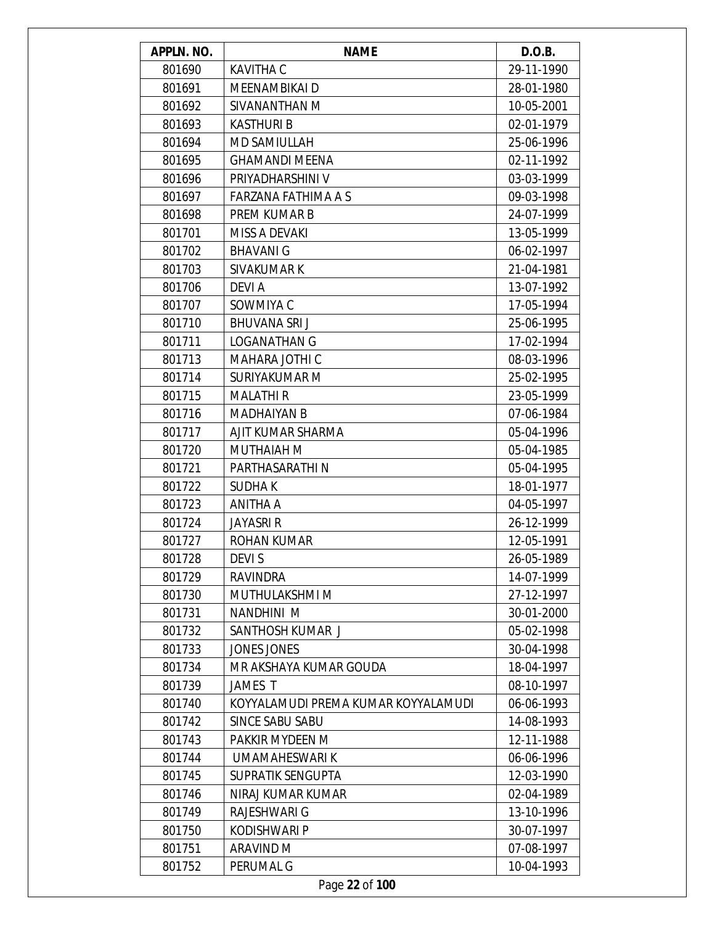| APPLN. NO. | <b>NAME</b>                         | D.O.B.     |
|------------|-------------------------------------|------------|
| 801690     | <b>KAVITHA C</b>                    | 29-11-1990 |
| 801691     | MEENAMBIKAI D                       | 28-01-1980 |
| 801692     | SIVANANTHAN M                       | 10-05-2001 |
| 801693     | <b>KASTHURI B</b>                   | 02-01-1979 |
| 801694     | MD SAMIULLAH                        | 25-06-1996 |
| 801695     | <b>GHAMANDI MEENA</b>               | 02-11-1992 |
| 801696     | PRIYADHARSHINI V                    | 03-03-1999 |
| 801697     | FARZANA FATHIMA A S                 | 09-03-1998 |
| 801698     | PREM KUMAR B                        | 24-07-1999 |
| 801701     | MISS A DEVAKI                       | 13-05-1999 |
| 801702     | <b>BHAVANI G</b>                    | 06-02-1997 |
| 801703     | SIVAKUMAR K                         | 21-04-1981 |
| 801706     | DEVI A                              | 13-07-1992 |
| 801707     | SOWMIYA C                           | 17-05-1994 |
| 801710     | <b>BHUVANA SRIJ</b>                 | 25-06-1995 |
| 801711     | <b>LOGANATHAN G</b>                 | 17-02-1994 |
| 801713     | MAHARA JOTHI C                      | 08-03-1996 |
| 801714     | SURIYAKUMAR M                       | 25-02-1995 |
| 801715     | <b>MALATHIR</b>                     | 23-05-1999 |
| 801716     | <b>MADHAIYAN B</b>                  | 07-06-1984 |
| 801717     | AJIT KUMAR SHARMA                   | 05-04-1996 |
| 801720     | MUTHAIAH M                          | 05-04-1985 |
| 801721     | PARTHASARATHI N                     | 05-04-1995 |
| 801722     | <b>SUDHAK</b>                       | 18-01-1977 |
| 801723     | ANITHA A                            | 04-05-1997 |
| 801724     | <b>JAYASRI R</b>                    | 26-12-1999 |
| 801727     | <b>ROHAN KUMAR</b>                  | 12-05-1991 |
| 801728     | DEVI S                              | 26-05-1989 |
| 801729     | RAVINDRA                            | 14-07-1999 |
| 801730     | MUTHULAKSHMI M                      | 27-12-1997 |
| 801731     | NANDHINI M                          | 30-01-2000 |
| 801732     | SANTHOSH KUMAR J                    | 05-02-1998 |
| 801733     | <b>JONES JONES</b>                  | 30-04-1998 |
| 801734     | MR AKSHAYA KUMAR GOUDA              | 18-04-1997 |
| 801739     | JAMES T                             | 08-10-1997 |
| 801740     | KOYYALAMUDI PREMA KUMAR KOYYALAMUDI | 06-06-1993 |
| 801742     | <b>SINCE SABU SABU</b>              | 14-08-1993 |
| 801743     | PAKKIR MYDEEN M                     | 12-11-1988 |
| 801744     | UMAMAHESWARI K                      | 06-06-1996 |
| 801745     | SUPRATIK SENGUPTA                   | 12-03-1990 |
| 801746     | NIRAJ KUMAR KUMAR                   | 02-04-1989 |
| 801749     | RAJESHWARI G                        | 13-10-1996 |
| 801750     | <b>KODISHWARI P</b>                 | 30-07-1997 |
| 801751     | ARAVIND M                           | 07-08-1997 |
| 801752     | PERUMAL G                           | 10-04-1993 |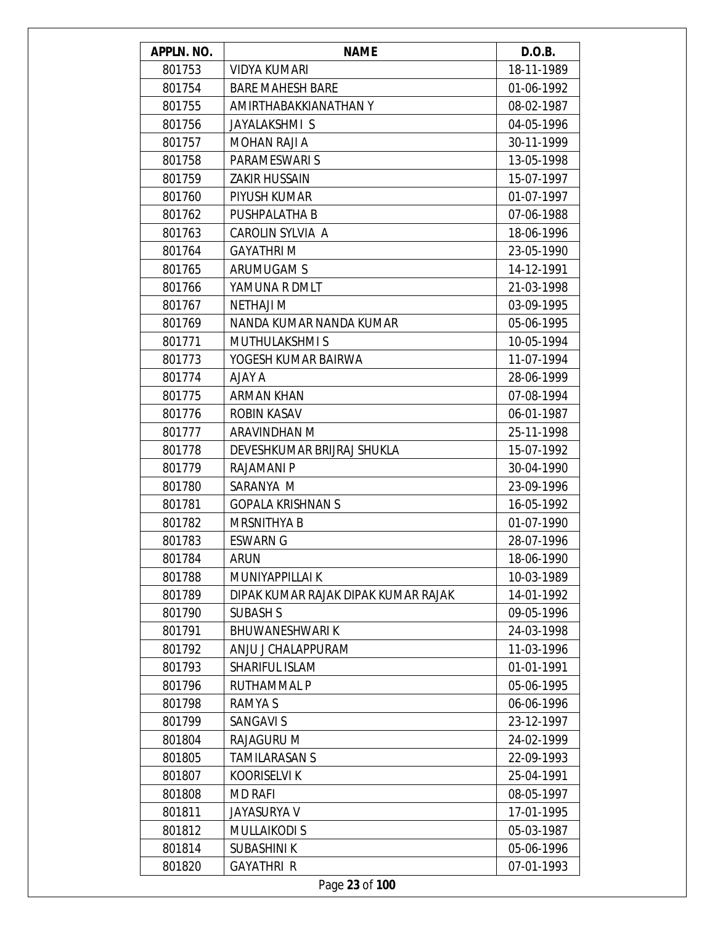| APPLN. NO. | <b>NAME</b>                         | D.O.B.     |
|------------|-------------------------------------|------------|
| 801753     | <b>VIDYA KUMARI</b>                 | 18-11-1989 |
| 801754     | <b>BARE MAHESH BARE</b>             | 01-06-1992 |
| 801755     | AMIRTHABAKKIANATHAN Y               | 08-02-1987 |
| 801756     | JAYALAKSHMI S                       | 04-05-1996 |
| 801757     | MOHAN RAJI A                        | 30-11-1999 |
| 801758     | PARAMESWARI S                       | 13-05-1998 |
| 801759     | <b>ZAKIR HUSSAIN</b>                | 15-07-1997 |
| 801760     | PIYUSH KUMAR                        | 01-07-1997 |
| 801762     | PUSHPALATHA B                       | 07-06-1988 |
| 801763     | CAROLIN SYLVIA A                    | 18-06-1996 |
| 801764     | <b>GAYATHRIM</b>                    | 23-05-1990 |
| 801765     | ARUMUGAM S                          | 14-12-1991 |
| 801766     | YAMUNA R DMLT                       | 21-03-1998 |
| 801767     | <b>NETHAJI M</b>                    | 03-09-1995 |
| 801769     | NANDA KUMAR NANDA KUMAR             | 05-06-1995 |
| 801771     | <b>MUTHULAKSHMIS</b>                | 10-05-1994 |
| 801773     | YOGESH KUMAR BAIRWA                 | 11-07-1994 |
| 801774     | AJAY A                              | 28-06-1999 |
| 801775     | <b>ARMAN KHAN</b>                   | 07-08-1994 |
| 801776     | <b>ROBIN KASAV</b>                  | 06-01-1987 |
| 801777     | ARAVINDHAN M                        | 25-11-1998 |
| 801778     | DEVESHKUMAR BRIJRAJ SHUKLA          | 15-07-1992 |
| 801779     | RAJAMANI P                          | 30-04-1990 |
| 801780     | SARANYA M                           | 23-09-1996 |
| 801781     | <b>GOPALA KRISHNAN S</b>            | 16-05-1992 |
| 801782     | <b>MRSNITHYA B</b>                  | 01-07-1990 |
| 801783     | <b>ESWARN G</b>                     | 28-07-1996 |
| 801784     | ARUN                                | 18-06-1990 |
| 801788     | MUNIYAPPILLAI K                     | 10-03-1989 |
| 801789     | DIPAK KUMAR RAJAK DIPAK KUMAR RAJAK | 14-01-1992 |
| 801790     | <b>SUBASH S</b>                     | 09-05-1996 |
| 801791     | <b>BHUWANESHWARIK</b>               | 24-03-1998 |
| 801792     | ANJU J CHALAPPURAM                  | 11-03-1996 |
| 801793     | SHARIFUL ISLAM                      | 01-01-1991 |
| 801796     | RUTHAMMAL P                         | 05-06-1995 |
| 801798     | RAMYA S                             | 06-06-1996 |
| 801799     | <b>SANGAVI S</b>                    | 23-12-1997 |
| 801804     | RAJAGURU M                          | 24-02-1999 |
| 801805     | <b>TAMILARASAN S</b>                | 22-09-1993 |
| 801807     | <b>KOORISELVI K</b>                 | 25-04-1991 |
| 801808     | <b>MD RAFI</b>                      | 08-05-1997 |
| 801811     | <b>JAYASURYA V</b>                  | 17-01-1995 |
| 801812     | <b>MULLAIKODI S</b>                 | 05-03-1987 |
| 801814     | <b>SUBASHINI K</b>                  | 05-06-1996 |
| 801820     | <b>GAYATHRI R</b>                   | 07-01-1993 |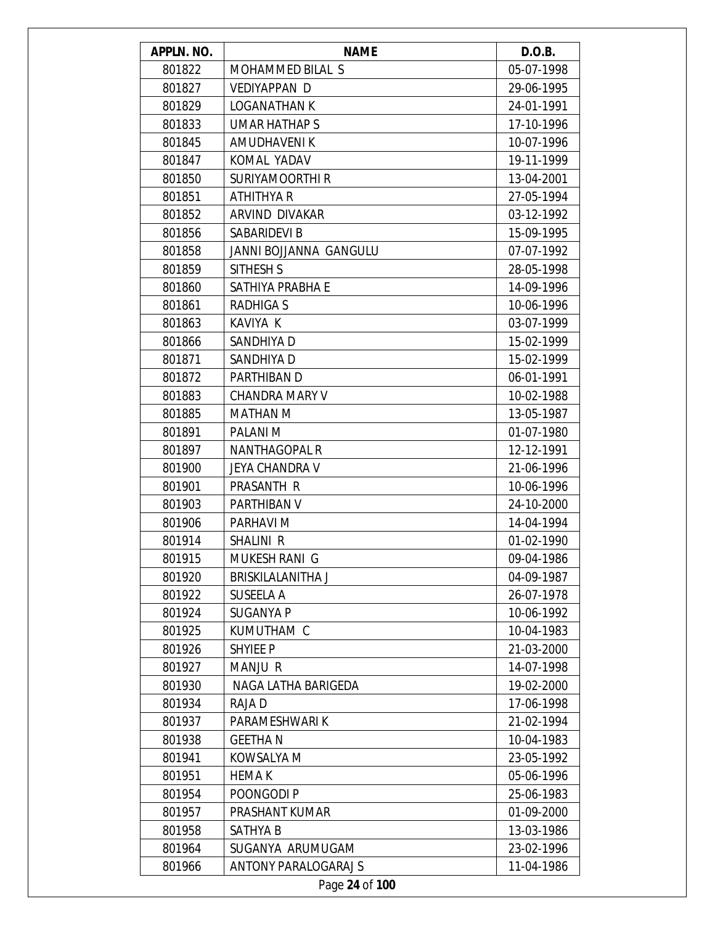| APPLN. NO. | <b>NAME</b>                 | D.O.B.     |
|------------|-----------------------------|------------|
| 801822     | MOHAMMED BILAL S            | 05-07-1998 |
| 801827     | <b>VEDIYAPPAN D</b>         | 29-06-1995 |
| 801829     | <b>LOGANATHAN K</b>         | 24-01-1991 |
| 801833     | <b>UMAR HATHAP S</b>        | 17-10-1996 |
| 801845     | AMUDHAVENI K                | 10-07-1996 |
| 801847     | KOMAL YADAV                 | 19-11-1999 |
| 801850     | <b>SURIYAMOORTHI R</b>      | 13-04-2001 |
| 801851     | <b>ATHITHYA R</b>           | 27-05-1994 |
| 801852     | ARVIND DIVAKAR              | 03-12-1992 |
| 801856     | SABARIDEVI B                | 15-09-1995 |
| 801858     | JANNI BOJJANNA GANGULU      | 07-07-1992 |
| 801859     | SITHESH S                   | 28-05-1998 |
| 801860     | SATHIYA PRABHA E            | 14-09-1996 |
| 801861     | <b>RADHIGA S</b>            | 10-06-1996 |
| 801863     | KAVIYA K                    | 03-07-1999 |
| 801866     | SANDHIYA D                  | 15-02-1999 |
| 801871     | SANDHIYA D                  | 15-02-1999 |
| 801872     | PARTHIBAN D                 | 06-01-1991 |
| 801883     | <b>CHANDRA MARY V</b>       | 10-02-1988 |
| 801885     | <b>MATHAN M</b>             | 13-05-1987 |
| 801891     | PALANI M                    | 01-07-1980 |
| 801897     | <b>NANTHAGOPAL R</b>        | 12-12-1991 |
| 801900     | <b>JEYA CHANDRA V</b>       | 21-06-1996 |
| 801901     | PRASANTH R                  | 10-06-1996 |
| 801903     | PARTHIBAN V                 | 24-10-2000 |
| 801906     | PARHAVI M                   | 14-04-1994 |
| 801914     | <b>SHALINI R</b>            | 01-02-1990 |
| 801915     | MUKESH RANI G               | 09-04-1986 |
| 801920     | BRISKILALANITHA J           | 04-09-1987 |
| 801922     | SUSEELA A                   | 26-07-1978 |
| 801924     | SUGANYA P                   | 10-06-1992 |
| 801925     | KUMUTHAM C                  | 10-04-1983 |
| 801926     | <b>SHYIEE P</b>             | 21-03-2000 |
| 801927     | <b>MANJU R</b>              | 14-07-1998 |
| 801930     | NAGA LATHA BARIGEDA         | 19-02-2000 |
| 801934     | RAJA D                      | 17-06-1998 |
| 801937     | PARAMESHWARI K              | 21-02-1994 |
| 801938     | <b>GEETHAN</b>              | 10-04-1983 |
| 801941     | KOWSALYA M                  | 23-05-1992 |
| 801951     | <b>HEMAK</b>                | 05-06-1996 |
| 801954     | POONGODI P                  | 25-06-1983 |
| 801957     | PRASHANT KUMAR              | 01-09-2000 |
| 801958     | SATHYA B                    | 13-03-1986 |
| 801964     | SUGANYA ARUMUGAM            | 23-02-1996 |
| 801966     | <b>ANTONY PARALOGARAJ S</b> | 11-04-1986 |
|            | Page 24 of 100              |            |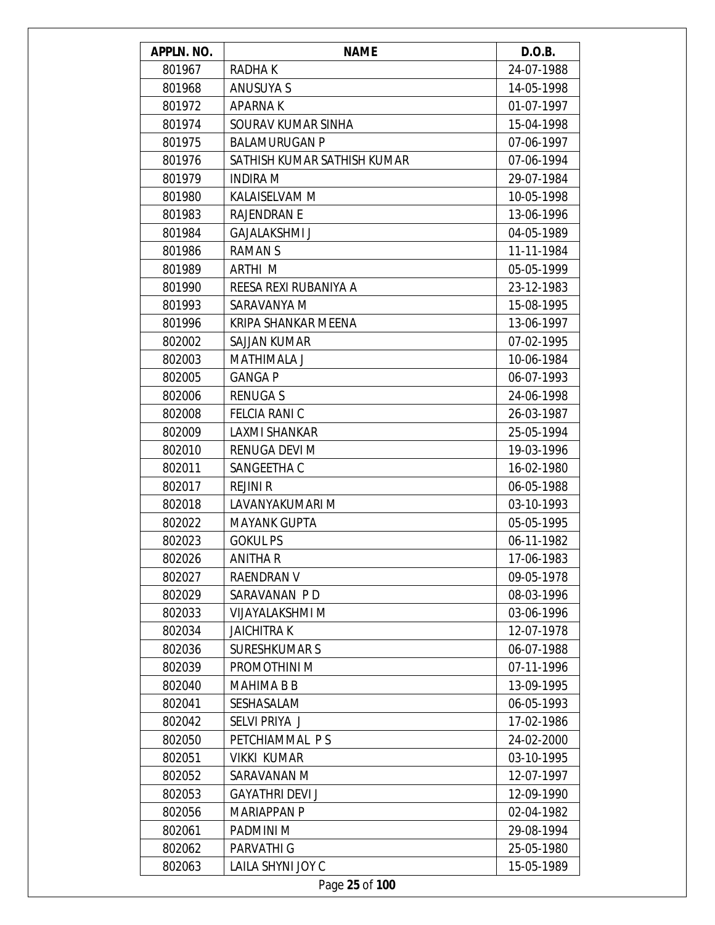| APPLN. NO. | <b>NAME</b>                 | D.O.B.     |
|------------|-----------------------------|------------|
| 801967     | <b>RADHAK</b>               | 24-07-1988 |
| 801968     | ANUSUYA S                   | 14-05-1998 |
| 801972     | <b>APARNAK</b>              | 01-07-1997 |
| 801974     | SOURAV KUMAR SINHA          | 15-04-1998 |
| 801975     | <b>BALAMURUGAN P</b>        | 07-06-1997 |
| 801976     | SATHISH KUMAR SATHISH KUMAR | 07-06-1994 |
| 801979     | <b>INDIRA M</b>             | 29-07-1984 |
| 801980     | KALAISELVAM M               | 10-05-1998 |
| 801983     | <b>RAJENDRAN E</b>          | 13-06-1996 |
| 801984     | <b>GAJALAKSHMI J</b>        | 04-05-1989 |
| 801986     | <b>RAMANS</b>               | 11-11-1984 |
| 801989     | ARTHI M                     | 05-05-1999 |
| 801990     | REESA REXI RUBANIYA A       | 23-12-1983 |
| 801993     | SARAVANYA M                 | 15-08-1995 |
| 801996     | KRIPA SHANKAR MEENA         | 13-06-1997 |
| 802002     | SAJJAN KUMAR                | 07-02-1995 |
| 802003     | <b>MATHIMALA J</b>          | 10-06-1984 |
| 802005     | <b>GANGA P</b>              | 06-07-1993 |
| 802006     | <b>RENUGAS</b>              | 24-06-1998 |
| 802008     | <b>FELCIA RANI C</b>        | 26-03-1987 |
| 802009     | LAXMI SHANKAR               | 25-05-1994 |
| 802010     | RENUGA DEVI M               | 19-03-1996 |
| 802011     | SANGEETHA C                 | 16-02-1980 |
| 802017     | <b>REJINI R</b>             | 06-05-1988 |
| 802018     | LAVANYAKUMARI M             | 03-10-1993 |
| 802022     | <b>MAYANK GUPTA</b>         | 05-05-1995 |
| 802023     | <b>GOKUL PS</b>             | 06-11-1982 |
| 802026     | <b>ANITHAR</b>              | 17-06-1983 |
| 802027     | <b>RAENDRAN V</b>           | 09-05-1978 |
| 802029     | SARAVANAN PD                | 08-03-1996 |
| 802033     | <b>VIJAYALAKSHMI M</b>      | 03-06-1996 |
| 802034     | <b>JAICHITRAK</b>           | 12-07-1978 |
| 802036     | <b>SURESHKUMAR S</b>        | 06-07-1988 |
| 802039     | PROMOTHINI M                | 07-11-1996 |
| 802040     | <b>MAHIMA B B</b>           | 13-09-1995 |
| 802041     | SESHASALAM                  | 06-05-1993 |
| 802042     | SELVI PRIYA J               | 17-02-1986 |
| 802050     | PETCHIAMMAL PS              | 24-02-2000 |
| 802051     | <b>VIKKI KUMAR</b>          | 03-10-1995 |
| 802052     | SARAVANAN M                 | 12-07-1997 |
| 802053     | <b>GAYATHRI DEVI J</b>      | 12-09-1990 |
| 802056     | <b>MARIAPPAN P</b>          | 02-04-1982 |
| 802061     | PADMINI M                   | 29-08-1994 |
| 802062     | PARVATHI G                  | 25-05-1980 |
| 802063     | LAILA SHYNI JOY C           | 15-05-1989 |
|            | Page 25 of 100              |            |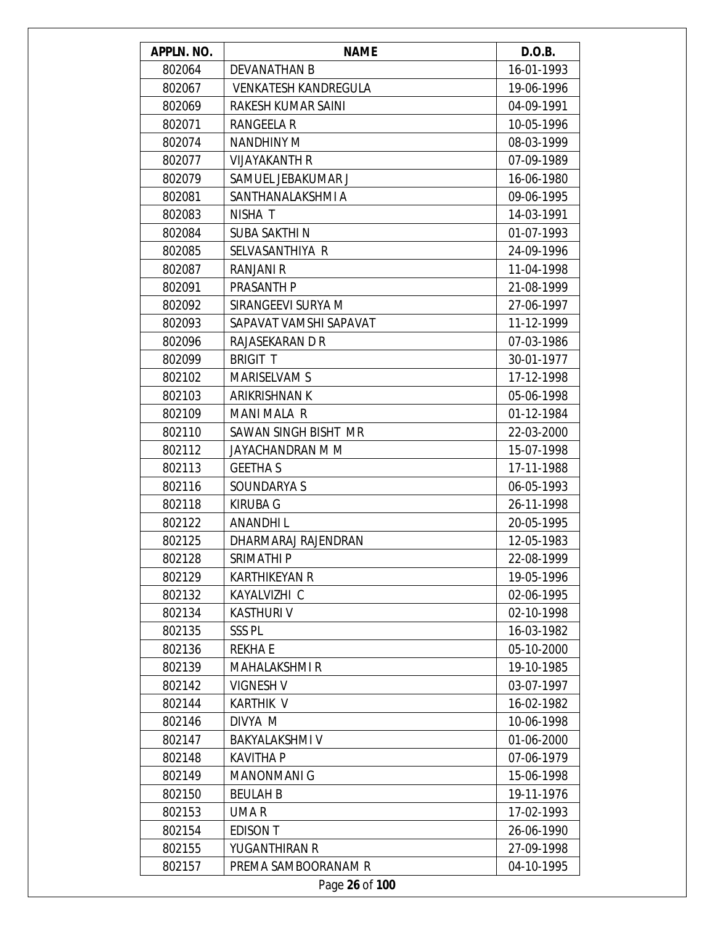| APPLN. NO. | <b>NAME</b>                 | D.O.B.     |
|------------|-----------------------------|------------|
| 802064     | <b>DEVANATHAN B</b>         | 16-01-1993 |
| 802067     | <b>VENKATESH KANDREGULA</b> | 19-06-1996 |
| 802069     | RAKESH KUMAR SAINI          | 04-09-1991 |
| 802071     | RANGEELA R                  | 10-05-1996 |
| 802074     | <b>NANDHINY M</b>           | 08-03-1999 |
| 802077     | <b>VIJAYAKANTH R</b>        | 07-09-1989 |
| 802079     | SAMUEL JEBAKUMAR J          | 16-06-1980 |
| 802081     | SANTHANALAKSHMI A           | 09-06-1995 |
| 802083     | NISHA T                     | 14-03-1991 |
| 802084     | <b>SUBA SAKTHIN</b>         | 01-07-1993 |
| 802085     | SELVASANTHIYA R             | 24-09-1996 |
| 802087     | <b>RANJANI R</b>            | 11-04-1998 |
| 802091     | PRASANTH P                  | 21-08-1999 |
| 802092     | SIRANGEEVI SURYA M          | 27-06-1997 |
| 802093     | SAPAVAT VAMSHI SAPAVAT      | 11-12-1999 |
| 802096     | RAJASEKARAN D R             | 07-03-1986 |
| 802099     | <b>BRIGIT T</b>             | 30-01-1977 |
| 802102     | <b>MARISELVAM S</b>         | 17-12-1998 |
| 802103     | ARIKRISHNAN K               | 05-06-1998 |
| 802109     | <b>MANI MALA R</b>          | 01-12-1984 |
| 802110     | SAWAN SINGH BISHT MR        | 22-03-2000 |
| 802112     | JAYACHANDRAN M M            | 15-07-1998 |
| 802113     | <b>GEETHA S</b>             | 17-11-1988 |
| 802116     | SOUNDARYA S                 | 06-05-1993 |
| 802118     | <b>KIRUBA G</b>             | 26-11-1998 |
| 802122     | <b>ANANDHIL</b>             | 20-05-1995 |
| 802125     | DHARMARAJ RAJENDRAN         | 12-05-1983 |
| 802128     | SRIMATHI P                  | 22-08-1999 |
| 802129     | KARTHIKEYAN R               | 19-05-1996 |
| 802132     | KAYALVIZHI C                | 02-06-1995 |
| 802134     | <b>KASTHURIV</b>            | 02-10-1998 |
| 802135     | SSS <sub>PL</sub>           | 16-03-1982 |
| 802136     | <b>REKHAE</b>               | 05-10-2000 |
| 802139     | <b>MAHALAKSHMI R</b>        | 19-10-1985 |
| 802142     | <b>VIGNESH V</b>            | 03-07-1997 |
| 802144     | <b>KARTHIK V</b>            | 16-02-1982 |
| 802146     | DIVYA M                     | 10-06-1998 |
| 802147     | <b>BAKYALAKSHMI V</b>       | 01-06-2000 |
| 802148     | <b>KAVITHA P</b>            | 07-06-1979 |
| 802149     | <b>MANONMANI G</b>          | 15-06-1998 |
| 802150     | <b>BEULAH B</b>             | 19-11-1976 |
| 802153     | UMA R                       | 17-02-1993 |
| 802154     | <b>EDISON T</b>             | 26-06-1990 |
| 802155     | YUGANTHIRAN R               | 27-09-1998 |
| 802157     | PREMA SAMBOORANAM R         | 04-10-1995 |
|            | Page 26 of 100              |            |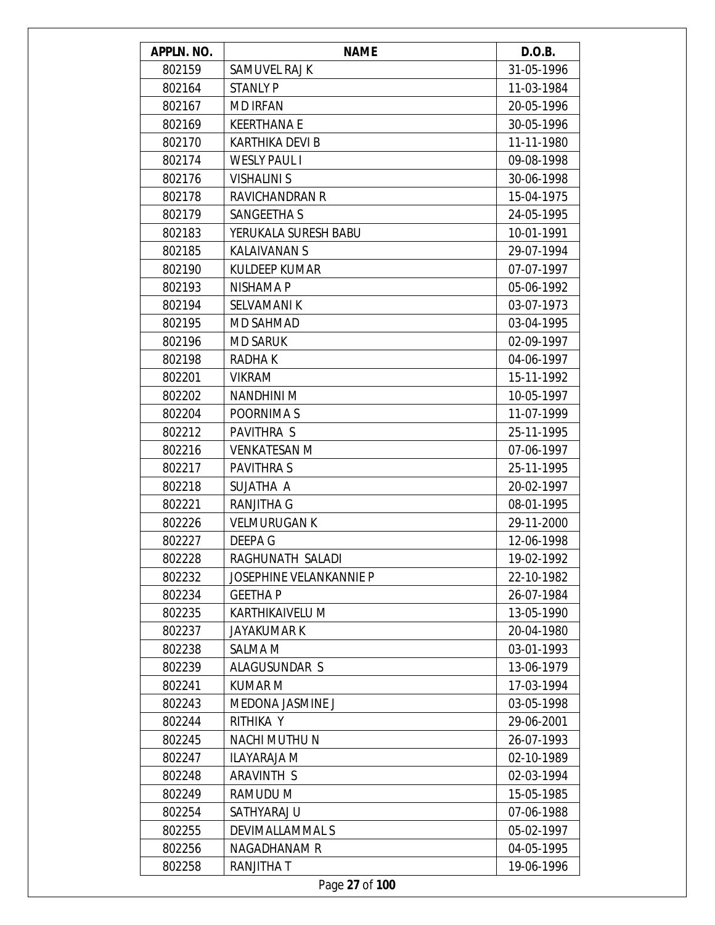| APPLN. NO. | <b>NAME</b>                    | D.O.B.     |
|------------|--------------------------------|------------|
| 802159     | SAMUVEL RAJ K                  | 31-05-1996 |
| 802164     | <b>STANLY P</b>                | 11-03-1984 |
| 802167     | <b>MD IRFAN</b>                | 20-05-1996 |
| 802169     | <b>KEERTHANA E</b>             | 30-05-1996 |
| 802170     | KARTHIKA DEVI B                | 11-11-1980 |
| 802174     | <b>WESLY PAUL I</b>            | 09-08-1998 |
| 802176     | <b>VISHALINI S</b>             | 30-06-1998 |
| 802178     | <b>RAVICHANDRAN R</b>          | 15-04-1975 |
| 802179     | SANGEETHA S                    | 24-05-1995 |
| 802183     | YERUKALA SURESH BABU           | 10-01-1991 |
| 802185     | <b>KALAIVANAN S</b>            | 29-07-1994 |
| 802190     | <b>KULDEEP KUMAR</b>           | 07-07-1997 |
| 802193     | NISHAMA P                      | 05-06-1992 |
| 802194     | <b>SELVAMANIK</b>              | 03-07-1973 |
| 802195     | <b>MD SAHMAD</b>               | 03-04-1995 |
| 802196     | <b>MD SARUK</b>                | 02-09-1997 |
| 802198     | RADHA K                        | 04-06-1997 |
| 802201     | <b>VIKRAM</b>                  | 15-11-1992 |
| 802202     | <b>NANDHINI M</b>              | 10-05-1997 |
| 802204     | POORNIMA S                     | 11-07-1999 |
| 802212     | PAVITHRA S                     | 25-11-1995 |
| 802216     | <b>VENKATESAN M</b>            | 07-06-1997 |
| 802217     | <b>PAVITHRAS</b>               | 25-11-1995 |
| 802218     | SUJATHA A                      | 20-02-1997 |
| 802221     | <b>RANJITHA G</b>              | 08-01-1995 |
| 802226     | <b>VELMURUGAN K</b>            | 29-11-2000 |
| 802227     | DEEPA G                        | 12-06-1998 |
| 802228     | RAGHUNATH SALADI               | 19-02-1992 |
| 802232     | <b>JOSEPHINE VELANKANNIE P</b> | 22-10-1982 |
| 802234     | <b>GEETHA P</b>                | 26-07-1984 |
| 802235     | KARTHIKAIVELU M                | 13-05-1990 |
| 802237     | <b>JAYAKUMAR K</b>             | 20-04-1980 |
| 802238     | <b>SALMA M</b>                 | 03-01-1993 |
| 802239     | ALAGUSUNDAR S                  | 13-06-1979 |
| 802241     | <b>KUMAR M</b>                 | 17-03-1994 |
| 802243     | <b>MEDONA JASMINE J</b>        | 03-05-1998 |
| 802244     | RITHIKA Y                      | 29-06-2001 |
| 802245     | NACHI MUTHU N                  | 26-07-1993 |
| 802247     | <b>ILAYARAJA M</b>             | 02-10-1989 |
| 802248     | ARAVINTH S                     | 02-03-1994 |
| 802249     | RAMUDU M                       | 15-05-1985 |
| 802254     | SATHYARAJ U                    | 07-06-1988 |
| 802255     | DEVIMALLAMMAL S                | 05-02-1997 |
| 802256     | NAGADHANAM R                   | 04-05-1995 |
| 802258     | RANJITHA T                     | 19-06-1996 |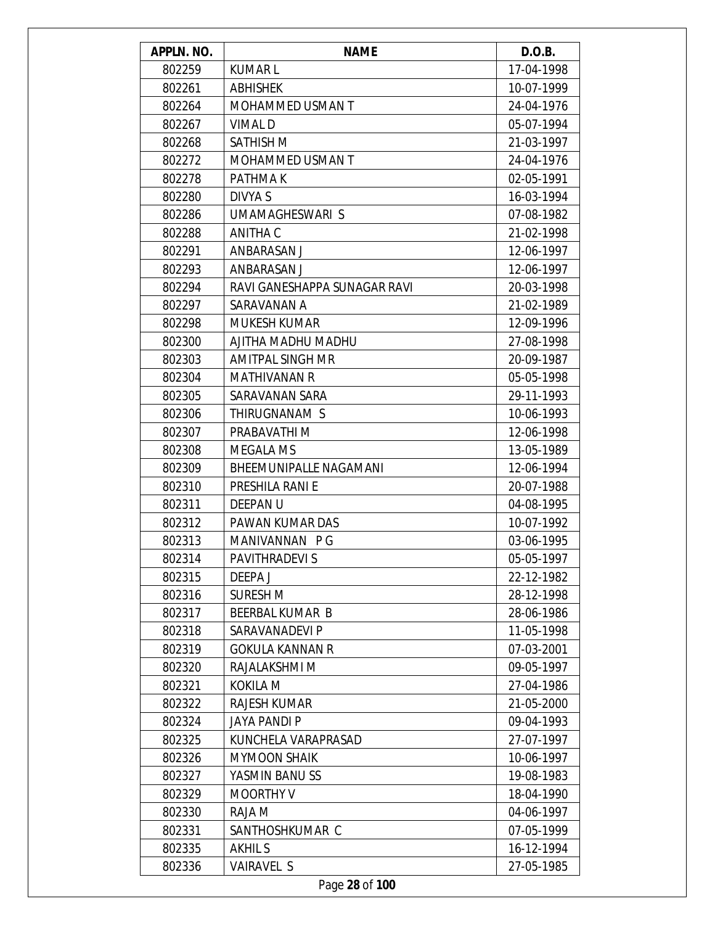| APPLN. NO. | <b>NAME</b>                  | D.O.B.     |
|------------|------------------------------|------------|
| 802259     | <b>KUMARL</b>                | 17-04-1998 |
| 802261     | <b>ABHISHEK</b>              | 10-07-1999 |
| 802264     | <b>MOHAMMED USMAN T</b>      | 24-04-1976 |
| 802267     | <b>VIMALD</b>                | 05-07-1994 |
| 802268     | <b>SATHISH M</b>             | 21-03-1997 |
| 802272     | MOHAMMED USMAN T             | 24-04-1976 |
| 802278     | PATHMA K                     | 02-05-1991 |
| 802280     | DIVYA S                      | 16-03-1994 |
| 802286     | UMAMAGHESWARI S              | 07-08-1982 |
| 802288     | ANITHA C                     | 21-02-1998 |
| 802291     | ANBARASAN J                  | 12-06-1997 |
| 802293     | ANBARASAN J                  | 12-06-1997 |
| 802294     | RAVI GANESHAPPA SUNAGAR RAVI | 20-03-1998 |
| 802297     | SARAVANAN A                  | 21-02-1989 |
| 802298     | <b>MUKESH KUMAR</b>          | 12-09-1996 |
| 802300     | AJITHA MADHU MADHU           | 27-08-1998 |
| 802303     | <b>AMITPAL SINGH MR</b>      | 20-09-1987 |
| 802304     | <b>MATHIVANAN R</b>          | 05-05-1998 |
| 802305     | SARAVANAN SARA               | 29-11-1993 |
| 802306     | THIRUGNANAM S                | 10-06-1993 |
| 802307     | PRABAVATHI M                 | 12-06-1998 |
| 802308     | <b>MEGALA MS</b>             | 13-05-1989 |
| 802309     | BHEEMUNIPALLE NAGAMANI       | 12-06-1994 |
| 802310     | PRESHILA RANI E              | 20-07-1988 |
| 802311     | DEEPAN U                     | 04-08-1995 |
| 802312     | PAWAN KUMAR DAS              | 10-07-1992 |
| 802313     | MANIVANNAN PG                | 03-06-1995 |
| 802314     | PAVITHRADEVI S               | 05-05-1997 |
| 802315     | DEEPA J                      | 22-12-1982 |
| 802316     | <b>SURESH M</b>              | 28-12-1998 |
| 802317     | BEERBAL KUMAR B              | 28-06-1986 |
| 802318     | SARAVANADEVI P               | 11-05-1998 |
| 802319     | <b>GOKULA KANNAN R</b>       | 07-03-2001 |
| 802320     | RAJALAKSHMI M                | 09-05-1997 |
| 802321     | KOKILA M                     | 27-04-1986 |
| 802322     | <b>RAJESH KUMAR</b>          | 21-05-2000 |
| 802324     | <b>JAYA PANDI P</b>          | 09-04-1993 |
| 802325     | KUNCHELA VARAPRASAD          | 27-07-1997 |
| 802326     | <b>MYMOON SHAIK</b>          | 10-06-1997 |
| 802327     | YASMIN BANUSS                | 19-08-1983 |
| 802329     | <b>MOORTHY V</b>             | 18-04-1990 |
| 802330     | RAJA M                       | 04-06-1997 |
| 802331     | SANTHOSHKUMAR C              | 07-05-1999 |
| 802335     | <b>AKHILS</b>                | 16-12-1994 |
| 802336     | <b>VAIRAVEL S</b>            | 27-05-1985 |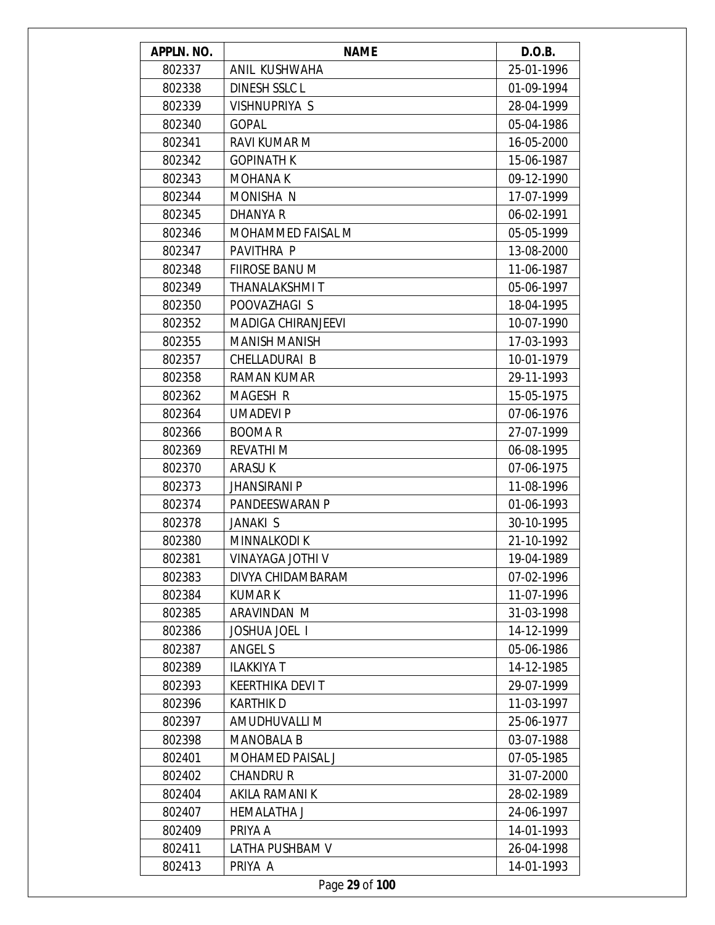| APPLN. NO. | <b>NAME</b>               | D.O.B.     |
|------------|---------------------------|------------|
| 802337     | ANIL KUSHWAHA             | 25-01-1996 |
| 802338     | <b>DINESH SSLC L</b>      | 01-09-1994 |
| 802339     | VISHNUPRIYA S             | 28-04-1999 |
| 802340     | <b>GOPAL</b>              | 05-04-1986 |
| 802341     | <b>RAVI KUMAR M</b>       | 16-05-2000 |
| 802342     | <b>GOPINATH K</b>         | 15-06-1987 |
| 802343     | <b>MOHANA K</b>           | 09-12-1990 |
| 802344     | MONISHA N                 | 17-07-1999 |
| 802345     | DHANYA R                  | 06-02-1991 |
| 802346     | MOHAMMED FAISAL M         | 05-05-1999 |
| 802347     | PAVITHRA P                | 13-08-2000 |
| 802348     | <b>FIIROSE BANU M</b>     | 11-06-1987 |
| 802349     | THANALAKSHMI T            | 05-06-1997 |
| 802350     | POOVAZHAGI S              | 18-04-1995 |
| 802352     | <b>MADIGA CHIRANJEEVI</b> | 10-07-1990 |
| 802355     | <b>MANISH MANISH</b>      | 17-03-1993 |
| 802357     | CHELLADURAI B             | 10-01-1979 |
| 802358     | <b>RAMAN KUMAR</b>        | 29-11-1993 |
| 802362     | MAGESH R                  | 15-05-1975 |
| 802364     | <b>UMADEVIP</b>           | 07-06-1976 |
| 802366     | <b>BOOMAR</b>             | 27-07-1999 |
| 802369     | REVATHI M                 | 06-08-1995 |
| 802370     | <b>ARASUK</b>             | 07-06-1975 |
| 802373     | <b>JHANSIRANI P</b>       | 11-08-1996 |
| 802374     | PANDEESWARAN P            | 01-06-1993 |
| 802378     | <b>JANAKI S</b>           | 30-10-1995 |
| 802380     | <b>MINNALKODI K</b>       | 21-10-1992 |
| 802381     | VINAYAGA JOTHI V          | 19-04-1989 |
| 802383     | DIVYA CHIDAMBARAM         | 07-02-1996 |
| 802384     | <b>KUMARK</b>             | 11-07-1996 |
| 802385     | ARAVINDAN M               | 31-03-1998 |
| 802386     | <b>JOSHUA JOEL 1</b>      | 14-12-1999 |
| 802387     | <b>ANGEL S</b>            | 05-06-1986 |
| 802389     | <b>ILAKKIYA T</b>         | 14-12-1985 |
| 802393     | <b>KEERTHIKA DEVIT</b>    | 29-07-1999 |
| 802396     | <b>KARTHIK D</b>          | 11-03-1997 |
| 802397     | AMUDHUVALLI M             | 25-06-1977 |
| 802398     | <b>MANOBALA B</b>         | 03-07-1988 |
| 802401     | <b>MOHAMED PAISAL J</b>   | 07-05-1985 |
| 802402     | <b>CHANDRUR</b>           | 31-07-2000 |
| 802404     | AKILA RAMANI K            | 28-02-1989 |
| 802407     | <b>HEMALATHA J</b>        | 24-06-1997 |
| 802409     | PRIYA A                   | 14-01-1993 |
| 802411     | LATHA PUSHBAM V           | 26-04-1998 |
| 802413     | PRIYA A                   | 14-01-1993 |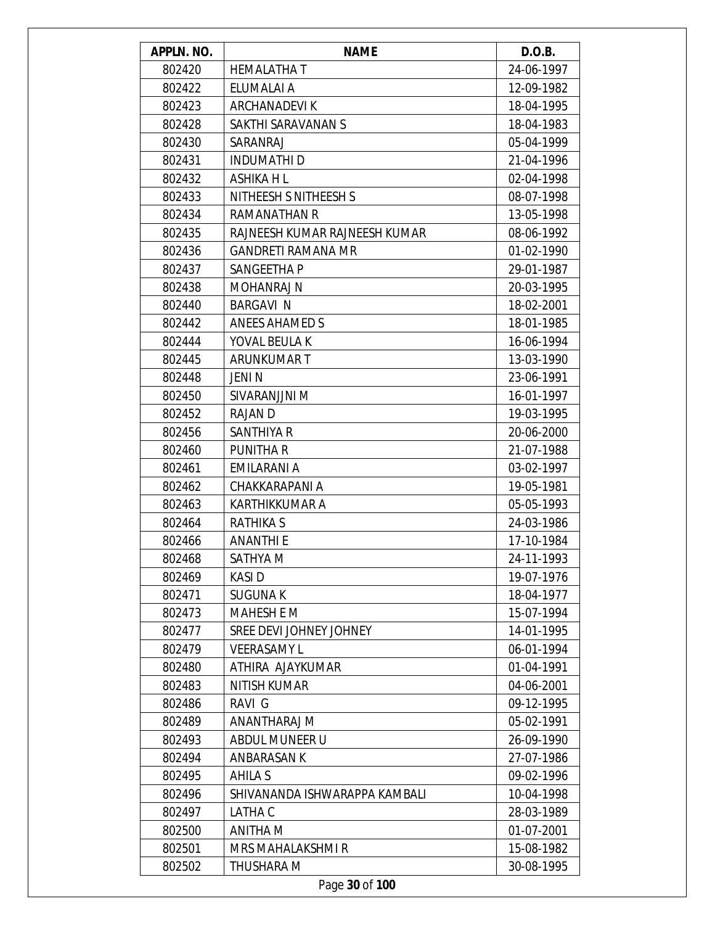| APPLN. NO. | <b>NAME</b>                   | D.O.B.     |
|------------|-------------------------------|------------|
| 802420     | <b>HEMALATHAT</b>             | 24-06-1997 |
| 802422     | ELUMALAI A                    | 12-09-1982 |
| 802423     | ARCHANADEVI K                 | 18-04-1995 |
| 802428     | SAKTHI SARAVANAN S            | 18-04-1983 |
| 802430     | SARANRAJ                      | 05-04-1999 |
| 802431     | <b>INDUMATHI D</b>            | 21-04-1996 |
| 802432     | ASHIKA H L                    | 02-04-1998 |
| 802433     | NITHEESH S NITHEESH S         | 08-07-1998 |
| 802434     | RAMANATHAN R                  | 13-05-1998 |
| 802435     | RAJNEESH KUMAR RAJNEESH KUMAR | 08-06-1992 |
| 802436     | <b>GANDRETI RAMANA MR</b>     | 01-02-1990 |
| 802437     | SANGEETHA P                   | 29-01-1987 |
| 802438     | <b>MOHANRAJ N</b>             | 20-03-1995 |
| 802440     | <b>BARGAVI N</b>              | 18-02-2001 |
| 802442     | ANEES AHAMED S                | 18-01-1985 |
| 802444     | YOVAL BEULA K                 | 16-06-1994 |
| 802445     | ARUNKUMAR T                   | 13-03-1990 |
| 802448     | JENI N                        | 23-06-1991 |
| 802450     | SIVARANJJNI M                 | 16-01-1997 |
| 802452     | <b>RAJAN D</b>                | 19-03-1995 |
| 802456     | SANTHIYA R                    | 20-06-2000 |
| 802460     | PUNITHA R                     | 21-07-1988 |
| 802461     | EMILARANI A                   | 03-02-1997 |
| 802462     | CHAKKARAPANI A                | 19-05-1981 |
| 802463     | KARTHIKKUMAR A                | 05-05-1993 |
| 802464     | RATHIKA S                     | 24-03-1986 |
| 802466     | <b>ANANTHI E</b>              | 17-10-1984 |
| 802468     | SATHYA M                      | 24-11-1993 |
| 802469     | <b>KASID</b>                  | 19-07-1976 |
| 802471     | <b>SUGUNAK</b>                | 18-04-1977 |
| 802473     | <b>MAHESH E M</b>             | 15-07-1994 |
| 802477     | SREE DEVI JOHNEY JOHNEY       | 14-01-1995 |
| 802479     | <b>VEERASAMY L</b>            | 06-01-1994 |
| 802480     | ATHIRA AJAYKUMAR              | 01-04-1991 |
| 802483     | <b>NITISH KUMAR</b>           | 04-06-2001 |
| 802486     | RAVI G                        | 09-12-1995 |
| 802489     | ANANTHARAJ M                  | 05-02-1991 |
| 802493     | ABDUL MUNEER U                | 26-09-1990 |
| 802494     | ANBARASAN K                   | 27-07-1986 |
| 802495     | AHILA S                       | 09-02-1996 |
| 802496     | SHIVANANDA ISHWARAPPA KAMBALI | 10-04-1998 |
| 802497     | LATHA C                       | 28-03-1989 |
| 802500     | ANITHA M                      | 01-07-2001 |
| 802501     | <b>MRS MAHALAKSHMI R</b>      | 15-08-1982 |
| 802502     | THUSHARA M                    | 30-08-1995 |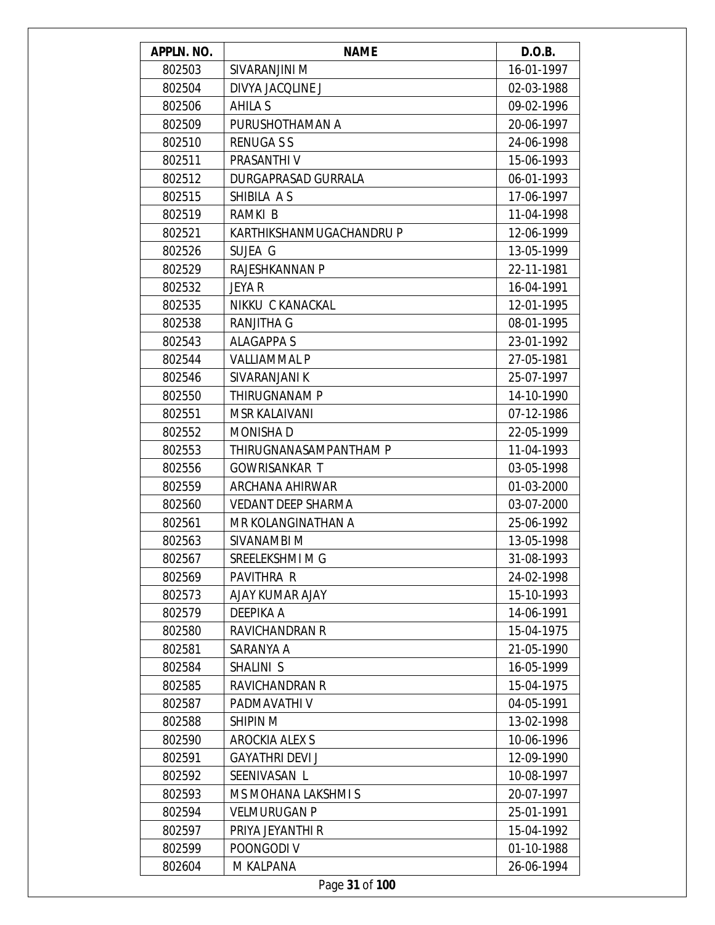| APPLN. NO. | <b>NAME</b>               | D.O.B.     |
|------------|---------------------------|------------|
| 802503     | SIVARANJINI M             | 16-01-1997 |
| 802504     | DIVYA JACQLINE J          | 02-03-1988 |
| 802506     | AHILA S                   | 09-02-1996 |
| 802509     | PURUSHOTHAMAN A           | 20-06-1997 |
| 802510     | <b>RENUGASS</b>           | 24-06-1998 |
| 802511     | PRASANTHI V               | 15-06-1993 |
| 802512     | DURGAPRASAD GURRALA       | 06-01-1993 |
| 802515     | SHIBILA AS                | 17-06-1997 |
| 802519     | RAMKI B                   | 11-04-1998 |
| 802521     | KARTHIKSHANMUGACHANDRU P  | 12-06-1999 |
| 802526     | SUJEA G                   | 13-05-1999 |
| 802529     | RAJESHKANNAN P            | 22-11-1981 |
| 802532     | JEYA R                    | 16-04-1991 |
| 802535     | NIKKU C KANACKAL          | 12-01-1995 |
| 802538     | <b>RANJITHA G</b>         | 08-01-1995 |
| 802543     | <b>ALAGAPPA S</b>         | 23-01-1992 |
| 802544     | <b>VALLIAMMAL P</b>       | 27-05-1981 |
| 802546     | SIVARANJANI K             | 25-07-1997 |
| 802550     | THIRUGNANAM P             | 14-10-1990 |
| 802551     | <b>MSR KALAIVANI</b>      | 07-12-1986 |
| 802552     | <b>MONISHAD</b>           | 22-05-1999 |
| 802553     | THIRUGNANASAMPANTHAM P    | 11-04-1993 |
| 802556     | <b>GOWRISANKAR T</b>      | 03-05-1998 |
| 802559     | ARCHANA AHIRWAR           | 01-03-2000 |
| 802560     | <b>VEDANT DEEP SHARMA</b> | 03-07-2000 |
| 802561     | MR KOLANGINATHAN A        | 25-06-1992 |
| 802563     | SIVANAMBI M               | 13-05-1998 |
| 802567     | SREELEKSHMI M G           | 31-08-1993 |
| 802569     | PAVITHRA R                | 24-02-1998 |
| 802573     | AJAY KUMAR AJAY           | 15-10-1993 |
| 802579     | DEEPIKA A                 | 14-06-1991 |
| 802580     | <b>RAVICHANDRAN R</b>     | 15-04-1975 |
| 802581     | SARANYA A                 | 21-05-1990 |
| 802584     | SHALINI S                 | 16-05-1999 |
| 802585     | <b>RAVICHANDRAN R</b>     | 15-04-1975 |
| 802587     | PADMAVATHI V              | 04-05-1991 |
| 802588     | SHIPIN M                  | 13-02-1998 |
| 802590     | <b>AROCKIA ALEX S</b>     | 10-06-1996 |
| 802591     | <b>GAYATHRI DEVI J</b>    | 12-09-1990 |
| 802592     | SEENIVASAN L              | 10-08-1997 |
| 802593     | MS MOHANA LAKSHMI S       | 20-07-1997 |
| 802594     | <b>VELMURUGAN P</b>       | 25-01-1991 |
| 802597     | PRIYA JEYANTHI R          | 15-04-1992 |
| 802599     | POONGODI V                | 01-10-1988 |
| 802604     | M KALPANA                 | 26-06-1994 |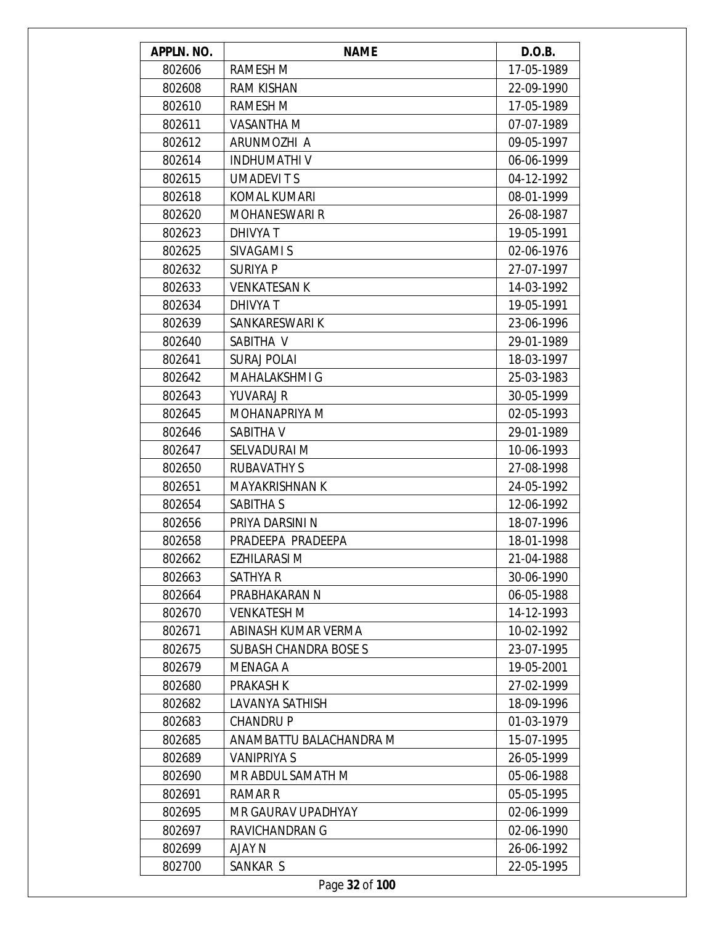| APPLN. NO. | <b>NAME</b>                  | D.O.B.     |
|------------|------------------------------|------------|
| 802606     | RAMESH M                     | 17-05-1989 |
| 802608     | <b>RAM KISHAN</b>            | 22-09-1990 |
| 802610     | <b>RAMESH M</b>              | 17-05-1989 |
| 802611     | <b>VASANTHA M</b>            | 07-07-1989 |
| 802612     | ARUNMOZHI A                  | 09-05-1997 |
| 802614     | <b>INDHUMATHIV</b>           | 06-06-1999 |
| 802615     | <b>UMADEVITS</b>             | 04-12-1992 |
| 802618     | KOMAL KUMARI                 | 08-01-1999 |
| 802620     | <b>MOHANESWARI R</b>         | 26-08-1987 |
| 802623     | DHIVYA T                     | 19-05-1991 |
| 802625     | SIVAGAMI S                   | 02-06-1976 |
| 802632     | <b>SURIYA P</b>              | 27-07-1997 |
| 802633     | <b>VENKATESAN K</b>          | 14-03-1992 |
| 802634     | <b>DHIVYA T</b>              | 19-05-1991 |
| 802639     | SANKARESWARI K               | 23-06-1996 |
| 802640     | SABITHA V                    | 29-01-1989 |
| 802641     | <b>SURAJ POLAI</b>           | 18-03-1997 |
| 802642     | <b>MAHALAKSHMI G</b>         | 25-03-1983 |
| 802643     | <b>YUVARAJ R</b>             | 30-05-1999 |
| 802645     | MOHANAPRIYA M                | 02-05-1993 |
| 802646     | SABITHA V                    | 29-01-1989 |
| 802647     | SELVADURAI M                 | 10-06-1993 |
| 802650     | <b>RUBAVATHY S</b>           | 27-08-1998 |
| 802651     | <b>MAYAKRISHNAN K</b>        | 24-05-1992 |
| 802654     | SABITHA S                    | 12-06-1992 |
| 802656     | PRIYA DARSINI N              | 18-07-1996 |
| 802658     | PRADEEPA PRADEEPA            | 18-01-1998 |
| 802662     | EZHILARASI M                 | 21-04-1988 |
| 802663     | SATHYA R                     | 30-06-1990 |
| 802664     | PRABHAKARAN N                | 06-05-1988 |
| 802670     | <b>VENKATESH M</b>           | 14-12-1993 |
| 802671     | ABINASH KUMAR VERMA          | 10-02-1992 |
| 802675     | <b>SUBASH CHANDRA BOSE S</b> | 23-07-1995 |
| 802679     | MENAGA A                     | 19-05-2001 |
| 802680     | <b>PRAKASH K</b>             | 27-02-1999 |
| 802682     | <b>LAVANYA SATHISH</b>       | 18-09-1996 |
| 802683     | <b>CHANDRUP</b>              | 01-03-1979 |
| 802685     | ANAMBATTU BALACHANDRA M      | 15-07-1995 |
| 802689     | VANIPRIYA S                  | 26-05-1999 |
| 802690     | MR ABDUL SAMATH M            | 05-06-1988 |
| 802691     | RAMAR R                      | 05-05-1995 |
| 802695     | MR GAURAV UPADHYAY           | 02-06-1999 |
| 802697     | <b>RAVICHANDRAN G</b>        | 02-06-1990 |
| 802699     | AJAY N                       | 26-06-1992 |
| 802700     | SANKAR S                     | 22-05-1995 |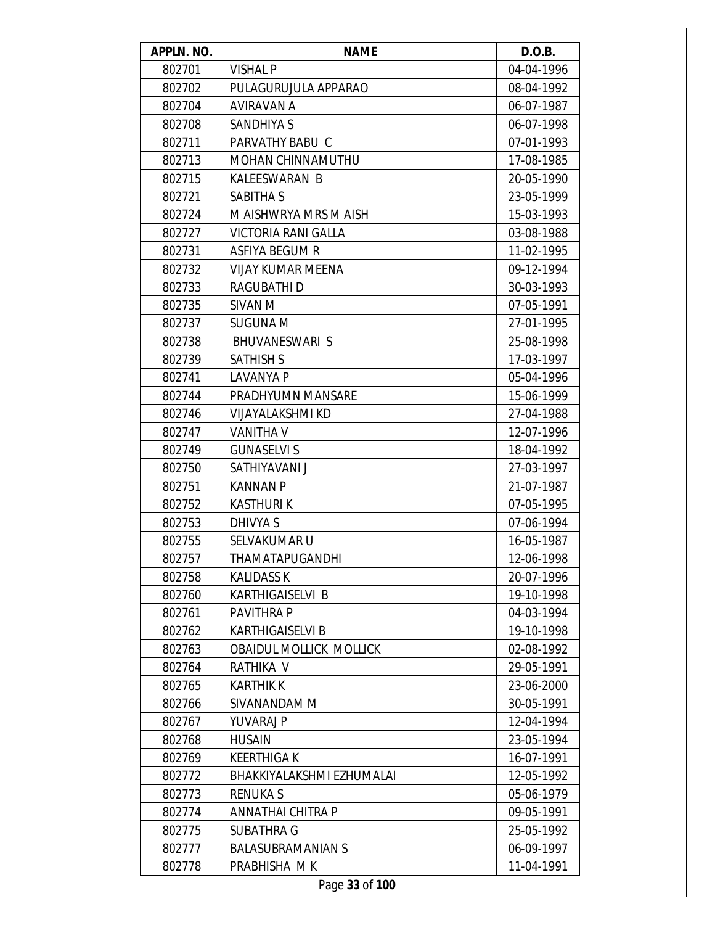| APPLN. NO. | <b>NAME</b>                    | D.O.B.     |
|------------|--------------------------------|------------|
| 802701     | <b>VISHAL P</b>                | 04-04-1996 |
| 802702     | PULAGURUJULA APPARAO           | 08-04-1992 |
| 802704     | AVIRAVAN A                     | 06-07-1987 |
| 802708     | <b>SANDHIYA S</b>              | 06-07-1998 |
| 802711     | PARVATHY BABU C                | 07-01-1993 |
| 802713     | MOHAN CHINNAMUTHU              | 17-08-1985 |
| 802715     | KALEESWARAN B                  | 20-05-1990 |
| 802721     | <b>SABITHA S</b>               | 23-05-1999 |
| 802724     | M AISHWRYA MRS M AISH          | 15-03-1993 |
| 802727     | VICTORIA RANI GALLA            | 03-08-1988 |
| 802731     | <b>ASFIYA BEGUM R</b>          | 11-02-1995 |
| 802732     | <b>VIJAY KUMAR MEENA</b>       | 09-12-1994 |
| 802733     | RAGUBATHI D                    | 30-03-1993 |
| 802735     | SIVAN M                        | 07-05-1991 |
| 802737     | <b>SUGUNA M</b>                | 27-01-1995 |
| 802738     | BHUVANESWARI S                 | 25-08-1998 |
| 802739     | <b>SATHISH S</b>               | 17-03-1997 |
| 802741     | <b>LAVANYA P</b>               | 05-04-1996 |
| 802744     | PRADHYUMN MANSARE              | 15-06-1999 |
| 802746     | <b>VIJAYALAKSHMI KD</b>        | 27-04-1988 |
| 802747     | <b>VANITHA V</b>               | 12-07-1996 |
| 802749     | <b>GUNASELVI S</b>             | 18-04-1992 |
| 802750     | SATHIYAVANI J                  | 27-03-1997 |
| 802751     | <b>KANNAN P</b>                | 21-07-1987 |
| 802752     | <b>KASTHURIK</b>               | 07-05-1995 |
| 802753     | DHIVYA S                       | 07-06-1994 |
| 802755     | <b>SELVAKUMAR U</b>            | 16-05-1987 |
| 802757     | <b>THAMATAPUGANDHI</b>         | 12-06-1998 |
| 802758     | <b>KALIDASS K</b>              | 20-07-1996 |
| 802760     | KARTHIGAISELVI B               | 19-10-1998 |
| 802761     | PAVITHRA P                     | 04-03-1994 |
| 802762     | <b>KARTHIGAISELVI B</b>        | 19-10-1998 |
| 802763     | <b>OBAIDUL MOLLICK MOLLICK</b> | 02-08-1992 |
| 802764     | RATHIKA V                      | 29-05-1991 |
| 802765     | <b>KARTHIK K</b>               | 23-06-2000 |
| 802766     | SIVANANDAM M                   | 30-05-1991 |
| 802767     | <b>YUVARAJ P</b>               | 12-04-1994 |
| 802768     | <b>HUSAIN</b>                  | 23-05-1994 |
| 802769     | <b>KEERTHIGAK</b>              | 16-07-1991 |
| 802772     | BHAKKIYALAKSHMI EZHUMALAI      | 12-05-1992 |
| 802773     | <b>RENUKAS</b>                 | 05-06-1979 |
| 802774     | ANNATHAI CHITRA P              | 09-05-1991 |
| 802775     | <b>SUBATHRA G</b>              | 25-05-1992 |
| 802777     | <b>BALASUBRAMANIAN S</b>       | 06-09-1997 |
| 802778     | PRABHISHA MK                   | 11-04-1991 |
|            | Page 33 of 100                 |            |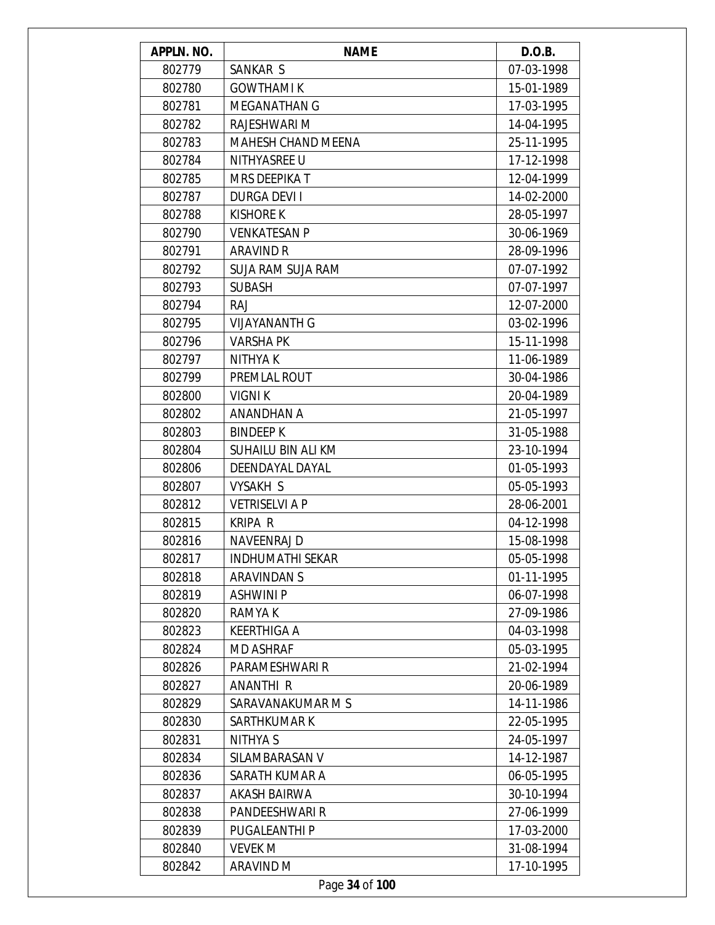| APPLN. NO. | <b>NAME</b>               | D.O.B.     |
|------------|---------------------------|------------|
| 802779     | SANKAR S                  | 07-03-1998 |
| 802780     | <b>GOWTHAMI K</b>         | 15-01-1989 |
| 802781     | <b>MEGANATHAN G</b>       | 17-03-1995 |
| 802782     | RAJESHWARI M              | 14-04-1995 |
| 802783     | <b>MAHESH CHAND MEENA</b> | 25-11-1995 |
| 802784     | NITHYASREE U              | 17-12-1998 |
| 802785     | <b>MRS DEEPIKAT</b>       | 12-04-1999 |
| 802787     | <b>DURGA DEVI I</b>       | 14-02-2000 |
| 802788     | <b>KISHORE K</b>          | 28-05-1997 |
| 802790     | <b>VENKATESAN P</b>       | 30-06-1969 |
| 802791     | <b>ARAVIND R</b>          | 28-09-1996 |
| 802792     | SUJA RAM SUJA RAM         | 07-07-1992 |
| 802793     | <b>SUBASH</b>             | 07-07-1997 |
| 802794     | <b>RAJ</b>                | 12-07-2000 |
| 802795     | <b>VIJAYANANTH G</b>      | 03-02-1996 |
| 802796     | <b>VARSHA PK</b>          | 15-11-1998 |
| 802797     | NITHYA K                  | 11-06-1989 |
| 802799     | PREMLAL ROUT              | 30-04-1986 |
| 802800     | <b>VIGNIK</b>             | 20-04-1989 |
| 802802     | ANANDHAN A                | 21-05-1997 |
| 802803     | <b>BINDEEP K</b>          | 31-05-1988 |
| 802804     | SUHAILU BIN ALI KM        | 23-10-1994 |
| 802806     | DEENDAYAL DAYAL           | 01-05-1993 |
| 802807     | <b>VYSAKH S</b>           | 05-05-1993 |
| 802812     | <b>VETRISELVI A P</b>     | 28-06-2001 |
| 802815     | <b>KRIPA R</b>            | 04-12-1998 |
| 802816     | <b>NAVEENRAJ D</b>        | 15-08-1998 |
| 802817     | <b>INDHUMATHI SEKAR</b>   | 05-05-1998 |
| 802818     | ARAVINDAN S               | 01-11-1995 |
| 802819     | <b>ASHWINI P</b>          | 06-07-1998 |
| 802820     | RAMYA K                   | 27-09-1986 |
| 802823     | <b>KEERTHIGA A</b>        | 04-03-1998 |
| 802824     | <b>MD ASHRAF</b>          | 05-03-1995 |
| 802826     | PARAMESHWARI R            | 21-02-1994 |
| 802827     | ANANTHI R                 | 20-06-1989 |
| 802829     | SARAVANAKUMAR M S         | 14-11-1986 |
| 802830     | SARTHKUMAR K              | 22-05-1995 |
| 802831     | NITHYA S                  | 24-05-1997 |
| 802834     | SILAMBARASAN V            | 14-12-1987 |
| 802836     | SARATH KUMAR A            | 06-05-1995 |
| 802837     | AKASH BAIRWA              | 30-10-1994 |
| 802838     | PANDEESHWARI R            | 27-06-1999 |
| 802839     | PUGALEANTHI P             | 17-03-2000 |
| 802840     | <b>VEVEK M</b>            | 31-08-1994 |
| 802842     | ARAVIND M                 | 17-10-1995 |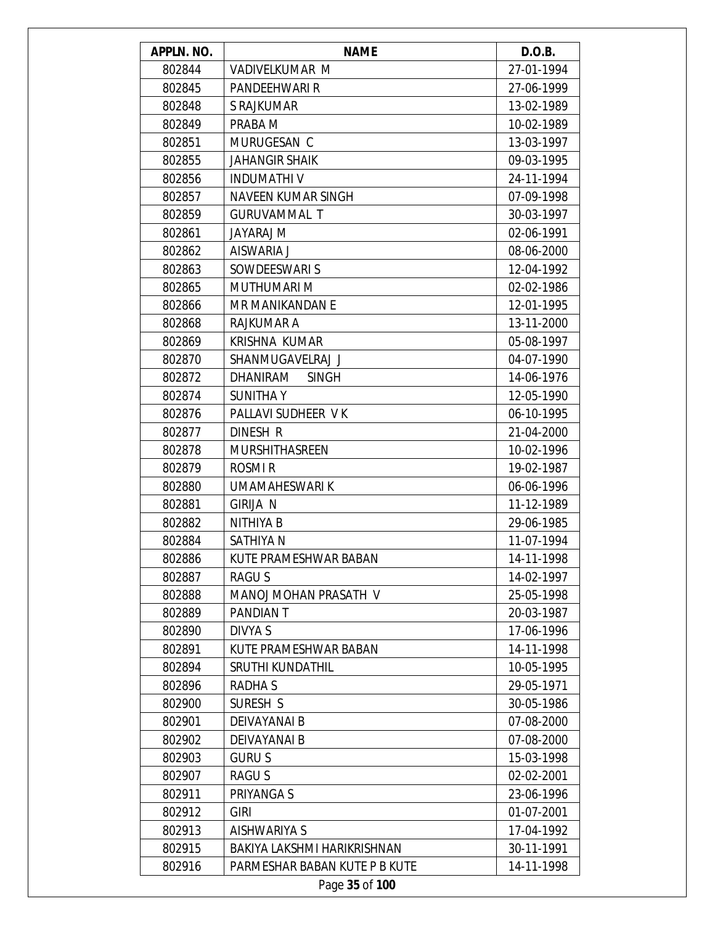| APPLN. NO. | <b>NAME</b>                   | D.O.B.     |
|------------|-------------------------------|------------|
| 802844     | <b>VADIVELKUMAR M</b>         | 27-01-1994 |
| 802845     | PANDEEHWARI R                 | 27-06-1999 |
| 802848     | S RAJKUMAR                    | 13-02-1989 |
| 802849     | PRABA M                       | 10-02-1989 |
| 802851     | MURUGESAN C                   | 13-03-1997 |
| 802855     | <b>JAHANGIR SHAIK</b>         | 09-03-1995 |
| 802856     | <b>INDUMATHIV</b>             | 24-11-1994 |
| 802857     | <b>NAVEEN KUMAR SINGH</b>     | 07-09-1998 |
| 802859     | <b>GURUVAMMAL T</b>           | 30-03-1997 |
| 802861     | JAYARAJ M                     | 02-06-1991 |
| 802862     | AISWARIA J                    | 08-06-2000 |
| 802863     | SOWDEESWARI S                 | 12-04-1992 |
| 802865     | <b>MUTHUMARI M</b>            | 02-02-1986 |
| 802866     | MR MANIKANDAN E               | 12-01-1995 |
| 802868     | <b>RAJKUMAR A</b>             | 13-11-2000 |
| 802869     | KRISHNA KUMAR                 | 05-08-1997 |
| 802870     | SHANMUGAVELRAJ J              | 04-07-1990 |
| 802872     | DHANIRAM<br><b>SINGH</b>      | 14-06-1976 |
| 802874     | <b>SUNITHAY</b>               | 12-05-1990 |
| 802876     | PALLAVI SUDHEER VK            | 06-10-1995 |
| 802877     | DINESH R                      | 21-04-2000 |
| 802878     | <b>MURSHITHASREEN</b>         | 10-02-1996 |
| 802879     | ROSMI <sub>R</sub>            | 19-02-1987 |
| 802880     | UMAMAHESWARI K                | 06-06-1996 |
| 802881     | <b>GIRIJA N</b>               | 11-12-1989 |
| 802882     | NITHIYA B                     | 29-06-1985 |
| 802884     | SATHIYA N                     | 11-07-1994 |
| 802886     | KUTE PRAMESHWAR BABAN         | 14-11-1998 |
| 802887     | RAGU S                        | 14-02-1997 |
| 802888     | MANOJ MOHAN PRASATH V         | 25-05-1998 |
| 802889     | <b>PANDIAN T</b>              | 20-03-1987 |
| 802890     | <b>DIVYA S</b>                | 17-06-1996 |
| 802891     | KUTE PRAMESHWAR BABAN         | 14-11-1998 |
| 802894     | <b>SRUTHI KUNDATHIL</b>       | 10-05-1995 |
| 802896     | RADHA S                       | 29-05-1971 |
| 802900     | SURESH S                      | 30-05-1986 |
| 802901     | <b>DEIVAYANAI B</b>           | 07-08-2000 |
| 802902     | DEIVAYANAI B                  | 07-08-2000 |
| 802903     | <b>GURUS</b>                  | 15-03-1998 |
| 802907     | <b>RAGUS</b>                  | 02-02-2001 |
| 802911     | PRIYANGA S                    | 23-06-1996 |
| 802912     | <b>GIRI</b>                   | 01-07-2001 |
| 802913     | AISHWARIYA S                  | 17-04-1992 |
| 802915     | BAKIYA LAKSHMI HARIKRISHNAN   | 30-11-1991 |
| 802916     | PARMESHAR BABAN KUTE P B KUTE | 14-11-1998 |
|            | Page 35 of 100                |            |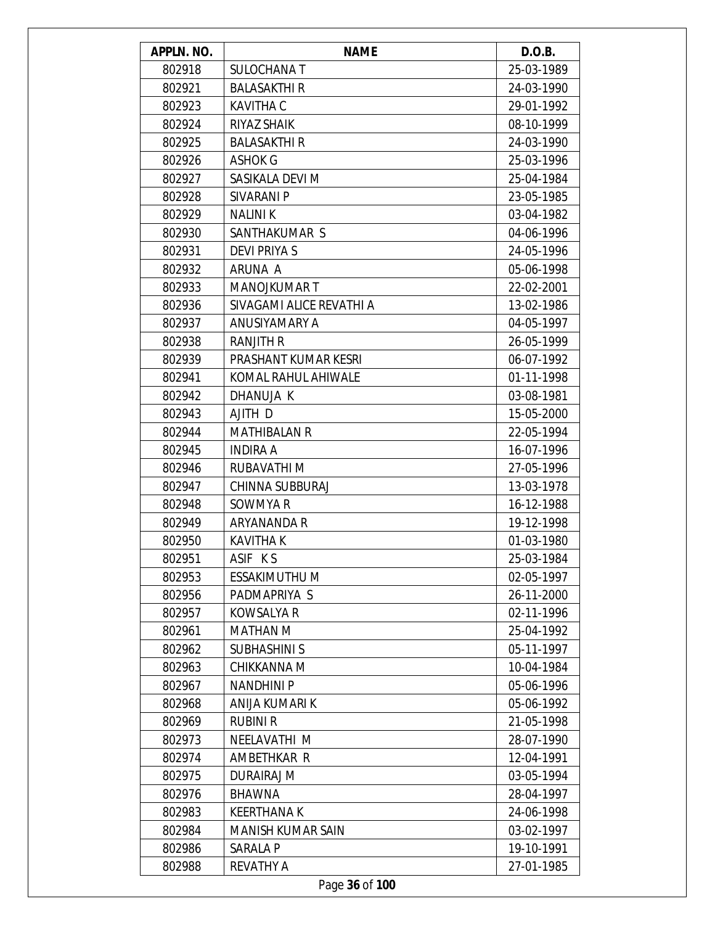| APPLN. NO. | <b>NAME</b>              | D.O.B.     |
|------------|--------------------------|------------|
| 802918     | <b>SULOCHANA T</b>       | 25-03-1989 |
| 802921     | <b>BALASAKTHI R</b>      | 24-03-1990 |
| 802923     | <b>KAVITHA C</b>         | 29-01-1992 |
| 802924     | RIYAZ SHAIK              | 08-10-1999 |
| 802925     | <b>BALASAKTHI R</b>      | 24-03-1990 |
| 802926     | <b>ASHOK G</b>           | 25-03-1996 |
| 802927     | SASIKALA DEVI M          | 25-04-1984 |
| 802928     | SIVARANI P               | 23-05-1985 |
| 802929     | <b>NALINI K</b>          | 03-04-1982 |
| 802930     | SANTHAKUMAR S            | 04-06-1996 |
| 802931     | <b>DEVI PRIYA S</b>      | 24-05-1996 |
| 802932     | ARUNA A                  | 05-06-1998 |
| 802933     | <b>MANOJKUMART</b>       | 22-02-2001 |
| 802936     | SIVAGAMI ALICE REVATHI A | 13-02-1986 |
| 802937     | ANUSIYAMARY A            | 04-05-1997 |
| 802938     | <b>RANJITH R</b>         | 26-05-1999 |
| 802939     | PRASHANT KUMAR KESRI     | 06-07-1992 |
| 802941     | KOMAL RAHUL AHIWALE      | 01-11-1998 |
| 802942     | DHANUJA K                | 03-08-1981 |
| 802943     | AJITH D                  | 15-05-2000 |
| 802944     | <b>MATHIBALAN R</b>      | 22-05-1994 |
| 802945     | <b>INDIRA A</b>          | 16-07-1996 |
| 802946     | RUBAVATHI M              | 27-05-1996 |
| 802947     | <b>CHINNA SUBBURAJ</b>   | 13-03-1978 |
| 802948     | SOWMYA R                 | 16-12-1988 |
| 802949     | ARYANANDA R              | 19-12-1998 |
| 802950     | <b>KAVITHA K</b>         | 01-03-1980 |
| 802951     | ASIF KS                  | 25-03-1984 |
| 802953     | ESSAKIMUTHU M            | 02-05-1997 |
| 802956     | PADMAPRIYA S             | 26-11-2000 |
| 802957     | <b>KOWSALYA R</b>        | 02-11-1996 |
| 802961     | MATHAN M                 | 25-04-1992 |
| 802962     | <b>SUBHASHINI S</b>      | 05-11-1997 |
| 802963     | CHIKKANNA M              | 10-04-1984 |
| 802967     | <b>NANDHINIP</b>         | 05-06-1996 |
| 802968     | ANIJA KUMARI K           | 05-06-1992 |
| 802969     | <b>RUBINI R</b>          | 21-05-1998 |
| 802973     | NEELAVATHI M             | 28-07-1990 |
| 802974     | AMBETHKAR R              | 12-04-1991 |
| 802975     | <b>DURAIRAJ M</b>        | 03-05-1994 |
| 802976     | <b>BHAWNA</b>            | 28-04-1997 |
| 802983     | <b>KEERTHANAK</b>        | 24-06-1998 |
| 802984     | <b>MANISH KUMAR SAIN</b> | 03-02-1997 |
| 802986     | SARALA P                 | 19-10-1991 |
| 802988     | <b>REVATHY A</b>         | 27-01-1985 |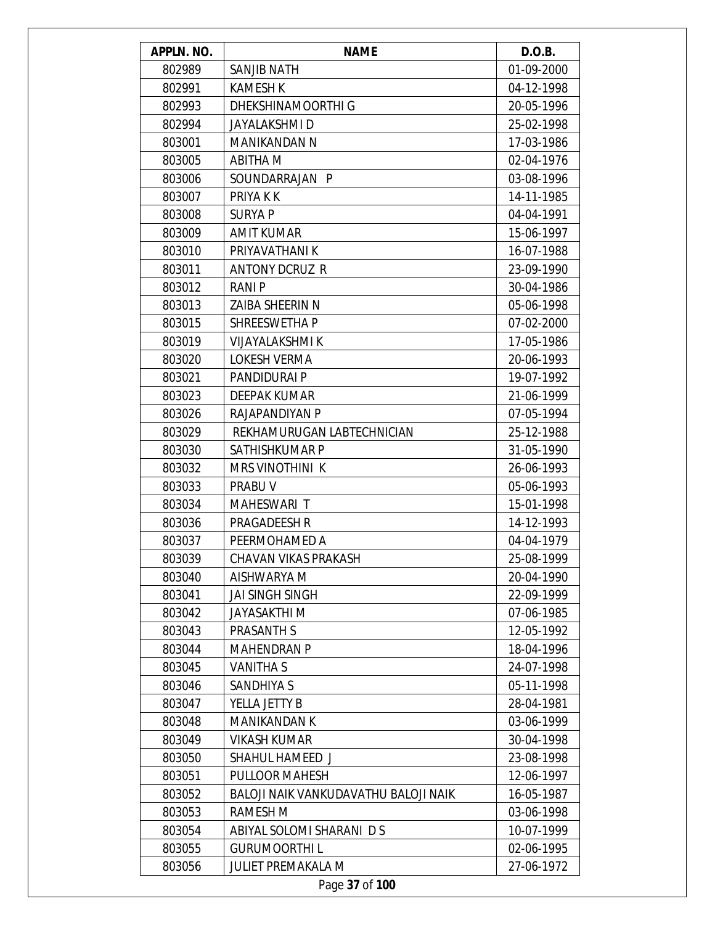| APPLN. NO. | <b>NAME</b>                                 | D.O.B.     |
|------------|---------------------------------------------|------------|
| 802989     | <b>SANJIB NATH</b>                          | 01-09-2000 |
| 802991     | <b>KAMESH K</b>                             | 04-12-1998 |
| 802993     | DHEKSHINAMOORTHI G                          | 20-05-1996 |
| 802994     | JAYALAKSHMI D                               | 25-02-1998 |
| 803001     | MANIKANDAN N                                | 17-03-1986 |
| 803005     | <b>ABITHA M</b>                             | 02-04-1976 |
| 803006     | SOUNDARRAJAN P                              | 03-08-1996 |
| 803007     | PRIYA K K                                   | 14-11-1985 |
| 803008     | <b>SURYA P</b>                              | 04-04-1991 |
| 803009     | <b>AMIT KUMAR</b>                           | 15-06-1997 |
| 803010     | PRIYAVATHANI K                              | 16-07-1988 |
| 803011     | <b>ANTONY DCRUZ R</b>                       | 23-09-1990 |
| 803012     | RANI P                                      | 30-04-1986 |
| 803013     | ZAIBA SHEERIN N                             | 05-06-1998 |
| 803015     | SHREESWETHA P                               | 07-02-2000 |
| 803019     | <b>VIJAYALAKSHMI K</b>                      | 17-05-1986 |
| 803020     | LOKESH VERMA                                | 20-06-1993 |
| 803021     | PANDIDURAI P                                | 19-07-1992 |
| 803023     | DEEPAK KUMAR                                | 21-06-1999 |
| 803026     | RAJAPANDIYAN P                              | 07-05-1994 |
| 803029     | REKHAMURUGAN LABTECHNICIAN                  | 25-12-1988 |
| 803030     | SATHISHKUMAR P                              | 31-05-1990 |
| 803032     | <b>MRS VINOTHINI K</b>                      | 26-06-1993 |
| 803033     | PRABU V                                     | 05-06-1993 |
| 803034     | MAHESWARI T                                 | 15-01-1998 |
| 803036     | PRAGADEESH R                                | 14-12-1993 |
| 803037     | PEERMOHAMED A                               | 04-04-1979 |
| 803039     | <b>CHAVAN VIKAS PRAKASH</b>                 | 25-08-1999 |
| 803040     | AISHWARYA M                                 | 20-04-1990 |
| 803041     | <b>JAI SINGH SINGH</b>                      | 22-09-1999 |
| 803042     | <b>JAYASAKTHI M</b>                         | 07-06-1985 |
| 803043     | PRASANTH S                                  | 12-05-1992 |
| 803044     | <b>MAHENDRAN P</b>                          | 18-04-1996 |
| 803045     | VANITHA S                                   | 24-07-1998 |
| 803046     | <b>SANDHIYA S</b>                           | 05-11-1998 |
| 803047     | YELLA JETTY B                               | 28-04-1981 |
| 803048     | MANIKANDAN K                                | 03-06-1999 |
| 803049     | <b>VIKASH KUMAR</b>                         | 30-04-1998 |
| 803050     | SHAHUL HAMEED J                             | 23-08-1998 |
| 803051     | PULLOOR MAHESH                              | 12-06-1997 |
| 803052     | <b>BALOJI NAIK VANKUDAVATHU BALOJI NAIK</b> | 16-05-1987 |
| 803053     | RAMESH M                                    | 03-06-1998 |
| 803054     | ABIYAL SOLOMI SHARANI D S                   | 10-07-1999 |
| 803055     | <b>GURUMOORTHIL</b>                         | 02-06-1995 |
| 803056     | <b>JULIET PREMAKALA M</b>                   | 27-06-1972 |
|            | Page 37 of 100                              |            |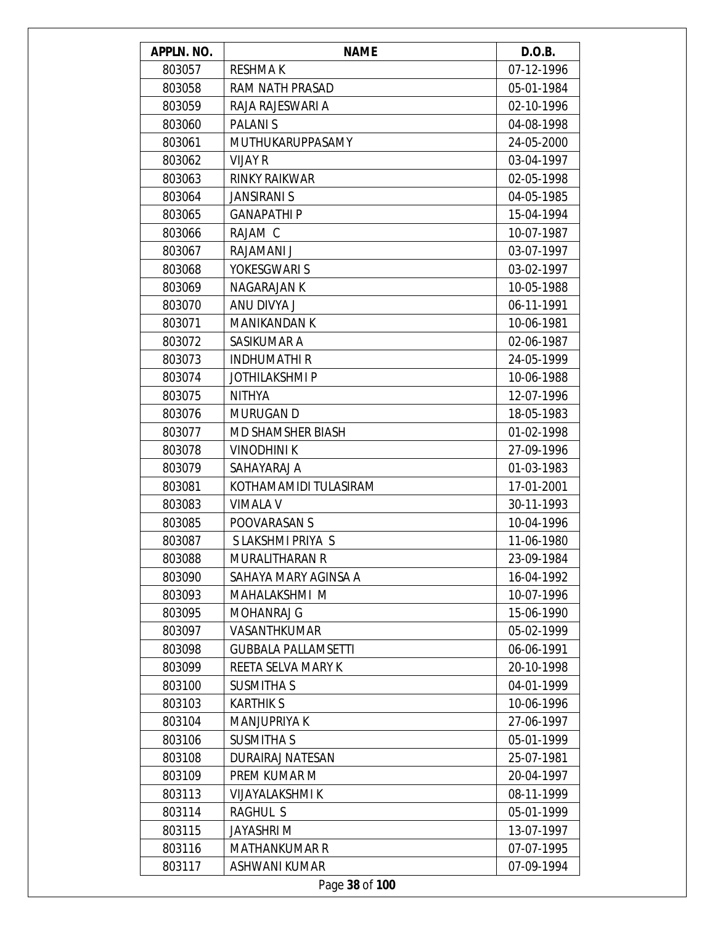| APPLN. NO. | <b>NAME</b>                | D.O.B.     |
|------------|----------------------------|------------|
| 803057     | <b>RESHMAK</b>             | 07-12-1996 |
| 803058     | RAM NATH PRASAD            | 05-01-1984 |
| 803059     | RAJA RAJESWARI A           | 02-10-1996 |
| 803060     | <b>PALANIS</b>             | 04-08-1998 |
| 803061     | <b>MUTHUKARUPPASAMY</b>    | 24-05-2000 |
| 803062     | <b>VIJAY R</b>             | 03-04-1997 |
| 803063     | <b>RINKY RAIKWAR</b>       | 02-05-1998 |
| 803064     | <b>JANSIRANI S</b>         | 04-05-1985 |
| 803065     | <b>GANAPATHIP</b>          | 15-04-1994 |
| 803066     | RAJAM C                    | 10-07-1987 |
| 803067     | RAJAMANI J                 | 03-07-1997 |
| 803068     | YOKESGWARI S               | 03-02-1997 |
| 803069     | NAGARAJAN K                | 10-05-1988 |
| 803070     | ANU DIVYA J                | 06-11-1991 |
| 803071     | <b>MANIKANDAN K</b>        | 10-06-1981 |
| 803072     | SASIKUMAR A                | 02-06-1987 |
| 803073     | <b>INDHUMATHIR</b>         | 24-05-1999 |
| 803074     | <b>JOTHILAKSHMIP</b>       | 10-06-1988 |
| 803075     | <b>NITHYA</b>              | 12-07-1996 |
| 803076     | <b>MURUGAN D</b>           | 18-05-1983 |
| 803077     | <b>MD SHAMSHER BIASH</b>   | 01-02-1998 |
| 803078     | <b>VINODHINI K</b>         | 27-09-1996 |
| 803079     | SAHAYARAJ A                | 01-03-1983 |
| 803081     | KOTHAMAMIDI TULASIRAM      | 17-01-2001 |
| 803083     | <b>VIMALA V</b>            | 30-11-1993 |
| 803085     | POOVARASAN S               | 10-04-1996 |
| 803087     | S LAKSHMI PRIYA S          | 11-06-1980 |
| 803088     | <b>MURALITHARAN R</b>      | 23-09-1984 |
| 803090     | SAHAYA MARY AGINSA A       | 16-04-1992 |
| 803093     | MAHALAKSHMI M              | 10-07-1996 |
| 803095     | <b>MOHANRAJ G</b>          | 15-06-1990 |
| 803097     | VASANTHKUMAR               | 05-02-1999 |
| 803098     | <b>GUBBALA PALLAMSETTI</b> | 06-06-1991 |
| 803099     | REETA SELVA MARY K         | 20-10-1998 |
| 803100     | <b>SUSMITHA S</b>          | 04-01-1999 |
| 803103     | <b>KARTHIKS</b>            | 10-06-1996 |
| 803104     | <b>MANJUPRIYA K</b>        | 27-06-1997 |
| 803106     | <b>SUSMITHA S</b>          | 05-01-1999 |
| 803108     | <b>DURAIRAJ NATESAN</b>    | 25-07-1981 |
| 803109     | PREM KUMAR M               | 20-04-1997 |
| 803113     | <b>VIJAYALAKSHMI K</b>     | 08-11-1999 |
| 803114     | <b>RAGHUL S</b>            | 05-01-1999 |
| 803115     | <b>JAYASHRI M</b>          | 13-07-1997 |
| 803116     | <b>MATHANKUMAR R</b>       | 07-07-1995 |
| 803117     | ASHWANI KUMAR              | 07-09-1994 |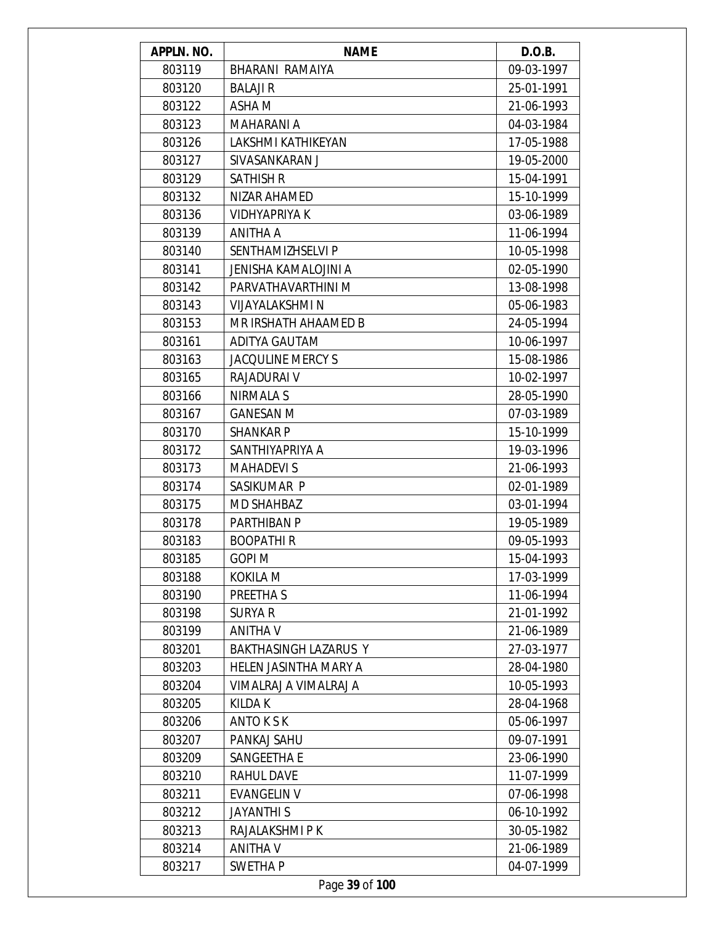| <b>APPLN. NO.</b> | <b>NAME</b>                 | D.O.B.     |
|-------------------|-----------------------------|------------|
| 803119            | BHARANI RAMAIYA             | 09-03-1997 |
| 803120            | <b>BALAJI R</b>             | 25-01-1991 |
| 803122            | ASHA M                      | 21-06-1993 |
| 803123            | <b>MAHARANI A</b>           | 04-03-1984 |
| 803126            | LAKSHMI KATHIKEYAN          | 17-05-1988 |
| 803127            | SIVASANKARAN J              | 19-05-2000 |
| 803129            | <b>SATHISH R</b>            | 15-04-1991 |
| 803132            | NIZAR AHAMED                | 15-10-1999 |
| 803136            | <b>VIDHYAPRIYA K</b>        | 03-06-1989 |
| 803139            | ANITHA A                    | 11-06-1994 |
| 803140            | SENTHAMIZHSELVI P           | 10-05-1998 |
| 803141            | <b>JENISHA KAMALOJINI A</b> | 02-05-1990 |
| 803142            | PARVATHAVARTHINI M          | 13-08-1998 |
| 803143            | VIJAYALAKSHMI N             | 05-06-1983 |
| 803153            | MR IRSHATH AHAAMED B        | 24-05-1994 |
| 803161            | ADITYA GAUTAM               | 10-06-1997 |
| 803163            | <b>JACQULINE MERCY S</b>    | 15-08-1986 |
| 803165            | RAJADURAI V                 | 10-02-1997 |
| 803166            | NIRMALA S                   | 28-05-1990 |
| 803167            | <b>GANESAN M</b>            | 07-03-1989 |
| 803170            | <b>SHANKAR P</b>            | 15-10-1999 |
| 803172            | SANTHIYAPRIYA A             | 19-03-1996 |
| 803173            | <b>MAHADEVIS</b>            | 21-06-1993 |
| 803174            | SASIKUMAR P                 | 02-01-1989 |
| 803175            | <b>MD SHAHBAZ</b>           | 03-01-1994 |
| 803178            | PARTHIBAN P                 | 19-05-1989 |
| 803183            | <b>BOOPATHIR</b>            | 09-05-1993 |
| 803185            | GOPI M                      | 15-04-1993 |
| 803188            | KOKILA M                    | 17-03-1999 |
| 803190            | PREETHA S                   | 11-06-1994 |
| 803198            | <b>SURYA R</b>              | 21-01-1992 |
| 803199            | <b>ANITHA V</b>             | 21-06-1989 |
| 803201            | BAKTHASINGH LAZARUS Y       | 27-03-1977 |
| 803203            | HELEN JASINTHA MARY A       | 28-04-1980 |
| 803204            | VIMALRAJ A VIMALRAJ A       | 10-05-1993 |
| 803205            | KILDA K                     | 28-04-1968 |
| 803206            | <b>ANTO K S K</b>           | 05-06-1997 |
| 803207            | PANKAJ SAHU                 | 09-07-1991 |
| 803209            | SANGEETHA E                 | 23-06-1990 |
| 803210            | <b>RAHUL DAVE</b>           | 11-07-1999 |
| 803211            | <b>EVANGELIN V</b>          | 07-06-1998 |
| 803212            | <b>JAYANTHIS</b>            | 06-10-1992 |
| 803213            | RAJALAKSHMI P K             | 30-05-1982 |
| 803214            | <b>ANITHA V</b>             | 21-06-1989 |
| 803217            | <b>SWETHAP</b>              | 04-07-1999 |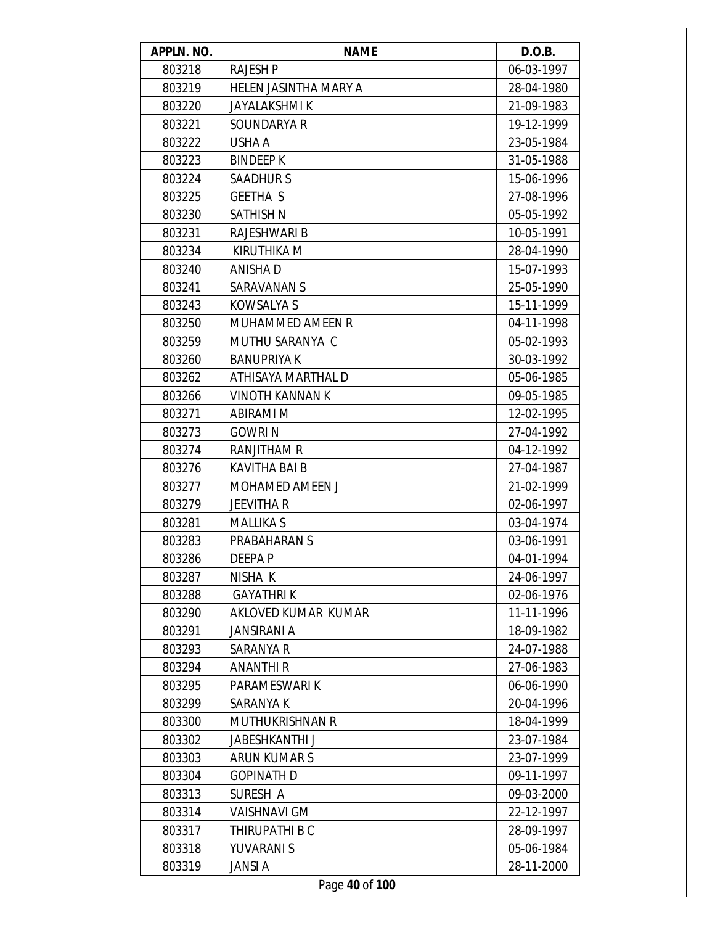| APPLN. NO. | <b>NAME</b>            | D.O.B.     |
|------------|------------------------|------------|
| 803218     | <b>RAJESH P</b>        | 06-03-1997 |
| 803219     | HELEN JASINTHA MARY A  | 28-04-1980 |
| 803220     | <b>JAYALAKSHMI K</b>   | 21-09-1983 |
| 803221     | SOUNDARYA R            | 19-12-1999 |
| 803222     | USHA A                 | 23-05-1984 |
| 803223     | <b>BINDEEP K</b>       | 31-05-1988 |
| 803224     | <b>SAADHURS</b>        | 15-06-1996 |
| 803225     | <b>GEETHA S</b>        | 27-08-1996 |
| 803230     | <b>SATHISH N</b>       | 05-05-1992 |
| 803231     | RAJESHWARI B           | 10-05-1991 |
| 803234     | <b>KIRUTHIKA M</b>     | 28-04-1990 |
| 803240     | ANISHA D               | 15-07-1993 |
| 803241     | <b>SARAVANAN S</b>     | 25-05-1990 |
| 803243     | <b>KOWSALYA S</b>      | 15-11-1999 |
| 803250     | MUHAMMED AMEEN R       | 04-11-1998 |
| 803259     | MUTHU SARANYA C        | 05-02-1993 |
| 803260     | <b>BANUPRIYA K</b>     | 30-03-1992 |
| 803262     | ATHISAYA MARTHAL D     | 05-06-1985 |
| 803266     | <b>VINOTH KANNAN K</b> | 09-05-1985 |
| 803271     | ABIRAMI M              | 12-02-1995 |
| 803273     | <b>GOWRIN</b>          | 27-04-1992 |
| 803274     | RANJITHAM R            | 04-12-1992 |
| 803276     | <b>KAVITHA BAI B</b>   | 27-04-1987 |
| 803277     | MOHAMED AMEEN J        | 21-02-1999 |
| 803279     | <b>JEEVITHA R</b>      | 02-06-1997 |
| 803281     | <b>MALLIKA S</b>       | 03-04-1974 |
| 803283     | PRABAHARAN S           | 03-06-1991 |
| 803286     | DEEPA P                | 04-01-1994 |
| 803287     | NISHA K                | 24-06-1997 |
| 803288     | <b>GAYATHRIK</b>       | 02-06-1976 |
| 803290     | AKLOVED KUMAR KUMAR    | 11-11-1996 |
| 803291     | <b>JANSIRANI A</b>     | 18-09-1982 |
| 803293     | <b>SARANYA R</b>       | 24-07-1988 |
| 803294     | ANANTHI R              | 27-06-1983 |
| 803295     | PARAMESWARI K          | 06-06-1990 |
| 803299     | SARANYA K              | 20-04-1996 |
| 803300     | MUTHUKRISHNAN R        | 18-04-1999 |
| 803302     | <b>JABESHKANTHI J</b>  | 23-07-1984 |
| 803303     | ARUN KUMAR S           | 23-07-1999 |
| 803304     | <b>GOPINATH D</b>      | 09-11-1997 |
| 803313     | SURESH A               | 09-03-2000 |
| 803314     | <b>VAISHNAVI GM</b>    | 22-12-1997 |
| 803317     | THIRUPATHI B C         | 28-09-1997 |
| 803318     | YUVARANI S             | 05-06-1984 |
| 803319     | <b>JANSI A</b>         | 28-11-2000 |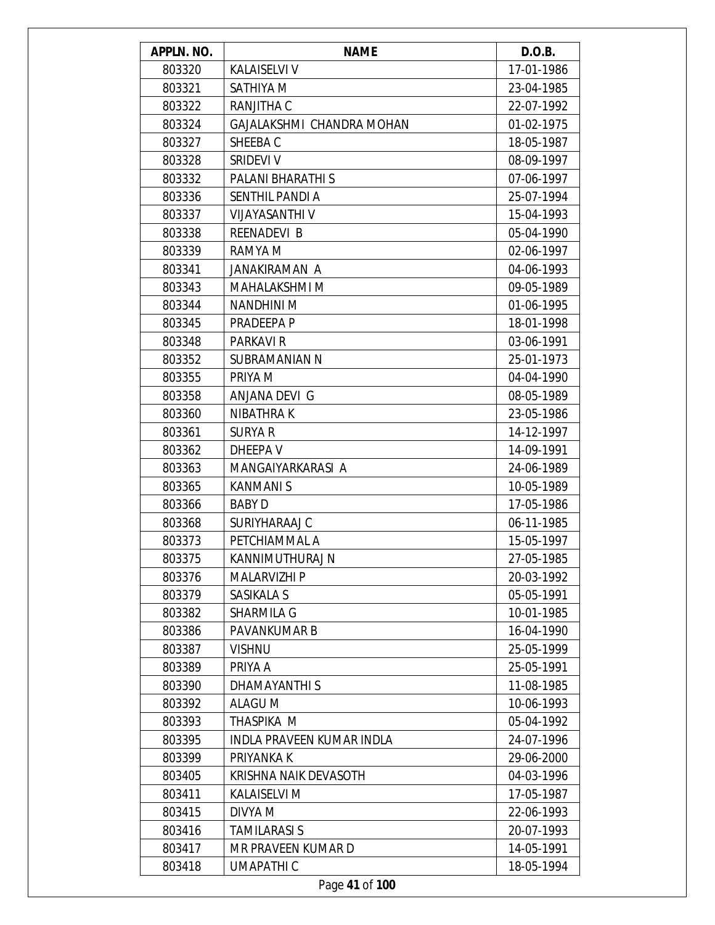| 803320<br>17-01-1986<br><b>KALAISELVI V</b><br>803321<br>SATHIYA M<br>23-04-1985<br>803322<br>RANJITHA C<br>22-07-1992<br>GAJALAKSHMI CHANDRA MOHAN<br>803324<br>01-02-1975<br>18-05-1987<br>803327<br>SHEEBA C<br>803328<br>SRIDEVI V<br>08-09-1997<br>803332<br>PALANI BHARATHI S<br>07-06-1997<br>803336<br><b>SENTHIL PANDI A</b><br>25-07-1994<br>803337<br>VIJAYASANTHI V<br>15-04-1993<br>803338<br>REENADEVI B<br>05-04-1990<br>803339<br>RAMYA M<br>02-06-1997<br>803341<br>JANAKIRAMAN A<br>04-06-1993<br>803343<br>MAHALAKSHMI M<br>09-05-1989<br>803344<br><b>NANDHINI M</b><br>01-06-1995<br>803345<br>18-01-1998<br>PRADEEPA P<br>803348<br>PARKAVI R<br>03-06-1991<br>803352<br>SUBRAMANIAN N<br>25-01-1973<br>PRIYA M<br>803355<br>04-04-1990<br>803358<br>ANJANA DEVI G<br>08-05-1989<br>803360<br>NIBATHRA K<br>23-05-1986<br>803361<br>SURYA R<br>14-12-1997<br>803362<br>DHEEPA V<br>14-09-1991<br>803363<br>MANGAIYARKARASI A<br>24-06-1989<br>803365<br><b>KANMANIS</b><br>10-05-1989<br>803366<br><b>BABY D</b><br>17-05-1986<br>803368<br>SURIYHARAAJ C<br>06-11-1985<br>803373<br>PETCHIAMMAL A<br>15-05-1997<br>803375<br>27-05-1985<br>KANNIMUTHURAJ N<br>803376<br><b>MALARVIZHI P</b><br>20-03-1992<br>803379<br>SASIKALA S<br>05-05-1991<br>803382<br><b>SHARMILA G</b><br>10-01-1985<br>803386<br><b>PAVANKUMAR B</b><br>16-04-1990<br>803387<br><b>VISHNU</b><br>25-05-1999<br>803389<br>PRIYA A<br>25-05-1991<br>803390<br><b>DHAMAYANTHIS</b><br>11-08-1985<br>803392<br>ALAGU M<br>10-06-1993<br>803393<br>THASPIKA M<br>05-04-1992<br>803395<br><b>INDLA PRAVEEN KUMAR INDLA</b><br>24-07-1996<br>803399<br>PRIYANKA K<br>29-06-2000<br>803405<br>KRISHNA NAIK DEVASOTH<br>04-03-1996<br><b>KALAISELVI M</b><br>803411<br>17-05-1987<br>803415<br>DIVYA M<br>22-06-1993<br><b>TAMILARASI S</b><br>803416<br>20-07-1993<br>MR PRAVEEN KUMAR D<br>803417<br>14-05-1991<br>803418<br>UMAPATHI C<br>18-05-1994 | APPLN. NO. | <b>NAME</b>    | D.O.B. |
|------------------------------------------------------------------------------------------------------------------------------------------------------------------------------------------------------------------------------------------------------------------------------------------------------------------------------------------------------------------------------------------------------------------------------------------------------------------------------------------------------------------------------------------------------------------------------------------------------------------------------------------------------------------------------------------------------------------------------------------------------------------------------------------------------------------------------------------------------------------------------------------------------------------------------------------------------------------------------------------------------------------------------------------------------------------------------------------------------------------------------------------------------------------------------------------------------------------------------------------------------------------------------------------------------------------------------------------------------------------------------------------------------------------------------------------------------------------------------------------------------------------------------------------------------------------------------------------------------------------------------------------------------------------------------------------------------------------------------------------------------------------------------------------------------------------------------------------------------------------------------------------------------------------------------------------------|------------|----------------|--------|
|                                                                                                                                                                                                                                                                                                                                                                                                                                                                                                                                                                                                                                                                                                                                                                                                                                                                                                                                                                                                                                                                                                                                                                                                                                                                                                                                                                                                                                                                                                                                                                                                                                                                                                                                                                                                                                                                                                                                                |            |                |        |
|                                                                                                                                                                                                                                                                                                                                                                                                                                                                                                                                                                                                                                                                                                                                                                                                                                                                                                                                                                                                                                                                                                                                                                                                                                                                                                                                                                                                                                                                                                                                                                                                                                                                                                                                                                                                                                                                                                                                                |            |                |        |
|                                                                                                                                                                                                                                                                                                                                                                                                                                                                                                                                                                                                                                                                                                                                                                                                                                                                                                                                                                                                                                                                                                                                                                                                                                                                                                                                                                                                                                                                                                                                                                                                                                                                                                                                                                                                                                                                                                                                                |            |                |        |
|                                                                                                                                                                                                                                                                                                                                                                                                                                                                                                                                                                                                                                                                                                                                                                                                                                                                                                                                                                                                                                                                                                                                                                                                                                                                                                                                                                                                                                                                                                                                                                                                                                                                                                                                                                                                                                                                                                                                                |            |                |        |
|                                                                                                                                                                                                                                                                                                                                                                                                                                                                                                                                                                                                                                                                                                                                                                                                                                                                                                                                                                                                                                                                                                                                                                                                                                                                                                                                                                                                                                                                                                                                                                                                                                                                                                                                                                                                                                                                                                                                                |            |                |        |
|                                                                                                                                                                                                                                                                                                                                                                                                                                                                                                                                                                                                                                                                                                                                                                                                                                                                                                                                                                                                                                                                                                                                                                                                                                                                                                                                                                                                                                                                                                                                                                                                                                                                                                                                                                                                                                                                                                                                                |            |                |        |
|                                                                                                                                                                                                                                                                                                                                                                                                                                                                                                                                                                                                                                                                                                                                                                                                                                                                                                                                                                                                                                                                                                                                                                                                                                                                                                                                                                                                                                                                                                                                                                                                                                                                                                                                                                                                                                                                                                                                                |            |                |        |
|                                                                                                                                                                                                                                                                                                                                                                                                                                                                                                                                                                                                                                                                                                                                                                                                                                                                                                                                                                                                                                                                                                                                                                                                                                                                                                                                                                                                                                                                                                                                                                                                                                                                                                                                                                                                                                                                                                                                                |            |                |        |
|                                                                                                                                                                                                                                                                                                                                                                                                                                                                                                                                                                                                                                                                                                                                                                                                                                                                                                                                                                                                                                                                                                                                                                                                                                                                                                                                                                                                                                                                                                                                                                                                                                                                                                                                                                                                                                                                                                                                                |            |                |        |
|                                                                                                                                                                                                                                                                                                                                                                                                                                                                                                                                                                                                                                                                                                                                                                                                                                                                                                                                                                                                                                                                                                                                                                                                                                                                                                                                                                                                                                                                                                                                                                                                                                                                                                                                                                                                                                                                                                                                                |            |                |        |
|                                                                                                                                                                                                                                                                                                                                                                                                                                                                                                                                                                                                                                                                                                                                                                                                                                                                                                                                                                                                                                                                                                                                                                                                                                                                                                                                                                                                                                                                                                                                                                                                                                                                                                                                                                                                                                                                                                                                                |            |                |        |
|                                                                                                                                                                                                                                                                                                                                                                                                                                                                                                                                                                                                                                                                                                                                                                                                                                                                                                                                                                                                                                                                                                                                                                                                                                                                                                                                                                                                                                                                                                                                                                                                                                                                                                                                                                                                                                                                                                                                                |            |                |        |
|                                                                                                                                                                                                                                                                                                                                                                                                                                                                                                                                                                                                                                                                                                                                                                                                                                                                                                                                                                                                                                                                                                                                                                                                                                                                                                                                                                                                                                                                                                                                                                                                                                                                                                                                                                                                                                                                                                                                                |            |                |        |
|                                                                                                                                                                                                                                                                                                                                                                                                                                                                                                                                                                                                                                                                                                                                                                                                                                                                                                                                                                                                                                                                                                                                                                                                                                                                                                                                                                                                                                                                                                                                                                                                                                                                                                                                                                                                                                                                                                                                                |            |                |        |
|                                                                                                                                                                                                                                                                                                                                                                                                                                                                                                                                                                                                                                                                                                                                                                                                                                                                                                                                                                                                                                                                                                                                                                                                                                                                                                                                                                                                                                                                                                                                                                                                                                                                                                                                                                                                                                                                                                                                                |            |                |        |
|                                                                                                                                                                                                                                                                                                                                                                                                                                                                                                                                                                                                                                                                                                                                                                                                                                                                                                                                                                                                                                                                                                                                                                                                                                                                                                                                                                                                                                                                                                                                                                                                                                                                                                                                                                                                                                                                                                                                                |            |                |        |
|                                                                                                                                                                                                                                                                                                                                                                                                                                                                                                                                                                                                                                                                                                                                                                                                                                                                                                                                                                                                                                                                                                                                                                                                                                                                                                                                                                                                                                                                                                                                                                                                                                                                                                                                                                                                                                                                                                                                                |            |                |        |
|                                                                                                                                                                                                                                                                                                                                                                                                                                                                                                                                                                                                                                                                                                                                                                                                                                                                                                                                                                                                                                                                                                                                                                                                                                                                                                                                                                                                                                                                                                                                                                                                                                                                                                                                                                                                                                                                                                                                                |            |                |        |
|                                                                                                                                                                                                                                                                                                                                                                                                                                                                                                                                                                                                                                                                                                                                                                                                                                                                                                                                                                                                                                                                                                                                                                                                                                                                                                                                                                                                                                                                                                                                                                                                                                                                                                                                                                                                                                                                                                                                                |            |                |        |
|                                                                                                                                                                                                                                                                                                                                                                                                                                                                                                                                                                                                                                                                                                                                                                                                                                                                                                                                                                                                                                                                                                                                                                                                                                                                                                                                                                                                                                                                                                                                                                                                                                                                                                                                                                                                                                                                                                                                                |            |                |        |
|                                                                                                                                                                                                                                                                                                                                                                                                                                                                                                                                                                                                                                                                                                                                                                                                                                                                                                                                                                                                                                                                                                                                                                                                                                                                                                                                                                                                                                                                                                                                                                                                                                                                                                                                                                                                                                                                                                                                                |            |                |        |
|                                                                                                                                                                                                                                                                                                                                                                                                                                                                                                                                                                                                                                                                                                                                                                                                                                                                                                                                                                                                                                                                                                                                                                                                                                                                                                                                                                                                                                                                                                                                                                                                                                                                                                                                                                                                                                                                                                                                                |            |                |        |
|                                                                                                                                                                                                                                                                                                                                                                                                                                                                                                                                                                                                                                                                                                                                                                                                                                                                                                                                                                                                                                                                                                                                                                                                                                                                                                                                                                                                                                                                                                                                                                                                                                                                                                                                                                                                                                                                                                                                                |            |                |        |
|                                                                                                                                                                                                                                                                                                                                                                                                                                                                                                                                                                                                                                                                                                                                                                                                                                                                                                                                                                                                                                                                                                                                                                                                                                                                                                                                                                                                                                                                                                                                                                                                                                                                                                                                                                                                                                                                                                                                                |            |                |        |
|                                                                                                                                                                                                                                                                                                                                                                                                                                                                                                                                                                                                                                                                                                                                                                                                                                                                                                                                                                                                                                                                                                                                                                                                                                                                                                                                                                                                                                                                                                                                                                                                                                                                                                                                                                                                                                                                                                                                                |            |                |        |
|                                                                                                                                                                                                                                                                                                                                                                                                                                                                                                                                                                                                                                                                                                                                                                                                                                                                                                                                                                                                                                                                                                                                                                                                                                                                                                                                                                                                                                                                                                                                                                                                                                                                                                                                                                                                                                                                                                                                                |            |                |        |
|                                                                                                                                                                                                                                                                                                                                                                                                                                                                                                                                                                                                                                                                                                                                                                                                                                                                                                                                                                                                                                                                                                                                                                                                                                                                                                                                                                                                                                                                                                                                                                                                                                                                                                                                                                                                                                                                                                                                                |            |                |        |
|                                                                                                                                                                                                                                                                                                                                                                                                                                                                                                                                                                                                                                                                                                                                                                                                                                                                                                                                                                                                                                                                                                                                                                                                                                                                                                                                                                                                                                                                                                                                                                                                                                                                                                                                                                                                                                                                                                                                                |            |                |        |
|                                                                                                                                                                                                                                                                                                                                                                                                                                                                                                                                                                                                                                                                                                                                                                                                                                                                                                                                                                                                                                                                                                                                                                                                                                                                                                                                                                                                                                                                                                                                                                                                                                                                                                                                                                                                                                                                                                                                                |            |                |        |
|                                                                                                                                                                                                                                                                                                                                                                                                                                                                                                                                                                                                                                                                                                                                                                                                                                                                                                                                                                                                                                                                                                                                                                                                                                                                                                                                                                                                                                                                                                                                                                                                                                                                                                                                                                                                                                                                                                                                                |            |                |        |
|                                                                                                                                                                                                                                                                                                                                                                                                                                                                                                                                                                                                                                                                                                                                                                                                                                                                                                                                                                                                                                                                                                                                                                                                                                                                                                                                                                                                                                                                                                                                                                                                                                                                                                                                                                                                                                                                                                                                                |            |                |        |
|                                                                                                                                                                                                                                                                                                                                                                                                                                                                                                                                                                                                                                                                                                                                                                                                                                                                                                                                                                                                                                                                                                                                                                                                                                                                                                                                                                                                                                                                                                                                                                                                                                                                                                                                                                                                                                                                                                                                                |            |                |        |
|                                                                                                                                                                                                                                                                                                                                                                                                                                                                                                                                                                                                                                                                                                                                                                                                                                                                                                                                                                                                                                                                                                                                                                                                                                                                                                                                                                                                                                                                                                                                                                                                                                                                                                                                                                                                                                                                                                                                                |            |                |        |
|                                                                                                                                                                                                                                                                                                                                                                                                                                                                                                                                                                                                                                                                                                                                                                                                                                                                                                                                                                                                                                                                                                                                                                                                                                                                                                                                                                                                                                                                                                                                                                                                                                                                                                                                                                                                                                                                                                                                                |            |                |        |
|                                                                                                                                                                                                                                                                                                                                                                                                                                                                                                                                                                                                                                                                                                                                                                                                                                                                                                                                                                                                                                                                                                                                                                                                                                                                                                                                                                                                                                                                                                                                                                                                                                                                                                                                                                                                                                                                                                                                                |            |                |        |
|                                                                                                                                                                                                                                                                                                                                                                                                                                                                                                                                                                                                                                                                                                                                                                                                                                                                                                                                                                                                                                                                                                                                                                                                                                                                                                                                                                                                                                                                                                                                                                                                                                                                                                                                                                                                                                                                                                                                                |            |                |        |
|                                                                                                                                                                                                                                                                                                                                                                                                                                                                                                                                                                                                                                                                                                                                                                                                                                                                                                                                                                                                                                                                                                                                                                                                                                                                                                                                                                                                                                                                                                                                                                                                                                                                                                                                                                                                                                                                                                                                                |            |                |        |
|                                                                                                                                                                                                                                                                                                                                                                                                                                                                                                                                                                                                                                                                                                                                                                                                                                                                                                                                                                                                                                                                                                                                                                                                                                                                                                                                                                                                                                                                                                                                                                                                                                                                                                                                                                                                                                                                                                                                                |            |                |        |
|                                                                                                                                                                                                                                                                                                                                                                                                                                                                                                                                                                                                                                                                                                                                                                                                                                                                                                                                                                                                                                                                                                                                                                                                                                                                                                                                                                                                                                                                                                                                                                                                                                                                                                                                                                                                                                                                                                                                                |            |                |        |
|                                                                                                                                                                                                                                                                                                                                                                                                                                                                                                                                                                                                                                                                                                                                                                                                                                                                                                                                                                                                                                                                                                                                                                                                                                                                                                                                                                                                                                                                                                                                                                                                                                                                                                                                                                                                                                                                                                                                                |            |                |        |
|                                                                                                                                                                                                                                                                                                                                                                                                                                                                                                                                                                                                                                                                                                                                                                                                                                                                                                                                                                                                                                                                                                                                                                                                                                                                                                                                                                                                                                                                                                                                                                                                                                                                                                                                                                                                                                                                                                                                                |            |                |        |
|                                                                                                                                                                                                                                                                                                                                                                                                                                                                                                                                                                                                                                                                                                                                                                                                                                                                                                                                                                                                                                                                                                                                                                                                                                                                                                                                                                                                                                                                                                                                                                                                                                                                                                                                                                                                                                                                                                                                                |            |                |        |
|                                                                                                                                                                                                                                                                                                                                                                                                                                                                                                                                                                                                                                                                                                                                                                                                                                                                                                                                                                                                                                                                                                                                                                                                                                                                                                                                                                                                                                                                                                                                                                                                                                                                                                                                                                                                                                                                                                                                                |            |                |        |
|                                                                                                                                                                                                                                                                                                                                                                                                                                                                                                                                                                                                                                                                                                                                                                                                                                                                                                                                                                                                                                                                                                                                                                                                                                                                                                                                                                                                                                                                                                                                                                                                                                                                                                                                                                                                                                                                                                                                                |            |                |        |
|                                                                                                                                                                                                                                                                                                                                                                                                                                                                                                                                                                                                                                                                                                                                                                                                                                                                                                                                                                                                                                                                                                                                                                                                                                                                                                                                                                                                                                                                                                                                                                                                                                                                                                                                                                                                                                                                                                                                                |            | Page 41 of 100 |        |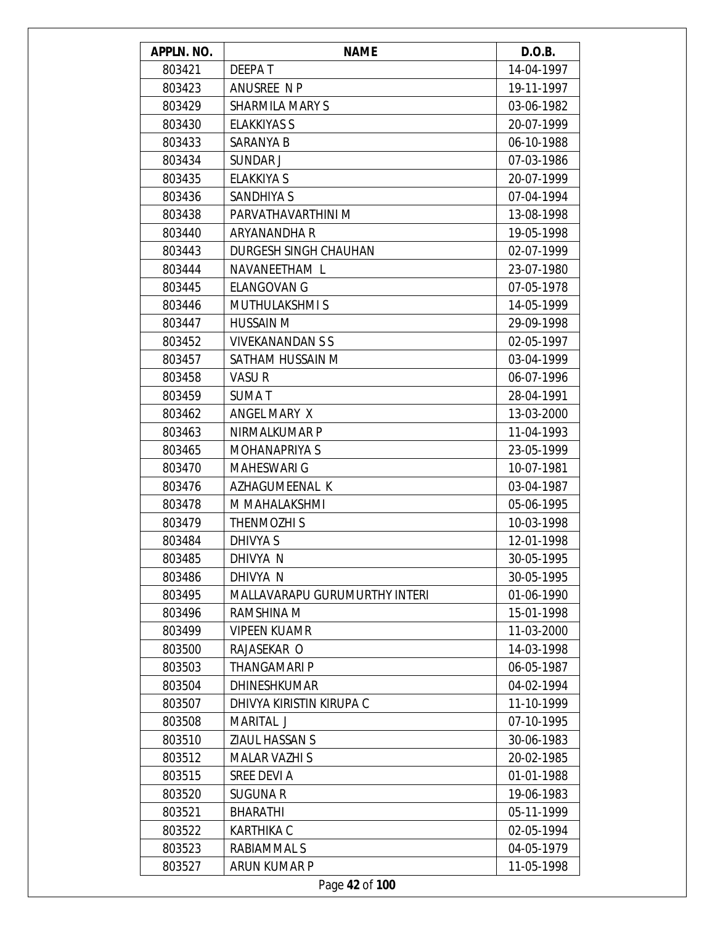| APPLN. NO. | <b>NAME</b>                          | D.O.B.     |
|------------|--------------------------------------|------------|
| 803421     | <b>DEEPAT</b>                        | 14-04-1997 |
| 803423     | ANUSREE N P                          | 19-11-1997 |
| 803429     | <b>SHARMILA MARY S</b>               | 03-06-1982 |
| 803430     | <b>ELAKKIYAS S</b>                   | 20-07-1999 |
| 803433     | SARANYA B                            | 06-10-1988 |
| 803434     | SUNDAR J                             | 07-03-1986 |
| 803435     | <b>ELAKKIYA S</b>                    | 20-07-1999 |
| 803436     | SANDHIYA S                           | 07-04-1994 |
| 803438     | PARVATHAVARTHINI M                   | 13-08-1998 |
| 803440     | ARYANANDHA R                         | 19-05-1998 |
| 803443     | DURGESH SINGH CHAUHAN                | 02-07-1999 |
| 803444     | NAVANEETHAM L                        | 23-07-1980 |
| 803445     | <b>ELANGOVAN G</b>                   | 07-05-1978 |
| 803446     | <b>MUTHULAKSHMIS</b>                 | 14-05-1999 |
| 803447     | <b>HUSSAIN M</b>                     | 29-09-1998 |
| 803452     | <b>VIVEKANANDAN S S</b>              | 02-05-1997 |
| 803457     | SATHAM HUSSAIN M                     | 03-04-1999 |
| 803458     | VASUR                                | 06-07-1996 |
| 803459     | <b>SUMAT</b>                         | 28-04-1991 |
| 803462     | ANGEL MARY X                         | 13-03-2000 |
| 803463     | NIRMALKUMAR P                        | 11-04-1993 |
| 803465     | <b>MOHANAPRIYA S</b>                 | 23-05-1999 |
| 803470     | <b>MAHESWARI G</b>                   | 10-07-1981 |
| 803476     | AZHAGUMEENAL K                       | 03-04-1987 |
| 803478     | M MAHALAKSHMI                        | 05-06-1995 |
| 803479     | THENMOZHI S                          | 10-03-1998 |
| 803484     | DHIVYA S                             | 12-01-1998 |
| 803485     | DHIVYA N                             | 30-05-1995 |
| 803486     | DHIVYA N                             | 30-05-1995 |
| 803495     | <b>MALLAVARAPU GURUMURTHY INTERI</b> | 01-06-1990 |
| 803496     | RAMSHINA M                           | 15-01-1998 |
| 803499     | <b>VIPEEN KUAMR</b>                  | 11-03-2000 |
| 803500     | RAJASEKAR O                          | 14-03-1998 |
| 803503     | THANGAMARI P                         | 06-05-1987 |
| 803504     | <b>DHINESHKUMAR</b>                  | 04-02-1994 |
| 803507     | DHIVYA KIRISTIN KIRUPA C             | 11-10-1999 |
| 803508     | MARITAL J                            | 07-10-1995 |
| 803510     | ZIAUL HASSAN S                       | 30-06-1983 |
| 803512     | <b>MALAR VAZHI S</b>                 | 20-02-1985 |
| 803515     | SREE DEVI A                          | 01-01-1988 |
| 803520     | <b>SUGUNA R</b>                      | 19-06-1983 |
| 803521     | <b>BHARATHI</b>                      | 05-11-1999 |
| 803522     | <b>KARTHIKA C</b>                    | 02-05-1994 |
| 803523     | RABIAMMAL S                          | 04-05-1979 |
| 803527     | ARUN KUMAR P                         | 11-05-1998 |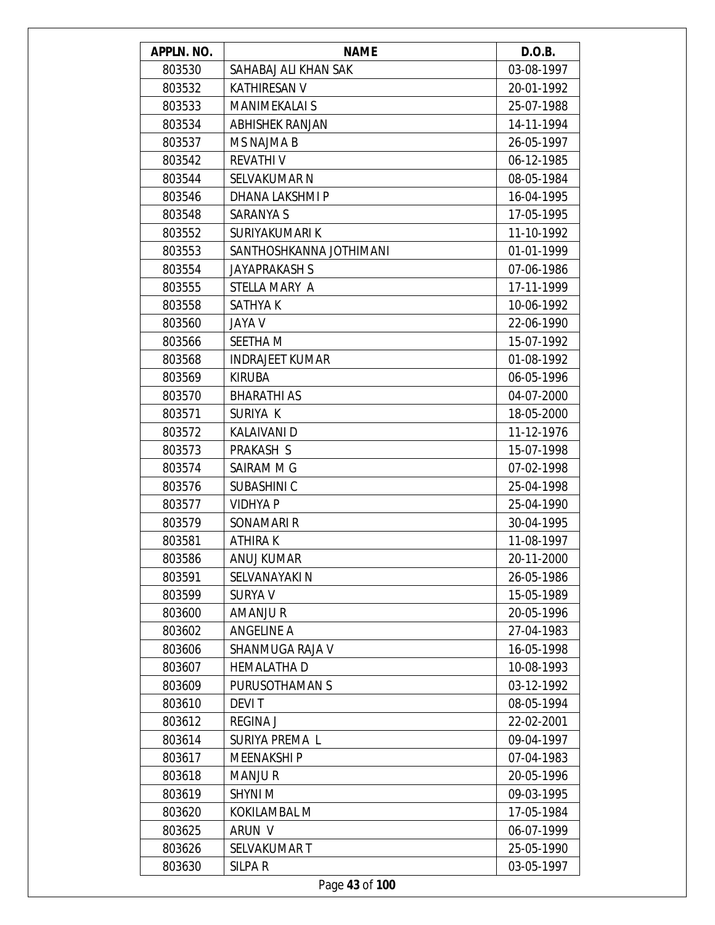| APPLN. NO. | <b>NAME</b>             | D.O.B.     |
|------------|-------------------------|------------|
| 803530     | SAHABAJ ALI KHAN SAK    | 03-08-1997 |
| 803532     | <b>KATHIRESAN V</b>     | 20-01-1992 |
| 803533     | <b>MANIMEKALAI S</b>    | 25-07-1988 |
| 803534     | <b>ABHISHEK RANJAN</b>  | 14-11-1994 |
| 803537     | <b>MS NAJMA B</b>       | 26-05-1997 |
| 803542     | <b>REVATHIV</b>         | 06-12-1985 |
| 803544     | <b>SELVAKUMAR N</b>     | 08-05-1984 |
| 803546     | DHANA LAKSHMI P         | 16-04-1995 |
| 803548     | <b>SARANYA S</b>        | 17-05-1995 |
| 803552     | SURIYAKUMARI K          | 11-10-1992 |
| 803553     | SANTHOSHKANNA JOTHIMANI | 01-01-1999 |
| 803554     | <b>JAYAPRAKASH S</b>    | 07-06-1986 |
| 803555     | STELLA MARY A           | 17-11-1999 |
| 803558     | <b>SATHYAK</b>          | 10-06-1992 |
| 803560     | <b>JAYA V</b>           | 22-06-1990 |
| 803566     | SEETHA M                | 15-07-1992 |
| 803568     | <b>INDRAJEET KUMAR</b>  | 01-08-1992 |
| 803569     | <b>KIRUBA</b>           | 06-05-1996 |
| 803570     | <b>BHARATHI AS</b>      | 04-07-2000 |
| 803571     | SURIYA K                | 18-05-2000 |
| 803572     | <b>KALAIVANI D</b>      | 11-12-1976 |
| 803573     | PRAKASH S               | 15-07-1998 |
| 803574     | SAIRAM M G              | 07-02-1998 |
| 803576     | SUBASHINI C             | 25-04-1998 |
| 803577     | <b>VIDHYA P</b>         | 25-04-1990 |
| 803579     | SONAMARI R              | 30-04-1995 |
| 803581     | <b>ATHIRAK</b>          | 11-08-1997 |
| 803586     | ANUJ KUMAR              | 20-11-2000 |
| 803591     | SELVANAYAKI N           | 26-05-1986 |
| 803599     | <b>SURYA V</b>          | 15-05-1989 |
| 803600     | <b>AMANJUR</b>          | 20-05-1996 |
| 803602     | <b>ANGELINE A</b>       | 27-04-1983 |
| 803606     | SHANMUGA RAJA V         | 16-05-1998 |
| 803607     | <b>HEMALATHA D</b>      | 10-08-1993 |
| 803609     | PURUSOTHAMAN S          | 03-12-1992 |
| 803610     | <b>DEVIT</b>            | 08-05-1994 |
| 803612     | <b>REGINA J</b>         | 22-02-2001 |
| 803614     | SURIYA PREMA L          | 09-04-1997 |
| 803617     | <b>MEENAKSHIP</b>       | 07-04-1983 |
| 803618     | <b>MANJUR</b>           | 20-05-1996 |
| 803619     | <b>SHYNI M</b>          | 09-03-1995 |
| 803620     | KOKILAMBAL M            | 17-05-1984 |
| 803625     | ARUN V                  | 06-07-1999 |
| 803626     | SELVAKUMAR T            | 25-05-1990 |
| 803630     | SILPA R                 | 03-05-1997 |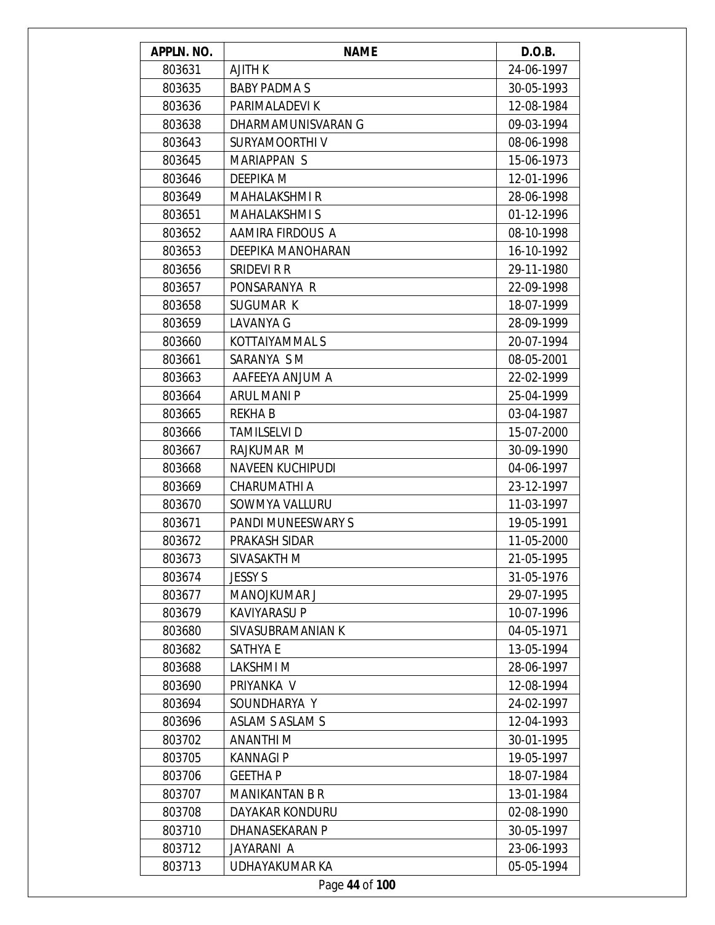| APPLN. NO. | <b>NAME</b>             | D.O.B.     |
|------------|-------------------------|------------|
| 803631     | <b>AJITH K</b>          | 24-06-1997 |
| 803635     | <b>BABY PADMA S</b>     | 30-05-1993 |
| 803636     | PARIMALADEVI K          | 12-08-1984 |
| 803638     | DHARMAMUNISVARAN G      | 09-03-1994 |
| 803643     | SURYAMOORTHIV           | 08-06-1998 |
| 803645     | MARIAPPAN S             | 15-06-1973 |
| 803646     | <b>DEEPIKA M</b>        | 12-01-1996 |
| 803649     | <b>MAHALAKSHMI R</b>    | 28-06-1998 |
| 803651     | <b>MAHALAKSHMI S</b>    | 01-12-1996 |
| 803652     | AAMIRA FIRDOUS A        | 08-10-1998 |
| 803653     | DEEPIKA MANOHARAN       | 16-10-1992 |
| 803656     | SRIDEVI R R             | 29-11-1980 |
| 803657     | PONSARANYA R            | 22-09-1998 |
| 803658     | SUGUMAR K               | 18-07-1999 |
| 803659     | <b>LAVANYA G</b>        | 28-09-1999 |
| 803660     | KOTTAIYAMMAL S          | 20-07-1994 |
| 803661     | SARANYA S M             | 08-05-2001 |
| 803663     | AAFEEYA ANJUM A         | 22-02-1999 |
| 803664     | <b>ARUL MANI P</b>      | 25-04-1999 |
| 803665     | <b>REKHAB</b>           | 03-04-1987 |
| 803666     | <b>TAMILSELVI D</b>     | 15-07-2000 |
| 803667     | RAJKUMAR M              | 30-09-1990 |
| 803668     | <b>NAVEEN KUCHIPUDI</b> | 04-06-1997 |
| 803669     | CHARUMATHI A            | 23-12-1997 |
| 803670     | SOWMYA VALLURU          | 11-03-1997 |
| 803671     | PANDI MUNEESWARY S      | 19-05-1991 |
| 803672     | PRAKASH SIDAR           | 11-05-2000 |
| 803673     | SIVASAKTH M             | 21-05-1995 |
| 803674     | <b>JESSY S</b>          | 31-05-1976 |
| 803677     | MANOJKUMAR J            | 29-07-1995 |
| 803679     | <b>KAVIYARASU P</b>     | 10-07-1996 |
| 803680     | SIVASUBRAMANIAN K       | 04-05-1971 |
| 803682     | <b>SATHYA E</b>         | 13-05-1994 |
| 803688     | <b>LAKSHMIM</b>         | 28-06-1997 |
| 803690     | PRIYANKA V              | 12-08-1994 |
| 803694     | SOUNDHARYA Y            | 24-02-1997 |
| 803696     | <b>ASLAM S ASLAM S</b>  | 12-04-1993 |
| 803702     | <b>ANANTHIM</b>         | 30-01-1995 |
| 803705     | <b>KANNAGI P</b>        | 19-05-1997 |
| 803706     | <b>GEETHAP</b>          | 18-07-1984 |
| 803707     | <b>MANIKANTAN B R</b>   | 13-01-1984 |
| 803708     | DAYAKAR KONDURU         | 02-08-1990 |
| 803710     | DHANASEKARAN P          | 30-05-1997 |
| 803712     | JAYARANI A              | 23-06-1993 |
| 803713     | UDHAYAKUMAR KA          | 05-05-1994 |
|            | Page 44 of 100          |            |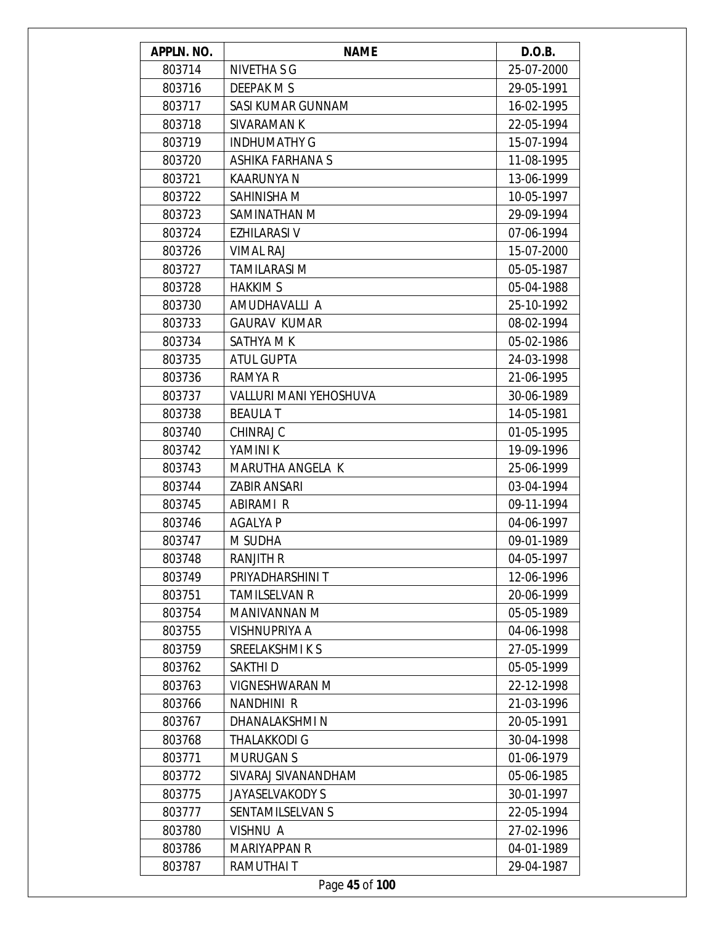| APPLN. NO. | <b>NAME</b>                   | D.O.B.     |
|------------|-------------------------------|------------|
| 803714     | NIVETHA S G                   | 25-07-2000 |
| 803716     | DEEPAK M S                    | 29-05-1991 |
| 803717     | SASI KUMAR GUNNAM             | 16-02-1995 |
| 803718     | SIVARAMAN K                   | 22-05-1994 |
| 803719     | <b>INDHUMATHY G</b>           | 15-07-1994 |
| 803720     | ASHIKA FARHANA S              | 11-08-1995 |
| 803721     | <b>KAARUNYA N</b>             | 13-06-1999 |
| 803722     | SAHINISHA M                   | 10-05-1997 |
| 803723     | SAMINATHAN M                  | 29-09-1994 |
| 803724     | <b>EZHILARASI V</b>           | 07-06-1994 |
| 803726     | <b>VIMAL RAJ</b>              | 15-07-2000 |
| 803727     | <b>TAMILARASI M</b>           | 05-05-1987 |
| 803728     | <b>HAKKIM S</b>               | 05-04-1988 |
| 803730     | AMUDHAVALLI A                 | 25-10-1992 |
| 803733     | <b>GAURAV KUMAR</b>           | 08-02-1994 |
| 803734     | SATHYA M K                    | 05-02-1986 |
| 803735     | <b>ATUL GUPTA</b>             | 24-03-1998 |
| 803736     | <b>RAMYA R</b>                | 21-06-1995 |
| 803737     | <b>VALLURI MANI YEHOSHUVA</b> | 30-06-1989 |
| 803738     | <b>BEAULAT</b>                | 14-05-1981 |
| 803740     | CHINRAJ C                     | 01-05-1995 |
| 803742     | YAMINI K                      | 19-09-1996 |
| 803743     | <b>MARUTHA ANGELA K</b>       | 25-06-1999 |
| 803744     | <b>ZABIR ANSARI</b>           | 03-04-1994 |
| 803745     | <b>ABIRAMI R</b>              | 09-11-1994 |
| 803746     | AGALYA P                      | 04-06-1997 |
| 803747     | M SUDHA                       | 09-01-1989 |
| 803748     | RANJITH R                     | 04-05-1997 |
| 803749     | PRIYADHARSHINI T              | 12-06-1996 |
| 803751     | <b>TAMILSELVAN R</b>          | 20-06-1999 |
| 803754     | MANIVANNAN M                  | 05-05-1989 |
| 803755     | VISHNUPRIYA A                 | 04-06-1998 |
| 803759     | SREELAKSHMIKS                 | 27-05-1999 |
| 803762     | SAKTHI D                      | 05-05-1999 |
| 803763     | <b>VIGNESHWARAN M</b>         | 22-12-1998 |
| 803766     | NANDHINI R                    | 21-03-1996 |
| 803767     | DHANALAKSHMI N                | 20-05-1991 |
| 803768     | THALAKKODI G                  | 30-04-1998 |
| 803771     | <b>MURUGAN S</b>              | 01-06-1979 |
| 803772     | SIVARAJ SIVANANDHAM           | 05-06-1985 |
| 803775     | <b>JAYASELVAKODY S</b>        | 30-01-1997 |
| 803777     | SENTAMILSELVAN S              | 22-05-1994 |
| 803780     | <b>VISHNU A</b>               | 27-02-1996 |
| 803786     | <b>MARIYAPPAN R</b>           | 04-01-1989 |
| 803787     | RAMUTHAI T                    | 29-04-1987 |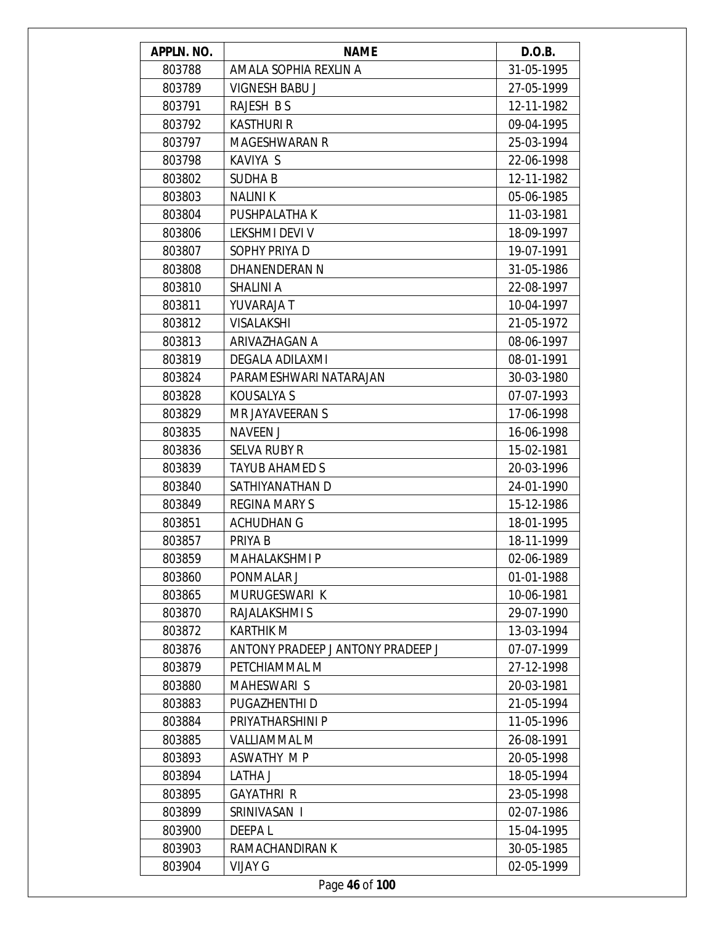| APPLN. NO. | <b>NAME</b>                       | D.O.B.     |
|------------|-----------------------------------|------------|
| 803788     | AMALA SOPHIA REXLIN A             | 31-05-1995 |
| 803789     | <b>VIGNESH BABU J</b>             | 27-05-1999 |
| 803791     | RAJESH B S                        | 12-11-1982 |
| 803792     | <b>KASTHURI R</b>                 | 09-04-1995 |
| 803797     | <b>MAGESHWARAN R</b>              | 25-03-1994 |
| 803798     | KAVIYA S                          | 22-06-1998 |
| 803802     | <b>SUDHAB</b>                     | 12-11-1982 |
| 803803     | <b>NALINIK</b>                    | 05-06-1985 |
| 803804     | PUSHPALATHA K                     | 11-03-1981 |
| 803806     | LEKSHMI DEVI V                    | 18-09-1997 |
| 803807     | SOPHY PRIYA D                     | 19-07-1991 |
| 803808     | DHANENDERAN N                     | 31-05-1986 |
| 803810     | SHALINI A                         | 22-08-1997 |
| 803811     | <b>YUVARAJA T</b>                 | 10-04-1997 |
| 803812     | <b>VISALAKSHI</b>                 | 21-05-1972 |
| 803813     | ARIVAZHAGAN A                     | 08-06-1997 |
| 803819     | DEGALA ADILAXMI                   | 08-01-1991 |
| 803824     | PARAMESHWARI NATARAJAN            | 30-03-1980 |
| 803828     | KOUSALYA S                        | 07-07-1993 |
| 803829     | MR JAYAVEERAN S                   | 17-06-1998 |
| 803835     | <b>NAVEEN J</b>                   | 16-06-1998 |
| 803836     | <b>SELVA RUBY R</b>               | 15-02-1981 |
| 803839     | <b>TAYUB AHAMED S</b>             | 20-03-1996 |
| 803840     | SATHIYANATHAN D                   | 24-01-1990 |
| 803849     | <b>REGINA MARY S</b>              | 15-12-1986 |
| 803851     | <b>ACHUDHAN G</b>                 | 18-01-1995 |
| 803857     | PRIYA B                           | 18-11-1999 |
| 803859     | <b>MAHALAKSHMI P</b>              | 02-06-1989 |
| 803860     | PONMALAR J                        | 01-01-1988 |
| 803865     | MURUGESWARI K                     | 10-06-1981 |
| 803870     | RAJALAKSHMI S                     | 29-07-1990 |
| 803872     | <b>KARTHIK M</b>                  | 13-03-1994 |
| 803876     | ANTONY PRADEEP J ANTONY PRADEEP J | 07-07-1999 |
| 803879     | PETCHIAMMAL M                     | 27-12-1998 |
| 803880     | <b>MAHESWARI S</b>                | 20-03-1981 |
| 803883     | <b>PUGAZHENTHI D</b>              | 21-05-1994 |
| 803884     | PRIYATHARSHINI P                  | 11-05-1996 |
| 803885     | <b>VALLIAMMAL M</b>               | 26-08-1991 |
| 803893     | ASWATHY MP                        | 20-05-1998 |
| 803894     | LATHA J                           | 18-05-1994 |
| 803895     | <b>GAYATHRI R</b>                 | 23-05-1998 |
| 803899     | SRINIVASAN I                      | 02-07-1986 |
| 803900     | <b>DEEPAL</b>                     | 15-04-1995 |
| 803903     | RAMACHANDIRAN K                   | 30-05-1985 |
|            | <b>VIJAY G</b>                    |            |
| 803904     |                                   | 02-05-1999 |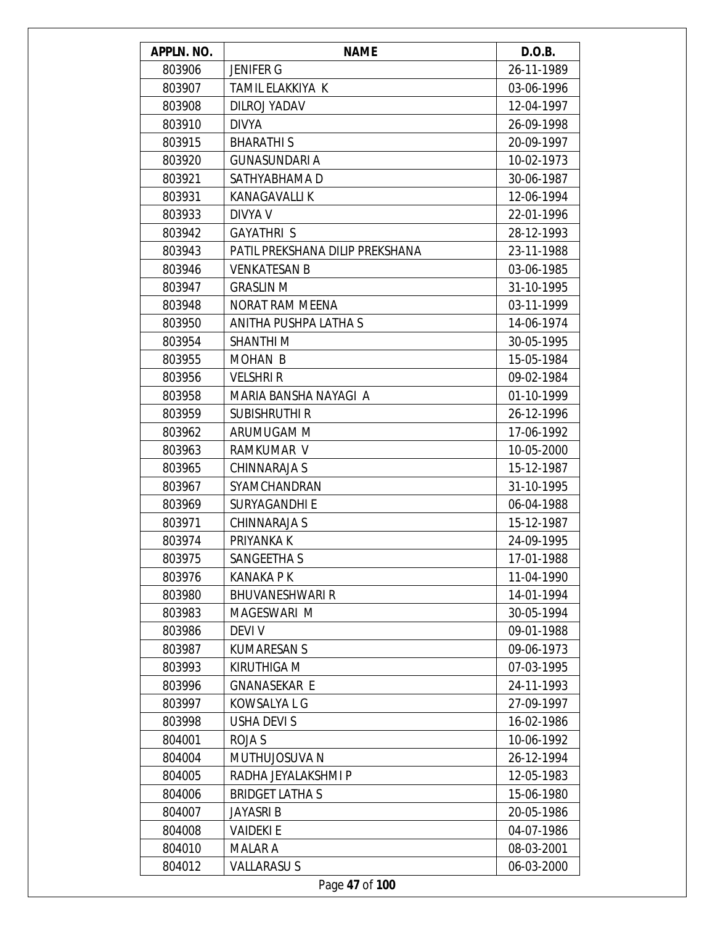| APPLN. NO. | <b>NAME</b>                     | D.O.B.     |
|------------|---------------------------------|------------|
| 803906     | <b>JENIFER G</b>                | 26-11-1989 |
| 803907     | TAMIL ELAKKIYA K                | 03-06-1996 |
| 803908     | DILROJ YADAV                    | 12-04-1997 |
| 803910     | <b>DIVYA</b>                    | 26-09-1998 |
| 803915     | <b>BHARATHIS</b>                | 20-09-1997 |
| 803920     | <b>GUNASUNDARI A</b>            | 10-02-1973 |
| 803921     | SATHYABHAMA D                   | 30-06-1987 |
| 803931     | <b>KANAGAVALLI K</b>            | 12-06-1994 |
| 803933     | DIVYA V                         | 22-01-1996 |
| 803942     | <b>GAYATHRI S</b>               | 28-12-1993 |
| 803943     | PATIL PREKSHANA DILIP PREKSHANA | 23-11-1988 |
| 803946     | <b>VENKATESAN B</b>             | 03-06-1985 |
| 803947     | <b>GRASLIN M</b>                | 31-10-1995 |
| 803948     | NORAT RAM MEENA                 | 03-11-1999 |
| 803950     | ANITHA PUSHPA LATHA S           | 14-06-1974 |
| 803954     | SHANTHI M                       | 30-05-1995 |
| 803955     | MOHAN B                         | 15-05-1984 |
| 803956     | <b>VELSHRIR</b>                 | 09-02-1984 |
| 803958     | MARIA BANSHA NAYAGI A           | 01-10-1999 |
| 803959     | <b>SUBISHRUTHI R</b>            | 26-12-1996 |
| 803962     | ARUMUGAM M                      | 17-06-1992 |
| 803963     | RAMKUMAR V                      | 10-05-2000 |
| 803965     | <b>CHINNARAJA S</b>             | 15-12-1987 |
| 803967     | SYAMCHANDRAN                    | 31-10-1995 |
| 803969     | <b>SURYAGANDHI E</b>            | 06-04-1988 |
| 803971     | CHINNARAJA S                    | 15-12-1987 |
| 803974     | PRIYANKA K                      | 24-09-1995 |
| 803975     | SANGEETHA S                     | 17-01-1988 |
| 803976     | KANAKA P K                      | 11-04-1990 |
| 803980     | <b>BHUVANESHWARI R</b>          | 14-01-1994 |
| 803983     | MAGESWARI M                     | 30-05-1994 |
| 803986     | <b>DEVIV</b>                    | 09-01-1988 |
| 803987     | <b>KUMARESAN S</b>              | 09-06-1973 |
| 803993     | KIRUTHIGA M                     | 07-03-1995 |
| 803996     | <b>GNANASEKAR E</b>             | 24-11-1993 |
| 803997     | KOWSALYA L G                    | 27-09-1997 |
| 803998     | USHA DEVI S                     | 16-02-1986 |
| 804001     | ROJA S                          | 10-06-1992 |
| 804004     | MUTHUJOSUVA N                   | 26-12-1994 |
| 804005     | RADHA JEYALAKSHMI P             | 12-05-1983 |
| 804006     | <b>BRIDGET LATHAS</b>           | 15-06-1980 |
| 804007     | JAYASRI B                       | 20-05-1986 |
| 804008     | <b>VAIDEKI E</b>                | 04-07-1986 |
| 804010     | <b>MALAR A</b>                  | 08-03-2001 |
| 804012     | <b>VALLARASUS</b>               | 06-03-2000 |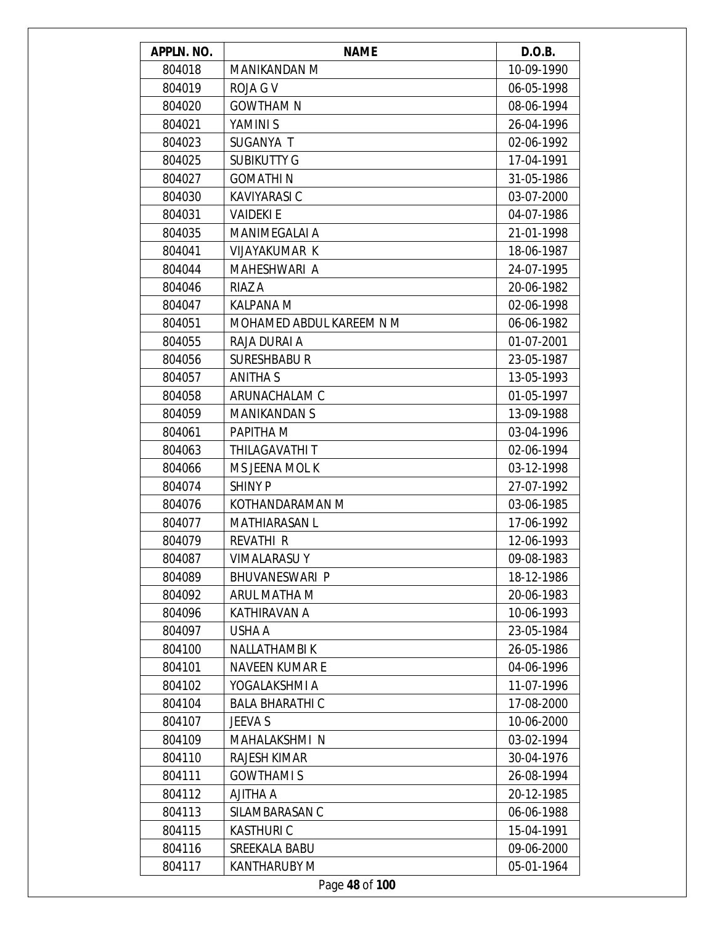| APPLN. NO. | <b>NAME</b>              | D.O.B.     |
|------------|--------------------------|------------|
| 804018     | MANIKANDAN M             | 10-09-1990 |
| 804019     | <b>ROJA G V</b>          | 06-05-1998 |
| 804020     | <b>GOWTHAM N</b>         | 08-06-1994 |
| 804021     | YAMINI S                 | 26-04-1996 |
| 804023     | SUGANYA T                | 02-06-1992 |
| 804025     | <b>SUBIKUTTY G</b>       | 17-04-1991 |
| 804027     | <b>GOMATHIN</b>          | 31-05-1986 |
| 804030     | <b>KAVIYARASI C</b>      | 03-07-2000 |
| 804031     | <b>VAIDEKIE</b>          | 04-07-1986 |
| 804035     | MANIMEGALAI A            | 21-01-1998 |
| 804041     | <b>VIJAYAKUMAR K</b>     | 18-06-1987 |
| 804044     | MAHESHWARI A             | 24-07-1995 |
| 804046     | RIAZ A                   | 20-06-1982 |
| 804047     | KALPANA M                | 02-06-1998 |
| 804051     | MOHAMED ABDUL KAREEM N M | 06-06-1982 |
| 804055     | RAJA DURAI A             | 01-07-2001 |
| 804056     | <b>SURESHBABU R</b>      | 23-05-1987 |
| 804057     | <b>ANITHA S</b>          | 13-05-1993 |
| 804058     | ARUNACHALAM C            | 01-05-1997 |
| 804059     | <b>MANIKANDAN S</b>      | 13-09-1988 |
| 804061     | PAPITHA M                | 03-04-1996 |
| 804063     | THILAGAVATHI T           | 02-06-1994 |
| 804066     | MS JEENA MOL K           | 03-12-1998 |
| 804074     | <b>SHINY P</b>           | 27-07-1992 |
| 804076     | KOTHANDARAMAN M          | 03-06-1985 |
| 804077     | <b>MATHIARASAN L</b>     | 17-06-1992 |
| 804079     | <b>REVATHI R</b>         | 12-06-1993 |
| 804087     | VIMALARASU Y             | 09-08-1983 |
| 804089     | BHUVANESWARI P           | 18-12-1986 |
| 804092     | ARUL MATHA M             | 20-06-1983 |
| 804096     | KATHIRAVAN A             | 10-06-1993 |
| 804097     | USHA A                   | 23-05-1984 |
| 804100     | NALLATHAMBIK             | 26-05-1986 |
| 804101     | <b>NAVEEN KUMAR E</b>    | 04-06-1996 |
| 804102     | YOGALAKSHMI A            | 11-07-1996 |
| 804104     | <b>BALA BHARATHI C</b>   | 17-08-2000 |
| 804107     | <b>JEEVA S</b>           | 10-06-2000 |
| 804109     | MAHALAKSHMI N            | 03-02-1994 |
| 804110     | RAJESH KIMAR             | 30-04-1976 |
| 804111     | <b>GOWTHAMIS</b>         | 26-08-1994 |
| 804112     | A AHTILA                 | 20-12-1985 |
| 804113     | SILAMBARASAN C           | 06-06-1988 |
| 804115     | <b>KASTHURIC</b>         | 15-04-1991 |
| 804116     | SREEKALA BABU            | 09-06-2000 |
| 804117     | <b>KANTHARUBY M</b>      | 05-01-1964 |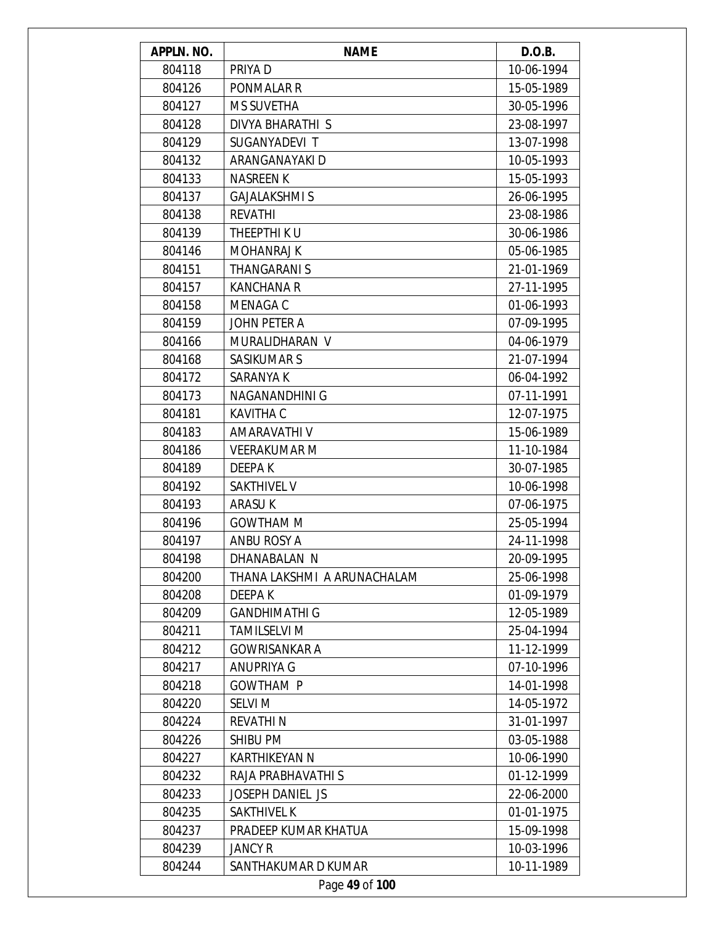| APPLN. NO. | <b>NAME</b>                 | D.O.B.     |
|------------|-----------------------------|------------|
| 804118     | PRIYA D                     | 10-06-1994 |
| 804126     | PONMALAR R                  | 15-05-1989 |
| 804127     | <b>MS SUVETHA</b>           | 30-05-1996 |
| 804128     | DIVYA BHARATHI S            | 23-08-1997 |
| 804129     | SUGANYADEVI T               | 13-07-1998 |
| 804132     | ARANGANAYAKI D              | 10-05-1993 |
| 804133     | <b>NASREEN K</b>            | 15-05-1993 |
| 804137     | <b>GAJALAKSHMI S</b>        | 26-06-1995 |
| 804138     | <b>REVATHI</b>              | 23-08-1986 |
| 804139     | THEEPTHI K U                | 30-06-1986 |
| 804146     | <b>MOHANRAJ K</b>           | 05-06-1985 |
| 804151     | THANGARANI S                | 21-01-1969 |
| 804157     | <b>KANCHANA R</b>           | 27-11-1995 |
| 804158     | <b>MENAGA C</b>             | 01-06-1993 |
| 804159     | JOHN PETER A                | 07-09-1995 |
| 804166     | MURALIDHARAN V              | 04-06-1979 |
| 804168     | <b>SASIKUMAR S</b>          | 21-07-1994 |
| 804172     | SARANYA K                   | 06-04-1992 |
| 804173     | NAGANANDHINI G              | 07-11-1991 |
| 804181     | <b>KAVITHA C</b>            | 12-07-1975 |
| 804183     | AMARAVATHI V                | 15-06-1989 |
| 804186     | <b>VEERAKUMAR M</b>         | 11-10-1984 |
| 804189     | DEEPA K                     | 30-07-1985 |
| 804192     | SAKTHIVEL V                 | 10-06-1998 |
| 804193     | ARASU K                     | 07-06-1975 |
| 804196     | <b>GOWTHAM M</b>            | 25-05-1994 |
| 804197     | <b>ANBU ROSY A</b>          | 24-11-1998 |
| 804198     | DHANABALAN N                | 20-09-1995 |
| 804200     | THANA LAKSHMI A ARUNACHALAM | 25-06-1998 |
| 804208     | DEEPA K                     | 01-09-1979 |
| 804209     | <b>GANDHIMATHI G</b>        | 12-05-1989 |
| 804211     | <b>TAMILSELVI M</b>         | 25-04-1994 |
| 804212     | <b>GOWRISANKAR A</b>        | 11-12-1999 |
| 804217     | <b>ANUPRIYA G</b>           | 07-10-1996 |
| 804218     | <b>GOWTHAM P</b>            | 14-01-1998 |
| 804220     | <b>SELVI M</b>              | 14-05-1972 |
| 804224     | <b>REVATHIN</b>             | 31-01-1997 |
| 804226     | <b>SHIBU PM</b>             | 03-05-1988 |
| 804227     | <b>KARTHIKEYAN N</b>        | 10-06-1990 |
| 804232     | RAJA PRABHAVATHI S          | 01-12-1999 |
| 804233     | JOSEPH DANIEL JS            | 22-06-2000 |
| 804235     | SAKTHIVEL K                 | 01-01-1975 |
| 804237     | PRADEEP KUMAR KHATUA        | 15-09-1998 |
| 804239     | <b>JANCY R</b>              | 10-03-1996 |
| 804244     | SANTHAKUMAR D KUMAR         | 10-11-1989 |
|            | Page 49 of 100              |            |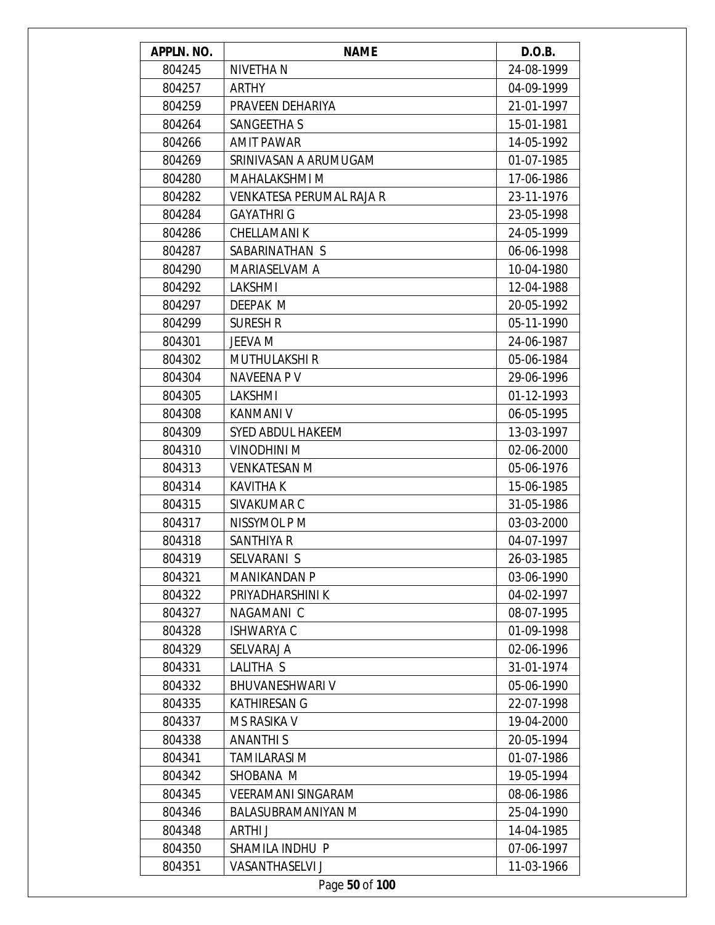| APPLN. NO. | <b>NAME</b>               | D.O.B.     |
|------------|---------------------------|------------|
| 804245     | NIVETHA N                 | 24-08-1999 |
| 804257     | <b>ARTHY</b>              | 04-09-1999 |
| 804259     | PRAVEEN DEHARIYA          | 21-01-1997 |
| 804264     | SANGEETHA S               | 15-01-1981 |
| 804266     | <b>AMIT PAWAR</b>         | 14-05-1992 |
| 804269     | SRINIVASAN A ARUMUGAM     | 01-07-1985 |
| 804280     | <b>MAHALAKSHMI M</b>      | 17-06-1986 |
| 804282     | VENKATESA PERUMAL RAJA R  | 23-11-1976 |
| 804284     | <b>GAYATHRI G</b>         | 23-05-1998 |
| 804286     | <b>CHELLAMANIK</b>        | 24-05-1999 |
| 804287     | SABARINATHAN S            | 06-06-1998 |
| 804290     | MARIASELVAM A             | 10-04-1980 |
| 804292     | LAKSHMI                   | 12-04-1988 |
| 804297     | DEEPAK M                  | 20-05-1992 |
| 804299     | <b>SURESH R</b>           | 05-11-1990 |
| 804301     | JEEVA M                   | 24-06-1987 |
| 804302     | <b>MUTHULAKSHI R</b>      | 05-06-1984 |
| 804304     | <b>NAVEENA PV</b>         | 29-06-1996 |
| 804305     | LAKSHMI                   | 01-12-1993 |
| 804308     | <b>KANMANI V</b>          | 06-05-1995 |
| 804309     | <b>SYED ABDUL HAKEEM</b>  | 13-03-1997 |
| 804310     | VINODHINI M               | 02-06-2000 |
| 804313     | <b>VENKATESAN M</b>       | 05-06-1976 |
| 804314     | <b>KAVITHA K</b>          | 15-06-1985 |
| 804315     | SIVAKUMAR C               | 31-05-1986 |
| 804317     | NISSYMOL P M              | 03-03-2000 |
| 804318     | SANTHIYA R                | 04-07-1997 |
| 804319     | SELVARANI S               | 26-03-1985 |
| 804321     | <b>MANIKANDAN P</b>       | 03-06-1990 |
| 804322     | PRIYADHARSHINI K          | 04-02-1997 |
| 804327     | NAGAMANI C                | 08-07-1995 |
| 804328     | <b>ISHWARYA C</b>         | 01-09-1998 |
| 804329     | SELVARAJ A                | 02-06-1996 |
| 804331     | LALITHA S                 | 31-01-1974 |
| 804332     | <b>BHUVANESHWARI V</b>    | 05-06-1990 |
| 804335     | <b>KATHIRESAN G</b>       | 22-07-1998 |
| 804337     | <b>MS RASIKA V</b>        | 19-04-2000 |
| 804338     | <b>ANANTHIS</b>           | 20-05-1994 |
| 804341     | <b>TAMILARASI M</b>       | 01-07-1986 |
| 804342     | SHOBANA M                 | 19-05-1994 |
| 804345     | <b>VEERAMANI SINGARAM</b> | 08-06-1986 |
| 804346     | <b>BALASUBRAMANIYAN M</b> | 25-04-1990 |
| 804348     | ARTHI J                   | 14-04-1985 |
| 804350     | SHAMILA INDHU P           | 07-06-1997 |
| 804351     | <b>VASANTHASELVI J</b>    | 11-03-1966 |
|            | Page 50 of 100            |            |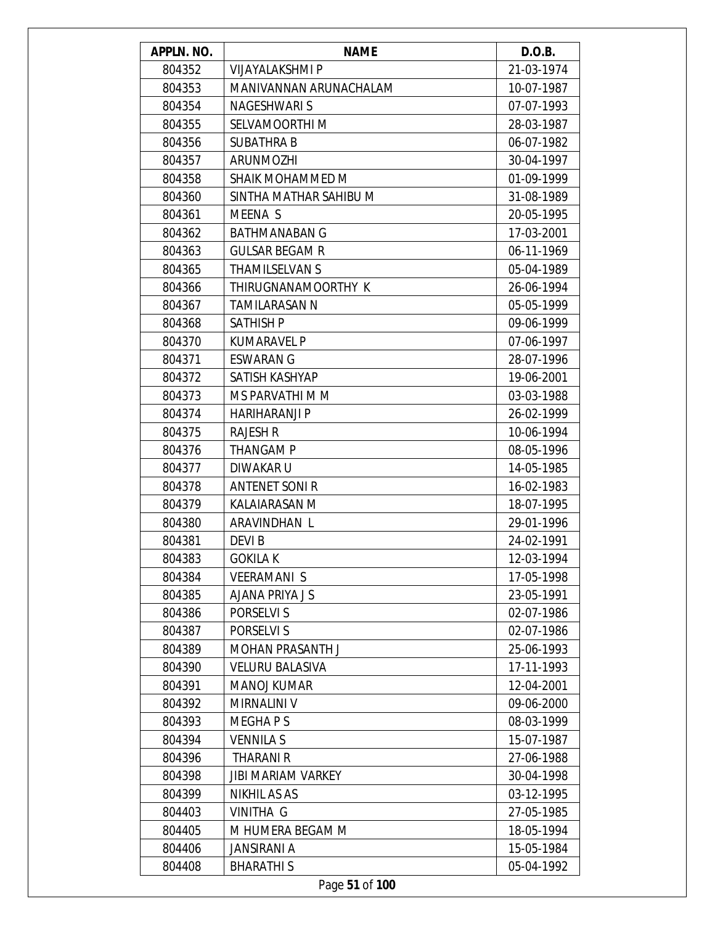| APPLN. NO. | <b>NAME</b>               | D.O.B.     |
|------------|---------------------------|------------|
| 804352     | <b>VIJAYALAKSHMI P</b>    | 21-03-1974 |
| 804353     | MANIVANNAN ARUNACHALAM    | 10-07-1987 |
| 804354     | NAGESHWARI S              | 07-07-1993 |
| 804355     | SELVAMOORTHI M            | 28-03-1987 |
| 804356     | <b>SUBATHRA B</b>         | 06-07-1982 |
| 804357     | <b>ARUNMOZHI</b>          | 30-04-1997 |
| 804358     | <b>SHAIK MOHAMMED M</b>   | 01-09-1999 |
| 804360     | SINTHA MATHAR SAHIBU M    | 31-08-1989 |
| 804361     | MEENA S                   | 20-05-1995 |
| 804362     | <b>BATHMANABAN G</b>      | 17-03-2001 |
| 804363     | <b>GULSAR BEGAM R</b>     | 06-11-1969 |
| 804365     | <b>THAMILSELVAN S</b>     | 05-04-1989 |
| 804366     | THIRUGNANAMOORTHY K       | 26-06-1994 |
| 804367     | <b>TAMILARASAN N</b>      | 05-05-1999 |
| 804368     | <b>SATHISH P</b>          | 09-06-1999 |
| 804370     | <b>KUMARAVEL P</b>        | 07-06-1997 |
| 804371     | <b>ESWARAN G</b>          | 28-07-1996 |
| 804372     | SATISH KASHYAP            | 19-06-2001 |
| 804373     | MS PARVATHI M M           | 03-03-1988 |
| 804374     | <b>HARIHARANJI P</b>      | 26-02-1999 |
| 804375     | <b>RAJESH R</b>           | 10-06-1994 |
| 804376     | <b>THANGAM P</b>          | 08-05-1996 |
| 804377     | DIWAKAR U                 | 14-05-1985 |
| 804378     | <b>ANTENET SONI R</b>     | 16-02-1983 |
| 804379     | KALAIARASAN M             | 18-07-1995 |
| 804380     | ARAVINDHAN L              | 29-01-1996 |
| 804381     | DEVI B                    | 24-02-1991 |
| 804383     | <b>GOKILA K</b>           | 12-03-1994 |
| 804384     | <b>VEERAMANIS</b>         | 17-05-1998 |
| 804385     | <b>AJANA PRIYA J S</b>    | 23-05-1991 |
| 804386     | PORSELVI S                | 02-07-1986 |
| 804387     | PORSELVI S                | 02-07-1986 |
| 804389     | <b>MOHAN PRASANTH J</b>   | 25-06-1993 |
| 804390     | <b>VELURU BALASIVA</b>    | 17-11-1993 |
| 804391     | <b>MANOJ KUMAR</b>        | 12-04-2001 |
| 804392     | MIRNALINI V               | 09-06-2000 |
| 804393     | MEGHA P S                 | 08-03-1999 |
| 804394     | <b>VENNILA S</b>          | 15-07-1987 |
| 804396     | THARANI R                 | 27-06-1988 |
| 804398     | <b>JIBI MARIAM VARKEY</b> | 30-04-1998 |
| 804399     | <b>NIKHIL AS AS</b>       | 03-12-1995 |
| 804403     | VINITHA G                 | 27-05-1985 |
| 804405     | M HUMERA BEGAM M          | 18-05-1994 |
| 804406     | <b>JANSIRANI A</b>        | 15-05-1984 |
| 804408     | <b>BHARATHIS</b>          | 05-04-1992 |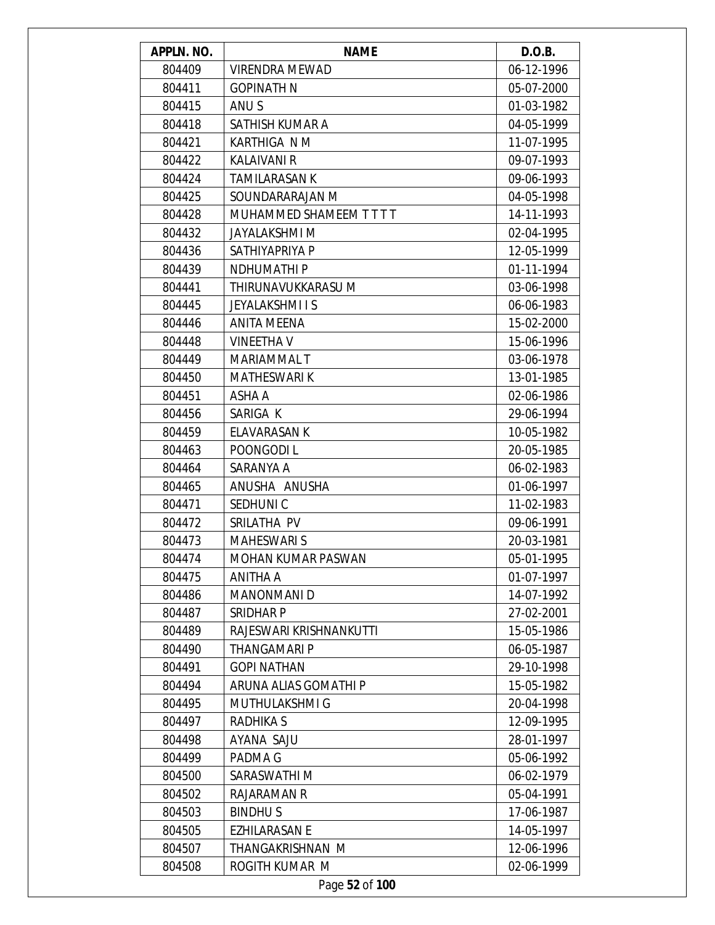| APPLN. NO. | <b>NAME</b>              | D.O.B.     |
|------------|--------------------------|------------|
| 804409     | <b>VIRENDRA MEWAD</b>    | 06-12-1996 |
| 804411     | <b>GOPINATH N</b>        | 05-07-2000 |
| 804415     | ANU S                    | 01-03-1982 |
| 804418     | SATHISH KUMAR A          | 04-05-1999 |
| 804421     | KARTHIGA N M             | 11-07-1995 |
| 804422     | <b>KALAIVANI R</b>       | 09-07-1993 |
| 804424     | <b>TAMILARASAN K</b>     | 09-06-1993 |
| 804425     | SOUNDARARAJAN M          | 04-05-1998 |
| 804428     | MUHAMMED SHAMEEM T T T T | 14-11-1993 |
| 804432     | JAYALAKSHMI M            | 02-04-1995 |
| 804436     | SATHIYAPRIYA P           | 12-05-1999 |
| 804439     | <b>NDHUMATHIP</b>        | 01-11-1994 |
| 804441     | THIRUNAVUKKARASU M       | 03-06-1998 |
| 804445     | <b>JEYALAKSHMI I S</b>   | 06-06-1983 |
| 804446     | <b>ANITA MEENA</b>       | 15-02-2000 |
| 804448     | <b>VINEETHA V</b>        | 15-06-1996 |
| 804449     | MARIAMMAL T              | 03-06-1978 |
| 804450     | <b>MATHESWARI K</b>      | 13-01-1985 |
| 804451     | ASHA A                   | 02-06-1986 |
| 804456     | SARIGA K                 | 29-06-1994 |
| 804459     | <b>ELAVARASAN K</b>      | 10-05-1982 |
| 804463     | POONGODI L               | 20-05-1985 |
| 804464     | SARANYA A                | 06-02-1983 |
| 804465     | ANUSHA ANUSHA            | 01-06-1997 |
| 804471     | SEDHUNI C                | 11-02-1983 |
| 804472     | SRILATHA PV              | 09-06-1991 |
| 804473     | <b>MAHESWARI S</b>       | 20-03-1981 |
| 804474     | MOHAN KUMAR PASWAN       | 05-01-1995 |
| 804475     | ANITHA A                 | 01-07-1997 |
| 804486     | <b>MANONMANI D</b>       | 14-07-1992 |
| 804487     | SRIDHAR P                | 27-02-2001 |
| 804489     | RAJESWARI KRISHNANKUTTI  | 15-05-1986 |
| 804490     | <b>THANGAMARI P</b>      | 06-05-1987 |
| 804491     | <b>GOPI NATHAN</b>       | 29-10-1998 |
| 804494     | ARUNA ALIAS GOMATHI P    | 15-05-1982 |
| 804495     | MUTHULAKSHMI G           | 20-04-1998 |
| 804497     | <b>RADHIKA S</b>         | 12-09-1995 |
| 804498     | AYANA SAJU               | 28-01-1997 |
| 804499     | PADMA G                  | 05-06-1992 |
| 804500     | SARASWATHI M             | 06-02-1979 |
| 804502     | RAJARAMAN R              | 05-04-1991 |
| 804503     | <b>BINDHUS</b>           | 17-06-1987 |
| 804505     | <b>EZHILARASAN E</b>     | 14-05-1997 |
| 804507     | THANGAKRISHNAN M         | 12-06-1996 |
| 804508     | ROGITH KUMAR M           | 02-06-1999 |
|            | Page 52 of 100           |            |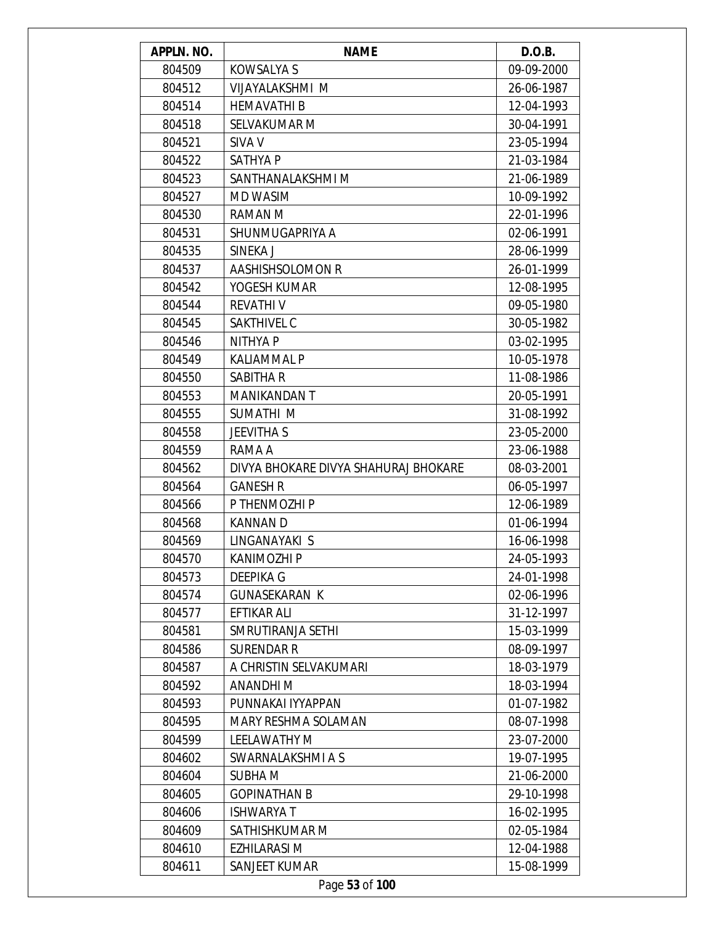| APPLN. NO. | <b>NAME</b>                          | D.O.B.     |
|------------|--------------------------------------|------------|
| 804509     | <b>KOWSALYA S</b>                    | 09-09-2000 |
| 804512     | VIJAYALAKSHMI M                      | 26-06-1987 |
| 804514     | <b>HEMAVATHI B</b>                   | 12-04-1993 |
| 804518     | SELVAKUMAR M                         | 30-04-1991 |
| 804521     | SIVA V                               | 23-05-1994 |
| 804522     | <b>SATHYAP</b>                       | 21-03-1984 |
| 804523     | SANTHANALAKSHMI M                    | 21-06-1989 |
| 804527     | <b>MD WASIM</b>                      | 10-09-1992 |
| 804530     | RAMAN M                              | 22-01-1996 |
| 804531     | SHUNMUGAPRIYA A                      | 02-06-1991 |
| 804535     | SINEKA J                             | 28-06-1999 |
| 804537     | AASHISHSOLOMON R                     | 26-01-1999 |
| 804542     | YOGESH KUMAR                         | 12-08-1995 |
| 804544     | <b>REVATHIV</b>                      | 09-05-1980 |
| 804545     | SAKTHIVEL C                          | 30-05-1982 |
| 804546     | NITHYA P                             | 03-02-1995 |
| 804549     | <b>KALIAMMAL P</b>                   | 10-05-1978 |
| 804550     | SABITHA R                            | 11-08-1986 |
| 804553     | <b>MANIKANDAN T</b>                  | 20-05-1991 |
| 804555     | SUMATHI M                            | 31-08-1992 |
| 804558     | <b>JEEVITHA S</b>                    | 23-05-2000 |
| 804559     | RAMA A                               | 23-06-1988 |
| 804562     | DIVYA BHOKARE DIVYA SHAHURAJ BHOKARE | 08-03-2001 |
| 804564     | <b>GANESH R</b>                      | 06-05-1997 |
| 804566     | P THENMOZHI P                        | 12-06-1989 |
| 804568     | <b>KANNAND</b>                       | 01-06-1994 |
| 804569     | LINGANAYAKI S                        | 16-06-1998 |
| 804570     | <b>KANIMOZHI P</b>                   | 24-05-1993 |
| 804573     | DEEPIKA G                            | 24-01-1998 |
| 804574     | <b>GUNASEKARAN K</b>                 | 02-06-1996 |
| 804577     | EFTIKAR ALI                          | 31-12-1997 |
| 804581     | SMRUTIRANJA SETHI                    | 15-03-1999 |
| 804586     | <b>SURENDAR R</b>                    | 08-09-1997 |
| 804587     | A CHRISTIN SELVAKUMARI               | 18-03-1979 |
| 804592     | ANANDHI M                            | 18-03-1994 |
| 804593     | PUNNAKAI IYYAPPAN                    | 01-07-1982 |
| 804595     | MARY RESHMA SOLAMAN                  | 08-07-1998 |
| 804599     | <b>LEELAWATHY M</b>                  | 23-07-2000 |
| 804602     | SWARNALAKSHMI A S                    | 19-07-1995 |
| 804604     | SUBHA M                              | 21-06-2000 |
| 804605     | <b>GOPINATHAN B</b>                  | 29-10-1998 |
| 804606     | <b>ISHWARYAT</b>                     | 16-02-1995 |
| 804609     | SATHISHKUMAR M                       | 02-05-1984 |
| 804610     | <b>EZHILARASI M</b>                  | 12-04-1988 |
| 804611     | SANJEET KUMAR                        | 15-08-1999 |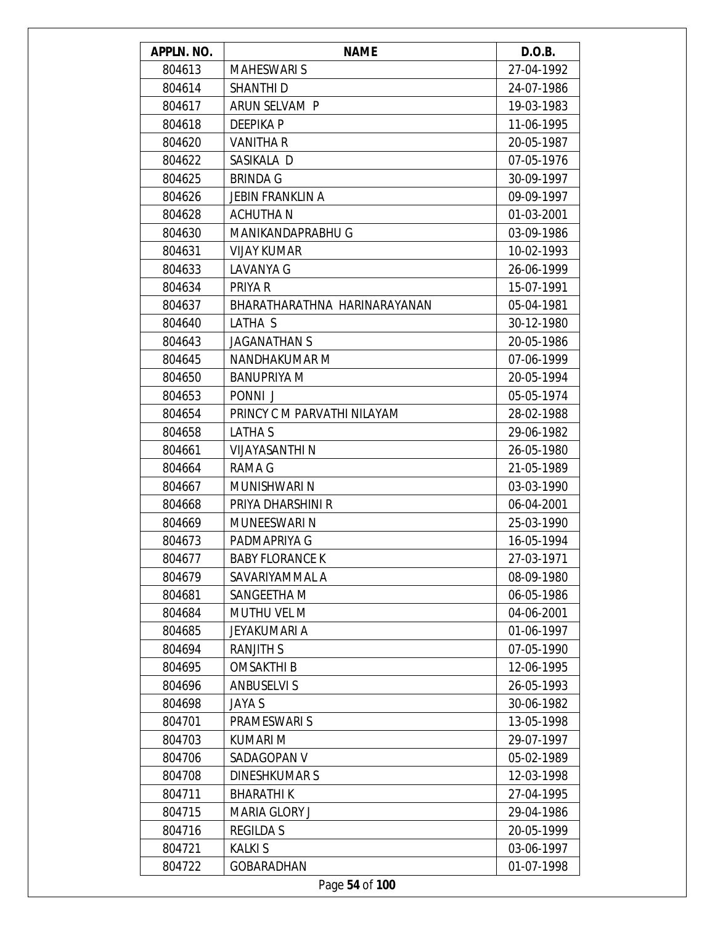| APPLN. NO. | <b>NAME</b>                  | D.O.B.     |
|------------|------------------------------|------------|
| 804613     | <b>MAHESWARI S</b>           | 27-04-1992 |
| 804614     | <b>SHANTHI D</b>             | 24-07-1986 |
| 804617     | ARUN SELVAM P                | 19-03-1983 |
| 804618     | <b>DEEPIKAP</b>              | 11-06-1995 |
| 804620     | <b>VANITHA R</b>             | 20-05-1987 |
| 804622     | SASIKALA D                   | 07-05-1976 |
| 804625     | <b>BRINDA G</b>              | 30-09-1997 |
| 804626     | <b>JEBIN FRANKLIN A</b>      | 09-09-1997 |
| 804628     | <b>ACHUTHAN</b>              | 01-03-2001 |
| 804630     | MANIKANDAPRABHU G            | 03-09-1986 |
| 804631     | <b>VIJAY KUMAR</b>           | 10-02-1993 |
| 804633     | LAVANYA G                    | 26-06-1999 |
| 804634     | PRIYA R                      | 15-07-1991 |
| 804637     | BHARATHARATHNA HARINARAYANAN | 05-04-1981 |
| 804640     | LATHA S                      | 30-12-1980 |
| 804643     | <b>JAGANATHAN S</b>          | 20-05-1986 |
| 804645     | NANDHAKUMAR M                | 07-06-1999 |
| 804650     | <b>BANUPRIYA M</b>           | 20-05-1994 |
| 804653     | PONNI J                      | 05-05-1974 |
| 804654     | PRINCY C M PARVATHI NILAYAM  | 28-02-1988 |
| 804658     | LATHA S                      | 29-06-1982 |
| 804661     | <b>VIJAYASANTHI N</b>        | 26-05-1980 |
| 804664     | RAMA G                       | 21-05-1989 |
| 804667     | MUNISHWARI N                 | 03-03-1990 |
| 804668     | PRIYA DHARSHINI R            | 06-04-2001 |
| 804669     | MUNEESWARI N                 | 25-03-1990 |
| 804673     | PADMAPRIYA G                 | 16-05-1994 |
| 804677     | <b>BABY FLORANCE K</b>       | 27-03-1971 |
| 804679     | SAVARIYAMMAL A               | 08-09-1980 |
| 804681     | SANGEETHA M                  | 06-05-1986 |
| 804684     | MUTHU VEL M                  | 04-06-2001 |
| 804685     | JEYAKUMARI A                 | 01-06-1997 |
| 804694     | <b>RANJITH S</b>             | 07-05-1990 |
| 804695     | <b>OMSAKTHI B</b>            | 12-06-1995 |
| 804696     | <b>ANBUSELVIS</b>            | 26-05-1993 |
| 804698     | <b>JAYA S</b>                | 30-06-1982 |
| 804701     | PRAMESWARI S                 | 13-05-1998 |
| 804703     | KUMARI M                     | 29-07-1997 |
| 804706     | SADAGOPAN V                  | 05-02-1989 |
| 804708     | <b>DINESHKUMARS</b>          | 12-03-1998 |
|            |                              |            |
| 804711     | <b>BHARATHIK</b>             | 27-04-1995 |
| 804715     | MARIA GLORY J                | 29-04-1986 |
| 804716     | <b>REGILDA S</b>             | 20-05-1999 |
| 804721     | <b>KALKIS</b>                | 03-06-1997 |
| 804722     | <b>GOBARADHAN</b>            | 01-07-1998 |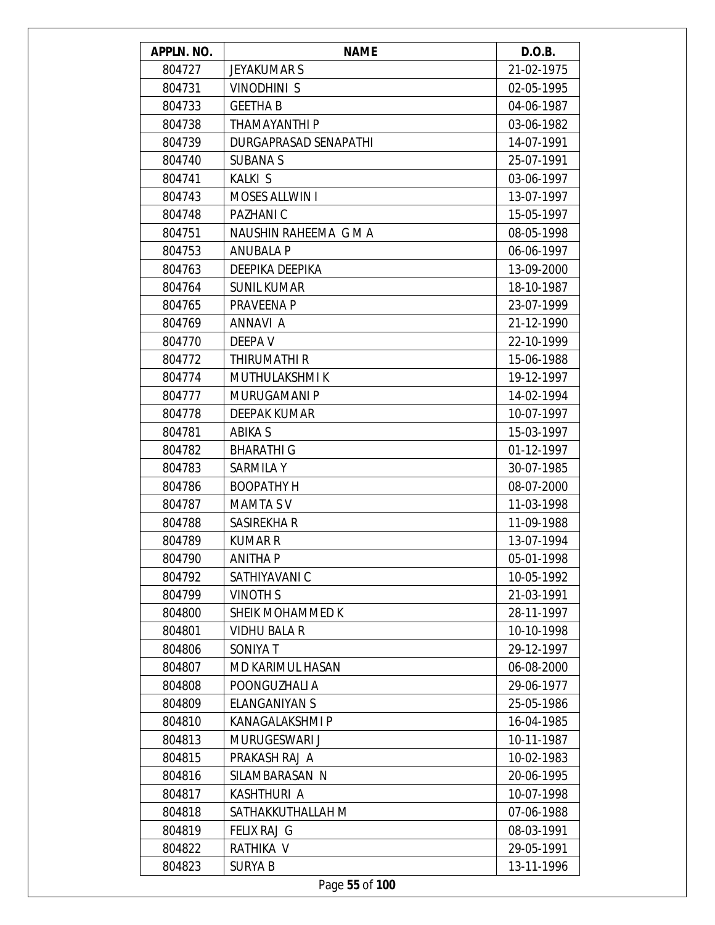| APPLN. NO. | <b>NAME</b>             | D.O.B.     |
|------------|-------------------------|------------|
| 804727     | <b>JEYAKUMAR S</b>      | 21-02-1975 |
| 804731     | <b>VINODHINI S</b>      | 02-05-1995 |
| 804733     | <b>GEETHA B</b>         | 04-06-1987 |
| 804738     | <b>THAMAYANTHI P</b>    | 03-06-1982 |
| 804739     | DURGAPRASAD SENAPATHI   | 14-07-1991 |
| 804740     | <b>SUBANA S</b>         | 25-07-1991 |
| 804741     | <b>KALKI S</b>          | 03-06-1997 |
| 804743     | <b>MOSES ALLWIN I</b>   | 13-07-1997 |
| 804748     | PAZHANI C               | 15-05-1997 |
| 804751     | NAUSHIN RAHEEMA G M A   | 08-05-1998 |
| 804753     | <b>ANUBALA P</b>        | 06-06-1997 |
| 804763     | DEEPIKA DEEPIKA         | 13-09-2000 |
| 804764     | <b>SUNIL KUMAR</b>      | 18-10-1987 |
| 804765     | PRAVEENA P              | 23-07-1999 |
| 804769     | ANNAVI A                | 21-12-1990 |
| 804770     | DEEPA V                 | 22-10-1999 |
| 804772     | THIRUMATHI R            | 15-06-1988 |
| 804774     | MUTHULAKSHMI K          | 19-12-1997 |
| 804777     | MURUGAMANI P            | 14-02-1994 |
| 804778     | <b>DEEPAK KUMAR</b>     | 10-07-1997 |
| 804781     | ABIKA S                 | 15-03-1997 |
| 804782     | <b>BHARATHI G</b>       | 01-12-1997 |
| 804783     | SARMILA Y               | 30-07-1985 |
| 804786     | <b>BOOPATHY H</b>       | 08-07-2000 |
| 804787     | <b>MAMTA SV</b>         | 11-03-1998 |
| 804788     | SASIREKHA R             | 11-09-1988 |
| 804789     | <b>KUMAR R</b>          | 13-07-1994 |
| 804790     | <b>ANITHAP</b>          | 05-01-1998 |
| 804792     | SATHIYAVANI C           | 10-05-1992 |
| 804799     | <b>VINOTH S</b>         | 21-03-1991 |
| 804800     | SHEIK MOHAMMED K        | 28-11-1997 |
| 804801     | <b>VIDHU BALA R</b>     | 10-10-1998 |
| 804806     | <b>SONIYA T</b>         | 29-12-1997 |
| 804807     | <b>MD KARIMUL HASAN</b> | 06-08-2000 |
| 804808     | POONGUZHALI A           | 29-06-1977 |
| 804809     | ELANGANIYAN S           | 25-05-1986 |
| 804810     | KANAGALAKSHMI P         | 16-04-1985 |
| 804813     | MURUGESWARI J           | 10-11-1987 |
| 804815     | PRAKASH RAJ A           | 10-02-1983 |
| 804816     | SILAMBARASAN N          | 20-06-1995 |
| 804817     | KASHTHURI A             | 10-07-1998 |
| 804818     | SATHAKKUTHALLAH M       | 07-06-1988 |
| 804819     | <b>FELIX RAJ G</b>      | 08-03-1991 |
| 804822     | RATHIKA V               | 29-05-1991 |
| 804823     | <b>SURYA B</b>          | 13-11-1996 |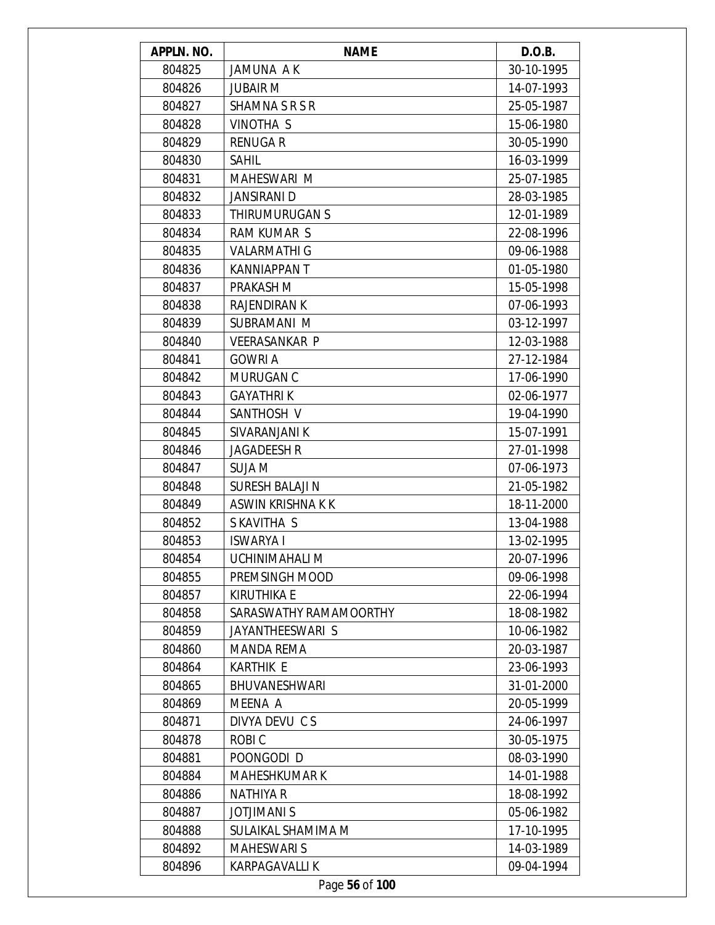| APPLN. NO. | <b>NAME</b>            | D.O.B.     |
|------------|------------------------|------------|
| 804825     | JAMUNA AK              | 30-10-1995 |
| 804826     | <b>JUBAIR M</b>        | 14-07-1993 |
| 804827     | <b>SHAMNA S R S R</b>  | 25-05-1987 |
| 804828     | VINOTHA S              | 15-06-1980 |
| 804829     | <b>RENUGAR</b>         | 30-05-1990 |
| 804830     | <b>SAHIL</b>           | 16-03-1999 |
| 804831     | MAHESWARI M            | 25-07-1985 |
| 804832     | <b>JANSIRANI D</b>     | 28-03-1985 |
| 804833     | THIRUMURUGAN S         | 12-01-1989 |
| 804834     | <b>RAM KUMAR S</b>     | 22-08-1996 |
| 804835     | <b>VALARMATHI G</b>    | 09-06-1988 |
| 804836     | KANNIAPPAN T           | 01-05-1980 |
| 804837     | PRAKASH M              | 15-05-1998 |
| 804838     | <b>RAJENDIRAN K</b>    | 07-06-1993 |
| 804839     | SUBRAMANI M            | 03-12-1997 |
| 804840     | <b>VEERASANKAR P</b>   | 12-03-1988 |
| 804841     | <b>GOWRI A</b>         | 27-12-1984 |
| 804842     | MURUGAN C              | 17-06-1990 |
| 804843     | <b>GAYATHRIK</b>       | 02-06-1977 |
| 804844     | SANTHOSH V             | 19-04-1990 |
| 804845     | SIVARANJANI K          | 15-07-1991 |
| 804846     | <b>JAGADEESH R</b>     | 27-01-1998 |
| 804847     | <b>SUJA M</b>          | 07-06-1973 |
| 804848     | <b>SURESH BALAJI N</b> | 21-05-1982 |
| 804849     | ASWIN KRISHNA K K      | 18-11-2000 |
| 804852     | SKAVITHA S             | 13-04-1988 |
| 804853     | <b>ISWARYA I</b>       | 13-02-1995 |
| 804854     | UCHINIMAHALI M         | 20-07-1996 |
| 804855     | PREMSINGH MOOD         | 09-06-1998 |
| 804857     | <b>KIRUTHIKA E</b>     | 22-06-1994 |
| 804858     | SARASWATHY RAMAMOORTHY | 18-08-1982 |
| 804859     | JAYANTHEESWARI S       | 10-06-1982 |
| 804860     | <b>MANDA REMA</b>      | 20-03-1987 |
| 804864     | KARTHIK E              | 23-06-1993 |
| 804865     | BHUVANESHWARI          | 31-01-2000 |
| 804869     | MEENA A                | 20-05-1999 |
| 804871     | DIVYA DEVU CS          | 24-06-1997 |
| 804878     | <b>ROBIC</b>           | 30-05-1975 |
| 804881     | POONGODI D             | 08-03-1990 |
| 804884     | <b>MAHESHKUMAR K</b>   | 14-01-1988 |
| 804886     | <b>NATHIYA R</b>       | 18-08-1992 |
| 804887     | <b>JOTJIMANI S</b>     | 05-06-1982 |
| 804888     | SULAIKAL SHAMIMA M     | 17-10-1995 |
| 804892     | <b>MAHESWARI S</b>     | 14-03-1989 |
| 804896     | KARPAGAVALLI K         | 09-04-1994 |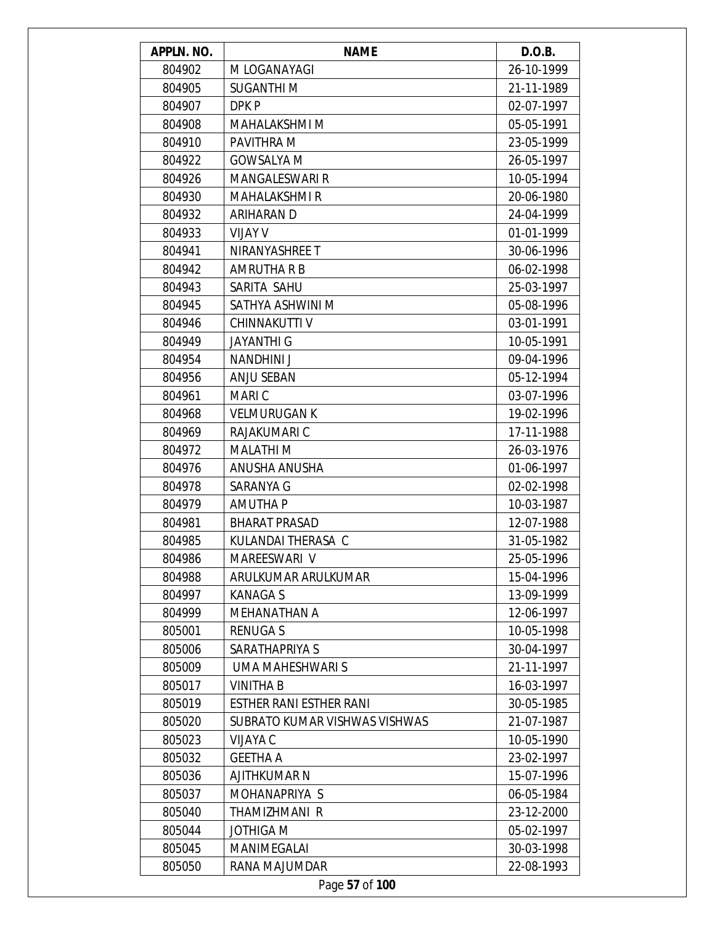| APPLN. NO. | <b>NAME</b>                   | D.O.B.     |
|------------|-------------------------------|------------|
| 804902     | M LOGANAYAGI                  | 26-10-1999 |
| 804905     | <b>SUGANTHIM</b>              | 21-11-1989 |
| 804907     | DPK P                         | 02-07-1997 |
| 804908     | MAHALAKSHMI M                 | 05-05-1991 |
| 804910     | PAVITHRA M                    | 23-05-1999 |
| 804922     | <b>GOWSALYA M</b>             | 26-05-1997 |
| 804926     | <b>MANGALESWARI R</b>         | 10-05-1994 |
| 804930     | <b>MAHALAKSHMI R</b>          | 20-06-1980 |
| 804932     | ARIHARAN D                    | 24-04-1999 |
| 804933     | VIJAY V                       | 01-01-1999 |
| 804941     | NIRANYASHREE T                | 30-06-1996 |
| 804942     | <b>AMRUTHA R B</b>            | 06-02-1998 |
| 804943     | SARITA SAHU                   | 25-03-1997 |
| 804945     | SATHYA ASHWINI M              | 05-08-1996 |
| 804946     | <b>CHINNAKUTTI V</b>          | 03-01-1991 |
| 804949     | <b>JAYANTHI G</b>             | 10-05-1991 |
| 804954     | NANDHINI J                    | 09-04-1996 |
| 804956     | <b>ANJU SEBAN</b>             | 05-12-1994 |
| 804961     | MARI C                        | 03-07-1996 |
| 804968     | <b>VELMURUGAN K</b>           | 19-02-1996 |
| 804969     | RAJAKUMARI C                  | 17-11-1988 |
| 804972     | <b>MALATHI M</b>              | 26-03-1976 |
| 804976     | ANUSHA ANUSHA                 | 01-06-1997 |
| 804978     | SARANYA G                     | 02-02-1998 |
| 804979     | AMUTHA P                      | 10-03-1987 |
| 804981     | <b>BHARAT PRASAD</b>          | 12-07-1988 |
| 804985     | KULANDAI THERASA C            | 31-05-1982 |
| 804986     | MAREESWARI V                  | 25-05-1996 |
| 804988     | ARULKUMAR ARULKUMAR           | 15-04-1996 |
| 804997     | <b>KANAGAS</b>                | 13-09-1999 |
| 804999     | <b>MEHANATHAN A</b>           | 12-06-1997 |
| 805001     | <b>RENUGAS</b>                | 10-05-1998 |
| 805006     | SARATHAPRIYA S                | 30-04-1997 |
| 805009     | UMA MAHESHWARI S              | 21-11-1997 |
| 805017     | <b>VINITHA B</b>              | 16-03-1997 |
| 805019     | ESTHER RANI ESTHER RANI       | 30-05-1985 |
| 805020     | SUBRATO KUMAR VISHWAS VISHWAS | 21-07-1987 |
| 805023     | VIJAYA C                      | 10-05-1990 |
| 805032     | <b>GEETHA A</b>               | 23-02-1997 |
| 805036     | <b>AJITHKUMAR N</b>           | 15-07-1996 |
| 805037     | MOHANAPRIYA S                 | 06-05-1984 |
| 805040     | THAMIZHMANI R                 | 23-12-2000 |
| 805044     | <b>JOTHIGA M</b>              | 05-02-1997 |
| 805045     | MANIMEGALAI                   | 30-03-1998 |
| 805050     | RANA MAJUMDAR                 | 22-08-1993 |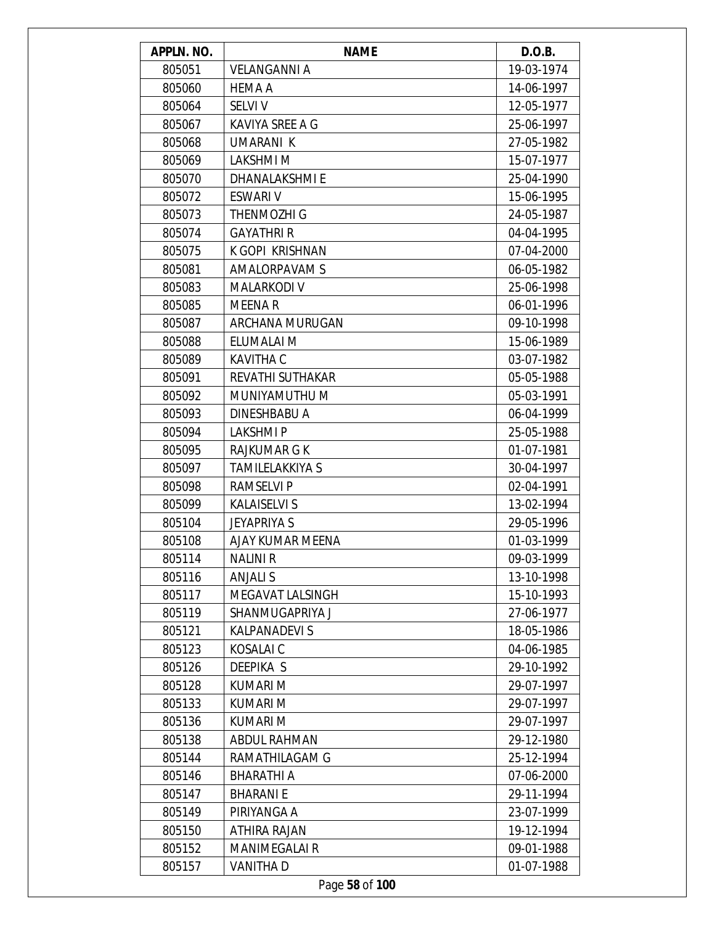| APPLN. NO. | <b>NAME</b>            | D.O.B.     |
|------------|------------------------|------------|
| 805051     | <b>VELANGANNI A</b>    | 19-03-1974 |
| 805060     | <b>HEMA A</b>          | 14-06-1997 |
| 805064     | <b>SELVI V</b>         | 12-05-1977 |
| 805067     | KAVIYA SREE A G        | 25-06-1997 |
| 805068     | UMARANI K              | 27-05-1982 |
| 805069     | LAKSHMI M              | 15-07-1977 |
| 805070     | DHANALAKSHMI E         | 25-04-1990 |
| 805072     | <b>ESWARI V</b>        | 15-06-1995 |
| 805073     | <b>THENMOZHI G</b>     | 24-05-1987 |
| 805074     | <b>GAYATHRI R</b>      | 04-04-1995 |
| 805075     | K GOPI KRISHNAN        | 07-04-2000 |
| 805081     | AMALORPAVAM S          | 06-05-1982 |
| 805083     | <b>MALARKODI V</b>     | 25-06-1998 |
| 805085     | <b>MEENAR</b>          | 06-01-1996 |
| 805087     | ARCHANA MURUGAN        | 09-10-1998 |
| 805088     | ELUMALAI M             | 15-06-1989 |
| 805089     | <b>KAVITHA C</b>       | 03-07-1982 |
| 805091     | REVATHI SUTHAKAR       | 05-05-1988 |
| 805092     | MUNIYAMUTHU M          | 05-03-1991 |
| 805093     | DINESHBABU A           | 06-04-1999 |
| 805094     | LAKSHMI P              | 25-05-1988 |
| 805095     | RAJKUMAR G K           | 01-07-1981 |
| 805097     | <b>TAMILELAKKIYA S</b> | 30-04-1997 |
| 805098     | RAMSELVI P             | 02-04-1991 |
| 805099     | <b>KALAISELVI S</b>    | 13-02-1994 |
| 805104     | <b>JEYAPRIYA S</b>     | 29-05-1996 |
| 805108     | AJAY KUMAR MEENA       | 01-03-1999 |
| 805114     | NALINI R               | 09-03-1999 |
| 805116     | <b>ANJALI S</b>        | 13-10-1998 |
| 805117     | MEGAVAT LALSINGH       | 15-10-1993 |
| 805119     | SHANMUGAPRIYA J        | 27-06-1977 |
| 805121     | <b>KALPANADEVI S</b>   | 18-05-1986 |
| 805123     | KOSALAI C              | 04-06-1985 |
| 805126     | <b>DEEPIKA S</b>       | 29-10-1992 |
| 805128     | <b>KUMARI M</b>        | 29-07-1997 |
| 805133     | KUMARI M               | 29-07-1997 |
| 805136     | KUMARI M               | 29-07-1997 |
| 805138     | <b>ABDUL RAHMAN</b>    | 29-12-1980 |
| 805144     | RAMATHILAGAM G         | 25-12-1994 |
| 805146     | <b>BHARATHI A</b>      | 07-06-2000 |
| 805147     | <b>BHARANIE</b>        | 29-11-1994 |
| 805149     | PIRIYANGA A            | 23-07-1999 |
| 805150     | ATHIRA RAJAN           | 19-12-1994 |
| 805152     | MANIMEGALAI R          | 09-01-1988 |
| 805157     | VANITHA D              | 01-07-1988 |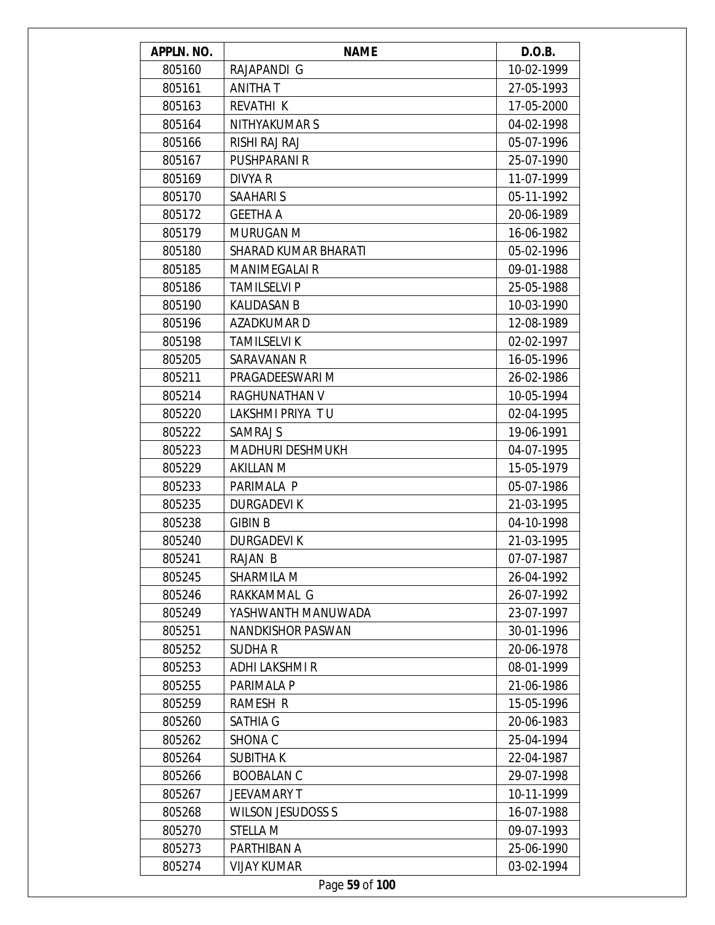| APPLN. NO. | <b>NAME</b>                 | D.O.B.     |
|------------|-----------------------------|------------|
| 805160     | RAJAPANDI G                 | 10-02-1999 |
| 805161     | ANITHA T                    | 27-05-1993 |
| 805163     | REVATHI K                   | 17-05-2000 |
| 805164     | NITHYAKUMAR S               | 04-02-1998 |
| 805166     | RISHI RAJ RAJ               | 05-07-1996 |
| 805167     | PUSHPARANI R                | 25-07-1990 |
| 805169     | <b>DIVYA R</b>              | 11-07-1999 |
| 805170     | <b>SAAHARIS</b>             | 05-11-1992 |
| 805172     | <b>GEETHA A</b>             | 20-06-1989 |
| 805179     | <b>MURUGAN M</b>            | 16-06-1982 |
| 805180     | <b>SHARAD KUMAR BHARATI</b> | 05-02-1996 |
| 805185     | <b>MANIMEGALAI R</b>        | 09-01-1988 |
| 805186     | <b>TAMILSELVI P</b>         | 25-05-1988 |
| 805190     | <b>KALIDASAN B</b>          | 10-03-1990 |
| 805196     | AZADKUMAR D                 | 12-08-1989 |
| 805198     | <b>TAMILSELVI K</b>         | 02-02-1997 |
| 805205     | SARAVANAN R                 | 16-05-1996 |
| 805211     | PRAGADEESWARI M             | 26-02-1986 |
| 805214     | RAGHUNATHAN V               | 10-05-1994 |
| 805220     | LAKSHMI PRIYA TU            | 02-04-1995 |
| 805222     | SAMRAJ S                    | 19-06-1991 |
| 805223     | <b>MADHURI DESHMUKH</b>     | 04-07-1995 |
| 805229     | <b>AKILLAN M</b>            | 15-05-1979 |
| 805233     | PARIMALA P                  | 05-07-1986 |
| 805235     | <b>DURGADEVIK</b>           | 21-03-1995 |
| 805238     | <b>GIBIN B</b>              | 04-10-1998 |
| 805240     | <b>DURGADEVIK</b>           | 21-03-1995 |
| 805241     | RAJAN B                     | 07-07-1987 |
| 805245     | SHARMILA M                  | 26-04-1992 |
| 805246     | RAKKAMMAL G                 | 26-07-1992 |
| 805249     | YASHWANTH MANUWADA          | 23-07-1997 |
| 805251     | <b>NANDKISHOR PASWAN</b>    | 30-01-1996 |
| 805252     | <b>SUDHAR</b>               | 20-06-1978 |
| 805253     | ADHI LAKSHMI R              | 08-01-1999 |
| 805255     | PARIMALA P                  | 21-06-1986 |
| 805259     | <b>RAMESH R</b>             | 15-05-1996 |
| 805260     | <b>SATHIA G</b>             | 20-06-1983 |
| 805262     | SHONA <sub>C</sub>          | 25-04-1994 |
| 805264     | <b>SUBITHAK</b>             | 22-04-1987 |
| 805266     | <b>BOOBALAN C</b>           | 29-07-1998 |
| 805267     | JEEVAMARY T                 | 10-11-1999 |
| 805268     | <b>WILSON JESUDOSS S</b>    | 16-07-1988 |
| 805270     | STELLA M                    | 09-07-1993 |
| 805273     | PARTHIBAN A                 | 25-06-1990 |
| 805274     | <b>VIJAY KUMAR</b>          | 03-02-1994 |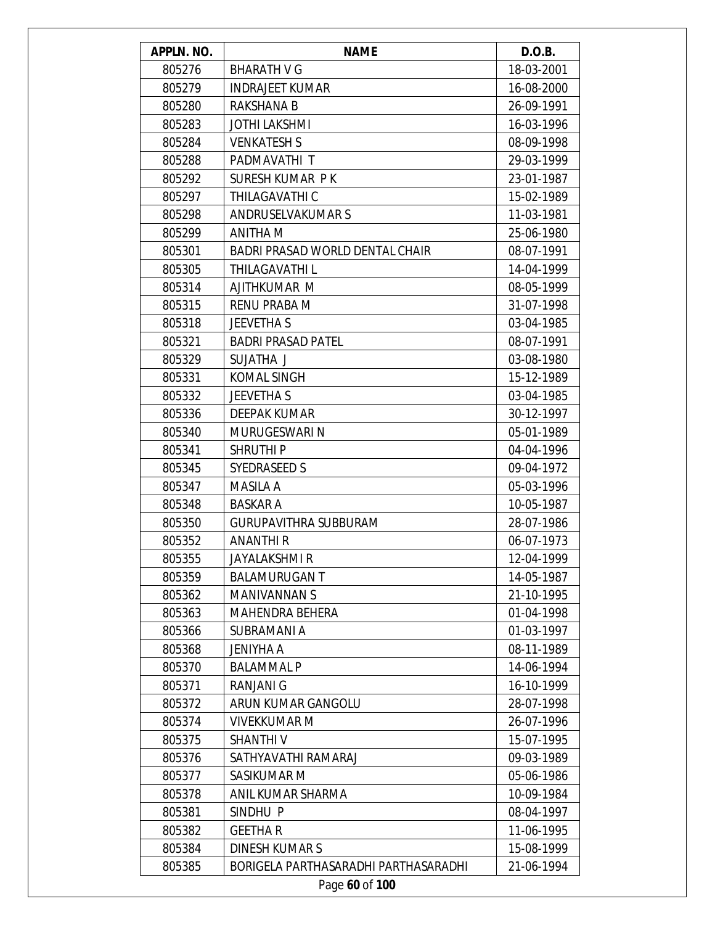| APPLN. NO. | <b>NAME</b>                            | D.O.B.     |
|------------|----------------------------------------|------------|
| 805276     | <b>BHARATH V G</b>                     | 18-03-2001 |
| 805279     | <b>INDRAJEET KUMAR</b>                 | 16-08-2000 |
| 805280     | RAKSHANA B                             | 26-09-1991 |
| 805283     | JOTHI LAKSHMI                          | 16-03-1996 |
| 805284     | <b>VENKATESH S</b>                     | 08-09-1998 |
| 805288     | PADMAVATHI T                           | 29-03-1999 |
| 805292     | SURESH KUMAR PK                        | 23-01-1987 |
| 805297     | THILAGAVATHI C                         | 15-02-1989 |
| 805298     | <b>ANDRUSELVAKUMARS</b>                | 11-03-1981 |
| 805299     | ANITHA M                               | 25-06-1980 |
| 805301     | <b>BADRI PRASAD WORLD DENTAL CHAIR</b> | 08-07-1991 |
| 805305     | THILAGAVATHI L                         | 14-04-1999 |
| 805314     | AJITHKUMAR M                           | 08-05-1999 |
| 805315     | <b>RENU PRABA M</b>                    | 31-07-1998 |
| 805318     | <b>JEEVETHA S</b>                      | 03-04-1985 |
| 805321     | <b>BADRI PRASAD PATEL</b>              | 08-07-1991 |
| 805329     | SUJATHA J                              | 03-08-1980 |
| 805331     | <b>KOMAL SINGH</b>                     | 15-12-1989 |
| 805332     | <b>JEEVETHA S</b>                      | 03-04-1985 |
| 805336     | DEEPAK KUMAR                           | 30-12-1997 |
| 805340     | MURUGESWARI N                          | 05-01-1989 |
| 805341     | <b>SHRUTHIP</b>                        | 04-04-1996 |
| 805345     | <b>SYEDRASEED S</b>                    | 09-04-1972 |
| 805347     | MASILA A                               | 05-03-1996 |
| 805348     | <b>BASKAR A</b>                        | 10-05-1987 |
| 805350     | <b>GURUPAVITHRA SUBBURAM</b>           | 28-07-1986 |
| 805352     | <b>ANANTHIR</b>                        | 06-07-1973 |
| 805355     | JAYALAKSHMI R                          | 12-04-1999 |
| 805359     | <b>BALAMURUGANT</b>                    | 14-05-1987 |
| 805362     | <b>MANIVANNAN S</b>                    | 21-10-1995 |
| 805363     | <b>MAHENDRA BEHERA</b>                 | 01-04-1998 |
| 805366     | <b>SUBRAMANIA</b>                      | 01-03-1997 |
| 805368     | <b>JENIYHA A</b>                       | 08-11-1989 |
| 805370     | <b>BALAMMAL P</b>                      | 14-06-1994 |
| 805371     | <b>RANJANI G</b>                       | 16-10-1999 |
| 805372     | ARUN KUMAR GANGOLU                     | 28-07-1998 |
| 805374     | <b>VIVEKKUMAR M</b>                    | 26-07-1996 |
| 805375     | <b>SHANTHIV</b>                        | 15-07-1995 |
| 805376     | SATHYAVATHI RAMARAJ                    | 09-03-1989 |
| 805377     | SASIKUMAR M                            | 05-06-1986 |
| 805378     | ANIL KUMAR SHARMA                      | 10-09-1984 |
| 805381     | SINDHU P                               | 08-04-1997 |
| 805382     | <b>GEETHAR</b>                         | 11-06-1995 |
| 805384     | <b>DINESH KUMARS</b>                   | 15-08-1999 |
| 805385     | BORIGELA PARTHASARADHI PARTHASARADHI   | 21-06-1994 |
|            | Page 60 of 100                         |            |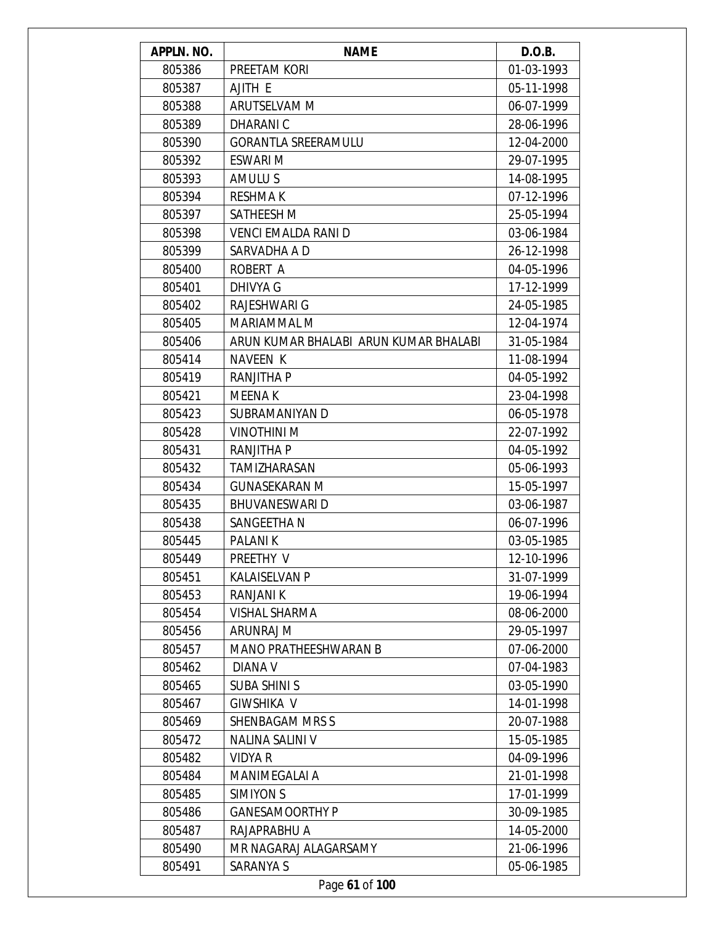| APPLN. NO. | <b>NAME</b>                           | D.O.B.     |
|------------|---------------------------------------|------------|
| 805386     | PREETAM KORI                          | 01-03-1993 |
| 805387     | AJITH E                               | 05-11-1998 |
| 805388     | <b>ARUTSELVAM M</b>                   | 06-07-1999 |
| 805389     | DHARANI C                             | 28-06-1996 |
| 805390     | <b>GORANTLA SREERAMULU</b>            | 12-04-2000 |
| 805392     | <b>ESWARI M</b>                       | 29-07-1995 |
| 805393     | AMULU S                               | 14-08-1995 |
| 805394     | <b>RESHMAK</b>                        | 07-12-1996 |
| 805397     | SATHEESH M                            | 25-05-1994 |
| 805398     | VENCI EMALDA RANI D                   | 03-06-1984 |
| 805399     | SARVADHA A D                          | 26-12-1998 |
| 805400     | ROBERT A                              | 04-05-1996 |
| 805401     | DHIVYA G                              | 17-12-1999 |
| 805402     | RAJESHWARI G                          | 24-05-1985 |
| 805405     | MARIAMMAL M                           | 12-04-1974 |
| 805406     | ARUN KUMAR BHALABI ARUN KUMAR BHALABI | 31-05-1984 |
| 805414     | NAVEEN K                              | 11-08-1994 |
| 805419     | <b>RANJITHA P</b>                     | 04-05-1992 |
| 805421     | MEENA K                               | 23-04-1998 |
| 805423     | SUBRAMANIYAN D                        | 06-05-1978 |
| 805428     | <b>VINOTHINI M</b>                    | 22-07-1992 |
| 805431     | RANJITHA P                            | 04-05-1992 |
| 805432     | TAMIZHARASAN                          | 05-06-1993 |
| 805434     | <b>GUNASEKARAN M</b>                  | 15-05-1997 |
| 805435     | <b>BHUVANESWARI D</b>                 | 03-06-1987 |
| 805438     | SANGEETHA N                           | 06-07-1996 |
| 805445     | <b>PALANIK</b>                        | 03-05-1985 |
| 805449     | PREETHY V                             | 12-10-1996 |
| 805451     | <b>KALAISELVAN P</b>                  | 31-07-1999 |
| 805453     | RANJANI K                             | 19-06-1994 |
| 805454     | VISHAL SHARMA                         | 08-06-2000 |
| 805456     | ARUNRAJ M                             | 29-05-1997 |
| 805457     | <b>MANO PRATHEESHWARAN B</b>          | 07-06-2000 |
| 805462     | DIANA V                               | 07-04-1983 |
| 805465     | <b>SUBA SHINI S</b>                   | 03-05-1990 |
| 805467     | <b>GIWSHIKA V</b>                     | 14-01-1998 |
| 805469     | <b>SHENBAGAM MRS S</b>                | 20-07-1988 |
| 805472     | NALINA SALINI V                       | 15-05-1985 |
| 805482     | <b>VIDYA R</b>                        | 04-09-1996 |
| 805484     | MANIMEGALAI A                         | 21-01-1998 |
| 805485     | SIMIYON S                             | 17-01-1999 |
| 805486     | <b>GANESAMOORTHY P</b>                | 30-09-1985 |
| 805487     | RAJAPRABHU A                          | 14-05-2000 |
| 805490     | MR NAGARAJ ALAGARSAMY                 | 21-06-1996 |
| 805491     | SARANYA S                             | 05-06-1985 |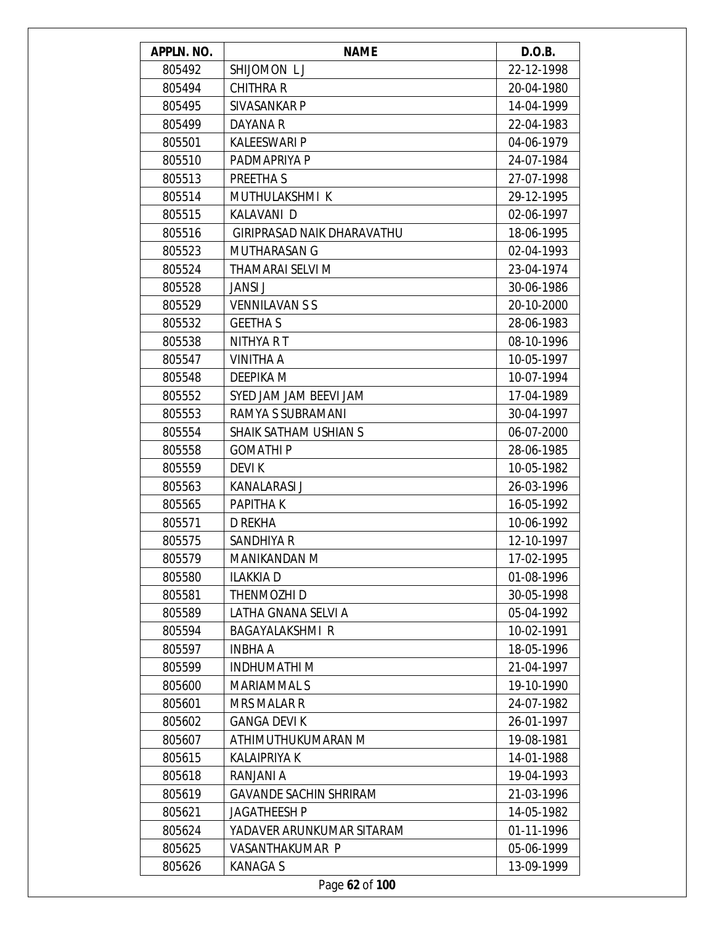| APPLN. NO. | <b>NAME</b>                   | D.O.B.     |
|------------|-------------------------------|------------|
| 805492     | SHIJOMON LJ                   | 22-12-1998 |
| 805494     | <b>CHITHRA R</b>              | 20-04-1980 |
| 805495     | SIVASANKAR P                  | 14-04-1999 |
| 805499     | DAYANA R                      | 22-04-1983 |
| 805501     | <b>KALEESWARI P</b>           | 04-06-1979 |
| 805510     | PADMAPRIYA P                  | 24-07-1984 |
| 805513     | PREETHA S                     | 27-07-1998 |
| 805514     | MUTHULAKSHMI K                | 29-12-1995 |
| 805515     | KALAVANI D                    | 02-06-1997 |
| 805516     | GIRIPRASAD NAIK DHARAVATHU    | 18-06-1995 |
| 805523     | <b>MUTHARASAN G</b>           | 02-04-1993 |
| 805524     | THAMARAI SELVI M              | 23-04-1974 |
| 805528     | <b>JANSI J</b>                | 30-06-1986 |
| 805529     | <b>VENNILAVAN S S</b>         | 20-10-2000 |
| 805532     | <b>GEETHA S</b>               | 28-06-1983 |
| 805538     | NITHYA R T                    | 08-10-1996 |
| 805547     | VINITHA A                     | 10-05-1997 |
| 805548     | DEEPIKA M                     | 10-07-1994 |
| 805552     | SYED JAM JAM BEEVI JAM        | 17-04-1989 |
| 805553     | RAMYA S SUBRAMANI             | 30-04-1997 |
| 805554     | SHAIK SATHAM USHIAN S         | 06-07-2000 |
| 805558     | <b>GOMATHIP</b>               | 28-06-1985 |
| 805559     | <b>DEVIK</b>                  | 10-05-1982 |
| 805563     | <b>KANALARASI J</b>           | 26-03-1996 |
| 805565     | PAPITHA K                     | 16-05-1992 |
| 805571     | D REKHA                       | 10-06-1992 |
| 805575     | SANDHIYA R                    | 12-10-1997 |
| 805579     | MANIKANDAN M                  | 17-02-1995 |
| 805580     | ILAKKIA D                     | 01-08-1996 |
| 805581     | THENMOZHI D                   | 30-05-1998 |
| 805589     | LATHA GNANA SELVI A           | 05-04-1992 |
| 805594     | <b>BAGAYALAKSHMI R</b>        | 10-02-1991 |
| 805597     | <b>INBHA A</b>                | 18-05-1996 |
| 805599     | <b>INDHUMATHI M</b>           | 21-04-1997 |
| 805600     | <b>MARIAMMALS</b>             | 19-10-1990 |
| 805601     | <b>MRS MALAR R</b>            | 24-07-1982 |
| 805602     | <b>GANGA DEVIK</b>            | 26-01-1997 |
| 805607     | ATHIMUTHUKUMARAN M            | 19-08-1981 |
| 805615     | KALAIPRIYA K                  | 14-01-1988 |
| 805618     | RANJANI A                     | 19-04-1993 |
| 805619     | <b>GAVANDE SACHIN SHRIRAM</b> | 21-03-1996 |
| 805621     | <b>JAGATHEESH P</b>           | 14-05-1982 |
| 805624     | YADAVER ARUNKUMAR SITARAM     | 01-11-1996 |
| 805625     | VASANTHAKUMAR P               | 05-06-1999 |
| 805626     | <b>KANAGAS</b>                | 13-09-1999 |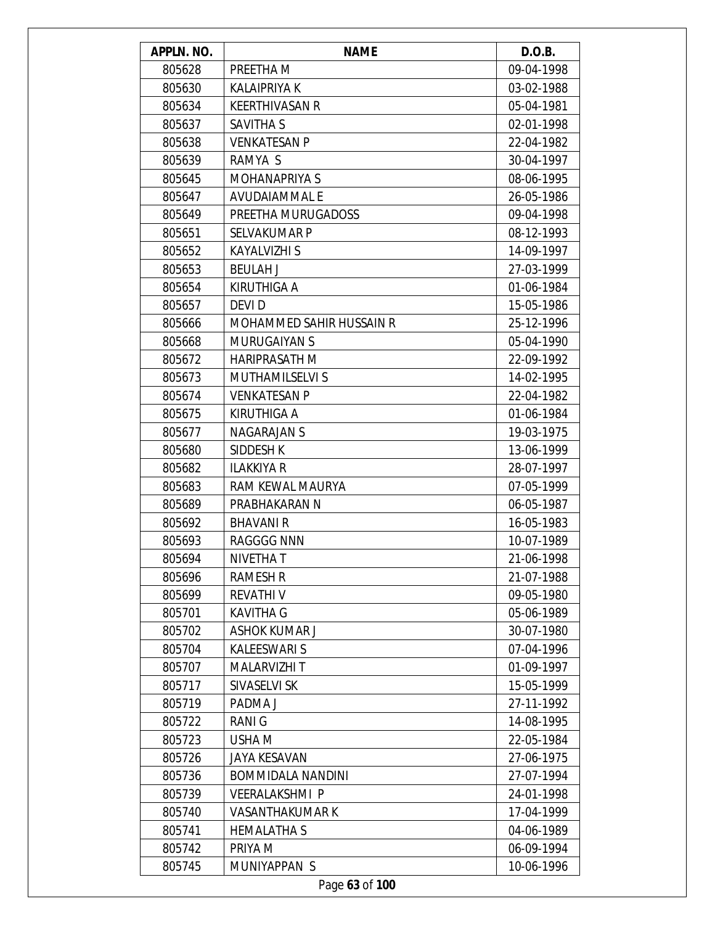| APPLN. NO. | <b>NAME</b>                     | D.O.B.     |
|------------|---------------------------------|------------|
| 805628     | PREETHA M                       | 09-04-1998 |
| 805630     | <b>KALAIPRIYA K</b>             | 03-02-1988 |
| 805634     | <b>KEERTHIVASAN R</b>           | 05-04-1981 |
| 805637     | <b>SAVITHA S</b>                | 02-01-1998 |
| 805638     | <b>VENKATESAN P</b>             | 22-04-1982 |
| 805639     | RAMYA S                         | 30-04-1997 |
| 805645     | <b>MOHANAPRIYA S</b>            | 08-06-1995 |
| 805647     | <b>AVUDAIAMMAL E</b>            | 26-05-1986 |
| 805649     | PREETHA MURUGADOSS              | 09-04-1998 |
| 805651     | <b>SELVAKUMAR P</b>             | 08-12-1993 |
| 805652     | <b>KAYALVIZHI S</b>             | 14-09-1997 |
| 805653     | <b>BEULAH J</b>                 | 27-03-1999 |
| 805654     | <b>KIRUTHIGA A</b>              | 01-06-1984 |
| 805657     | DEVI D                          | 15-05-1986 |
| 805666     | <b>MOHAMMED SAHIR HUSSAIN R</b> | 25-12-1996 |
| 805668     | <b>MURUGAIYAN S</b>             | 05-04-1990 |
| 805672     | <b>HARIPRASATH M</b>            | 22-09-1992 |
| 805673     | <b>MUTHAMILSELVI S</b>          | 14-02-1995 |
| 805674     | <b>VENKATESAN P</b>             | 22-04-1982 |
| 805675     | <b>KIRUTHIGA A</b>              | 01-06-1984 |
| 805677     | <b>NAGARAJAN S</b>              | 19-03-1975 |
| 805680     | SIDDESH K                       | 13-06-1999 |
| 805682     | <b>ILAKKIYA R</b>               | 28-07-1997 |
| 805683     | RAM KEWAL MAURYA                | 07-05-1999 |
| 805689     | PRABHAKARAN N                   | 06-05-1987 |
| 805692     | <b>BHAVANI R</b>                | 16-05-1983 |
| 805693     | <b>RAGGGG NNN</b>               | 10-07-1989 |
| 805694     | NIVETHA T                       | 21-06-1998 |
| 805696     | RAMESH R                        | 21-07-1988 |
| 805699     | <b>REVATHIV</b>                 | 09-05-1980 |
| 805701     | <b>KAVITHA G</b>                | 05-06-1989 |
| 805702     | <b>ASHOK KUMAR J</b>            | 30-07-1980 |
| 805704     | <b>KALEESWARI S</b>             | 07-04-1996 |
| 805707     | MALARVIZHI T                    | 01-09-1997 |
| 805717     | SIVASELVI SK                    | 15-05-1999 |
| 805719     | PADMA J                         | 27-11-1992 |
| 805722     | <b>RANIG</b>                    | 14-08-1995 |
| 805723     | USHA M                          | 22-05-1984 |
| 805726     | <b>JAYA KESAVAN</b>             | 27-06-1975 |
| 805736     | <b>BOMMIDALA NANDINI</b>        | 27-07-1994 |
| 805739     | <b>VEERALAKSHMI P</b>           | 24-01-1998 |
| 805740     | <b>VASANTHAKUMAR K</b>          | 17-04-1999 |
| 805741     | <b>HEMALATHA S</b>              | 04-06-1989 |
| 805742     | PRIYA M                         | 06-09-1994 |
| 805745     | MUNIYAPPAN S                    | 10-06-1996 |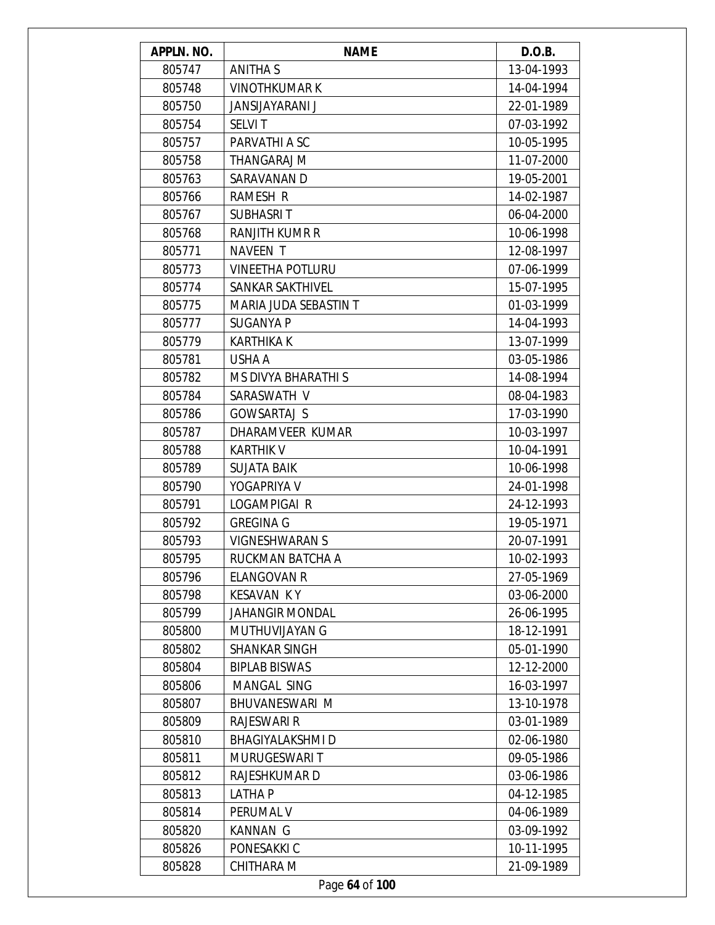| APPLN. NO. | <b>NAME</b>                | D.O.B.     |
|------------|----------------------------|------------|
| 805747     | <b>ANITHAS</b>             | 13-04-1993 |
| 805748     | <b>VINOTHKUMAR K</b>       | 14-04-1994 |
| 805750     | JANSIJAYARANI J            | 22-01-1989 |
| 805754     | <b>SELVIT</b>              | 07-03-1992 |
| 805757     | PARVATHI A SC              | 10-05-1995 |
| 805758     | THANGARAJ M                | 11-07-2000 |
| 805763     | SARAVANAN D                | 19-05-2001 |
| 805766     | <b>RAMESH R</b>            | 14-02-1987 |
| 805767     | <b>SUBHASRIT</b>           | 06-04-2000 |
| 805768     | RANJITH KUMR R             | 10-06-1998 |
| 805771     | <b>NAVEEN T</b>            | 12-08-1997 |
| 805773     | <b>VINEETHA POTLURU</b>    | 07-06-1999 |
| 805774     | <b>SANKAR SAKTHIVEL</b>    | 15-07-1995 |
| 805775     | MARIA JUDA SEBASTIN T      | 01-03-1999 |
| 805777     | <b>SUGANYA P</b>           | 14-04-1993 |
| 805779     | <b>KARTHIKA K</b>          | 13-07-1999 |
| 805781     | USHA A                     | 03-05-1986 |
| 805782     | <b>MS DIVYA BHARATHI S</b> | 14-08-1994 |
| 805784     | SARASWATH V                | 08-04-1983 |
| 805786     | <b>GOWSARTAJ S</b>         | 17-03-1990 |
| 805787     | DHARAMVEER KUMAR           | 10-03-1997 |
| 805788     | <b>KARTHIK V</b>           | 10-04-1991 |
| 805789     | <b>SUJATA BAIK</b>         | 10-06-1998 |
| 805790     | YOGAPRIYA V                | 24-01-1998 |
| 805791     | LOGAMPIGAI R               | 24-12-1993 |
| 805792     | <b>GREGINA G</b>           | 19-05-1971 |
| 805793     | <b>VIGNESHWARAN S</b>      | 20-07-1991 |
| 805795     | RUCKMAN BATCHA A           | 10-02-1993 |
| 805796     | ELANGOVAN R                | 27-05-1969 |
| 805798     | <b>KESAVAN KY</b>          | 03-06-2000 |
| 805799     | <b>JAHANGIR MONDAL</b>     | 26-06-1995 |
| 805800     | MUTHUVIJAYAN G             | 18-12-1991 |
| 805802     | <b>SHANKAR SINGH</b>       | 05-01-1990 |
| 805804     | <b>BIPLAB BISWAS</b>       | 12-12-2000 |
| 805806     | MANGAL SING                | 16-03-1997 |
| 805807     | BHUVANESWARI M             | 13-10-1978 |
| 805809     | <b>RAJESWARI R</b>         | 03-01-1989 |
| 805810     | <b>BHAGIYALAKSHMI D</b>    | 02-06-1980 |
| 805811     | <b>MURUGESWARIT</b>        | 09-05-1986 |
| 805812     | RAJESHKUMAR D              | 03-06-1986 |
| 805813     | LATHA P                    | 04-12-1985 |
| 805814     | PERUMAL V                  | 04-06-1989 |
| 805820     | <b>KANNAN G</b>            | 03-09-1992 |
| 805826     | PONESAKKI C                | 10-11-1995 |
| 805828     | CHITHARA M                 | 21-09-1989 |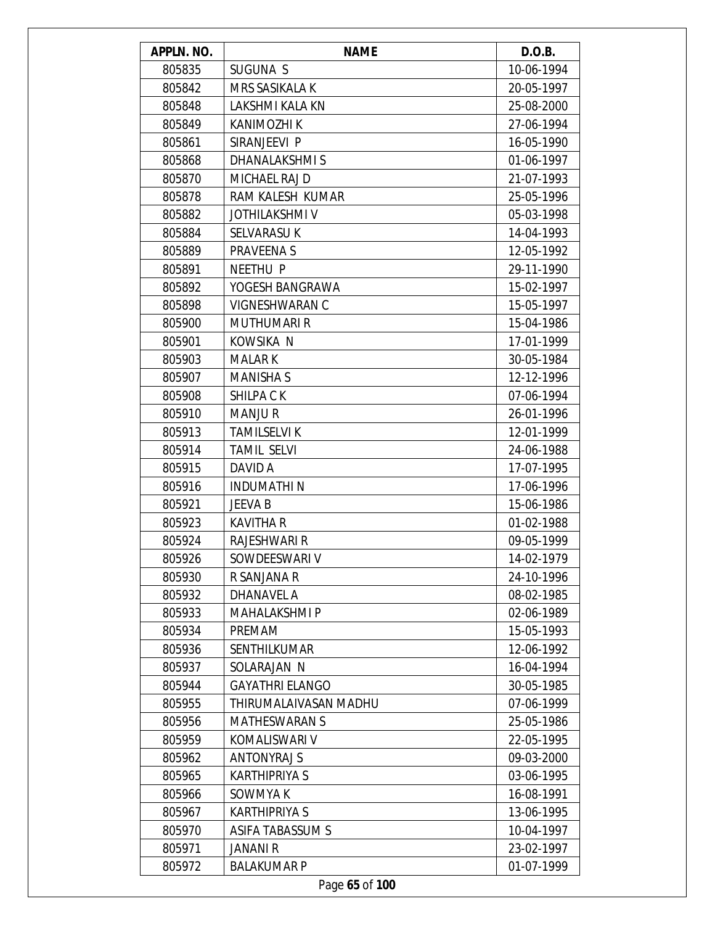| APPLN. NO. | <b>NAME</b>            | D.O.B.     |
|------------|------------------------|------------|
| 805835     | SUGUNA S               | 10-06-1994 |
| 805842     | <b>MRS SASIKALA K</b>  | 20-05-1997 |
| 805848     | LAKSHMI KALA KN        | 25-08-2000 |
| 805849     | KANIMOZHI K            | 27-06-1994 |
| 805861     | SIRANJEEVI P           | 16-05-1990 |
| 805868     | DHANALAKSHMIS          | 01-06-1997 |
| 805870     | MICHAEL RAJ D          | 21-07-1993 |
| 805878     | RAM KALESH KUMAR       | 25-05-1996 |
| 805882     | <b>JOTHILAKSHMI V</b>  | 05-03-1998 |
| 805884     | <b>SELVARASU K</b>     | 14-04-1993 |
| 805889     | <b>PRAVEENAS</b>       | 12-05-1992 |
| 805891     | <b>NEETHU P</b>        | 29-11-1990 |
| 805892     | YOGESH BANGRAWA        | 15-02-1997 |
| 805898     | <b>VIGNESHWARAN C</b>  | 15-05-1997 |
| 805900     | <b>MUTHUMARI R</b>     | 15-04-1986 |
| 805901     | KOWSIKA N              | 17-01-1999 |
| 805903     | <b>MALAR K</b>         | 30-05-1984 |
| 805907     | <b>MANISHA S</b>       | 12-12-1996 |
| 805908     | <b>SHILPACK</b>        | 07-06-1994 |
| 805910     | <b>MANJUR</b>          | 26-01-1996 |
| 805913     | <b>TAMILSELVI K</b>    | 12-01-1999 |
| 805914     | <b>TAMIL SELVI</b>     | 24-06-1988 |
| 805915     | DAVID A                | 17-07-1995 |
| 805916     | INDUMATHI N            | 17-06-1996 |
| 805921     | JEEVA B                | 15-06-1986 |
| 805923     | <b>KAVITHA R</b>       | 01-02-1988 |
| 805924     | <b>RAJESHWARI R</b>    | 09-05-1999 |
| 805926     | SOWDEESWARI V          | 14-02-1979 |
| 805930     | R SANJANA R            | 24-10-1996 |
| 805932     | DHANAVEL A             | 08-02-1985 |
| 805933     | <b>MAHALAKSHMI P</b>   | 02-06-1989 |
| 805934     | PREMAM                 | 15-05-1993 |
| 805936     | <b>SENTHILKUMAR</b>    | 12-06-1992 |
| 805937     | SOLARAJAN N            | 16-04-1994 |
| 805944     | <b>GAYATHRI ELANGO</b> | 30-05-1985 |
| 805955     | THIRUMALAIVASAN MADHU  | 07-06-1999 |
| 805956     | <b>MATHESWARAN S</b>   | 25-05-1986 |
| 805959     | KOMALISWARI V          | 22-05-1995 |
| 805962     | <b>ANTONYRAJ S</b>     | 09-03-2000 |
| 805965     | <b>KARTHIPRIYA S</b>   | 03-06-1995 |
| 805966     | SOWMYA K               | 16-08-1991 |
| 805967     | <b>KARTHIPRIYA S</b>   | 13-06-1995 |
| 805970     | ASIFA TABASSUM S       | 10-04-1997 |
| 805971     | <b>JANANI R</b>        | 23-02-1997 |
| 805972     | <b>BALAKUMAR P</b>     | 01-07-1999 |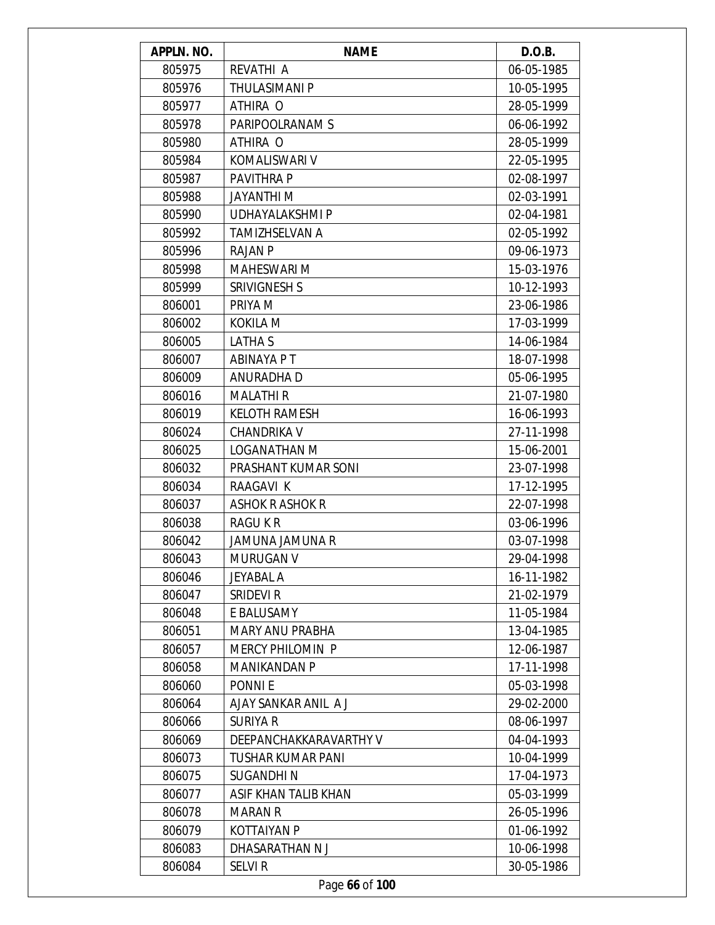| APPLN. NO. | <b>NAME</b>             | D.O.B.     |
|------------|-------------------------|------------|
| 805975     | REVATHI A               | 06-05-1985 |
| 805976     | <b>THULASIMANI P</b>    | 10-05-1995 |
| 805977     | ATHIRA O                | 28-05-1999 |
| 805978     | PARIPOOLRANAM S         | 06-06-1992 |
| 805980     | ATHIRA O                | 28-05-1999 |
| 805984     | KOMALISWARI V           | 22-05-1995 |
| 805987     | PAVITHRA P              | 02-08-1997 |
| 805988     | JAYANTHI M              | 02-03-1991 |
| 805990     | UDHAYALAKSHMI P         | 02-04-1981 |
| 805992     | TAMIZHSELVAN A          | 02-05-1992 |
| 805996     | <b>RAJAN P</b>          | 09-06-1973 |
| 805998     | <b>MAHESWARI M</b>      | 15-03-1976 |
| 805999     | SRIVIGNESH S            | 10-12-1993 |
| 806001     | PRIYA M                 | 23-06-1986 |
| 806002     | KOKILA M                | 17-03-1999 |
| 806005     | LATHA S                 | 14-06-1984 |
| 806007     | ABINAYA P T             | 18-07-1998 |
| 806009     | ANURADHA D              | 05-06-1995 |
| 806016     | <b>MALATHIR</b>         | 21-07-1980 |
| 806019     | <b>KELOTH RAMESH</b>    | 16-06-1993 |
| 806024     | <b>CHANDRIKA V</b>      | 27-11-1998 |
| 806025     | LOGANATHAN M            | 15-06-2001 |
| 806032     | PRASHANT KUMAR SONI     | 23-07-1998 |
| 806034     | RAAGAVI K               | 17-12-1995 |
| 806037     | <b>ASHOK R ASHOK R</b>  | 22-07-1998 |
| 806038     | RAGU K R                | 03-06-1996 |
| 806042     | JAMUNA JAMUNA R         | 03-07-1998 |
| 806043     | MURUGAN V               | 29-04-1998 |
| 806046     | JEYABAL A               | 16-11-1982 |
| 806047     | SRIDEVI R               | 21-02-1979 |
| 806048     | E BALUSAMY              | 11-05-1984 |
| 806051     | <b>MARY ANU PRABHA</b>  | 13-04-1985 |
| 806057     | <b>MERCY PHILOMIN P</b> | 12-06-1987 |
| 806058     | MANIKANDAN P            | 17-11-1998 |
| 806060     | <b>PONNIE</b>           | 05-03-1998 |
| 806064     | AJAY SANKAR ANIL A J    | 29-02-2000 |
| 806066     | <b>SURIYA R</b>         | 08-06-1997 |
| 806069     | DEEPANCHAKKARAVARTHY V  | 04-04-1993 |
| 806073     | TUSHAR KUMAR PANI       | 10-04-1999 |
| 806075     | SUGANDHI N              | 17-04-1973 |
| 806077     | ASIF KHAN TALIB KHAN    | 05-03-1999 |
| 806078     | <b>MARAN R</b>          | 26-05-1996 |
| 806079     | <b>KOTTAIYAN P</b>      | 01-06-1992 |
| 806083     | DHASARATHAN N J         | 10-06-1998 |
| 806084     | <b>SELVIR</b>           | 30-05-1986 |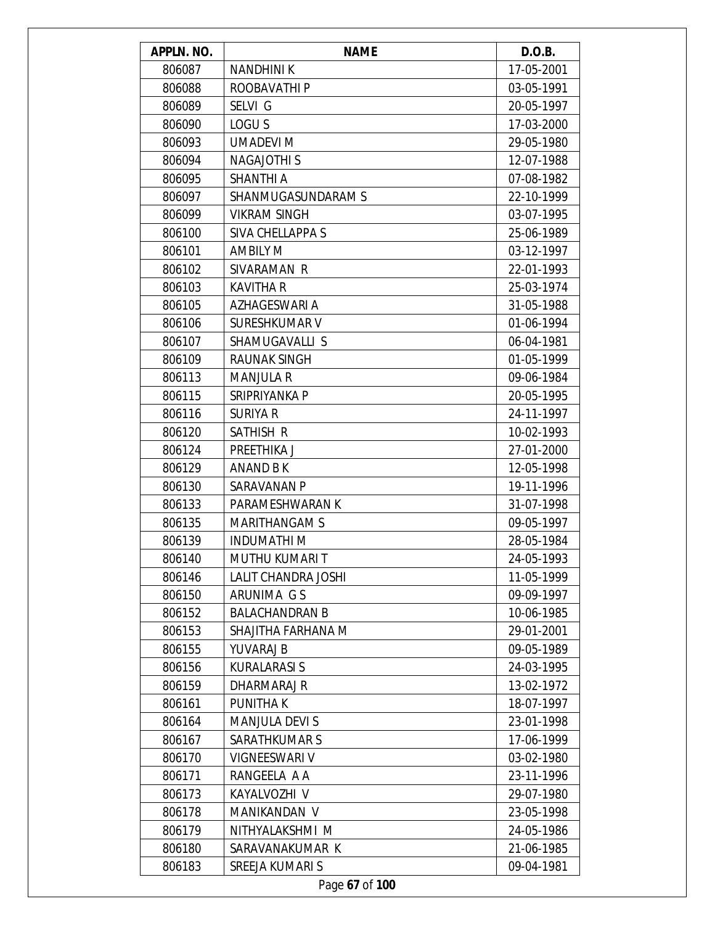| APPLN. NO. | <b>NAME</b>           | D.O.B.     |
|------------|-----------------------|------------|
| 806087     | <b>NANDHINIK</b>      | 17-05-2001 |
| 806088     | ROOBAVATHI P          | 03-05-1991 |
| 806089     | SELVI G               | 20-05-1997 |
| 806090     | LOGU <sub>S</sub>     | 17-03-2000 |
| 806093     | <b>UMADEVI M</b>      | 29-05-1980 |
| 806094     | <b>NAGAJOTHIS</b>     | 12-07-1988 |
| 806095     | <b>SHANTHI A</b>      | 07-08-1982 |
| 806097     | SHANMUGASUNDARAM S    | 22-10-1999 |
| 806099     | <b>VIKRAM SINGH</b>   | 03-07-1995 |
| 806100     | SIVA CHELLAPPA S      | 25-06-1989 |
| 806101     | <b>AMBILY M</b>       | 03-12-1997 |
| 806102     | SIVARAMAN R           | 22-01-1993 |
| 806103     | <b>KAVITHA R</b>      | 25-03-1974 |
| 806105     | AZHAGESWARI A         | 31-05-1988 |
| 806106     | <b>SURESHKUMAR V</b>  | 01-06-1994 |
| 806107     | SHAMUGAVALLI S        | 06-04-1981 |
| 806109     | <b>RAUNAK SINGH</b>   | 01-05-1999 |
| 806113     | <b>MANJULA R</b>      | 09-06-1984 |
| 806115     | SRIPRIYANKA P         | 20-05-1995 |
| 806116     | <b>SURIYA R</b>       | 24-11-1997 |
| 806120     | SATHISH R             | 10-02-1993 |
| 806124     | PREETHIKA J           | 27-01-2000 |
| 806129     | ANAND B K             | 12-05-1998 |
| 806130     | SARAVANAN P           | 19-11-1996 |
| 806133     | PARAMESHWARAN K       | 31-07-1998 |
| 806135     | <b>MARITHANGAM S</b>  | 09-05-1997 |
| 806139     | <b>INDUMATHI M</b>    | 28-05-1984 |
| 806140     | MUTHU KUMARI T        | 24-05-1993 |
| 806146     | LALIT CHANDRA JOSHI   | 11-05-1999 |
| 806150     | ARUNIMA G S           | 09-09-1997 |
| 806152     | <b>BALACHANDRAN B</b> | 10-06-1985 |
| 806153     | SHAJITHA FARHANA M    | 29-01-2001 |
| 806155     | <b>YUVARAJ B</b>      | 09-05-1989 |
| 806156     | <b>KURALARASI S</b>   | 24-03-1995 |
| 806159     | DHARMARAJ R           | 13-02-1972 |
| 806161     | <b>PUNITHAK</b>       | 18-07-1997 |
| 806164     | <b>MANJULA DEVIS</b>  | 23-01-1998 |
| 806167     | <b>SARATHKUMAR S</b>  | 17-06-1999 |
| 806170     | VIGNEESWARI V         | 03-02-1980 |
| 806171     | RANGEELA A A          | 23-11-1996 |
| 806173     | KAYALVOZHI V          | 29-07-1980 |
| 806178     | MANIKANDAN V          | 23-05-1998 |
| 806179     | NITHYALAKSHMI M       | 24-05-1986 |
| 806180     | SARAVANAKUMAR K       | 21-06-1985 |
| 806183     | SREEJA KUMARI S       | 09-04-1981 |
|            | Page 67 of 100        |            |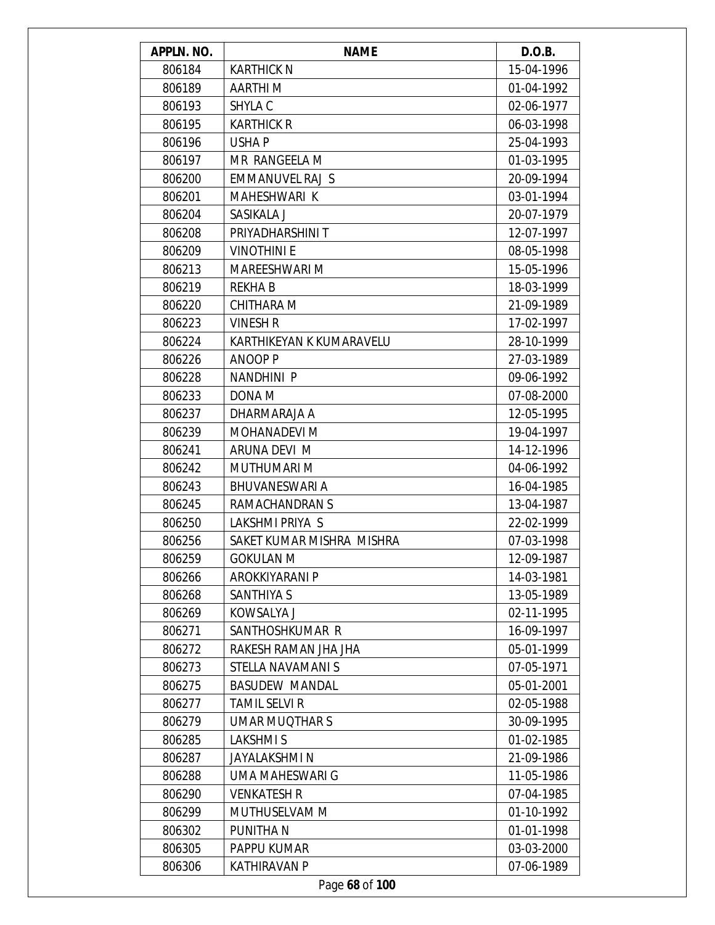| APPLN. NO. | <b>NAME</b>               | D.O.B.     |
|------------|---------------------------|------------|
| 806184     | <b>KARTHICK N</b>         | 15-04-1996 |
| 806189     | AARTHI M                  | 01-04-1992 |
| 806193     | SHYLA C                   | 02-06-1977 |
| 806195     | <b>KARTHICK R</b>         | 06-03-1998 |
| 806196     | USHA P                    | 25-04-1993 |
| 806197     | MR RANGEELA M             | 01-03-1995 |
| 806200     | EMMANUVEL RAJ S           | 20-09-1994 |
| 806201     | MAHESHWARI K              | 03-01-1994 |
| 806204     | SASIKALA J                | 20-07-1979 |
| 806208     | PRIYADHARSHINI T          | 12-07-1997 |
| 806209     | <b>VINOTHINI E</b>        | 08-05-1998 |
| 806213     | MAREESHWARI M             | 15-05-1996 |
| 806219     | <b>REKHAB</b>             | 18-03-1999 |
| 806220     | CHITHARA M                | 21-09-1989 |
| 806223     | <b>VINESH R</b>           | 17-02-1997 |
| 806224     | KARTHIKEYAN K KUMARAVELU  | 28-10-1999 |
| 806226     | <b>ANOOP P</b>            | 27-03-1989 |
| 806228     | NANDHINI P                | 09-06-1992 |
| 806233     | DONA M                    | 07-08-2000 |
| 806237     | DHARMARAJA A              | 12-05-1995 |
| 806239     | <b>MOHANADEVI M</b>       | 19-04-1997 |
| 806241     | ARUNA DEVI M              | 14-12-1996 |
| 806242     | <b>MUTHUMARI M</b>        | 04-06-1992 |
| 806243     | <b>BHUVANESWARI A</b>     | 16-04-1985 |
| 806245     | RAMACHANDRAN S            | 13-04-1987 |
| 806250     | LAKSHMI PRIYA S           | 22-02-1999 |
| 806256     | SAKET KUMAR MISHRA MISHRA | 07-03-1998 |
| 806259     | GOKULAN M                 | 12-09-1987 |
| 806266     | AROKKIYARANI P            | 14-03-1981 |
| 806268     | <b>SANTHIYA S</b>         | 13-05-1989 |
| 806269     | KOWSALYA J                | 02-11-1995 |
| 806271     | SANTHOSHKUMAR R           | 16-09-1997 |
| 806272     | RAKESH RAMAN JHA JHA      | 05-01-1999 |
| 806273     | STELLA NAVAMANI S         | 07-05-1971 |
| 806275     | <b>BASUDEW MANDAL</b>     | 05-01-2001 |
| 806277     | <b>TAMIL SELVI R</b>      | 02-05-1988 |
| 806279     | UMAR MUQTHAR S            | 30-09-1995 |
| 806285     | <b>LAKSHMIS</b>           | 01-02-1985 |
| 806287     | JAYALAKSHMI N             | 21-09-1986 |
| 806288     | UMA MAHESWARI G           | 11-05-1986 |
| 806290     | <b>VENKATESH R</b>        | 07-04-1985 |
| 806299     | MUTHUSELVAM M             | 01-10-1992 |
| 806302     | PUNITHA N                 | 01-01-1998 |
| 806305     | PAPPU KUMAR               | 03-03-2000 |
| 806306     | <b>KATHIRAVAN P</b>       | 07-06-1989 |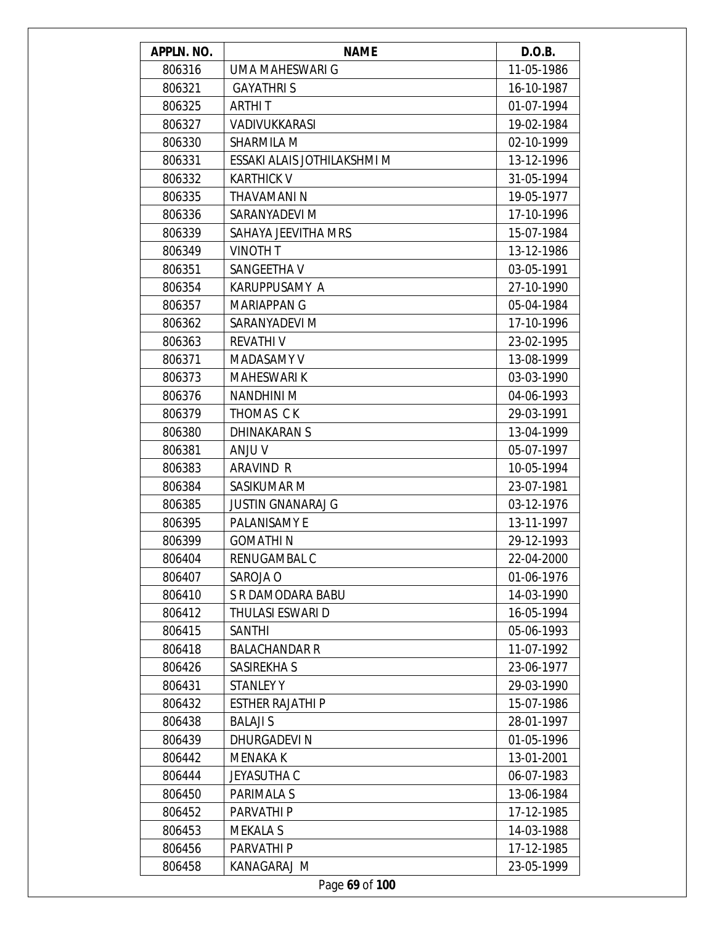| APPLN. NO. | <b>NAME</b>                 | D.O.B.     |
|------------|-----------------------------|------------|
| 806316     | UMA MAHESWARI G             | 11-05-1986 |
| 806321     | <b>GAYATHRIS</b>            | 16-10-1987 |
| 806325     | <b>ARTHIT</b>               | 01-07-1994 |
| 806327     | VADIVUKKARASI               | 19-02-1984 |
| 806330     | <b>SHARMILA M</b>           | 02-10-1999 |
| 806331     | ESSAKI ALAIS JOTHILAKSHMI M | 13-12-1996 |
| 806332     | <b>KARTHICK V</b>           | 31-05-1994 |
| 806335     | THAVAMANI N                 | 19-05-1977 |
| 806336     | SARANYADEVI M               | 17-10-1996 |
| 806339     | SAHAYA JEEVITHA MRS         | 15-07-1984 |
| 806349     | <b>VINOTH T</b>             | 13-12-1986 |
| 806351     | SANGEETHA V                 | 03-05-1991 |
| 806354     | KARUPPUSAMY A               | 27-10-1990 |
| 806357     | <b>MARIAPPAN G</b>          | 05-04-1984 |
| 806362     | SARANYADEVI M               | 17-10-1996 |
| 806363     | <b>REVATHIV</b>             | 23-02-1995 |
| 806371     | MADASAMY V                  | 13-08-1999 |
| 806373     | <b>MAHESWARI K</b>          | 03-03-1990 |
| 806376     | <b>NANDHINI M</b>           | 04-06-1993 |
| 806379     | THOMAS CK                   | 29-03-1991 |
| 806380     | <b>DHINAKARAN S</b>         | 13-04-1999 |
| 806381     | ANJU V                      | 05-07-1997 |
| 806383     | ARAVIND R                   | 10-05-1994 |
| 806384     | SASIKUMAR M                 | 23-07-1981 |
| 806385     | <b>JUSTIN GNANARAJ G</b>    | 03-12-1976 |
| 806395     | <b>PALANISAMY E</b>         | 13-11-1997 |
| 806399     | <b>GOMATHIN</b>             | 29-12-1993 |
| 806404     | RENUGAMBAL C                | 22-04-2000 |
| 806407     | SAROJA O                    | 01-06-1976 |
| 806410     | S R DAMODARA BABU           | 14-03-1990 |
| 806412     | THULASI ESWARI D            | 16-05-1994 |
| 806415     | <b>SANTHI</b>               | 05-06-1993 |
| 806418     | <b>BALACHANDAR R</b>        | 11-07-1992 |
| 806426     | SASIREKHA S                 | 23-06-1977 |
| 806431     | <b>STANLEY Y</b>            | 29-03-1990 |
| 806432     | <b>ESTHER RAJATHI P</b>     | 15-07-1986 |
| 806438     | <b>BALAJI S</b>             | 28-01-1997 |
| 806439     | DHURGADEVI N                | 01-05-1996 |
| 806442     | MENAKA K                    | 13-01-2001 |
| 806444     | <b>JEYASUTHA C</b>          | 06-07-1983 |
| 806450     | PARIMALA S                  | 13-06-1984 |
| 806452     | PARVATHI P                  | 17-12-1985 |
| 806453     | <b>MEKALA S</b>             | 14-03-1988 |
| 806456     | PARVATHI P                  | 17-12-1985 |
| 806458     | KANAGARAJ M                 | 23-05-1999 |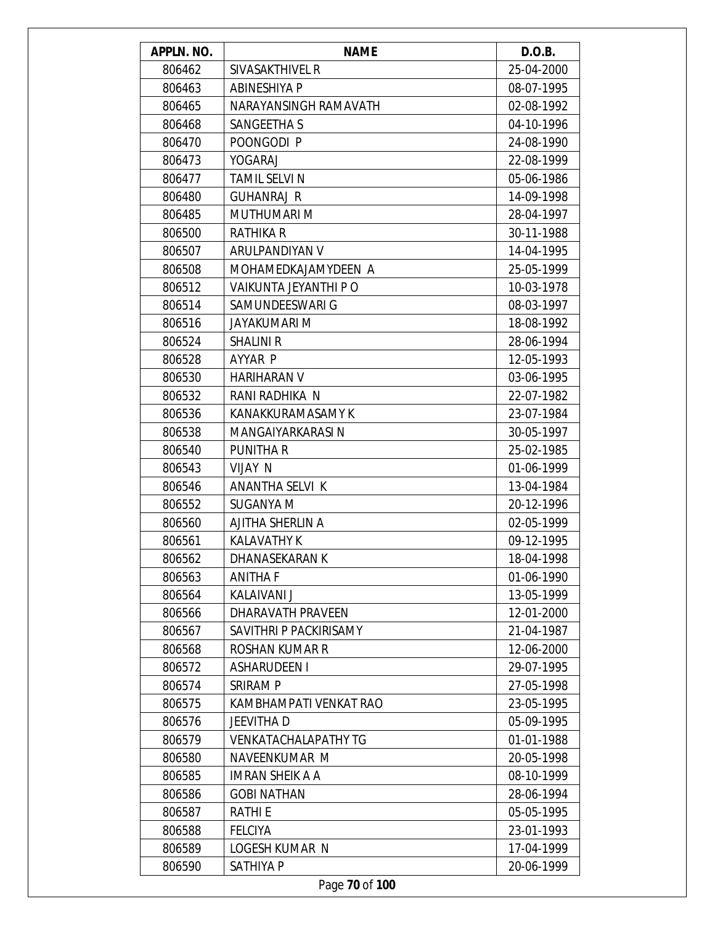| APPLN. NO. | <b>NAME</b>                 | D.O.B.     |
|------------|-----------------------------|------------|
| 806462     | SIVASAKTHIVEL R             | 25-04-2000 |
| 806463     | <b>ABINESHIYA P</b>         | 08-07-1995 |
| 806465     | NARAYANSINGH RAMAVATH       | 02-08-1992 |
| 806468     | SANGEETHA S                 | 04-10-1996 |
| 806470     | POONGODI P                  | 24-08-1990 |
| 806473     | YOGARAJ                     | 22-08-1999 |
| 806477     | <b>TAMIL SELVI N</b>        | 05-06-1986 |
| 806480     | <b>GUHANRAJ R</b>           | 14-09-1998 |
| 806485     | MUTHUMARI M                 | 28-04-1997 |
| 806500     | <b>RATHIKA R</b>            | 30-11-1988 |
| 806507     | ARULPANDIYAN V              | 14-04-1995 |
| 806508     | MOHAMEDKAJAMYDEEN A         | 25-05-1999 |
| 806512     | VAIKUNTA JEYANTHI P O       | 10-03-1978 |
| 806514     | SAMUNDEESWARI G             | 08-03-1997 |
| 806516     | <b>JAYAKUMARI M</b>         | 18-08-1992 |
| 806524     | <b>SHALINI R</b>            | 28-06-1994 |
| 806528     | AYYAR P                     | 12-05-1993 |
| 806530     | HARIHARAN V                 | 03-06-1995 |
| 806532     | RANI RADHIKA N              | 22-07-1982 |
| 806536     | KANAKKURAMASAMY K           | 23-07-1984 |
| 806538     | MANGAIYARKARASI N           | 30-05-1997 |
| 806540     | <b>PUNITHAR</b>             | 25-02-1985 |
| 806543     | <b>VIJAY N</b>              | 01-06-1999 |
| 806546     | ANANTHA SELVI K             | 13-04-1984 |
| 806552     | SUGANYA M                   | 20-12-1996 |
| 806560     | AJITHA SHERLIN A            | 02-05-1999 |
| 806561     | KALAVATHY K                 | 09-12-1995 |
| 806562     | DHANASEKARAN K              | 18-04-1998 |
| 806563     | <b>ANITHA F</b>             | 01-06-1990 |
| 806564     | <b>KALAIVANI J</b>          | 13-05-1999 |
| 806566     | DHARAVATH PRAVEEN           | 12-01-2000 |
| 806567     | SAVITHRI P PACKIRISAMY      | 21-04-1987 |
| 806568     | <b>ROSHAN KUMAR R</b>       | 12-06-2000 |
| 806572     | ASHARUDEEN I                | 29-07-1995 |
| 806574     | <b>SRIRAM P</b>             | 27-05-1998 |
| 806575     | KAMBHAMPATI VENKAT RAO      | 23-05-1995 |
| 806576     | <b>JEEVITHAD</b>            | 05-09-1995 |
| 806579     | <b>VENKATACHALAPATHY TG</b> | 01-01-1988 |
| 806580     | NAVEENKUMAR M               | 20-05-1998 |
| 806585     | <b>IMRAN SHEIK A A</b>      | 08-10-1999 |
| 806586     | <b>GOBI NATHAN</b>          | 28-06-1994 |
| 806587     | <b>RATHIE</b>               | 05-05-1995 |
| 806588     | <b>FELCIYA</b>              | 23-01-1993 |
| 806589     | LOGESH KUMAR N              | 17-04-1999 |
| 806590     | SATHIYA P                   | 20-06-1999 |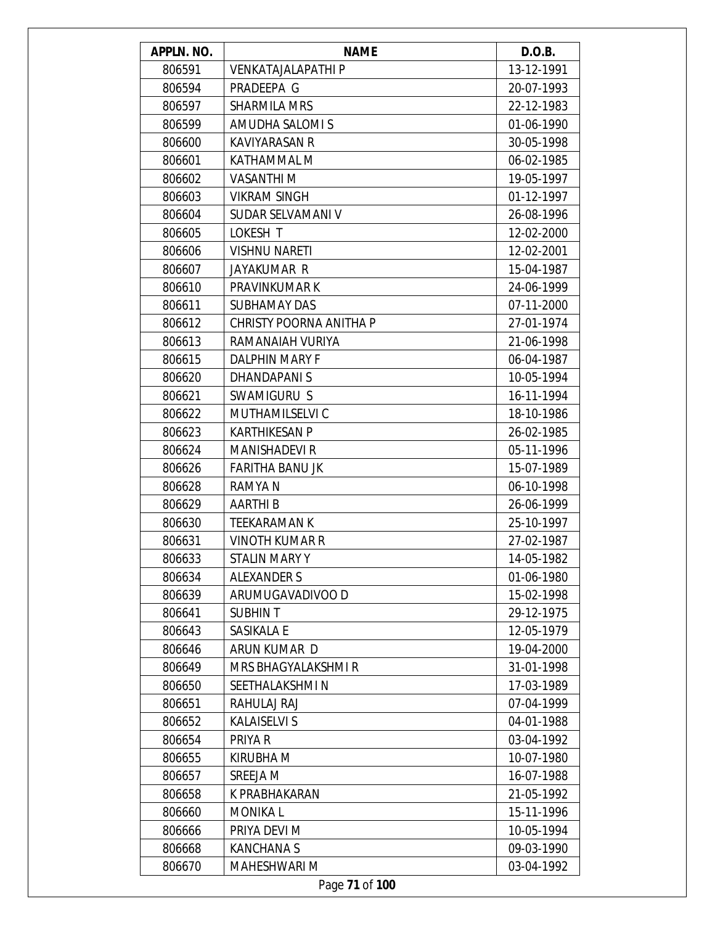| APPLN. NO. | <b>NAME</b>                | D.O.B.     |
|------------|----------------------------|------------|
| 806591     | <b>VENKATAJALAPATHI P</b>  | 13-12-1991 |
| 806594     | PRADEEPA G                 | 20-07-1993 |
| 806597     | <b>SHARMILA MRS</b>        | 22-12-1983 |
| 806599     | AMUDHA SALOMI S            | 01-06-1990 |
| 806600     | <b>KAVIYARASAN R</b>       | 30-05-1998 |
| 806601     | KATHAMMAL M                | 06-02-1985 |
| 806602     | <b>VASANTHIM</b>           | 19-05-1997 |
| 806603     | <b>VIKRAM SINGH</b>        | 01-12-1997 |
| 806604     | SUDAR SELVAMANI V          | 26-08-1996 |
| 806605     | LOKESH T                   | 12-02-2000 |
| 806606     | <b>VISHNU NARETI</b>       | 12-02-2001 |
| 806607     | JAYAKUMAR R                | 15-04-1987 |
| 806610     | PRAVINKUMAR K              | 24-06-1999 |
| 806611     | SUBHAMAY DAS               | 07-11-2000 |
| 806612     | CHRISTY POORNA ANITHA P    | 27-01-1974 |
| 806613     | RAMANAIAH VURIYA           | 21-06-1998 |
| 806615     | <b>DALPHIN MARY F</b>      | 06-04-1987 |
| 806620     | <b>DHANDAPANIS</b>         | 10-05-1994 |
| 806621     | SWAMIGURU S                | 16-11-1994 |
| 806622     | MUTHAMILSELVI C            | 18-10-1986 |
| 806623     | <b>KARTHIKESAN P</b>       | 26-02-1985 |
| 806624     | <b>MANISHADEVI R</b>       | 05-11-1996 |
| 806626     | <b>FARITHA BANU JK</b>     | 15-07-1989 |
| 806628     | RAMYA N                    | 06-10-1998 |
| 806629     | <b>AARTHIB</b>             | 26-06-1999 |
| 806630     | <b>TEEKARAMAN K</b>        | 25-10-1997 |
| 806631     | <b>VINOTH KUMAR R</b>      | 27-02-1987 |
| 806633     | STALIN MARY Y              | 14-05-1982 |
| 806634     | ALEXANDER S                | 01-06-1980 |
| 806639     | ARUMUGAVADIVOO D           | 15-02-1998 |
| 806641     | <b>SUBHINT</b>             | 29-12-1975 |
| 806643     | SASIKALA E                 | 12-05-1979 |
| 806646     | ARUN KUMAR D               | 19-04-2000 |
| 806649     | <b>MRS BHAGYALAKSHMI R</b> | 31-01-1998 |
| 806650     | SEETHALAKSHMIN             | 17-03-1989 |
| 806651     | RAHULAJ RAJ                | 07-04-1999 |
| 806652     | <b>KALAISELVI S</b>        | 04-01-1988 |
| 806654     | PRIYA R                    | 03-04-1992 |
| 806655     | KIRUBHA M                  | 10-07-1980 |
| 806657     | SREEJA M                   | 16-07-1988 |
| 806658     | K PRABHAKARAN              | 21-05-1992 |
| 806660     | <b>MONIKAL</b>             | 15-11-1996 |
| 806666     | PRIYA DEVI M               | 10-05-1994 |
| 806668     | <b>KANCHANAS</b>           | 09-03-1990 |
| 806670     | <b>MAHESHWARI M</b>        | 03-04-1992 |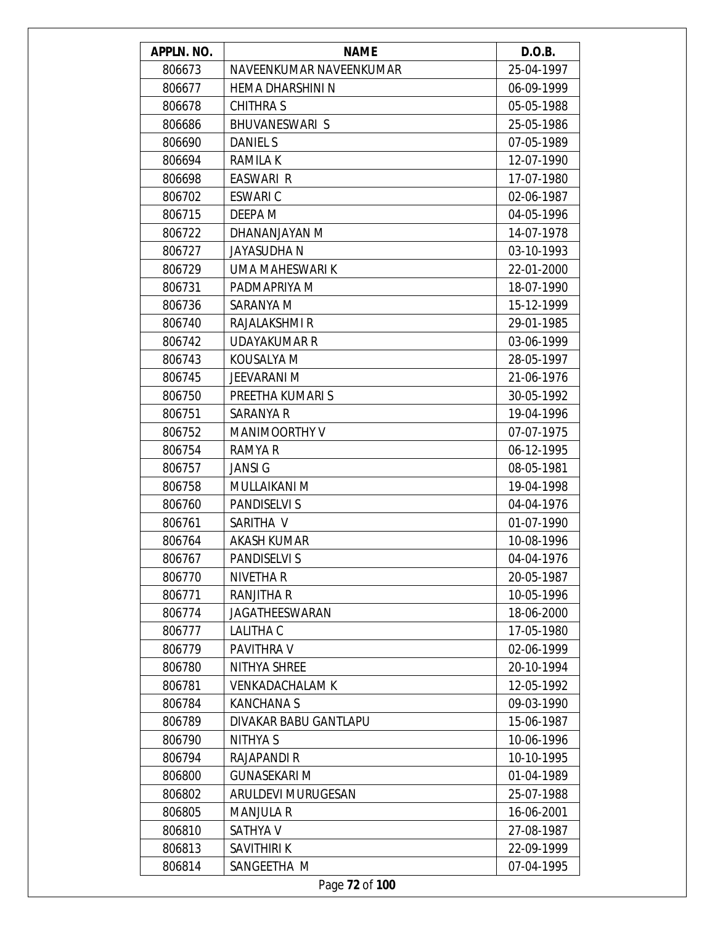| APPLN. NO. | <b>NAME</b>               | D.O.B.     |
|------------|---------------------------|------------|
| 806673     | NAVEENKUMAR NAVEENKUMAR   | 25-04-1997 |
| 806677     | HEMA DHARSHINI N          | 06-09-1999 |
| 806678     | <b>CHITHRAS</b>           | 05-05-1988 |
| 806686     | <b>BHUVANESWARI S</b>     | 25-05-1986 |
| 806690     | <b>DANIEL S</b>           | 07-05-1989 |
| 806694     | <b>RAMILAK</b>            | 12-07-1990 |
| 806698     | EASWARI R                 | 17-07-1980 |
| 806702     | <b>ESWARIC</b>            | 02-06-1987 |
| 806715     | DEEPA M                   | 04-05-1996 |
| 806722     | DHANANJAYAN M             | 14-07-1978 |
| 806727     | <b>JAYASUDHAN</b>         | 03-10-1993 |
| 806729     | UMA MAHESWARI K           | 22-01-2000 |
| 806731     | PADMAPRIYA M              | 18-07-1990 |
| 806736     | SARANYA M                 | 15-12-1999 |
| 806740     | RAJALAKSHMI R             | 29-01-1985 |
| 806742     | UDAYAKUMAR R              | 03-06-1999 |
| 806743     | KOUSALYA M                | 28-05-1997 |
| 806745     | JEEVARANI M               | 21-06-1976 |
| 806750     | PREETHA KUMARI S          | 30-05-1992 |
| 806751     | SARANYA R                 | 19-04-1996 |
| 806752     | <b>MANIMOORTHY V</b>      | 07-07-1975 |
| 806754     | RAMYA R                   | 06-12-1995 |
| 806757     | <b>JANSI G</b>            | 08-05-1981 |
| 806758     | MULLAIKANI M              | 19-04-1998 |
| 806760     | PANDISELVI S              | 04-04-1976 |
| 806761     | SARITHA V                 | 01-07-1990 |
| 806764     | AKASH KUMAR               | 10-08-1996 |
| 806767     | PANDISELVI S              | 04-04-1976 |
| 806770     | NIVETHA R                 | 20-05-1987 |
| 806771     | RANJITHA R                | 10-05-1996 |
| 806774     | JAGATHEESWARAN            | 18-06-2000 |
| 806777     | LALITHA C                 | 17-05-1980 |
| 806779     | PAVITHRA V                | 02-06-1999 |
| 806780     | NITHYA SHREE              | 20-10-1994 |
| 806781     | <b>VENKADACHALAM K</b>    | 12-05-1992 |
| 806784     | <b>KANCHANAS</b>          | 09-03-1990 |
| 806789     | DIVAKAR BABU GANTLAPU     | 15-06-1987 |
| 806790     | NITHYA S                  | 10-06-1996 |
| 806794     | RAJAPANDI R               | 10-10-1995 |
| 806800     | <b>GUNASEKARI M</b>       | 01-04-1989 |
| 806802     | <b>ARULDEVI MURUGESAN</b> | 25-07-1988 |
| 806805     | <b>MANJULA R</b>          | 16-06-2001 |
| 806810     | SATHYA V                  | 27-08-1987 |
| 806813     | SAVITHIRI K               | 22-09-1999 |
| 806814     | SANGEETHA M               | 07-04-1995 |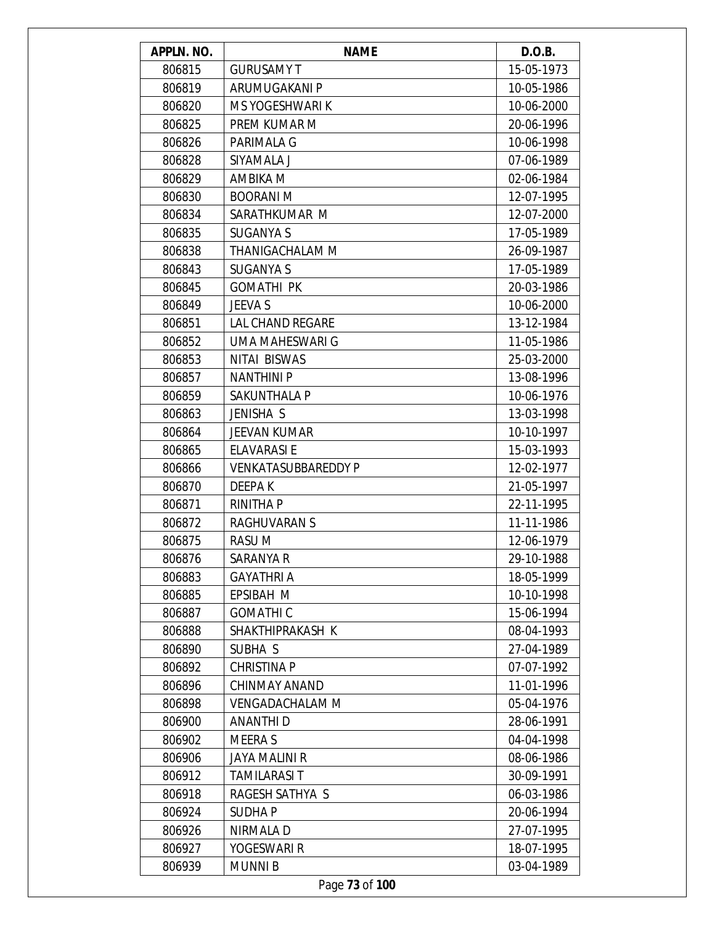| APPLN. NO. | <b>NAME</b>                | D.O.B.     |
|------------|----------------------------|------------|
| 806815     | <b>GURUSAMY T</b>          | 15-05-1973 |
| 806819     | ARUMUGAKANI P              | 10-05-1986 |
| 806820     | MS YOGESHWARI K            | 10-06-2000 |
| 806825     | PREM KUMAR M               | 20-06-1996 |
| 806826     | PARIMALA G                 | 10-06-1998 |
| 806828     | SIYAMALA J                 | 07-06-1989 |
| 806829     | AMBIKA M                   | 02-06-1984 |
| 806830     | <b>BOORANI M</b>           | 12-07-1995 |
| 806834     | SARATHKUMAR M              | 12-07-2000 |
| 806835     | <b>SUGANYA S</b>           | 17-05-1989 |
| 806838     | THANIGACHALAM M            | 26-09-1987 |
| 806843     | <b>SUGANYA S</b>           | 17-05-1989 |
| 806845     | <b>GOMATHI PK</b>          | 20-03-1986 |
| 806849     | JEEVA S                    | 10-06-2000 |
| 806851     | <b>LAL CHAND REGARE</b>    | 13-12-1984 |
| 806852     | UMA MAHESWARI G            | 11-05-1986 |
| 806853     | <b>NITAI BISWAS</b>        | 25-03-2000 |
| 806857     | <b>NANTHINI P</b>          | 13-08-1996 |
| 806859     | SAKUNTHALA P               | 10-06-1976 |
| 806863     | JENISHA S                  | 13-03-1998 |
| 806864     | <b>JEEVAN KUMAR</b>        | 10-10-1997 |
| 806865     | <b>ELAVARASI E</b>         | 15-03-1993 |
| 806866     | <b>VENKATASUBBAREDDY P</b> | 12-02-1977 |
| 806870     | DEEPA K                    | 21-05-1997 |
| 806871     | <b>RINITHA P</b>           | 22-11-1995 |
| 806872     | <b>RAGHUVARAN S</b>        | 11-11-1986 |
| 806875     | <b>RASUM</b>               | 12-06-1979 |
| 806876     | SARANYA R                  | 29-10-1988 |
| 806883     | <b>GAYATHRI A</b>          | 18-05-1999 |
| 806885     | EPSIBAH M                  | 10-10-1998 |
| 806887     | <b>GOMATHIC</b>            | 15-06-1994 |
| 806888     | SHAKTHIPRAKASH K           | 08-04-1993 |
| 806890     | SUBHA S                    | 27-04-1989 |
| 806892     | <b>CHRISTINA P</b>         | 07-07-1992 |
| 806896     | <b>CHINMAY ANAND</b>       | 11-01-1996 |
| 806898     | <b>VENGADACHALAM M</b>     | 05-04-1976 |
| 806900     | <b>ANANTHID</b>            | 28-06-1991 |
| 806902     | MEERA S                    | 04-04-1998 |
| 806906     | <b>JAYA MALINI R</b>       | 08-06-1986 |
| 806912     | <b>TAMILARASI T</b>        | 30-09-1991 |
| 806918     | RAGESH SATHYA S            | 06-03-1986 |
| 806924     | <b>SUDHAP</b>              | 20-06-1994 |
| 806926     | NIRMALA D                  | 27-07-1995 |
| 806927     | YOGESWARI R                | 18-07-1995 |
| 806939     | <b>MUNNIB</b>              | 03-04-1989 |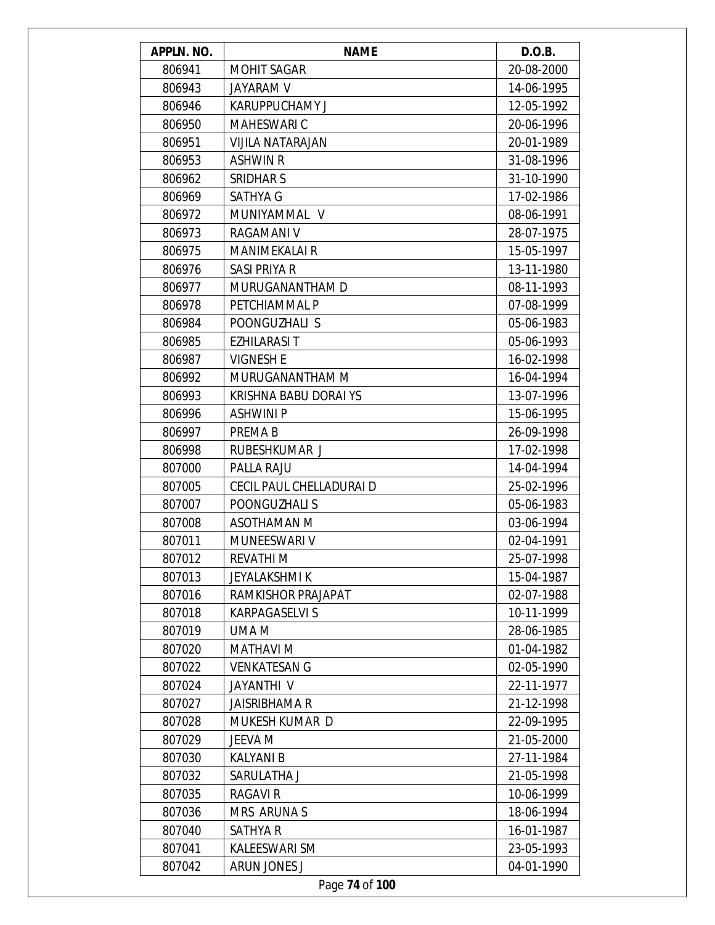| APPLN. NO. | <b>NAME</b>              | D.O.B.     |
|------------|--------------------------|------------|
| 806941     | <b>MOHIT SAGAR</b>       | 20-08-2000 |
| 806943     | <b>JAYARAM V</b>         | 14-06-1995 |
| 806946     | <b>KARUPPUCHAMY J</b>    | 12-05-1992 |
| 806950     | <b>MAHESWARI C</b>       | 20-06-1996 |
| 806951     | <b>VIJILA NATARAJAN</b>  | 20-01-1989 |
| 806953     | <b>ASHWIN R</b>          | 31-08-1996 |
| 806962     | SRIDHAR S                | 31-10-1990 |
| 806969     | <b>SATHYA G</b>          | 17-02-1986 |
| 806972     | MUNIYAMMAL V             | 08-06-1991 |
| 806973     | RAGAMANI V               | 28-07-1975 |
| 806975     | <b>MANIMEKALAI R</b>     | 15-05-1997 |
| 806976     | SASI PRIYA R             | 13-11-1980 |
| 806977     | MURUGANANTHAM D          | 08-11-1993 |
| 806978     | PETCHIAMMAL P            | 07-08-1999 |
| 806984     | POONGUZHALI S            | 05-06-1983 |
| 806985     | <b>EZHILARASI T</b>      | 05-06-1993 |
| 806987     | <b>VIGNESH E</b>         | 16-02-1998 |
| 806992     | MURUGANANTHAM M          | 16-04-1994 |
| 806993     | KRISHNA BABU DORAI YS    | 13-07-1996 |
| 806996     | <b>ASHWINI P</b>         | 15-06-1995 |
| 806997     | PREMA B                  | 26-09-1998 |
| 806998     | RUBESHKUMAR J            | 17-02-1998 |
| 807000     | PALLA RAJU               | 14-04-1994 |
| 807005     | CECIL PAUL CHELLADURAI D | 25-02-1996 |
| 807007     | POONGUZHALI S            | 05-06-1983 |
| 807008     | <b>ASOTHAMAN M</b>       | 03-06-1994 |
| 807011     | MUNEESWARI V             | 02-04-1991 |
| 807012     | REVATHI M                | 25-07-1998 |
| 807013     | <b>JEYALAKSHMI K</b>     | 15-04-1987 |
| 807016     | RAMKISHOR PRAJAPAT       | 02-07-1988 |
| 807018     | KARPAGASELVI S           | 10-11-1999 |
| 807019     | UMA M                    | 28-06-1985 |
| 807020     | <b>MATHAVI M</b>         | 01-04-1982 |
| 807022     | <b>VENKATESAN G</b>      | 02-05-1990 |
| 807024     | JAYANTHI V               | 22-11-1977 |
| 807027     | JAISRIBHAMA R            | 21-12-1998 |
|            |                          |            |
| 807028     | MUKESH KUMAR D           | 22-09-1995 |
| 807029     | JEEVA M                  | 21-05-2000 |
| 807030     | <b>KALYANI B</b>         | 27-11-1984 |
| 807032     | SARULATHA J              | 21-05-1998 |
| 807035     | RAGAVI R                 | 10-06-1999 |
| 807036     | MRS ARUNA S              | 18-06-1994 |
| 807040     | SATHYA R                 | 16-01-1987 |
| 807041     | KALEESWARI SM            | 23-05-1993 |
| 807042     | ARUN JONES J             | 04-01-1990 |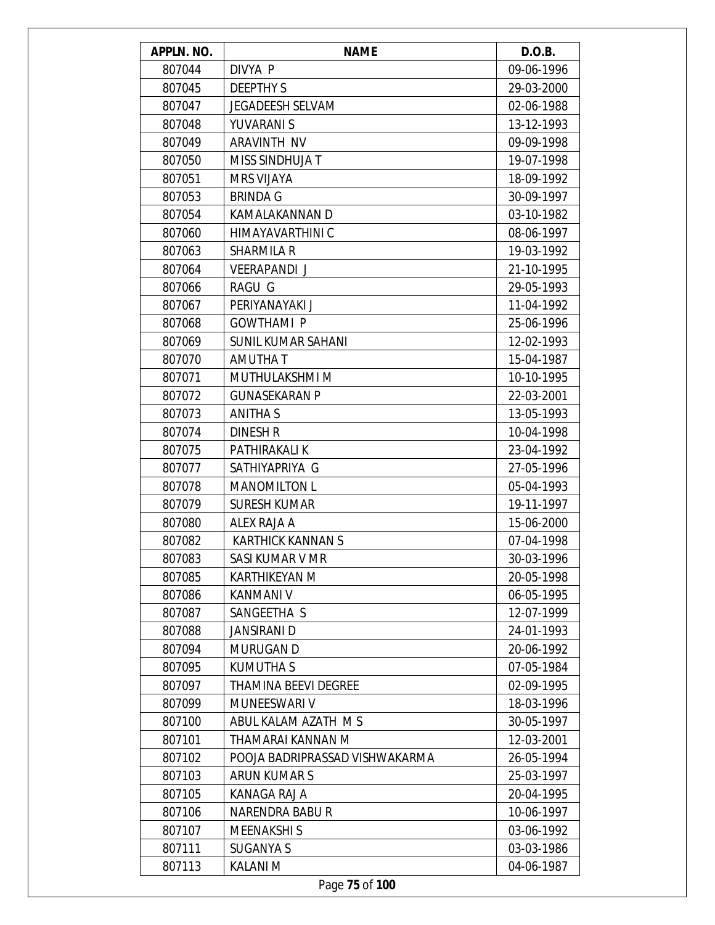| APPLN. NO. | <b>NAME</b>                    | D.O.B.     |
|------------|--------------------------------|------------|
| 807044     | DIVYA P                        | 09-06-1996 |
| 807045     | <b>DEEPTHY S</b>               | 29-03-2000 |
| 807047     | <b>JEGADEESH SELVAM</b>        | 02-06-1988 |
| 807048     | YUVARANI S                     | 13-12-1993 |
| 807049     | ARAVINTH NV                    | 09-09-1998 |
| 807050     | MISS SINDHUJA T                | 19-07-1998 |
| 807051     | <b>MRS VIJAYA</b>              | 18-09-1992 |
| 807053     | <b>BRINDA G</b>                | 30-09-1997 |
| 807054     | KAMALAKANNAN D                 | 03-10-1982 |
| 807060     | HIMAYAVARTHINI C               | 08-06-1997 |
| 807063     | <b>SHARMILA R</b>              | 19-03-1992 |
| 807064     | <b>VEERAPANDI J</b>            | 21-10-1995 |
| 807066     | <b>RAGU G</b>                  | 29-05-1993 |
| 807067     | PERIYANAYAKI J                 | 11-04-1992 |
| 807068     | <b>GOWTHAMI P</b>              | 25-06-1996 |
| 807069     | <b>SUNIL KUMAR SAHANI</b>      | 12-02-1993 |
| 807070     | AMUTHA T                       | 15-04-1987 |
| 807071     | MUTHULAKSHMI M                 | 10-10-1995 |
| 807072     | <b>GUNASEKARAN P</b>           | 22-03-2001 |
| 807073     | <b>ANITHA S</b>                | 13-05-1993 |
| 807074     | <b>DINESH R</b>                | 10-04-1998 |
| 807075     | PATHIRAKALI K                  | 23-04-1992 |
| 807077     | SATHIYAPRIYA G                 | 27-05-1996 |
| 807078     | <b>MANOMILTON L</b>            | 05-04-1993 |
| 807079     | <b>SURESH KUMAR</b>            | 19-11-1997 |
| 807080     | ALEX RAJA A                    | 15-06-2000 |
| 807082     | <b>KARTHICK KANNAN S</b>       | 07-04-1998 |
| 807083     | SASI KUMAR V MR                | 30-03-1996 |
| 807085     | KARTHIKEYAN M                  | 20-05-1998 |
| 807086     | <b>KANMANI V</b>               | 06-05-1995 |
| 807087     | SANGEETHA S                    | 12-07-1999 |
| 807088     | JANSIRANI D                    | 24-01-1993 |
| 807094     | <b>MURUGAN D</b>               | 20-06-1992 |
| 807095     | <b>KUMUTHA S</b>               | 07-05-1984 |
| 807097     | <b>THAMINA BEEVI DEGREE</b>    | 02-09-1995 |
| 807099     | <b>MUNEESWARI V</b>            | 18-03-1996 |
| 807100     | ABUL KALAM AZATH MS            | 30-05-1997 |
| 807101     | THAMARAI KANNAN M              | 12-03-2001 |
| 807102     | POOJA BADRIPRASSAD VISHWAKARMA | 26-05-1994 |
| 807103     | ARUN KUMAR S                   | 25-03-1997 |
| 807105     | KANAGA RAJ A                   | 20-04-1995 |
| 807106     | <b>NARENDRA BABUR</b>          | 10-06-1997 |
| 807107     | <b>MEENAKSHIS</b>              | 03-06-1992 |
| 807111     | <b>SUGANYA S</b>               | 03-03-1986 |
| 807113     | <b>KALANI M</b>                | 04-06-1987 |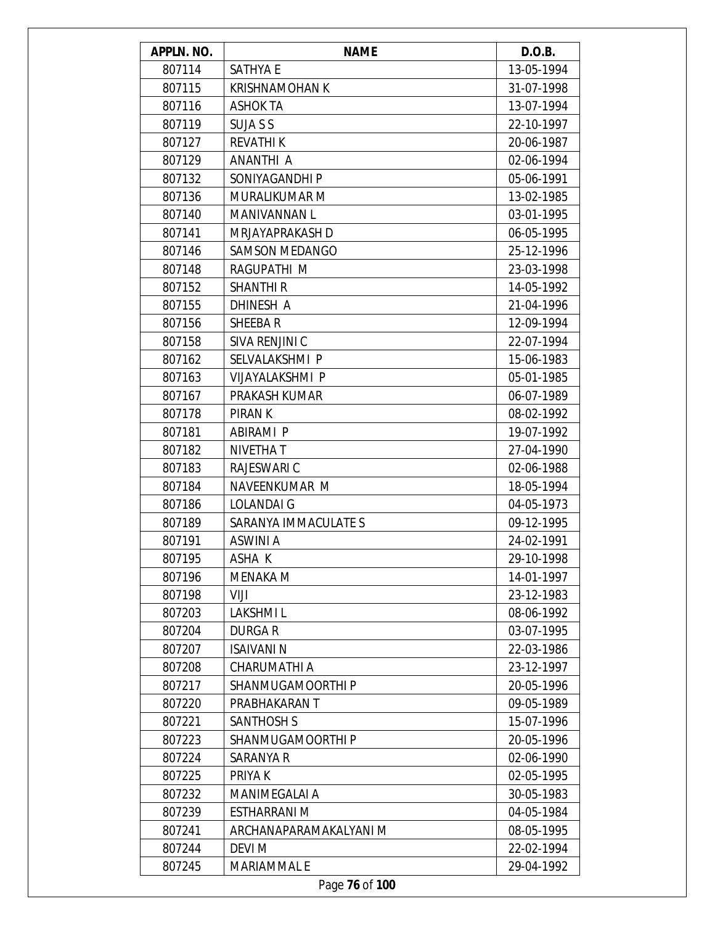| APPLN. NO. | <b>NAME</b>            | D.O.B.     |
|------------|------------------------|------------|
| 807114     | <b>SATHYA E</b>        | 13-05-1994 |
| 807115     | <b>KRISHNAMOHAN K</b>  | 31-07-1998 |
| 807116     | ASHOK TA               | 13-07-1994 |
| 807119     | <b>SUJA S S</b>        | 22-10-1997 |
| 807127     | <b>REVATHIK</b>        | 20-06-1987 |
| 807129     | ANANTHI A              | 02-06-1994 |
| 807132     | SONIYAGANDHI P         | 05-06-1991 |
| 807136     | MURALIKUMAR M          | 13-02-1985 |
| 807140     | MANIVANNAN L           | 03-01-1995 |
| 807141     | MRJAYAPRAKASH D        | 06-05-1995 |
| 807146     | <b>SAMSON MEDANGO</b>  | 25-12-1996 |
| 807148     | RAGUPATHI M            | 23-03-1998 |
| 807152     | <b>SHANTHI R</b>       | 14-05-1992 |
| 807155     | DHINESH A              | 21-04-1996 |
| 807156     | SHEEBAR                | 12-09-1994 |
| 807158     | SIVA RENJINI C         | 22-07-1994 |
| 807162     | SELVALAKSHMI P         | 15-06-1983 |
| 807163     | <b>VIJAYALAKSHMI P</b> | 05-01-1985 |
| 807167     | PRAKASH KUMAR          | 06-07-1989 |
| 807178     | PIRAN K                | 08-02-1992 |
| 807181     | ABIRAMI P              | 19-07-1992 |
| 807182     | <b>NIVETHAT</b>        | 27-04-1990 |
| 807183     | <b>RAJESWARI C</b>     | 02-06-1988 |
| 807184     | NAVEENKUMAR M          | 18-05-1994 |
| 807186     | <b>LOLANDAIG</b>       | 04-05-1973 |
| 807189     | SARANYA IMMACULATE S   | 09-12-1995 |
| 807191     | <b>ASWINI A</b>        | 24-02-1991 |
| 807195     | ASHA K                 | 29-10-1998 |
| 807196     | <b>MENAKA M</b>        | 14-01-1997 |
| 807198     | VIJI                   | 23-12-1983 |
| 807203     | <b>LAKSHMIL</b>        | 08-06-1992 |
| 807204     | <b>DURGAR</b>          | 03-07-1995 |
| 807207     | <b>ISAIVANI N</b>      | 22-03-1986 |
| 807208     | CHARUMATHI A           | 23-12-1997 |
| 807217     | SHANMUGAMOORTHI P      | 20-05-1996 |
| 807220     | PRABHAKARAN T          | 09-05-1989 |
| 807221     | <b>SANTHOSH S</b>      | 15-07-1996 |
| 807223     | SHANMUGAMOORTHI P      | 20-05-1996 |
| 807224     | SARANYA R              | 02-06-1990 |
| 807225     | PRIYA K                | 02-05-1995 |
| 807232     | <b>MANIMEGALAI A</b>   | 30-05-1983 |
| 807239     | <b>ESTHARRANI M</b>    | 04-05-1984 |
| 807241     | ARCHANAPARAMAKALYANI M | 08-05-1995 |
| 807244     | DEVI M                 | 22-02-1994 |
| 807245     | <b>MARIAMMAL E</b>     | 29-04-1992 |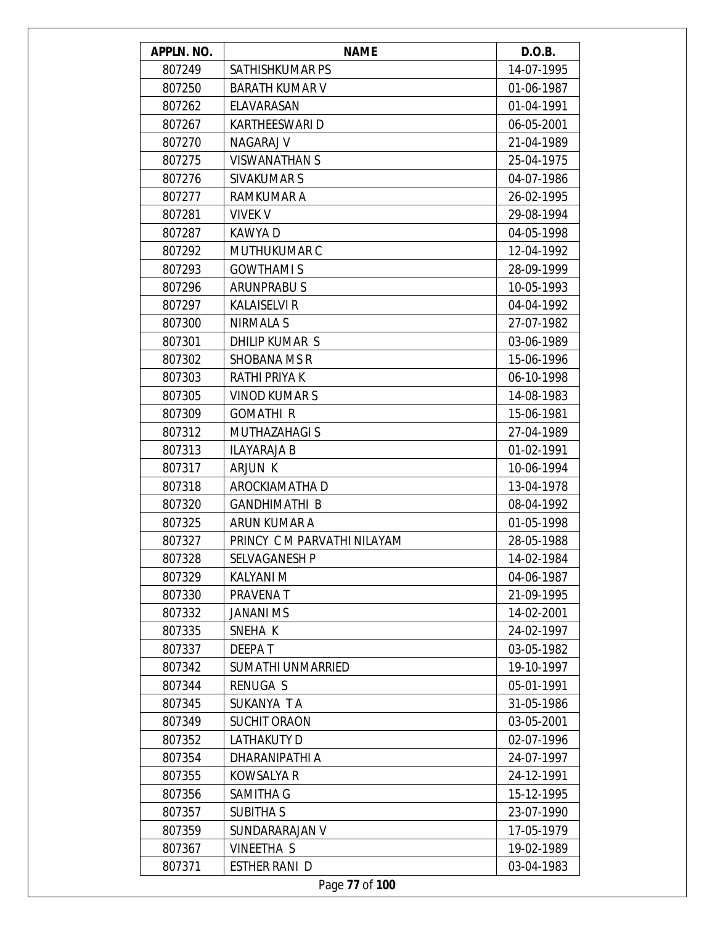| APPLN. NO. | <b>NAME</b>                 | D.O.B.     |
|------------|-----------------------------|------------|
| 807249     | SATHISHKUMAR PS             | 14-07-1995 |
| 807250     | <b>BARATH KUMAR V</b>       | 01-06-1987 |
| 807262     | ELAVARASAN                  | 01-04-1991 |
| 807267     | <b>KARTHEESWARI D</b>       | 06-05-2001 |
| 807270     | NAGARAJ V                   | 21-04-1989 |
| 807275     | <b>VISWANATHAN S</b>        | 25-04-1975 |
| 807276     | SIVAKUMAR S                 | 04-07-1986 |
| 807277     | RAMKUMAR A                  | 26-02-1995 |
| 807281     | <b>VIVEK V</b>              | 29-08-1994 |
| 807287     | KAWYA D                     | 04-05-1998 |
| 807292     | MUTHUKUMAR C                | 12-04-1992 |
| 807293     | <b>GOWTHAMIS</b>            | 28-09-1999 |
| 807296     | <b>ARUNPRABUS</b>           | 10-05-1993 |
| 807297     | <b>KALAISELVI R</b>         | 04-04-1992 |
| 807300     | NIRMALA S                   | 27-07-1982 |
| 807301     | <b>DHILIP KUMAR S</b>       | 03-06-1989 |
| 807302     | SHOBANA MS R                | 15-06-1996 |
| 807303     | RATHI PRIYA K               | 06-10-1998 |
| 807305     | <b>VINOD KUMARS</b>         | 14-08-1983 |
| 807309     | <b>GOMATHIR</b>             | 15-06-1981 |
| 807312     | <b>MUTHAZAHAGI S</b>        | 27-04-1989 |
| 807313     | <b>ILAYARAJA B</b>          | 01-02-1991 |
| 807317     | <b>ARJUN K</b>              | 10-06-1994 |
| 807318     | AROCKIAMATHA D              | 13-04-1978 |
| 807320     | <b>GANDHIMATHI B</b>        | 08-04-1992 |
| 807325     | ARUN KUMAR A                | 01-05-1998 |
| 807327     | PRINCY C M PARVATHI NILAYAM | 28-05-1988 |
| 807328     | SELVAGANESH P               | 14-02-1984 |
| 807329     | KALYANI M                   | 04-06-1987 |
| 807330     | PRAVENA T                   | 21-09-1995 |
| 807332     | <b>JANANI MS</b>            | 14-02-2001 |
| 807335     | SNEHA K                     | 24-02-1997 |
| 807337     | <b>DEEPAT</b>               | 03-05-1982 |
| 807342     | SUMATHI UNMARRIED           | 19-10-1997 |
| 807344     | <b>RENUGA S</b>             | 05-01-1991 |
| 807345     | SUKANYA TA                  | 31-05-1986 |
| 807349     | <b>SUCHIT ORAON</b>         | 03-05-2001 |
| 807352     | LATHAKUTY D                 | 02-07-1996 |
| 807354     | DHARANIPATHI A              | 24-07-1997 |
| 807355     | <b>KOWSALYA R</b>           | 24-12-1991 |
| 807356     | SAMITHA G                   | 15-12-1995 |
| 807357     | <b>SUBITHA S</b>            | 23-07-1990 |
| 807359     | SUNDARARAJAN V              | 17-05-1979 |
| 807367     | VINEETHA S                  | 19-02-1989 |
| 807371     | ESTHER RANI D               | 03-04-1983 |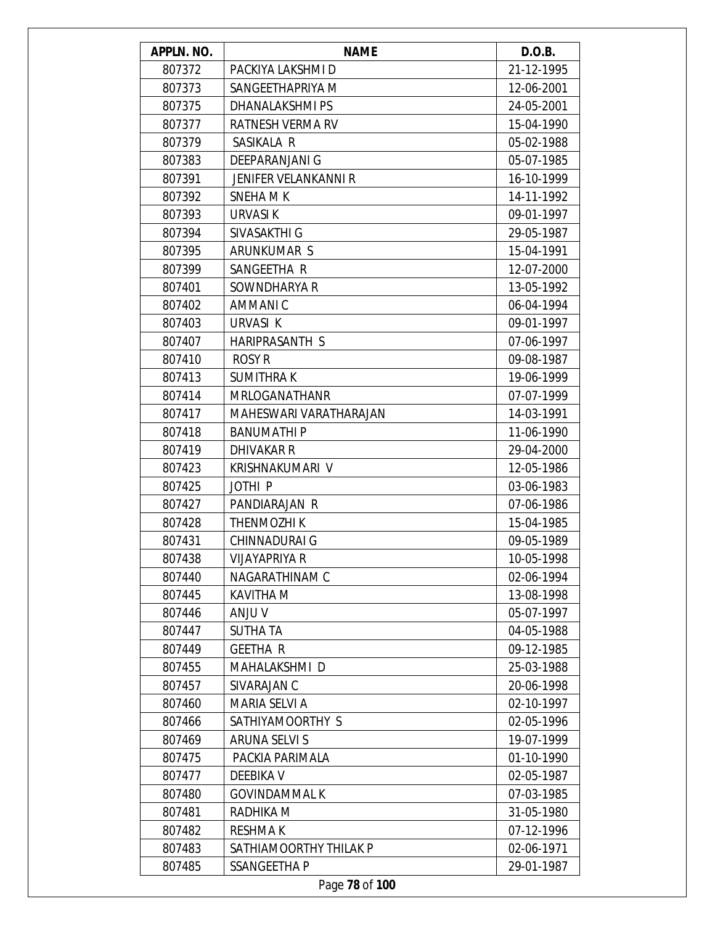| APPLN. NO. | <b>NAME</b>                 | D.O.B.     |
|------------|-----------------------------|------------|
| 807372     | PACKIYA LAKSHMI D           | 21-12-1995 |
| 807373     | SANGEETHAPRIYA M            | 12-06-2001 |
| 807375     | DHANALAKSHMI PS             | 24-05-2001 |
| 807377     | RATNESH VERMA RV            | 15-04-1990 |
| 807379     | SASIKALA R                  | 05-02-1988 |
| 807383     | <b>DEEPARANJANI G</b>       | 05-07-1985 |
| 807391     | <b>JENIFER VELANKANNI R</b> | 16-10-1999 |
| 807392     | SNEHA M K                   | 14-11-1992 |
| 807393     | URVASI K                    | 09-01-1997 |
| 807394     | SIVASAKTHI G                | 29-05-1987 |
| 807395     | ARUNKUMAR S                 | 15-04-1991 |
| 807399     | SANGEETHA R                 | 12-07-2000 |
| 807401     | SOWNDHARYA R                | 13-05-1992 |
| 807402     | AMMANIC                     | 06-04-1994 |
| 807403     | URVASI K                    | 09-01-1997 |
| 807407     | HARIPRASANTH S              | 07-06-1997 |
| 807410     | <b>ROSY R</b>               | 09-08-1987 |
| 807413     | <b>SUMITHRAK</b>            | 19-06-1999 |
| 807414     | <b>MRLOGANATHANR</b>        | 07-07-1999 |
| 807417     | MAHESWARI VARATHARAJAN      | 14-03-1991 |
| 807418     | <b>BANUMATHIP</b>           | 11-06-1990 |
| 807419     | DHIVAKAR R                  | 29-04-2000 |
| 807423     | KRISHNAKUMARI V             | 12-05-1986 |
| 807425     | JOTHI <sub>P</sub>          | 03-06-1983 |
| 807427     | PANDIARAJAN R               | 07-06-1986 |
| 807428     | <b>THENMOZHIK</b>           | 15-04-1985 |
| 807431     | <b>CHINNADURAI G</b>        | 09-05-1989 |
| 807438     | VIJAYAPRIYA R               | 10-05-1998 |
| 807440     | NAGARATHINAM C              | 02-06-1994 |
| 807445     | KAVITHA M                   | 13-08-1998 |
| 807446     | <b>ANJU V</b>               | 05-07-1997 |
| 807447     | <b>SUTHA TA</b>             | 04-05-1988 |
| 807449     | <b>GEETHA R</b>             | 09-12-1985 |
| 807455     | MAHALAKSHMI D               | 25-03-1988 |
| 807457     | SIVARAJAN C                 | 20-06-1998 |
| 807460     | <b>MARIA SELVI A</b>        | 02-10-1997 |
| 807466     | SATHIYAMOORTHY S            | 02-05-1996 |
| 807469     | <b>ARUNA SELVI S</b>        | 19-07-1999 |
| 807475     | PACKIA PARIMALA             | 01-10-1990 |
| 807477     | <b>DEEBIKA V</b>            | 02-05-1987 |
| 807480     | <b>GOVINDAMMAL K</b>        | 07-03-1985 |
| 807481     | RADHIKA M                   | 31-05-1980 |
| 807482     | <b>RESHMAK</b>              | 07-12-1996 |
| 807483     | SATHIAMOORTHY THILAK P      | 02-06-1971 |
| 807485     | SSANGEETHA P                | 29-01-1987 |
|            | Page 78 of 100              |            |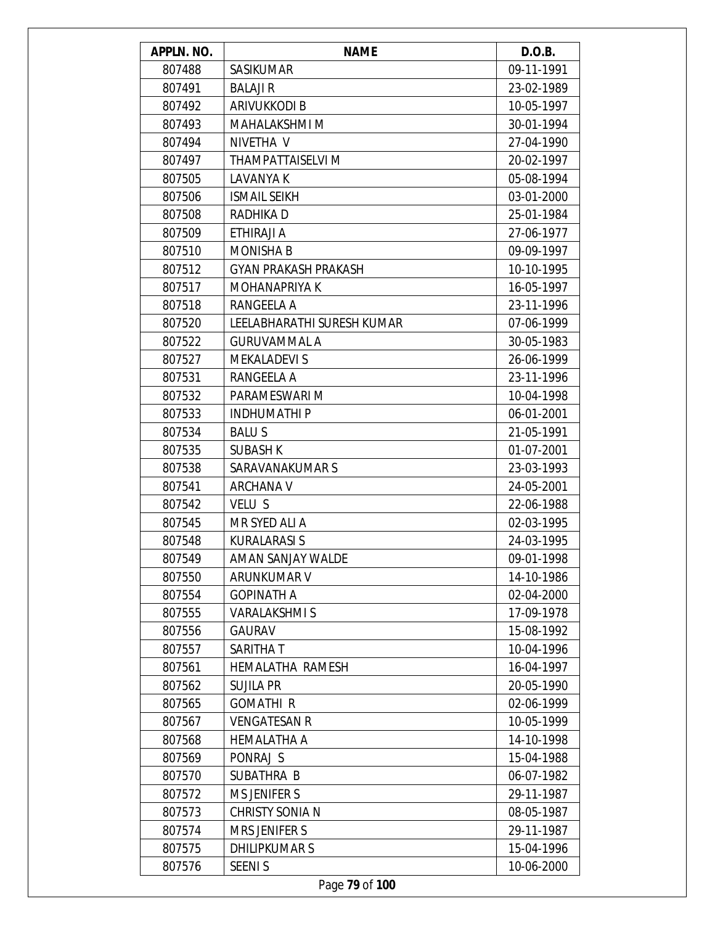| APPLN. NO. | <b>NAME</b>                 | D.O.B.     |
|------------|-----------------------------|------------|
| 807488     | <b>SASIKUMAR</b>            | 09-11-1991 |
| 807491     | <b>BALAJI R</b>             | 23-02-1989 |
| 807492     | ARIVUKKODI B                | 10-05-1997 |
| 807493     | MAHALAKSHMI M               | 30-01-1994 |
| 807494     | NIVETHA V                   | 27-04-1990 |
| 807497     | THAMPATTAISELVI M           | 20-02-1997 |
| 807505     | <b>LAVANYA K</b>            | 05-08-1994 |
| 807506     | <b>ISMAIL SEIKH</b>         | 03-01-2000 |
| 807508     | RADHIKA D                   | 25-01-1984 |
| 807509     | ETHIRAJI A                  | 27-06-1977 |
| 807510     | <b>MONISHA B</b>            | 09-09-1997 |
| 807512     | <b>GYAN PRAKASH PRAKASH</b> | 10-10-1995 |
| 807517     | MOHANAPRIYA K               | 16-05-1997 |
| 807518     | RANGEELA A                  | 23-11-1996 |
| 807520     | LEELABHARATHI SURESH KUMAR  | 07-06-1999 |
| 807522     | <b>GURUVAMMAL A</b>         | 30-05-1983 |
| 807527     | <b>MEKALADEVI S</b>         | 26-06-1999 |
| 807531     | RANGEELA A                  | 23-11-1996 |
| 807532     | PARAMESWARI M               | 10-04-1998 |
| 807533     | <b>INDHUMATHIP</b>          | 06-01-2001 |
| 807534     | <b>BALUS</b>                | 21-05-1991 |
| 807535     | <b>SUBASH K</b>             | 01-07-2001 |
| 807538     | SARAVANAKUMAR S             | 23-03-1993 |
| 807541     | <b>ARCHANA V</b>            | 24-05-2001 |
| 807542     | VELU S                      | 22-06-1988 |
| 807545     | MR SYED ALI A               | 02-03-1995 |
| 807548     | <b>KURALARASI S</b>         | 24-03-1995 |
| 807549     | AMAN SANJAY WALDE           | 09-01-1998 |
| 807550     | ARUNKUMAR V                 | 14-10-1986 |
| 807554     | <b>GOPINATH A</b>           | 02-04-2000 |
| 807555     | <b>VARALAKSHMIS</b>         | 17-09-1978 |
| 807556     | <b>GAURAV</b>               | 15-08-1992 |
| 807557     | SARITHA T                   | 10-04-1996 |
| 807561     | HEMALATHA RAMESH            | 16-04-1997 |
| 807562     | <b>SUJILA PR</b>            | 20-05-1990 |
| 807565     | <b>GOMATHIR</b>             | 02-06-1999 |
| 807567     | <b>VENGATESAN R</b>         | 10-05-1999 |
| 807568     | <b>HEMALATHA A</b>          | 14-10-1998 |
| 807569     | PONRAJ S                    | 15-04-1988 |
| 807570     | SUBATHRA B                  | 06-07-1982 |
| 807572     | <b>MS JENIFER S</b>         | 29-11-1987 |
| 807573     | <b>CHRISTY SONIA N</b>      | 08-05-1987 |
| 807574     | <b>MRS JENIFER S</b>        | 29-11-1987 |
| 807575     | <b>DHILIPKUMARS</b>         | 15-04-1996 |
| 807576     | <b>SEENIS</b>               | 10-06-2000 |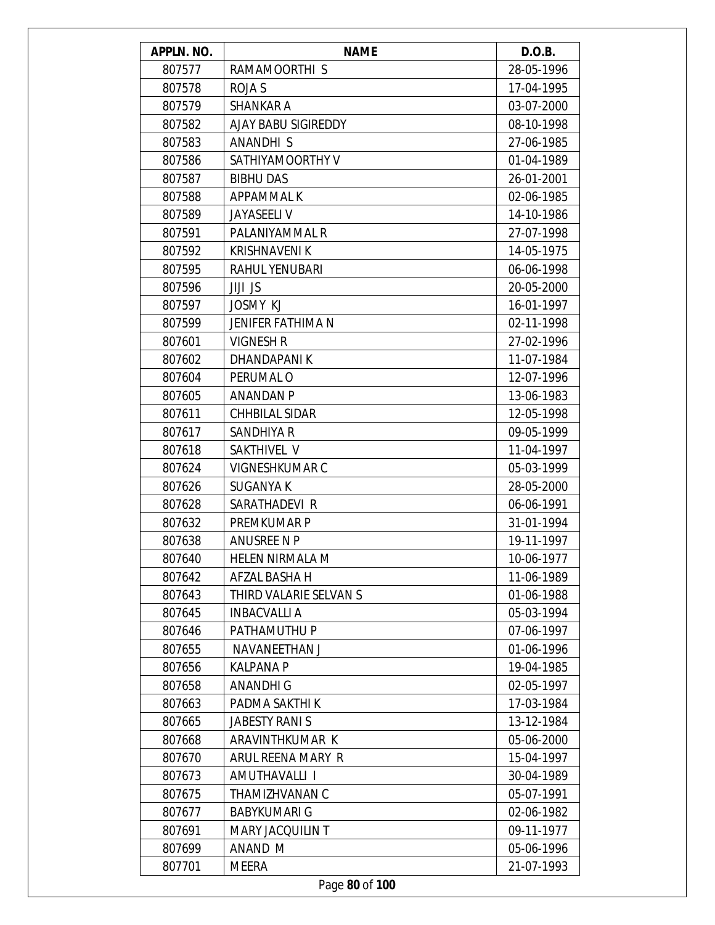| APPLN. NO. | <b>NAME</b>              | D.O.B.     |
|------------|--------------------------|------------|
| 807577     | RAMAMOORTHI S            | 28-05-1996 |
| 807578     | <b>ROJA S</b>            | 17-04-1995 |
| 807579     | SHANKAR A                | 03-07-2000 |
| 807582     | AJAY BABU SIGIREDDY      | 08-10-1998 |
| 807583     | ANANDHI S                | 27-06-1985 |
| 807586     | SATHIYAMOORTHY V         | 01-04-1989 |
| 807587     | <b>BIBHU DAS</b>         | 26-01-2001 |
| 807588     | APPAMMAL K               | 02-06-1985 |
| 807589     | <b>JAYASEELI V</b>       | 14-10-1986 |
| 807591     | PALANIYAMMAL R           | 27-07-1998 |
| 807592     | <b>KRISHNAVENI K</b>     | 14-05-1975 |
| 807595     | RAHUL YENUBARI           | 06-06-1998 |
| 807596     | <b>JIJI JS</b>           | 20-05-2000 |
| 807597     | <b>JOSMY KJ</b>          | 16-01-1997 |
| 807599     | <b>JENIFER FATHIMA N</b> | 02-11-1998 |
| 807601     | <b>VIGNESH R</b>         | 27-02-1996 |
| 807602     | DHANDAPANI K             | 11-07-1984 |
| 807604     | PERUMAL O                | 12-07-1996 |
| 807605     | ANANDAN P                | 13-06-1983 |
| 807611     | CHHBILAL SIDAR           | 12-05-1998 |
| 807617     | SANDHIYA R               | 09-05-1999 |
| 807618     | SAKTHIVEL V              | 11-04-1997 |
| 807624     | <b>VIGNESHKUMAR C</b>    | 05-03-1999 |
| 807626     | <b>SUGANYA K</b>         | 28-05-2000 |
| 807628     | SARATHADEVI R            | 06-06-1991 |
| 807632     | PREMKUMAR P              | 31-01-1994 |
| 807638     | ANUSREE N P              | 19-11-1997 |
| 807640     | HELEN NIRMALA M          | 10-06-1977 |
| 807642     | AFZAL BASHA H            | 11-06-1989 |
| 807643     | THIRD VALARIE SELVAN S   | 01-06-1988 |
| 807645     | <b>INBACVALLIA</b>       | 05-03-1994 |
| 807646     | PATHAMUTHU P             | 07-06-1997 |
| 807655     | NAVANEETHAN J            | 01-06-1996 |
| 807656     | <b>KALPANA P</b>         | 19-04-1985 |
| 807658     | <b>ANANDHI G</b>         | 02-05-1997 |
| 807663     | PADMA SAKTHI K           | 17-03-1984 |
| 807665     | <b>JABESTY RANIS</b>     | 13-12-1984 |
| 807668     | ARAVINTHKUMAR K          | 05-06-2000 |
| 807670     | ARUL REENA MARY R        | 15-04-1997 |
| 807673     | AMUTHAVALLI I            | 30-04-1989 |
| 807675     | THAMIZHVANAN C           | 05-07-1991 |
| 807677     | <b>BABYKUMARI G</b>      | 02-06-1982 |
| 807691     | <b>MARY JACQUILIN T</b>  | 09-11-1977 |
| 807699     | ANAND M                  | 05-06-1996 |
| 807701     | MEERA                    | 21-07-1993 |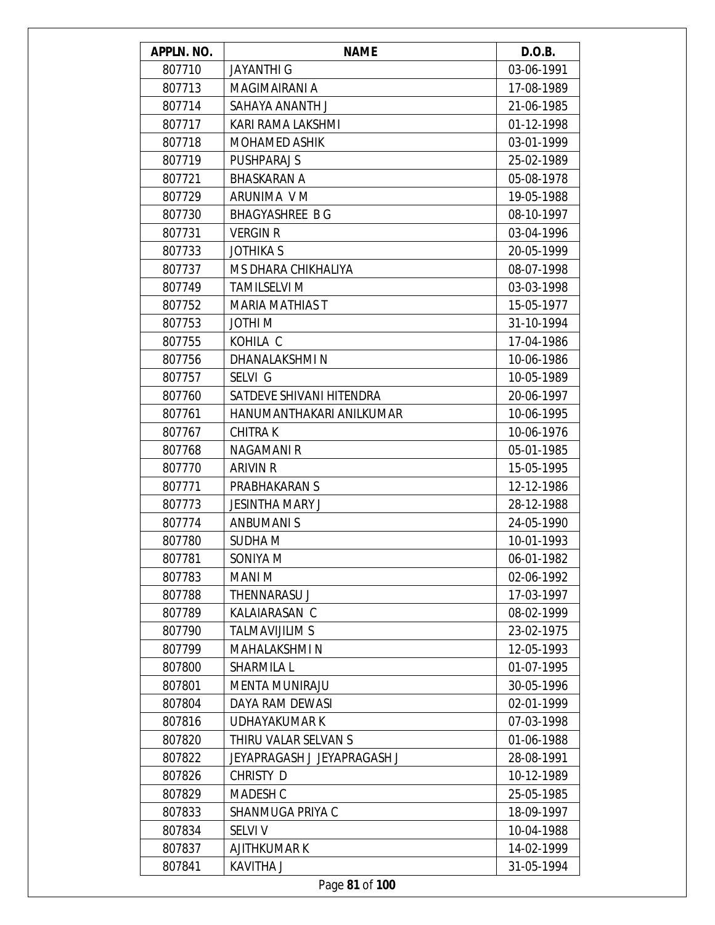| APPLN. NO. | <b>NAME</b>                 | D.O.B.     |
|------------|-----------------------------|------------|
| 807710     | <b>JAYANTHI G</b>           | 03-06-1991 |
| 807713     | MAGIMAIRANI A               | 17-08-1989 |
| 807714     | SAHAYA ANANTH J             | 21-06-1985 |
| 807717     | KARI RAMA LAKSHMI           | 01-12-1998 |
| 807718     | <b>MOHAMED ASHIK</b>        | 03-01-1999 |
| 807719     | <b>PUSHPARAJ S</b>          | 25-02-1989 |
| 807721     | BHASKARAN A                 | 05-08-1978 |
| 807729     | ARUNIMA V M                 | 19-05-1988 |
| 807730     | <b>BHAGYASHREE BG</b>       | 08-10-1997 |
| 807731     | <b>VERGIN R</b>             | 03-04-1996 |
| 807733     | <b>JOTHIKA S</b>            | 20-05-1999 |
| 807737     | MS DHARA CHIKHALIYA         | 08-07-1998 |
| 807749     | <b>TAMILSELVI M</b>         | 03-03-1998 |
| 807752     | <b>MARIA MATHIAS T</b>      | 15-05-1977 |
| 807753     | JOTHI M                     | 31-10-1994 |
| 807755     | KOHILA C                    | 17-04-1986 |
| 807756     | DHANALAKSHMI N              | 10-06-1986 |
| 807757     | SELVI G                     | 10-05-1989 |
| 807760     | SATDEVE SHIVANI HITENDRA    | 20-06-1997 |
| 807761     | HANUMANTHAKARI ANILKUMAR    | 10-06-1995 |
| 807767     | <b>CHITRAK</b>              | 10-06-1976 |
| 807768     | <b>NAGAMANIR</b>            | 05-01-1985 |
| 807770     | <b>ARIVIN R</b>             | 15-05-1995 |
| 807771     | PRABHAKARAN S               | 12-12-1986 |
| 807773     | <b>JESINTHA MARY J</b>      | 28-12-1988 |
| 807774     | <b>ANBUMANIS</b>            | 24-05-1990 |
| 807780     | SUDHA M                     | 10-01-1993 |
| 807781     | SONIYA M                    | 06-01-1982 |
| 807783     | MANI M                      | 02-06-1992 |
| 807788     | <b>THENNARASU J</b>         | 17-03-1997 |
| 807789     | KALAIARASAN C               | 08-02-1999 |
| 807790     | <b>TALMAVIJILIM S</b>       | 23-02-1975 |
| 807799     | MAHALAKSHMI N               | 12-05-1993 |
| 807800     | SHARMILA L                  | 01-07-1995 |
| 807801     | <b>MENTA MUNIRAJU</b>       | 30-05-1996 |
| 807804     | DAYA RAM DEWASI             | 02-01-1999 |
| 807816     | <b>UDHAYAKUMAR K</b>        | 07-03-1998 |
| 807820     | THIRU VALAR SELVAN S        | 01-06-1988 |
| 807822     | JEYAPRAGASH J JEYAPRAGASH J | 28-08-1991 |
| 807826     | CHRISTY D                   | 10-12-1989 |
| 807829     | MADESH C                    | 25-05-1985 |
| 807833     | SHANMUGA PRIYA C            | 18-09-1997 |
| 807834     | <b>SELVIV</b>               | 10-04-1988 |
| 807837     | <b>AJITHKUMARK</b>          | 14-02-1999 |
| 807841     | <b>KAVITHA J</b>            | 31-05-1994 |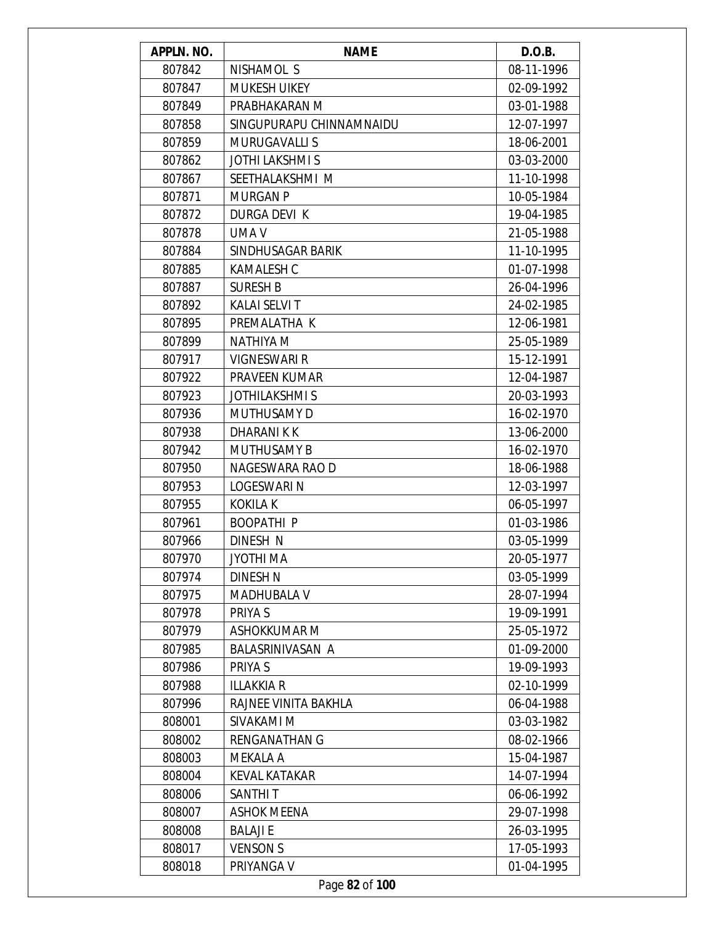| APPLN. NO. | <b>NAME</b>              | D.O.B.     |
|------------|--------------------------|------------|
| 807842     | NISHAMOL S               | 08-11-1996 |
| 807847     | <b>MUKESH UIKEY</b>      | 02-09-1992 |
| 807849     | PRABHAKARAN M            | 03-01-1988 |
| 807858     | SINGUPURAPU CHINNAMNAIDU | 12-07-1997 |
| 807859     | <b>MURUGAVALLIS</b>      | 18-06-2001 |
| 807862     | <b>JOTHI LAKSHMI S</b>   | 03-03-2000 |
| 807867     | SEETHALAKSHMI M          | 11-10-1998 |
| 807871     | <b>MURGAN P</b>          | 10-05-1984 |
| 807872     | DURGA DEVI K             | 19-04-1985 |
| 807878     | UMA V                    | 21-05-1988 |
| 807884     | SINDHUSAGAR BARIK        | 11-10-1995 |
| 807885     | <b>KAMALESH C</b>        | 01-07-1998 |
| 807887     | <b>SURESH B</b>          | 26-04-1996 |
| 807892     | <b>KALAI SELVI T</b>     | 24-02-1985 |
| 807895     | PREMALATHA K             | 12-06-1981 |
| 807899     | <b>NATHIYA M</b>         | 25-05-1989 |
| 807917     | <b>VIGNESWARI R</b>      | 15-12-1991 |
| 807922     | PRAVEEN KUMAR            | 12-04-1987 |
| 807923     | <b>JOTHILAKSHMIS</b>     | 20-03-1993 |
| 807936     | <b>MUTHUSAMY D</b>       | 16-02-1970 |
| 807938     | DHARANI K K              | 13-06-2000 |
| 807942     | <b>MUTHUSAMY B</b>       | 16-02-1970 |
| 807950     | NAGESWARA RAO D          | 18-06-1988 |
| 807953     | LOGESWARI N              | 12-03-1997 |
| 807955     | <b>KOKILA K</b>          | 06-05-1997 |
| 807961     | <b>BOOPATHIP</b>         | 01-03-1986 |
| 807966     | DINESH N                 | 03-05-1999 |
| 807970     | JYOTHI MA                | 20-05-1977 |
| 807974     | DINESH N                 | 03-05-1999 |
| 807975     | <b>MADHUBALA V</b>       | 28-07-1994 |
| 807978     | PRIYA S                  | 19-09-1991 |
| 807979     | ASHOKKUMAR M             | 25-05-1972 |
| 807985     | <b>BALASRINIVASAN A</b>  | 01-09-2000 |
| 807986     | PRIYA S                  | 19-09-1993 |
| 807988     | <b>ILLAKKIA R</b>        | 02-10-1999 |
| 807996     | RAJNEE VINITA BAKHLA     | 06-04-1988 |
| 808001     | SIVAKAMI M               | 03-03-1982 |
| 808002     | <b>RENGANATHAN G</b>     | 08-02-1966 |
| 808003     | MEKALA A                 | 15-04-1987 |
| 808004     | <b>KEVAL KATAKAR</b>     | 14-07-1994 |
| 808006     | <b>SANTHIT</b>           | 06-06-1992 |
| 808007     | <b>ASHOK MEENA</b>       | 29-07-1998 |
| 808008     | <b>BALAJIE</b>           | 26-03-1995 |
| 808017     | <b>VENSON S</b>          | 17-05-1993 |
| 808018     | PRIYANGA V               | 01-04-1995 |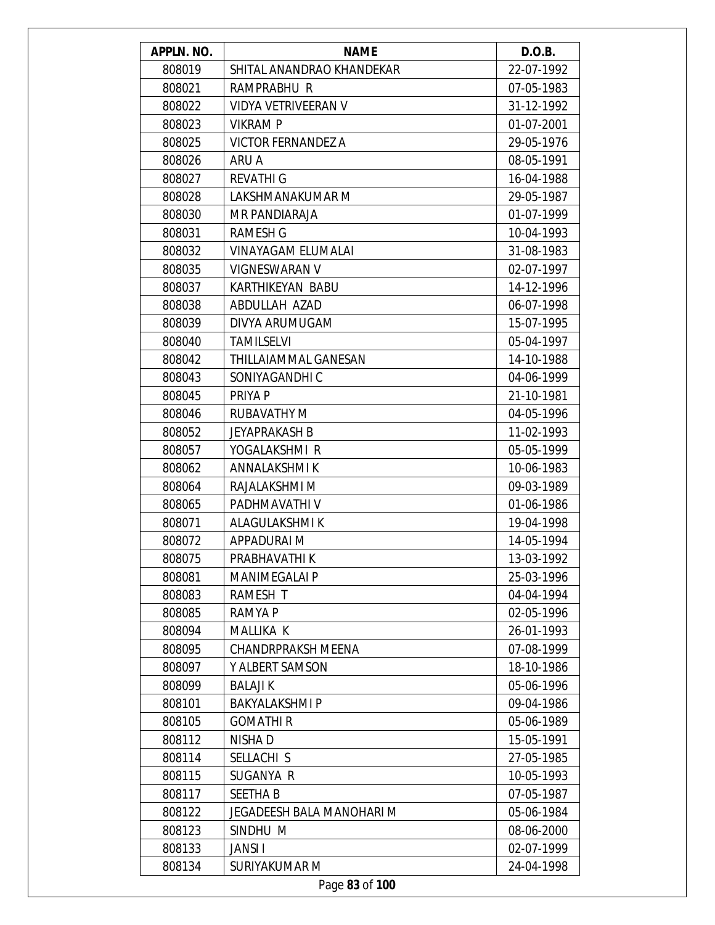| APPLN. NO. | <b>NAME</b>               | D.O.B.     |
|------------|---------------------------|------------|
| 808019     | SHITAL ANANDRAO KHANDEKAR | 22-07-1992 |
| 808021     | RAMPRABHU R               | 07-05-1983 |
| 808022     | VIDYA VETRIVEERAN V       | 31-12-1992 |
| 808023     | <b>VIKRAMP</b>            | 01-07-2001 |
| 808025     | <b>VICTOR FERNANDEZ A</b> | 29-05-1976 |
| 808026     | ARU A                     | 08-05-1991 |
| 808027     | <b>REVATHI G</b>          | 16-04-1988 |
| 808028     | LAKSHMANAKUMAR M          | 29-05-1987 |
| 808030     | MR PANDIARAJA             | 01-07-1999 |
| 808031     | <b>RAMESH G</b>           | 10-04-1993 |
| 808032     | VINAYAGAM ELUMALAI        | 31-08-1983 |
| 808035     | <b>VIGNESWARAN V</b>      | 02-07-1997 |
| 808037     | KARTHIKEYAN BABU          | 14-12-1996 |
| 808038     | ABDULLAH AZAD             | 06-07-1998 |
| 808039     | DIVYA ARUMUGAM            | 15-07-1995 |
| 808040     | <b>TAMILSELVI</b>         | 05-04-1997 |
| 808042     | THILLAIAMMAL GANESAN      | 14-10-1988 |
| 808043     | SONIYAGANDHI C            | 04-06-1999 |
| 808045     | PRIYA P                   | 21-10-1981 |
| 808046     | <b>RUBAVATHY M</b>        | 04-05-1996 |
| 808052     | <b>JEYAPRAKASH B</b>      | 11-02-1993 |
| 808057     | YOGALAKSHMI R             | 05-05-1999 |
| 808062     | ANNALAKSHMI K             | 10-06-1983 |
| 808064     | RAJALAKSHMI M             | 09-03-1989 |
| 808065     | PADHMAVATHI V             | 01-06-1986 |
| 808071     | <b>ALAGULAKSHMIK</b>      | 19-04-1998 |
| 808072     | APPADURAI M               | 14-05-1994 |
| 808075     | PRABHAVATHI K             | 13-03-1992 |
| 808081     | <b>MANIMEGALAI P</b>      | 25-03-1996 |
| 808083     | RAMESH T                  | 04-04-1994 |
| 808085     | RAMYA P                   | 02-05-1996 |
| 808094     | MALLIKA K                 | 26-01-1993 |
| 808095     | <b>CHANDRPRAKSH MEENA</b> | 07-08-1999 |
| 808097     | Y ALBERT SAMSON           | 18-10-1986 |
| 808099     | <b>BALAJIK</b>            | 05-06-1996 |
| 808101     | <b>BAKYALAKSHMI P</b>     | 09-04-1986 |
| 808105     | <b>GOMATHIR</b>           | 05-06-1989 |
| 808112     | NISHA D                   | 15-05-1991 |
| 808114     | SELLACHI S                | 27-05-1985 |
| 808115     | SUGANYA R                 | 10-05-1993 |
| 808117     | <b>SEETHA B</b>           | 07-05-1987 |
| 808122     | JEGADEESH BALA MANOHARI M | 05-06-1984 |
| 808123     | SINDHU M                  | 08-06-2000 |
| 808133     | <b>JANSII</b>             | 02-07-1999 |
| 808134     | SURIYAKUMAR M             | 24-04-1998 |
|            | Page 83 of 100            |            |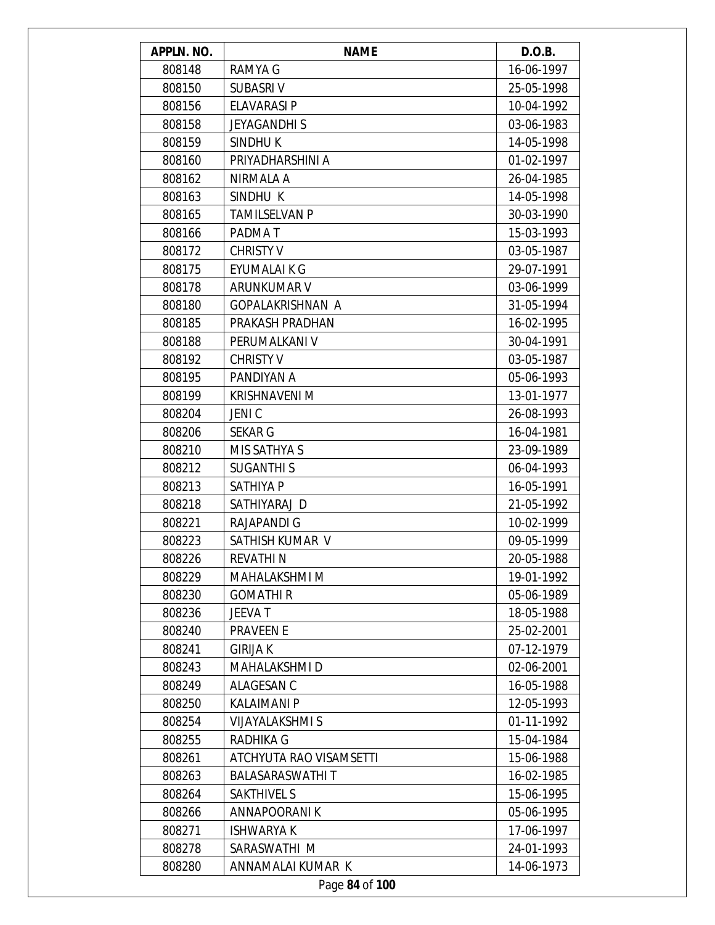| APPLN. NO. | <b>NAME</b>             | D.O.B.     |
|------------|-------------------------|------------|
| 808148     | RAMYA G                 | 16-06-1997 |
| 808150     | <b>SUBASRIV</b>         | 25-05-1998 |
| 808156     | <b>ELAVARASI P</b>      | 10-04-1992 |
| 808158     | <b>JEYAGANDHIS</b>      | 03-06-1983 |
| 808159     | SINDHU K                | 14-05-1998 |
| 808160     | PRIYADHARSHINI A        | 01-02-1997 |
| 808162     | NIRMALA A               | 26-04-1985 |
| 808163     | SINDHU K                | 14-05-1998 |
| 808165     | <b>TAMILSELVAN P</b>    | 30-03-1990 |
| 808166     | PADMA T                 | 15-03-1993 |
| 808172     | <b>CHRISTY V</b>        | 03-05-1987 |
| 808175     | EYUMALAI K G            | 29-07-1991 |
| 808178     | ARUNKUMAR V             | 03-06-1999 |
| 808180     | <b>GOPALAKRISHNAN A</b> | 31-05-1994 |
| 808185     | PRAKASH PRADHAN         | 16-02-1995 |
| 808188     | PERUMALKANI V           | 30-04-1991 |
| 808192     | <b>CHRISTY V</b>        | 03-05-1987 |
| 808195     | PANDIYAN A              | 05-06-1993 |
| 808199     | KRISHNAVENI M           | 13-01-1977 |
| 808204     | <b>JENIC</b>            | 26-08-1993 |
| 808206     | <b>SEKAR G</b>          | 16-04-1981 |
| 808210     | MIS SATHYA S            | 23-09-1989 |
| 808212     | <b>SUGANTHIS</b>        | 06-04-1993 |
| 808213     | <b>SATHIYA P</b>        | 16-05-1991 |
| 808218     | SATHIYARAJ D            | 21-05-1992 |
| 808221     | <b>RAJAPANDI G</b>      | 10-02-1999 |
| 808223     | SATHISH KUMAR V         | 09-05-1999 |
| 808226     | REVATHI N               | 20-05-1988 |
| 808229     | MAHALAKSHMI M           | 19-01-1992 |
| 808230     | <b>GOMATHIR</b>         | 05-06-1989 |
| 808236     | <b>JEEVAT</b>           | 18-05-1988 |
| 808240     | <b>PRAVEEN E</b>        | 25-02-2001 |
| 808241     | <b>GIRIJA K</b>         | 07-12-1979 |
| 808243     | MAHALAKSHMI D           | 02-06-2001 |
| 808249     | ALAGESAN C              | 16-05-1988 |
| 808250     | <b>KALAIMANI P</b>      | 12-05-1993 |
| 808254     | <b>VIJAYALAKSHMI S</b>  | 01-11-1992 |
| 808255     | <b>RADHIKA G</b>        | 15-04-1984 |
| 808261     | ATCHYUTA RAO VISAMSETTI | 15-06-1988 |
| 808263     | <b>BALASARASWATHIT</b>  | 16-02-1985 |
| 808264     | <b>SAKTHIVEL S</b>      | 15-06-1995 |
| 808266     | ANNAPOORANI K           | 05-06-1995 |
| 808271     | <b>ISHWARYA K</b>       | 17-06-1997 |
| 808278     | SARASWATHI M            | 24-01-1993 |
| 808280     | ANNAMALAI KUMAR K       | 14-06-1973 |
|            | Page 84 of 100          |            |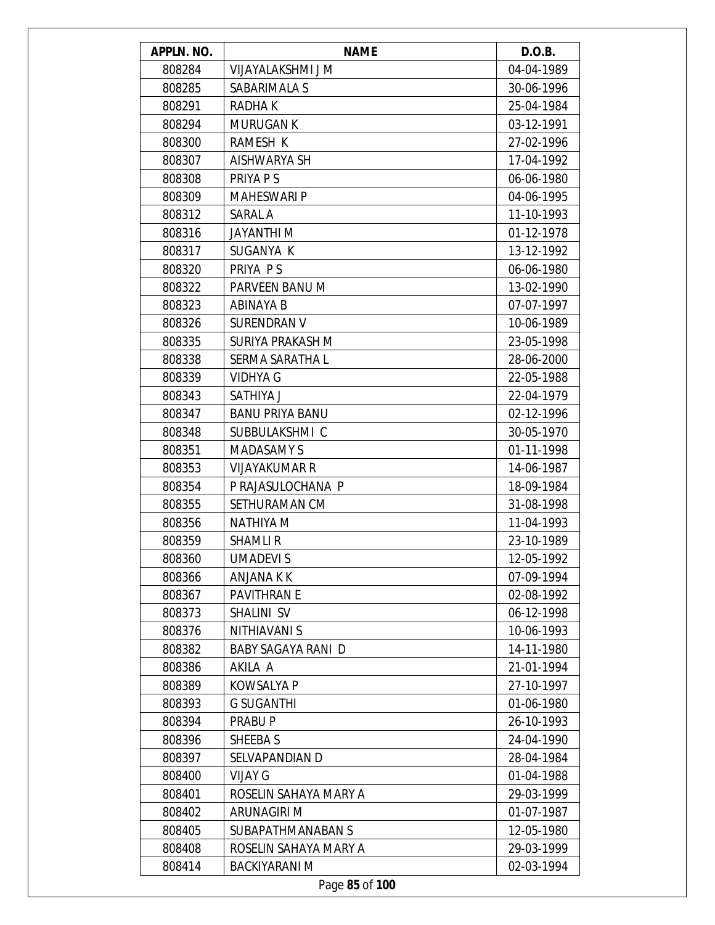| APPLN. NO. | <b>NAME</b>               | D.O.B.     |
|------------|---------------------------|------------|
| 808284     | VIJAYALAKSHMI J M         | 04-04-1989 |
| 808285     | SABARIMALA S              | 30-06-1996 |
| 808291     | RADHA K                   | 25-04-1984 |
| 808294     | <b>MURUGAN K</b>          | 03-12-1991 |
| 808300     | RAMESH K                  | 27-02-1996 |
| 808307     | AISHWARYA SH              | 17-04-1992 |
| 808308     | PRIYA P S                 | 06-06-1980 |
| 808309     | <b>MAHESWARI P</b>        | 04-06-1995 |
| 808312     | SARAL A                   | 11-10-1993 |
| 808316     | JAYANTHI M                | 01-12-1978 |
| 808317     | SUGANYA K                 | 13-12-1992 |
| 808320     | PRIYA P S                 | 06-06-1980 |
| 808322     | PARVEEN BANU M            | 13-02-1990 |
| 808323     | ABINAYA B                 | 07-07-1997 |
| 808326     | <b>SURENDRAN V</b>        | 10-06-1989 |
| 808335     | SURIYA PRAKASH M          | 23-05-1998 |
| 808338     | SERMA SARATHA L           | 28-06-2000 |
| 808339     | <b>VIDHYA G</b>           | 22-05-1988 |
| 808343     | SATHIYA J                 | 22-04-1979 |
| 808347     | <b>BANU PRIYA BANU</b>    | 02-12-1996 |
| 808348     | SUBBULAKSHMI C            | 30-05-1970 |
| 808351     | <b>MADASAMY S</b>         | 01-11-1998 |
| 808353     | <b>VIJAYAKUMAR R</b>      | 14-06-1987 |
| 808354     | P RAJASULOCHANA P         | 18-09-1984 |
| 808355     | SETHURAMAN CM             | 31-08-1998 |
| 808356     | NATHIYA M                 | 11-04-1993 |
| 808359     | <b>SHAMLIR</b>            | 23-10-1989 |
| 808360     | <b>UMADEVIS</b>           | 12-05-1992 |
| 808366     | ANJANA K K                | 07-09-1994 |
| 808367     | <b>PAVITHRAN E</b>        | 02-08-1992 |
| 808373     | SHALINI SV                | 06-12-1998 |
| 808376     | <b>NITHIAVANI S</b>       | 10-06-1993 |
| 808382     | <b>BABY SAGAYA RANI D</b> | 14-11-1980 |
| 808386     | AKILA A                   | 21-01-1994 |
| 808389     | <b>KOWSALYA P</b>         | 27-10-1997 |
| 808393     | <b>G SUGANTHI</b>         | 01-06-1980 |
| 808394     | PRABU P                   | 26-10-1993 |
| 808396     | SHEEBA S                  | 24-04-1990 |
| 808397     | SELVAPANDIAN D            | 28-04-1984 |
| 808400     | <b>VIJAY G</b>            | 01-04-1988 |
| 808401     | ROSELIN SAHAYA MARY A     | 29-03-1999 |
| 808402     | ARUNAGIRI M               | 01-07-1987 |
| 808405     | SUBAPATHMANABAN S         | 12-05-1980 |
| 808408     | ROSELIN SAHAYA MARY A     | 29-03-1999 |
| 808414     | <b>BACKIYARANI M</b>      | 02-03-1994 |
|            | Page 85 of 100            |            |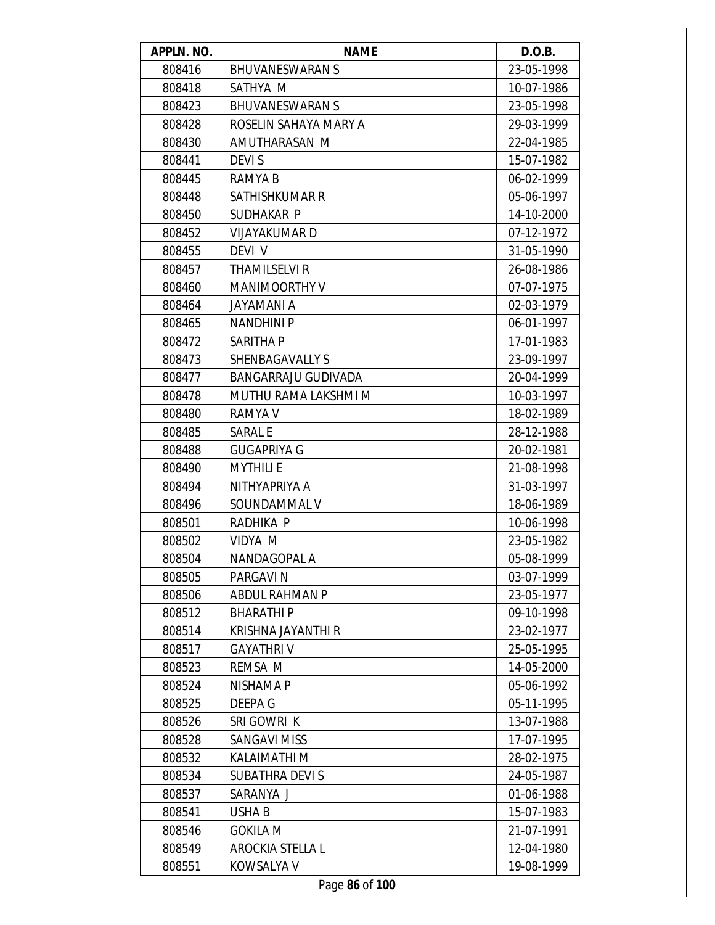| APPLN. NO. | <b>NAME</b>                | D.O.B.     |
|------------|----------------------------|------------|
| 808416     | <b>BHUVANESWARAN S</b>     | 23-05-1998 |
| 808418     | SATHYA M                   | 10-07-1986 |
| 808423     | <b>BHUVANESWARAN S</b>     | 23-05-1998 |
| 808428     | ROSELIN SAHAYA MARY A      | 29-03-1999 |
| 808430     | AMUTHARASAN M              | 22-04-1985 |
| 808441     | <b>DEVIS</b>               | 15-07-1982 |
| 808445     | RAMYA B                    | 06-02-1999 |
| 808448     | SATHISHKUMAR R             | 05-06-1997 |
| 808450     | SUDHAKAR P                 | 14-10-2000 |
| 808452     | VIJAYAKUMAR D              | 07-12-1972 |
| 808455     | DEVI V                     | 31-05-1990 |
| 808457     | <b>THAMILSELVI R</b>       | 26-08-1986 |
| 808460     | <b>MANIMOORTHY V</b>       | 07-07-1975 |
| 808464     | JAYAMANI A                 | 02-03-1979 |
| 808465     | <b>NANDHINI P</b>          | 06-01-1997 |
| 808472     | SARITHA P                  | 17-01-1983 |
| 808473     | <b>SHENBAGAVALLY S</b>     | 23-09-1997 |
| 808477     | <b>BANGARRAJU GUDIVADA</b> | 20-04-1999 |
| 808478     | MUTHU RAMA LAKSHMI M       | 10-03-1997 |
| 808480     | RAMYA V                    | 18-02-1989 |
| 808485     | <b>SARAL E</b>             | 28-12-1988 |
| 808488     | <b>GUGAPRIYA G</b>         | 20-02-1981 |
| 808490     | <b>MYTHILI E</b>           | 21-08-1998 |
| 808494     | NITHYAPRIYA A              | 31-03-1997 |
| 808496     | SOUNDAMMAL V               | 18-06-1989 |
| 808501     | RADHIKA P                  | 10-06-1998 |
| 808502     | VIDYA M                    | 23-05-1982 |
| 808504     | NANDAGOPAL A               | 05-08-1999 |
| 808505     | PARGAVI N                  | 03-07-1999 |
| 808506     | ABDUL RAHMAN P             | 23-05-1977 |
| 808512     | <b>BHARATHIP</b>           | 09-10-1998 |
| 808514     | KRISHNA JAYANTHI R         | 23-02-1977 |
| 808517     | <b>GAYATHRIV</b>           | 25-05-1995 |
| 808523     | REMSA M                    | 14-05-2000 |
| 808524     | <b>NISHAMA P</b>           | 05-06-1992 |
| 808525     | <b>DEEPA G</b>             | 05-11-1995 |
| 808526     | SRI GOWRI K                | 13-07-1988 |
| 808528     | <b>SANGAVI MISS</b>        | 17-07-1995 |
| 808532     | KALAIMATHI M               | 28-02-1975 |
| 808534     | <b>SUBATHRA DEVIS</b>      | 24-05-1987 |
| 808537     | SARANYA J                  | 01-06-1988 |
| 808541     | <b>USHAB</b>               | 15-07-1983 |
| 808546     | <b>GOKILA M</b>            | 21-07-1991 |
| 808549     | <b>AROCKIA STELLA L</b>    | 12-04-1980 |
| 808551     | KOWSALYA V                 | 19-08-1999 |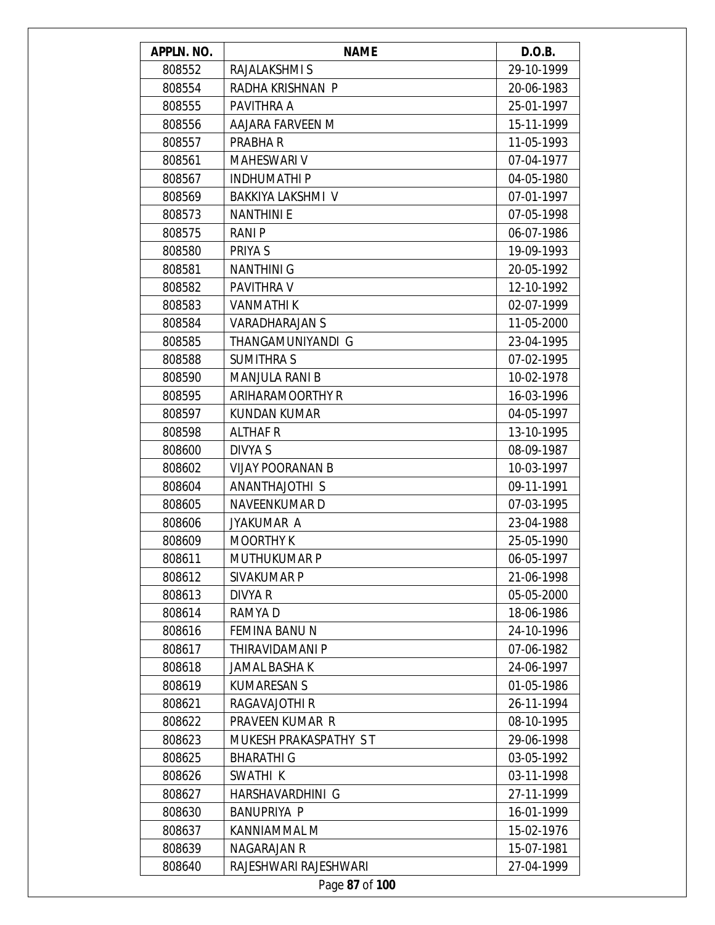| APPLN. NO.     | <b>NAME</b>              | D.O.B.     |
|----------------|--------------------------|------------|
| 808552         | RAJALAKSHMI S            | 29-10-1999 |
| 808554         | RADHA KRISHNAN P         | 20-06-1983 |
| 808555         | PAVITHRA A               | 25-01-1997 |
| 808556         | AAJARA FARVEEN M         | 15-11-1999 |
| 808557         | PRABHA R                 | 11-05-1993 |
| 808561         | <b>MAHESWARI V</b>       | 07-04-1977 |
| 808567         | <b>INDHUMATHIP</b>       | 04-05-1980 |
| 808569         | <b>BAKKIYA LAKSHMI V</b> | 07-01-1997 |
| 808573         | <b>NANTHINIE</b>         | 07-05-1998 |
| 808575         | RANI P                   | 06-07-1986 |
| 808580         | PRIYA S                  | 19-09-1993 |
| 808581         | <b>NANTHINI G</b>        | 20-05-1992 |
| 808582         | PAVITHRA V               | 12-10-1992 |
| 808583         | <b>VANMATHIK</b>         | 02-07-1999 |
| 808584         | <b>VARADHARAJAN S</b>    | 11-05-2000 |
| 808585         | THANGAMUNIYANDI G        | 23-04-1995 |
| 808588         | <b>SUMITHRA S</b>        | 07-02-1995 |
| 808590         | <b>MANJULA RANI B</b>    | 10-02-1978 |
| 808595         | ARIHARAMOORTHY R         | 16-03-1996 |
| 808597         | <b>KUNDAN KUMAR</b>      | 04-05-1997 |
| 808598         | <b>ALTHAF R</b>          | 13-10-1995 |
| 808600         | DIVYA S                  | 08-09-1987 |
| 808602         | <b>VIJAY POORANAN B</b>  | 10-03-1997 |
| 808604         | ANANTHAJOTHI S           | 09-11-1991 |
| 808605         | NAVEENKUMAR D            | 07-03-1995 |
| 808606         | <b>JYAKUMAR A</b>        | 23-04-1988 |
| 808609         | <b>MOORTHY K</b>         | 25-05-1990 |
| 808611         | <b>MUTHUKUMAR P</b>      | 06-05-1997 |
| 808612         | SIVAKUMAR P              | 21-06-1998 |
| 808613         | DIVYA R                  | 05-05-2000 |
| 808614         | RAMYA D                  | 18-06-1986 |
| 808616         | FEMINA BANU N            | 24-10-1996 |
| 808617         | THIRAVIDAMANI P          | 07-06-1982 |
| 808618         | <b>JAMAL BASHA K</b>     | 24-06-1997 |
| 808619         | <b>KUMARESAN S</b>       | 01-05-1986 |
| 808621         | RAGAVAJOTHI R            | 26-11-1994 |
| 808622         | PRAVEEN KUMAR R          | 08-10-1995 |
| 808623         | MUKESH PRAKASPATHY ST    | 29-06-1998 |
| 808625         | <b>BHARATHI G</b>        | 03-05-1992 |
| 808626         | SWATHI K                 | 03-11-1998 |
| 808627         | HARSHAVARDHINI G         | 27-11-1999 |
| 808630         | <b>BANUPRIYA P</b>       | 16-01-1999 |
| 808637         | KANNIAMMAL M             | 15-02-1976 |
| 808639         | NAGARAJAN R              | 15-07-1981 |
| 808640         | RAJESHWARI RAJESHWARI    | 27-04-1999 |
| Page 87 of 100 |                          |            |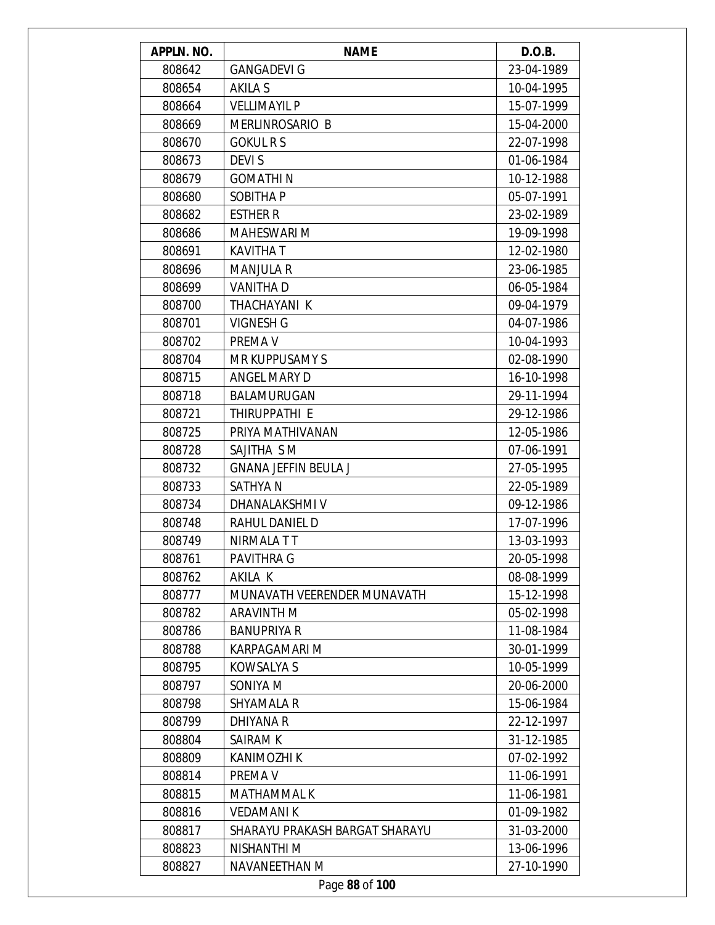| APPLN. NO. | <b>NAME</b>                    | D.O.B.     |
|------------|--------------------------------|------------|
| 808642     | <b>GANGADEVI G</b>             | 23-04-1989 |
| 808654     | AKILA S                        | 10-04-1995 |
| 808664     | <b>VELLIMAYIL P</b>            | 15-07-1999 |
| 808669     | <b>MERLINROSARIO B</b>         | 15-04-2000 |
| 808670     | <b>GOKUL R S</b>               | 22-07-1998 |
| 808673     | <b>DEVIS</b>                   | 01-06-1984 |
| 808679     | <b>GOMATHIN</b>                | 10-12-1988 |
| 808680     | <b>SOBITHAP</b>                | 05-07-1991 |
| 808682     | <b>ESTHER R</b>                | 23-02-1989 |
| 808686     | <b>MAHESWARI M</b>             | 19-09-1998 |
| 808691     | <b>KAVITHAT</b>                | 12-02-1980 |
| 808696     | <b>MANJULA R</b>               | 23-06-1985 |
| 808699     | <b>VANITHAD</b>                | 06-05-1984 |
| 808700     | THACHAYANI K                   | 09-04-1979 |
| 808701     | <b>VIGNESH G</b>               | 04-07-1986 |
| 808702     | PREMA V                        | 10-04-1993 |
| 808704     | MR KUPPUSAMY S                 | 02-08-1990 |
| 808715     | ANGEL MARY D                   | 16-10-1998 |
| 808718     | BALAMURUGAN                    | 29-11-1994 |
| 808721     | THIRUPPATHI E                  | 29-12-1986 |
| 808725     | PRIYA MATHIVANAN               | 12-05-1986 |
| 808728     | SAJITHA S M                    | 07-06-1991 |
| 808732     | <b>GNANA JEFFIN BEULA J</b>    | 27-05-1995 |
| 808733     | SATHYA N                       | 22-05-1989 |
| 808734     | DHANALAKSHMI V                 | 09-12-1986 |
| 808748     | RAHUL DANIEL D                 | 17-07-1996 |
| 808749     | NIRMALA TT                     | 13-03-1993 |
| 808761     | PAVITHRA G                     | 20-05-1998 |
| 808762     | AKILA K                        | 08-08-1999 |
| 808777     | MUNAVATH VEERENDER MUNAVATH    | 15-12-1998 |
| 808782     | <b>ARAVINTH M</b>              | 05-02-1998 |
| 808786     | <b>BANUPRIYA R</b>             | 11-08-1984 |
| 808788     | <b>KARPAGAMARI M</b>           | 30-01-1999 |
| 808795     | KOWSALYA S                     | 10-05-1999 |
| 808797     | SONIYA M                       | 20-06-2000 |
| 808798     | <b>SHYAMALA R</b>              | 15-06-1984 |
| 808799     | <b>DHIYANA R</b>               | 22-12-1997 |
| 808804     | SAIRAM K                       | 31-12-1985 |
| 808809     | KANIMOZHI K                    | 07-02-1992 |
| 808814     | PREMA V                        | 11-06-1991 |
| 808815     | MATHAMMAL K                    | 11-06-1981 |
| 808816     | <b>VEDAMANIK</b>               | 01-09-1982 |
| 808817     | SHARAYU PRAKASH BARGAT SHARAYU | 31-03-2000 |
| 808823     | NISHANTHI M                    | 13-06-1996 |
| 808827     | NAVANEETHAN M                  | 27-10-1990 |
|            | Page 88 of 100                 |            |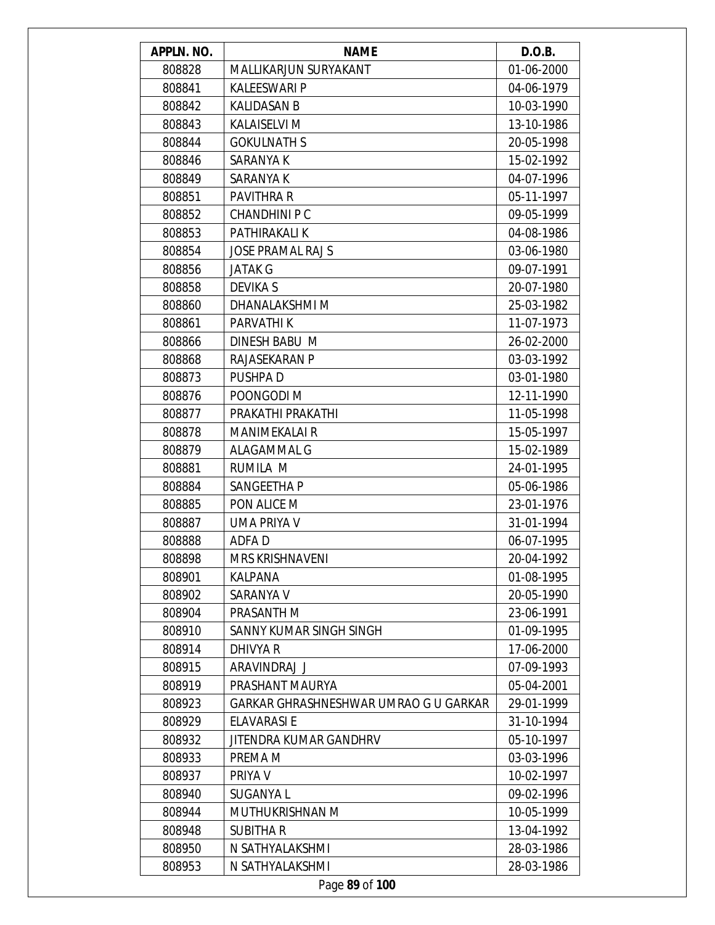| APPLN. NO. | <b>NAME</b>                           | D.O.B.     |
|------------|---------------------------------------|------------|
| 808828     | MALLIKARJUN SURYAKANT                 | 01-06-2000 |
| 808841     | <b>KALEESWARI P</b>                   | 04-06-1979 |
| 808842     | <b>KALIDASAN B</b>                    | 10-03-1990 |
| 808843     | <b>KALAISELVI M</b>                   | 13-10-1986 |
| 808844     | <b>GOKULNATH S</b>                    | 20-05-1998 |
| 808846     | SARANYA K                             | 15-02-1992 |
| 808849     | SARANYA K                             | 04-07-1996 |
| 808851     | <b>PAVITHRA R</b>                     | 05-11-1997 |
| 808852     | <b>CHANDHINI PC</b>                   | 09-05-1999 |
| 808853     | PATHIRAKALI K                         | 04-08-1986 |
| 808854     | <b>JOSE PRAMAL RAJ S</b>              | 03-06-1980 |
| 808856     | <b>JATAK G</b>                        | 09-07-1991 |
| 808858     | <b>DEVIKA S</b>                       | 20-07-1980 |
| 808860     | DHANALAKSHMI M                        | 25-03-1982 |
| 808861     | PARVATHI K                            | 11-07-1973 |
| 808866     | DINESH BABU M                         | 26-02-2000 |
| 808868     | RAJASEKARAN P                         | 03-03-1992 |
| 808873     | PUSHPA D                              | 03-01-1980 |
| 808876     | POONGODI M                            | 12-11-1990 |
| 808877     | PRAKATHI PRAKATHI                     | 11-05-1998 |
| 808878     | <b>MANIMEKALAI R</b>                  | 15-05-1997 |
| 808879     | ALAGAMMAL G                           | 15-02-1989 |
| 808881     | RUMILA M                              | 24-01-1995 |
| 808884     | SANGEETHA P                           | 05-06-1986 |
| 808885     | PON ALICE M                           | 23-01-1976 |
| 808887     | <b>UMA PRIYA V</b>                    | 31-01-1994 |
| 808888     | <b>ADFAD</b>                          | 06-07-1995 |
| 808898     | MRS KRISHNAVENI                       | 20-04-1992 |
| 808901     | KALPANA                               | 01-08-1995 |
| 808902     | SARANYA V                             | 20-05-1990 |
| 808904     | PRASANTH M                            | 23-06-1991 |
| 808910     | SANNY KUMAR SINGH SINGH               | 01-09-1995 |
| 808914     | DHIVYA R                              | 17-06-2000 |
| 808915     | ARAVINDRAJ J                          | 07-09-1993 |
| 808919     | PRASHANT MAURYA                       | 05-04-2001 |
| 808923     | GARKAR GHRASHNESHWAR UMRAO G U GARKAR | 29-01-1999 |
| 808929     | <b>ELAVARASI E</b>                    | 31-10-1994 |
| 808932     | JITENDRA KUMAR GANDHRV                | 05-10-1997 |
| 808933     | PREMA M                               | 03-03-1996 |
| 808937     | PRIYA V                               | 10-02-1997 |
| 808940     | SUGANYA L                             | 09-02-1996 |
| 808944     | MUTHUKRISHNAN M                       | 10-05-1999 |
| 808948     | <b>SUBITHAR</b>                       | 13-04-1992 |
| 808950     | N SATHYALAKSHMI                       | 28-03-1986 |
| 808953     | N SATHYALAKSHMI                       | 28-03-1986 |
|            | Page 89 of 100                        |            |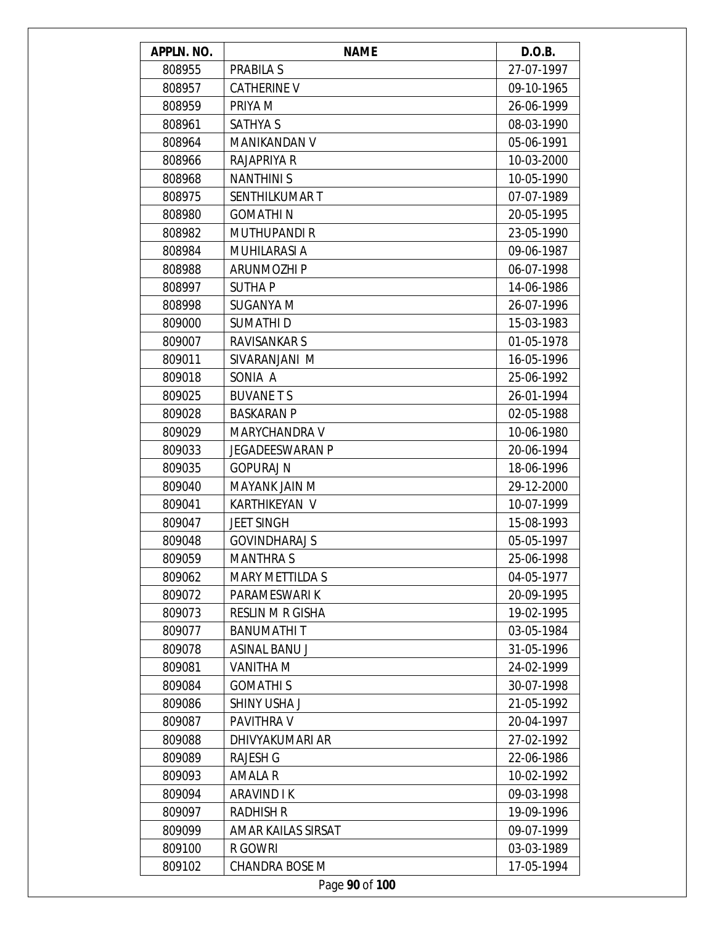| APPLN. NO.     | <b>NAME</b>             | D.O.B.     |
|----------------|-------------------------|------------|
| 808955         | <b>PRABILA S</b>        | 27-07-1997 |
| 808957         | <b>CATHERINE V</b>      | 09-10-1965 |
| 808959         | PRIYA M                 | 26-06-1999 |
| 808961         | <b>SATHYA S</b>         | 08-03-1990 |
| 808964         | MANIKANDAN V            | 05-06-1991 |
| 808966         | RAJAPRIYA R             | 10-03-2000 |
| 808968         | <b>NANTHINIS</b>        | 10-05-1990 |
| 808975         | SENTHILKUMAR T          | 07-07-1989 |
| 808980         | <b>GOMATHIN</b>         | 20-05-1995 |
| 808982         | <b>MUTHUPANDI R</b>     | 23-05-1990 |
| 808984         | <b>MUHILARASI A</b>     | 09-06-1987 |
| 808988         | <b>ARUNMOZHI P</b>      | 06-07-1998 |
| 808997         | SUTHA P                 | 14-06-1986 |
| 808998         | <b>SUGANYA M</b>        | 26-07-1996 |
| 809000         | SUMATHI D               | 15-03-1983 |
| 809007         | RAVISANKAR S            | 01-05-1978 |
| 809011         | SIVARANJANI M           | 16-05-1996 |
| 809018         | SONIA A                 | 25-06-1992 |
| 809025         | <b>BUVANETS</b>         | 26-01-1994 |
| 809028         | <b>BASKARAN P</b>       | 02-05-1988 |
| 809029         | MARYCHANDRA V           | 10-06-1980 |
| 809033         | JEGADEESWARAN P         | 20-06-1994 |
| 809035         | <b>GOPURAJ N</b>        | 18-06-1996 |
| 809040         | MAYANK JAIN M           | 29-12-2000 |
| 809041         | KARTHIKEYAN V           | 10-07-1999 |
| 809047         | <b>JEET SINGH</b>       | 15-08-1993 |
| 809048         | <b>GOVINDHARAJ S</b>    | 05-05-1997 |
| 809059         | <b>MANTHRAS</b>         | 25-06-1998 |
| 809062         | <b>MARY METTILDA S</b>  | 04-05-1977 |
| 809072         | PARAMESWARI K           | 20-09-1995 |
| 809073         | <b>RESLIN M R GISHA</b> | 19-02-1995 |
| 809077         | <b>BANUMATHIT</b>       | 03-05-1984 |
| 809078         | <b>ASINAL BANU J</b>    | 31-05-1996 |
| 809081         | VANITHA M               | 24-02-1999 |
| 809084         | <b>GOMATHIS</b>         | 30-07-1998 |
| 809086         | SHINY USHA J            | 21-05-1992 |
| 809087         | PAVITHRA V              | 20-04-1997 |
| 809088         | DHIVYAKUMARI AR         | 27-02-1992 |
| 809089         | <b>RAJESH G</b>         | 22-06-1986 |
| 809093         | AMALA R                 | 10-02-1992 |
| 809094         | <b>ARAVIND I K</b>      | 09-03-1998 |
| 809097         | <b>RADHISH R</b>        | 19-09-1996 |
| 809099         | AMAR KAILAS SIRSAT      | 09-07-1999 |
| 809100         | R GOWRI                 | 03-03-1989 |
| 809102         | <b>CHANDRA BOSE M</b>   | 17-05-1994 |
| Page 90 of 100 |                         |            |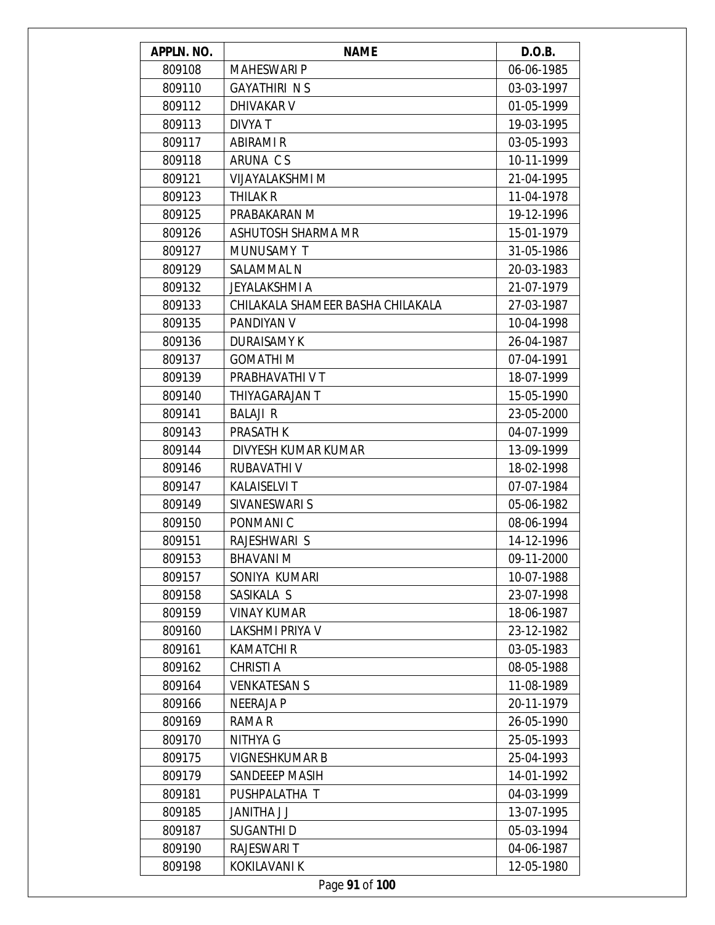| APPLN. NO. | <b>NAME</b>                       | D.O.B.     |
|------------|-----------------------------------|------------|
| 809108     | <b>MAHESWARI P</b>                | 06-06-1985 |
| 809110     | <b>GAYATHIRI NS</b>               | 03-03-1997 |
| 809112     | DHIVAKAR V                        | 01-05-1999 |
| 809113     | DIVYA T                           | 19-03-1995 |
| 809117     | <b>ABIRAMI R</b>                  | 03-05-1993 |
| 809118     | ARUNA CS                          | 10-11-1999 |
| 809121     | <b>VIJAYALAKSHMI M</b>            | 21-04-1995 |
| 809123     | THILAK R                          | 11-04-1978 |
| 809125     | PRABAKARAN M                      | 19-12-1996 |
| 809126     | ASHUTOSH SHARMA MR                | 15-01-1979 |
| 809127     | MUNUSAMY T                        | 31-05-1986 |
| 809129     | SALAMMAL N                        | 20-03-1983 |
| 809132     | <b>JEYALAKSHMI A</b>              | 21-07-1979 |
| 809133     | CHILAKALA SHAMEER BASHA CHILAKALA | 27-03-1987 |
| 809135     | <b>PANDIYAN V</b>                 | 10-04-1998 |
| 809136     | <b>DURAISAMY K</b>                | 26-04-1987 |
| 809137     | <b>GOMATHIM</b>                   | 07-04-1991 |
| 809139     | PRABHAVATHI V T                   | 18-07-1999 |
| 809140     | THIYAGARAJAN T                    | 15-05-1990 |
| 809141     | <b>BALAJI R</b>                   | 23-05-2000 |
| 809143     | <b>PRASATH K</b>                  | 04-07-1999 |
| 809144     | DIVYESH KUMAR KUMAR               | 13-09-1999 |
| 809146     | RUBAVATHI V                       | 18-02-1998 |
| 809147     | <b>KALAISELVIT</b>                | 07-07-1984 |
| 809149     | SIVANESWARI S                     | 05-06-1982 |
| 809150     | PONMANI C                         | 08-06-1994 |
| 809151     | RAJESHWARI S                      | 14-12-1996 |
| 809153     | BHAVANI M                         | 09-11-2000 |
| 809157     | SONIYA KUMARI                     | 10-07-1988 |
| 809158     | SASIKALA S                        | 23-07-1998 |
| 809159     | <b>VINAY KUMAR</b>                | 18-06-1987 |
| 809160     | LAKSHMI PRIYA V                   | 23-12-1982 |
| 809161     | <b>KAMATCHI R</b>                 | 03-05-1983 |
| 809162     | CHRISTI A                         | 08-05-1988 |
| 809164     | <b>VENKATESAN S</b>               | 11-08-1989 |
| 809166     | <b>NEERAJA P</b>                  | 20-11-1979 |
| 809169     | RAMA R                            | 26-05-1990 |
| 809170     | NITHYA G                          | 25-05-1993 |
| 809175     | <b>VIGNESHKUMAR B</b>             | 25-04-1993 |
| 809179     | SANDEEEP MASIH                    | 14-01-1992 |
| 809181     | PUSHPALATHA T                     | 04-03-1999 |
| 809185     | <b>JANITHA J J</b>                | 13-07-1995 |
| 809187     | SUGANTHI D                        | 05-03-1994 |
| 809190     | <b>RAJESWARI T</b>                | 04-06-1987 |
| 809198     | KOKILAVANI K                      | 12-05-1980 |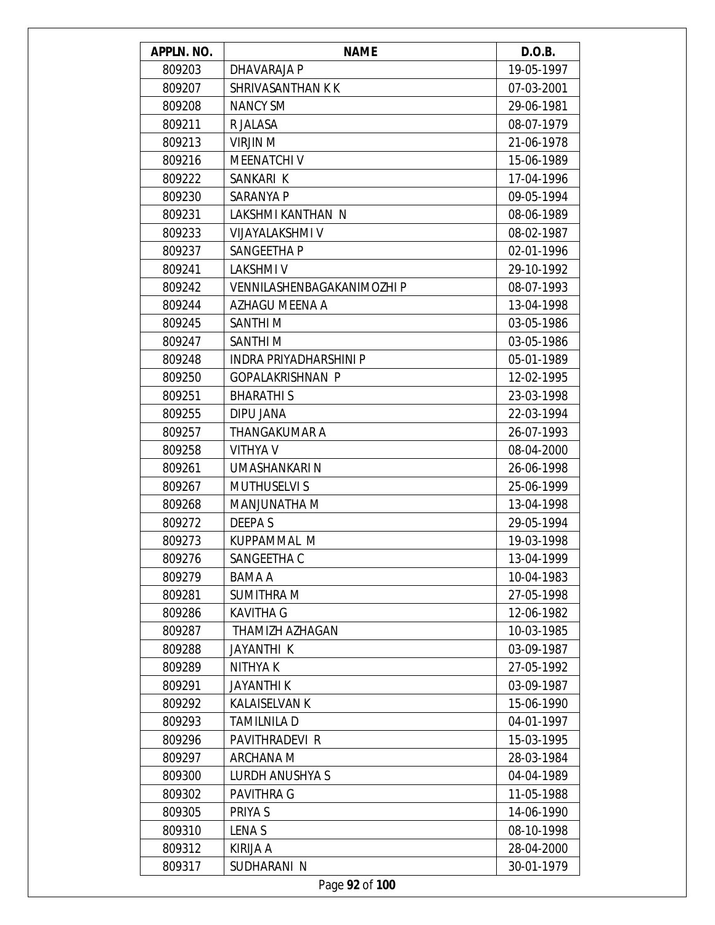| APPLN. NO. | <b>NAME</b>                | D.O.B.     |
|------------|----------------------------|------------|
| 809203     | DHAVARAJA P                | 19-05-1997 |
| 809207     | SHRIVASANTHAN K K          | 07-03-2001 |
| 809208     | <b>NANCY SM</b>            | 29-06-1981 |
| 809211     | R JALASA                   | 08-07-1979 |
| 809213     | VIRJIN M                   | 21-06-1978 |
| 809216     | <b>MEENATCHI V</b>         | 15-06-1989 |
| 809222     | SANKARI K                  | 17-04-1996 |
| 809230     | SARANYA P                  | 09-05-1994 |
| 809231     | LAKSHMI KANTHAN N          | 08-06-1989 |
| 809233     | VIJAYALAKSHMI V            | 08-02-1987 |
| 809237     | SANGEETHA P                | 02-01-1996 |
| 809241     | <b>LAKSHMIV</b>            | 29-10-1992 |
| 809242     | VENNILASHENBAGAKANIMOZHI P | 08-07-1993 |
| 809244     | AZHAGU MEENA A             | 13-04-1998 |
| 809245     | SANTHI <sub>M</sub>        | 03-05-1986 |
| 809247     | SANTHI <sub>M</sub>        | 03-05-1986 |
| 809248     | INDRA PRIYADHARSHINI P     | 05-01-1989 |
| 809250     | <b>GOPALAKRISHNAN P</b>    | 12-02-1995 |
| 809251     | <b>BHARATHIS</b>           | 23-03-1998 |
| 809255     | DIPU JANA                  | 22-03-1994 |
| 809257     | THANGAKUMAR A              | 26-07-1993 |
| 809258     | <b>VITHYA V</b>            | 08-04-2000 |
| 809261     | UMASHANKARI N              | 26-06-1998 |
| 809267     | <b>MUTHUSELVI S</b>        | 25-06-1999 |
| 809268     | MANJUNATHA M               | 13-04-1998 |
| 809272     | DEEPA S                    | 29-05-1994 |
| 809273     | KUPPAMMAL M                | 19-03-1998 |
| 809276     | SANGEETHA C                | 13-04-1999 |
| 809279     | BAMA A                     | 10-04-1983 |
| 809281     | <b>SUMITHRA M</b>          | 27-05-1998 |
| 809286     | <b>KAVITHA G</b>           | 12-06-1982 |
| 809287     | <b>THAMIZH AZHAGAN</b>     | 10-03-1985 |
| 809288     | JAYANTHI K                 | 03-09-1987 |
| 809289     | NITHYA K                   | 27-05-1992 |
| 809291     | <b>JAYANTHIK</b>           | 03-09-1987 |
| 809292     | <b>KALAISELVAN K</b>       | 15-06-1990 |
| 809293     | <b>TAMILNILA D</b>         | 04-01-1997 |
| 809296     | PAVITHRADEVI R             | 15-03-1995 |
| 809297     | ARCHANA M                  | 28-03-1984 |
| 809300     | LURDH ANUSHYA S            | 04-04-1989 |
| 809302     | <b>PAVITHRA G</b>          | 11-05-1988 |
| 809305     | PRIYA S                    | 14-06-1990 |
| 809310     | LENA S                     | 08-10-1998 |
| 809312     | KIRIJA A                   | 28-04-2000 |
| 809317     | SUDHARANI N                | 30-01-1979 |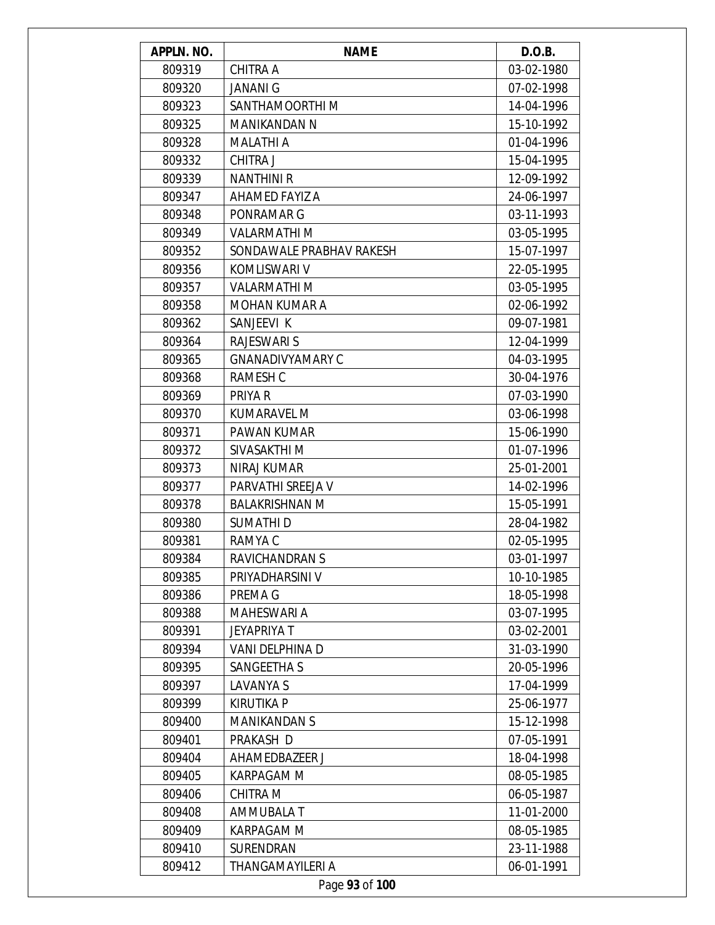| APPLN. NO. | <b>NAME</b>              | D.O.B.     |
|------------|--------------------------|------------|
| 809319     | CHITRA A                 | 03-02-1980 |
| 809320     | <b>JANANI G</b>          | 07-02-1998 |
| 809323     | SANTHAMOORTHI M          | 14-04-1996 |
| 809325     | <b>MANIKANDAN N</b>      | 15-10-1992 |
| 809328     | <b>MALATHI A</b>         | 01-04-1996 |
| 809332     | <b>CHITRA J</b>          | 15-04-1995 |
| 809339     | <b>NANTHINI R</b>        | 12-09-1992 |
| 809347     | AHAMED FAYIZ A           | 24-06-1997 |
| 809348     | PONRAMAR G               | 03-11-1993 |
| 809349     | <b>VALARMATHI M</b>      | 03-05-1995 |
| 809352     | SONDAWALE PRABHAV RAKESH | 15-07-1997 |
| 809356     | KOMLISWARI V             | 22-05-1995 |
| 809357     | <b>VALARMATHI M</b>      | 03-05-1995 |
| 809358     | <b>MOHAN KUMAR A</b>     | 02-06-1992 |
| 809362     | SANJEEVI K               | 09-07-1981 |
| 809364     | <b>RAJESWARI S</b>       | 12-04-1999 |
| 809365     | <b>GNANADIVYAMARY C</b>  | 04-03-1995 |
| 809368     | RAMESH C                 | 30-04-1976 |
| 809369     | PRIYA R                  | 07-03-1990 |
| 809370     | KUMARAVEL M              | 03-06-1998 |
| 809371     | PAWAN KUMAR              | 15-06-1990 |
| 809372     | SIVASAKTHI M             | 01-07-1996 |
| 809373     | <b>NIRAJ KUMAR</b>       | 25-01-2001 |
| 809377     | PARVATHI SREEJA V        | 14-02-1996 |
| 809378     | <b>BALAKRISHNAN M</b>    | 15-05-1991 |
| 809380     | <b>SUMATHID</b>          | 28-04-1982 |
| 809381     | RAMYA C                  | 02-05-1995 |
| 809384     | RAVICHANDRAN S           | 03-01-1997 |
| 809385     | PRIYADHARSINI V          | 10-10-1985 |
| 809386     | PREMA G                  | 18-05-1998 |
| 809388     | <b>MAHESWARI A</b>       | 03-07-1995 |
| 809391     | JEYAPRIYA T              | 03-02-2001 |
| 809394     | VANI DELPHINA D          | 31-03-1990 |
| 809395     | <b>SANGEETHA S</b>       | 20-05-1996 |
| 809397     | <b>LAVANYA S</b>         | 17-04-1999 |
| 809399     | <b>KIRUTIKA P</b>        | 25-06-1977 |
| 809400     | <b>MANIKANDAN S</b>      | 15-12-1998 |
| 809401     | PRAKASH D                | 07-05-1991 |
| 809404     | AHAMEDBAZEER J           | 18-04-1998 |
| 809405     | <b>KARPAGAM M</b>        | 08-05-1985 |
| 809406     | CHITRA M                 | 06-05-1987 |
| 809408     | AMMUBALA T               | 11-01-2000 |
| 809409     | <b>KARPAGAM M</b>        | 08-05-1985 |
| 809410     | SURENDRAN                | 23-11-1988 |
| 809412     | THANGAMAYILERI A         | 06-01-1991 |
|            | Page 93 of 100           |            |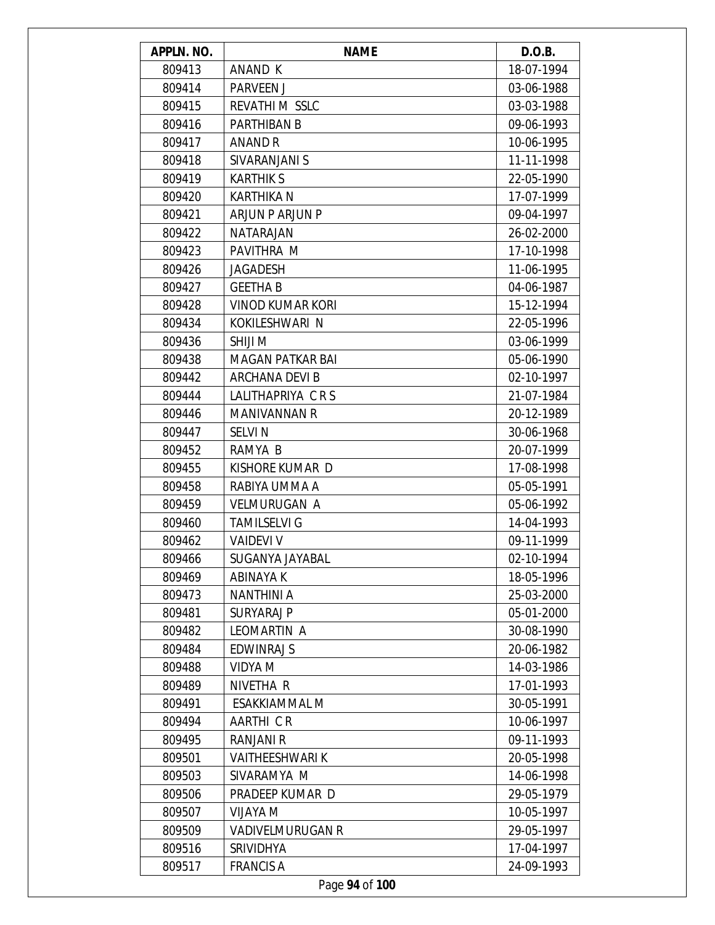| APPLN. NO. | <b>NAME</b>             | D.O.B.     |
|------------|-------------------------|------------|
| 809413     | ANAND K                 | 18-07-1994 |
| 809414     | <b>PARVEEN J</b>        | 03-06-1988 |
| 809415     | REVATHI M SSLC          | 03-03-1988 |
| 809416     | <b>PARTHIBAN B</b>      | 09-06-1993 |
| 809417     | ANAND R                 | 10-06-1995 |
| 809418     | SIVARANJANI S           | 11-11-1998 |
| 809419     | <b>KARTHIK S</b>        | 22-05-1990 |
| 809420     | <b>KARTHIKA N</b>       | 17-07-1999 |
| 809421     | ARJUN P ARJUN P         | 09-04-1997 |
| 809422     | NATARAJAN               | 26-02-2000 |
| 809423     | PAVITHRA M              | 17-10-1998 |
| 809426     | <b>JAGADESH</b>         | 11-06-1995 |
| 809427     | <b>GEETHA B</b>         | 04-06-1987 |
| 809428     | <b>VINOD KUMAR KORI</b> | 15-12-1994 |
| 809434     | KOKILESHWARI N          | 22-05-1996 |
| 809436     | SHIJI M                 | 03-06-1999 |
| 809438     | MAGAN PATKAR BAI        | 05-06-1990 |
| 809442     | ARCHANA DEVI B          | 02-10-1997 |
| 809444     | LALITHAPRIYA CRS        | 21-07-1984 |
| 809446     | <b>MANIVANNAN R</b>     | 20-12-1989 |
| 809447     | <b>SELVIN</b>           | 30-06-1968 |
| 809452     | RAMYA B                 | 20-07-1999 |
| 809455     | KISHORE KUMAR D         | 17-08-1998 |
| 809458     | RABIYA UMMA A           | 05-05-1991 |
| 809459     | <b>VELMURUGAN A</b>     | 05-06-1992 |
| 809460     | <b>TAMILSELVI G</b>     | 14-04-1993 |
| 809462     | <b>VAIDEVI V</b>        | 09-11-1999 |
| 809466     | SUGANYA JAYABAL         | 02-10-1994 |
| 809469     | ABINAYA K               | 18-05-1996 |
| 809473     | NANTHINI A              | 25-03-2000 |
| 809481     | <b>SURYARAJ P</b>       | 05-01-2000 |
| 809482     | LEOMARTIN A             | 30-08-1990 |
| 809484     | <b>EDWINRAJ S</b>       | 20-06-1982 |
| 809488     | VIDYA M                 | 14-03-1986 |
| 809489     | NIVETHA R               | 17-01-1993 |
| 809491     | <b>ESAKKIAMMAL M</b>    | 30-05-1991 |
| 809494     | AARTHI CR               | 10-06-1997 |
| 809495     | RANJANI R               | 09-11-1993 |
| 809501     | <b>VAITHEESHWARI K</b>  | 20-05-1998 |
| 809503     | SIVARAMYA M             | 14-06-1998 |
| 809506     | PRADEEP KUMAR D         | 29-05-1979 |
| 809507     | <b>N AYALIV</b>         | 10-05-1997 |
| 809509     | <b>VADIVELMURUGAN R</b> | 29-05-1997 |
| 809516     | <b>SRIVIDHYA</b>        | 17-04-1997 |
| 809517     | <b>FRANCIS A</b>        | 24-09-1993 |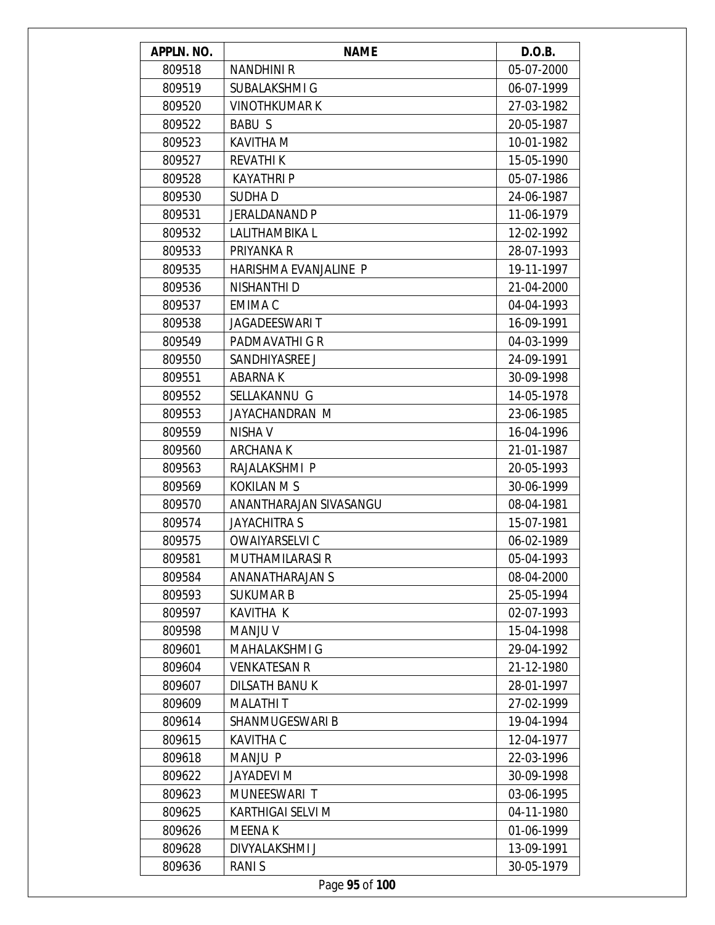| APPLN. NO. | <b>NAME</b>            | D.O.B.     |
|------------|------------------------|------------|
| 809518     | <b>NANDHINI R</b>      | 05-07-2000 |
| 809519     | SUBALAKSHMI G          | 06-07-1999 |
| 809520     | <b>VINOTHKUMAR K</b>   | 27-03-1982 |
| 809522     | <b>BABU S</b>          | 20-05-1987 |
| 809523     | <b>KAVITHA M</b>       | 10-01-1982 |
| 809527     | <b>REVATHIK</b>        | 15-05-1990 |
| 809528     | <b>KAYATHRI P</b>      | 05-07-1986 |
| 809530     | <b>SUDHAD</b>          | 24-06-1987 |
| 809531     | <b>JERALDANAND P</b>   | 11-06-1979 |
| 809532     | LALITHAMBIKA L         | 12-02-1992 |
| 809533     | PRIYANKA R             | 28-07-1993 |
| 809535     | HARISHMA EVANJALINE P  | 19-11-1997 |
| 809536     | NISHANTHI D            | 21-04-2000 |
| 809537     | EMIMA C                | 04-04-1993 |
| 809538     | <b>JAGADEESWARIT</b>   | 16-09-1991 |
| 809549     | PADMAVATHI G R         | 04-03-1999 |
| 809550     | SANDHIYASREE J         | 24-09-1991 |
| 809551     | <b>ABARNAK</b>         | 30-09-1998 |
| 809552     | SELLAKANNU G           | 14-05-1978 |
| 809553     | JAYACHANDRAN M         | 23-06-1985 |
| 809559     | <b>NISHA V</b>         | 16-04-1996 |
| 809560     | <b>ARCHANAK</b>        | 21-01-1987 |
| 809563     | RAJALAKSHMI P          | 20-05-1993 |
| 809569     | <b>KOKILAN M S</b>     | 30-06-1999 |
| 809570     | ANANTHARAJAN SIVASANGU | 08-04-1981 |
| 809574     | <b>JAYACHITRA S</b>    | 15-07-1981 |
| 809575     | OWAIYARSELVI C         | 06-02-1989 |
| 809581     | <b>MUTHAMILARASI R</b> | 05-04-1993 |
| 809584     | ANANATHARAJAN S        | 08-04-2000 |
| 809593     | <b>SUKUMAR B</b>       | 25-05-1994 |
| 809597     | KAVITHA K              | 02-07-1993 |
| 809598     | <b>MANJU V</b>         | 15-04-1998 |
| 809601     | MAHALAKSHMI G          | 29-04-1992 |
| 809604     | <b>VENKATESAN R</b>    | 21-12-1980 |
| 809607     | <b>DILSATH BANUK</b>   | 28-01-1997 |
| 809609     | <b>MALATHIT</b>        | 27-02-1999 |
| 809614     | <b>SHANMUGESWARI B</b> | 19-04-1994 |
| 809615     | <b>KAVITHA C</b>       | 12-04-1977 |
| 809618     | <b>MANJU P</b>         | 22-03-1996 |
| 809622     | JAYADEVI M             | 30-09-1998 |
| 809623     | MUNEESWARI T           | 03-06-1995 |
| 809625     | KARTHIGAI SELVI M      | 04-11-1980 |
| 809626     | <b>MEENAK</b>          | 01-06-1999 |
| 809628     | DIVYALAKSHMI J         | 13-09-1991 |
| 809636     | <b>RANIS</b>           | 30-05-1979 |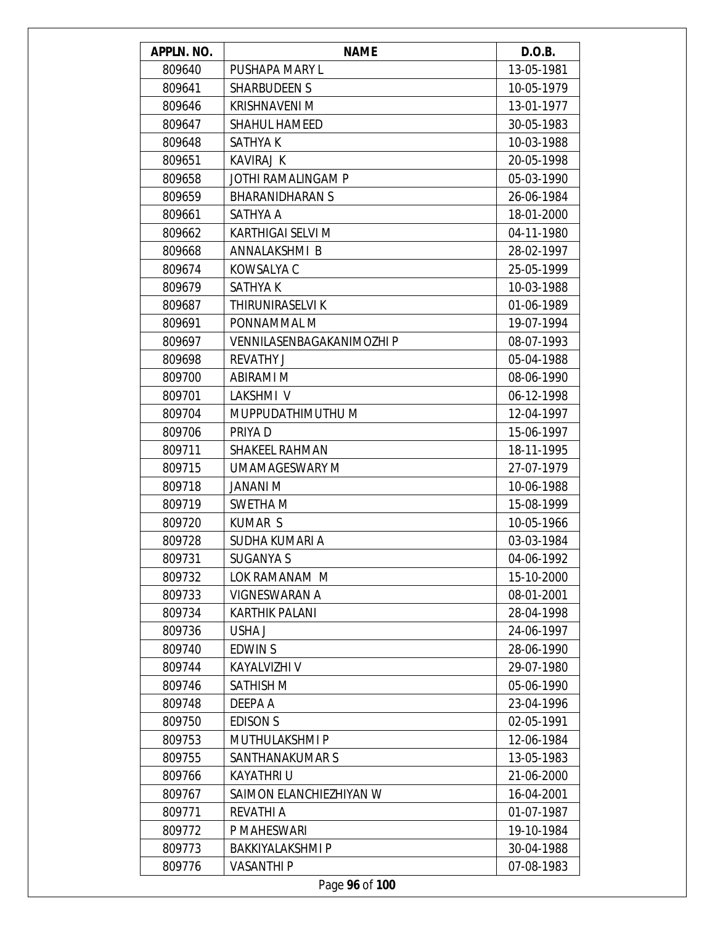| APPLN. NO. | <b>NAME</b>               | D.O.B.     |
|------------|---------------------------|------------|
| 809640     | PUSHAPA MARY L            | 13-05-1981 |
| 809641     | <b>SHARBUDEEN S</b>       | 10-05-1979 |
| 809646     | <b>KRISHNAVENI M</b>      | 13-01-1977 |
| 809647     | <b>SHAHUL HAMEED</b>      | 30-05-1983 |
| 809648     | SATHYA K                  | 10-03-1988 |
| 809651     | <b>KAVIRAJ K</b>          | 20-05-1998 |
| 809658     | JOTHI RAMALINGAM P        | 05-03-1990 |
| 809659     | <b>BHARANIDHARAN S</b>    | 26-06-1984 |
| 809661     | SATHYA A                  | 18-01-2000 |
| 809662     | KARTHIGAI SELVI M         | 04-11-1980 |
| 809668     | ANNALAKSHMI B             | 28-02-1997 |
| 809674     | KOWSALYA C                | 25-05-1999 |
| 809679     | SATHYA K                  | 10-03-1988 |
| 809687     | THIRUNIRASELVI K          | 01-06-1989 |
| 809691     | PONNAMMAL M               | 19-07-1994 |
| 809697     | VENNILASENBAGAKANIMOZHI P | 08-07-1993 |
| 809698     | <b>REVATHY J</b>          | 05-04-1988 |
| 809700     | <b>ABIRAMI M</b>          | 08-06-1990 |
| 809701     | LAKSHMI V                 | 06-12-1998 |
| 809704     | MUPPUDATHIMUTHU M         | 12-04-1997 |
| 809706     | PRIYA D                   | 15-06-1997 |
| 809711     | <b>SHAKEEL RAHMAN</b>     | 18-11-1995 |
| 809715     | UMAMAGESWARY M            | 27-07-1979 |
| 809718     | JANANI M                  | 10-06-1988 |
| 809719     | SWETHA M                  | 15-08-1999 |
| 809720     | <b>KUMAR S</b>            | 10-05-1966 |
| 809728     | SUDHA KUMARI A            | 03-03-1984 |
| 809731     | <b>SUGANYA S</b>          | 04-06-1992 |
| 809732     | LOK RAMANAM M             | 15-10-2000 |
| 809733     | <b>VIGNESWARAN A</b>      | 08-01-2001 |
| 809734     | <b>KARTHIK PALANI</b>     | 28-04-1998 |
| 809736     | USHA J                    | 24-06-1997 |
| 809740     | <b>EDWINS</b>             | 28-06-1990 |
| 809744     | KAYALVIZHI V              | 29-07-1980 |
| 809746     | <b>SATHISH M</b>          | 05-06-1990 |
| 809748     | DEEPA A                   | 23-04-1996 |
| 809750     | <b>EDISON S</b>           | 02-05-1991 |
| 809753     | <b>MUTHULAKSHMI P</b>     | 12-06-1984 |
| 809755     | SANTHANAKUMAR S           | 13-05-1983 |
| 809766     | <b>KAYATHRI U</b>         | 21-06-2000 |
| 809767     | SAIMON ELANCHIEZHIYAN W   | 16-04-2001 |
| 809771     | <b>REVATHI A</b>          | 01-07-1987 |
| 809772     | P MAHESWARI               | 19-10-1984 |
| 809773     | <b>BAKKIYALAKSHMI P</b>   | 30-04-1988 |
| 809776     | <b>VASANTHI P</b>         | 07-08-1983 |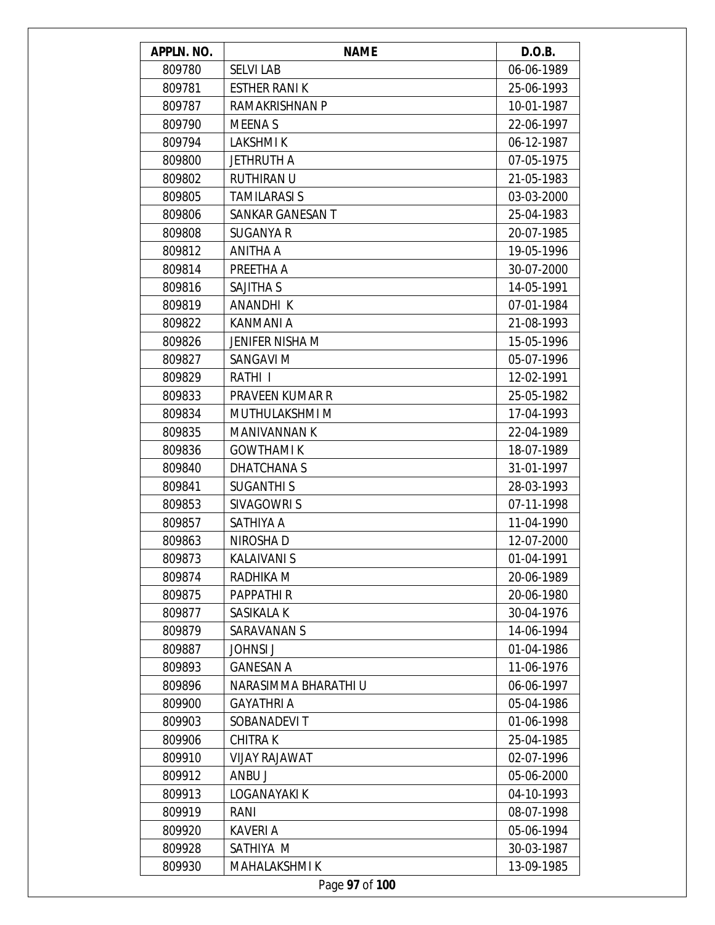| APPLN. NO.     | <b>NAME</b>          | D.O.B.     |  |  |
|----------------|----------------------|------------|--|--|
| 809780         | <b>SELVI LAB</b>     | 06-06-1989 |  |  |
| 809781         | <b>ESTHER RANIK</b>  | 25-06-1993 |  |  |
| 809787         | RAMAKRISHNAN P       | 10-01-1987 |  |  |
| 809790         | MEENA S              | 22-06-1997 |  |  |
| 809794         | <b>LAKSHMIK</b>      | 06-12-1987 |  |  |
| 809800         | <b>JETHRUTH A</b>    | 07-05-1975 |  |  |
| 809802         | <b>RUTHIRAN U</b>    | 21-05-1983 |  |  |
| 809805         | <b>TAMILARASI S</b>  | 03-03-2000 |  |  |
| 809806         | SANKAR GANESAN T     | 25-04-1983 |  |  |
| 809808         | <b>SUGANYA R</b>     | 20-07-1985 |  |  |
| 809812         | ANITHA A             | 19-05-1996 |  |  |
| 809814         | PREETHA A            | 30-07-2000 |  |  |
| 809816         | SAJITHA S            | 14-05-1991 |  |  |
| 809819         | <b>ANANDHIK</b>      | 07-01-1984 |  |  |
| 809822         | KANMANI A            | 21-08-1993 |  |  |
| 809826         | JENIFER NISHA M      | 15-05-1996 |  |  |
| 809827         | SANGAVI M            | 05-07-1996 |  |  |
| 809829         | RATHI I              | 12-02-1991 |  |  |
| 809833         | PRAVEEN KUMAR R      | 25-05-1982 |  |  |
| 809834         | MUTHULAKSHMI M       | 17-04-1993 |  |  |
| 809835         | <b>MANIVANNAN K</b>  | 22-04-1989 |  |  |
| 809836         | <b>GOWTHAMI K</b>    | 18-07-1989 |  |  |
| 809840         | DHATCHANA S          | 31-01-1997 |  |  |
| 809841         | <b>SUGANTHIS</b>     | 28-03-1993 |  |  |
| 809853         | SIVAGOWRI S          | 07-11-1998 |  |  |
| 809857         | SATHIYA A            | 11-04-1990 |  |  |
| 809863         | NIROSHA D            | 12-07-2000 |  |  |
| 809873         | <b>KALAIVANIS</b>    | 01-04-1991 |  |  |
| 809874         | RADHIKA M            | 20-06-1989 |  |  |
| 809875         | PAPPATHI R           | 20-06-1980 |  |  |
| 809877         | SASIKALA K           | 30-04-1976 |  |  |
| 809879         | <b>SARAVANAN S</b>   | 14-06-1994 |  |  |
| 809887         | <b>JOHNSI J</b>      | 01-04-1986 |  |  |
| 809893         | <b>GANESAN A</b>     | 11-06-1976 |  |  |
| 809896         | NARASIMMA BHARATHI U | 06-06-1997 |  |  |
| 809900         | <b>GAYATHRI A</b>    | 05-04-1986 |  |  |
| 809903         | SOBANADEVIT          | 01-06-1998 |  |  |
| 809906         | <b>CHITRAK</b>       | 25-04-1985 |  |  |
| 809910         | <b>VIJAY RAJAWAT</b> | 02-07-1996 |  |  |
| 809912         | ANBU J               | 05-06-2000 |  |  |
| 809913         | LOGANAYAKI K         | 04-10-1993 |  |  |
| 809919         | RANI                 | 08-07-1998 |  |  |
| 809920         | KAVERI A             | 05-06-1994 |  |  |
| 809928         | SATHIYA M            | 30-03-1987 |  |  |
| 809930         | MAHALAKSHMI K        | 13-09-1985 |  |  |
| Page 97 of 100 |                      |            |  |  |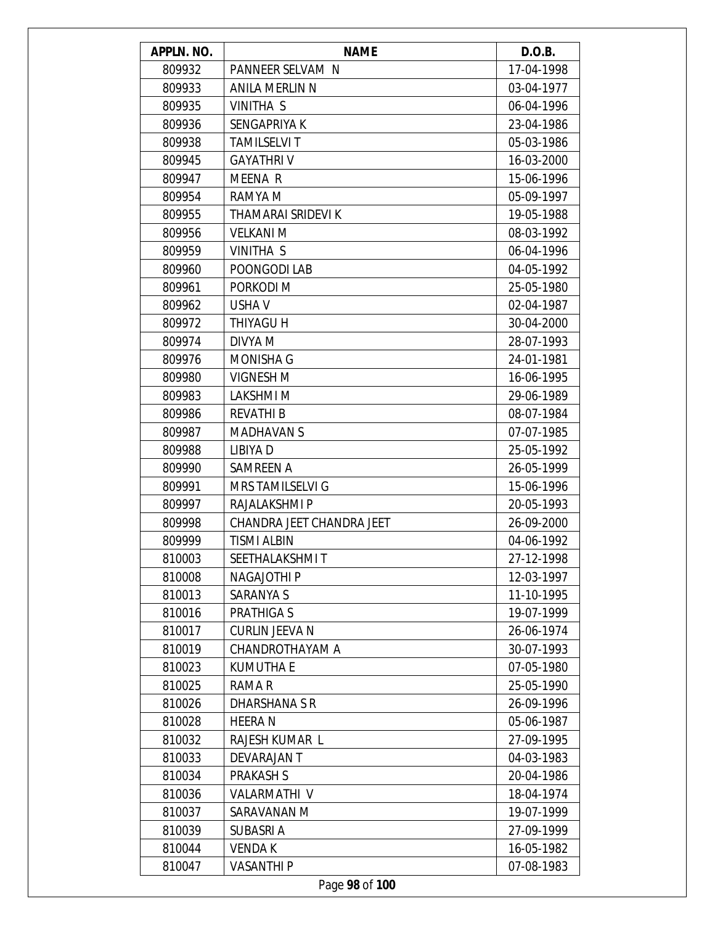| APPLN. NO. | <b>NAME</b>               | D.O.B.     |
|------------|---------------------------|------------|
| 809932     | PANNEER SELVAM N          | 17-04-1998 |
| 809933     | <b>ANILA MERLIN N</b>     | 03-04-1977 |
| 809935     | VINITHA S                 | 06-04-1996 |
| 809936     | SENGAPRIYA K              | 23-04-1986 |
| 809938     | <b>TAMILSELVI T</b>       | 05-03-1986 |
| 809945     | <b>GAYATHRIV</b>          | 16-03-2000 |
| 809947     | <b>MEENA R</b>            | 15-06-1996 |
| 809954     | RAMYA M                   | 05-09-1997 |
| 809955     | THAMARAI SRIDEVI K        | 19-05-1988 |
| 809956     | <b>VELKANI M</b>          | 08-03-1992 |
| 809959     | VINITHA S                 | 06-04-1996 |
| 809960     | POONGODI LAB              | 04-05-1992 |
| 809961     | PORKODI M                 | 25-05-1980 |
| 809962     | <b>USHAV</b>              | 02-04-1987 |
| 809972     | <b>THIYAGU H</b>          | 30-04-2000 |
| 809974     | DIVYA M                   | 28-07-1993 |
| 809976     | <b>MONISHA G</b>          | 24-01-1981 |
| 809980     | <b>VIGNESH M</b>          | 16-06-1995 |
| 809983     | LAKSHMI M                 | 29-06-1989 |
| 809986     | <b>REVATHI B</b>          | 08-07-1984 |
| 809987     | <b>MADHAVAN S</b>         | 07-07-1985 |
| 809988     | LIBIYA D                  | 25-05-1992 |
| 809990     | SAMREEN A                 | 26-05-1999 |
| 809991     | <b>MRS TAMILSELVI G</b>   | 15-06-1996 |
| 809997     | RAJALAKSHMI P             | 20-05-1993 |
| 809998     | CHANDRA JEET CHANDRA JEET | 26-09-2000 |
| 809999     | <b>TISMI ALBIN</b>        | 04-06-1992 |
| 810003     | SEETHALAKSHMI T           | 27-12-1998 |
| 810008     | NAGAJOTHI P               | 12-03-1997 |
| 810013     | SARANYA S                 | 11-10-1995 |
| 810016     | <b>PRATHIGA S</b>         | 19-07-1999 |
| 810017     | CURLIN JEEVA N            | 26-06-1974 |
| 810019     | CHANDROTHAYAM A           | 30-07-1993 |
| 810023     | <b>KUMUTHA E</b>          | 07-05-1980 |
| 810025     | RAMA R                    | 25-05-1990 |
| 810026     | DHARSHANA S R             | 26-09-1996 |
| 810028     | <b>HEERAN</b>             | 05-06-1987 |
| 810032     | RAJESH KUMAR L            | 27-09-1995 |
| 810033     | DEVARAJAN T               | 04-03-1983 |
| 810034     | <b>PRAKASH S</b>          | 20-04-1986 |
| 810036     | VALARMATHI V              | 18-04-1974 |
| 810037     | SARAVANAN M               | 19-07-1999 |
| 810039     | SUBASRI A                 | 27-09-1999 |
| 810044     | <b>VENDA K</b>            | 16-05-1982 |
| 810047     | <b>VASANTHI P</b>         | 07-08-1983 |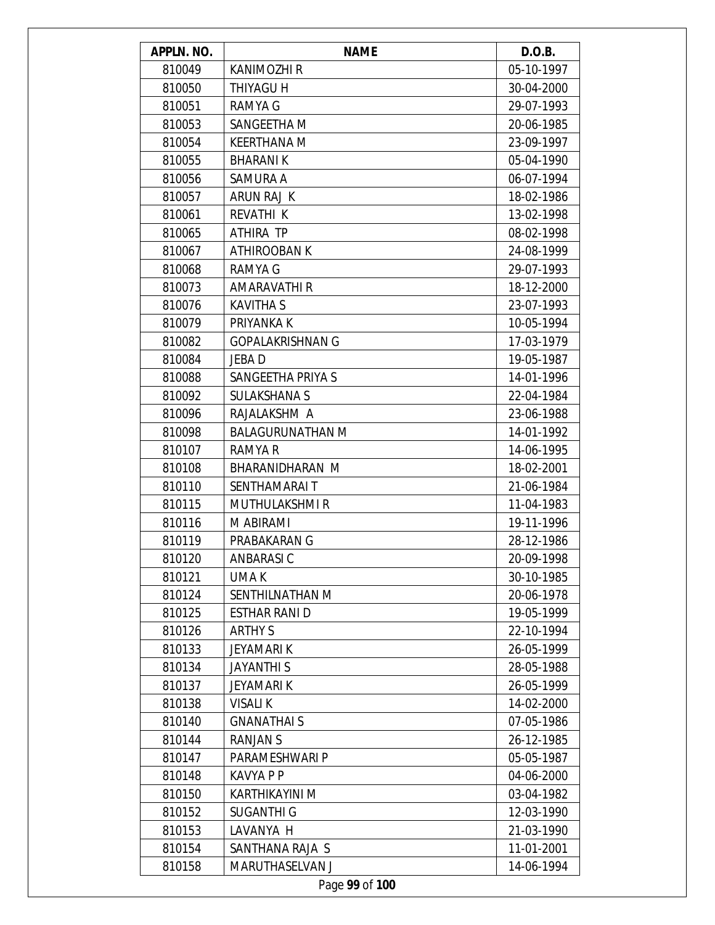| APPLN. NO.     | <b>NAME</b>             | D.O.B.     |  |  |
|----------------|-------------------------|------------|--|--|
| 810049         | <b>KANIMOZHI R</b>      | 05-10-1997 |  |  |
| 810050         | THIYAGU H               | 30-04-2000 |  |  |
| 810051         | RAMYA G                 | 29-07-1993 |  |  |
| 810053         | SANGEETHA M             | 20-06-1985 |  |  |
| 810054         | <b>KEERTHANA M</b>      | 23-09-1997 |  |  |
| 810055         | <b>BHARANIK</b>         | 05-04-1990 |  |  |
| 810056         | SAMURA A                | 06-07-1994 |  |  |
| 810057         | ARUN RAJ K              | 18-02-1986 |  |  |
| 810061         | REVATHI K               | 13-02-1998 |  |  |
| 810065         | ATHIRA TP               | 08-02-1998 |  |  |
| 810067         | ATHIROOBAN K            | 24-08-1999 |  |  |
| 810068         | RAMYA G                 | 29-07-1993 |  |  |
| 810073         | <b>AMARAVATHI R</b>     | 18-12-2000 |  |  |
| 810076         | <b>KAVITHA S</b>        | 23-07-1993 |  |  |
| 810079         | PRIYANKA K              | 10-05-1994 |  |  |
| 810082         | <b>GOPALAKRISHNAN G</b> | 17-03-1979 |  |  |
| 810084         | JEBA D                  | 19-05-1987 |  |  |
| 810088         | SANGEETHA PRIYA S       | 14-01-1996 |  |  |
| 810092         | <b>SULAKSHANA S</b>     | 22-04-1984 |  |  |
| 810096         | RAJALAKSHM A            | 23-06-1988 |  |  |
| 810098         | <b>BALAGURUNATHAN M</b> | 14-01-1992 |  |  |
| 810107         | RAMYA R                 | 14-06-1995 |  |  |
| 810108         | BHARANIDHARAN M         | 18-02-2001 |  |  |
| 810110         | SENTHAMARAI T           | 21-06-1984 |  |  |
| 810115         | <b>MUTHULAKSHMI R</b>   | 11-04-1983 |  |  |
| 810116         | M ABIRAMI               | 19-11-1996 |  |  |
| 810119         | PRABAKARAN G            | 28-12-1986 |  |  |
| 810120         | ANBARASI C              | 20-09-1998 |  |  |
| 810121         | UMA K                   | 30-10-1985 |  |  |
| 810124         | SENTHILNATHAN M         | 20-06-1978 |  |  |
| 810125         | <b>ESTHAR RANI D</b>    | 19-05-1999 |  |  |
| 810126         | <b>ARTHY S</b>          | 22-10-1994 |  |  |
| 810133         | JEYAMARI K              | 26-05-1999 |  |  |
| 810134         | <b>JAYANTHI S</b>       | 28-05-1988 |  |  |
| 810137         | <b>JEYAMARIK</b>        | 26-05-1999 |  |  |
| 810138         | <b>VISALIK</b>          | 14-02-2000 |  |  |
| 810140         | <b>GNANATHAIS</b>       | 07-05-1986 |  |  |
| 810144         | <b>RANJAN S</b>         | 26-12-1985 |  |  |
| 810147         | PARAMESHWARI P          | 05-05-1987 |  |  |
| 810148         | <b>KAVYA P P</b>        | 04-06-2000 |  |  |
| 810150         | KARTHIKAYINI M          | 03-04-1982 |  |  |
| 810152         | <b>SUGANTHI G</b>       | 12-03-1990 |  |  |
| 810153         | LAVANYA H               | 21-03-1990 |  |  |
| 810154         | SANTHANA RAJA S         | 11-01-2001 |  |  |
| 810158         | MARUTHASELVAN J         | 14-06-1994 |  |  |
| Page 99 of 100 |                         |            |  |  |